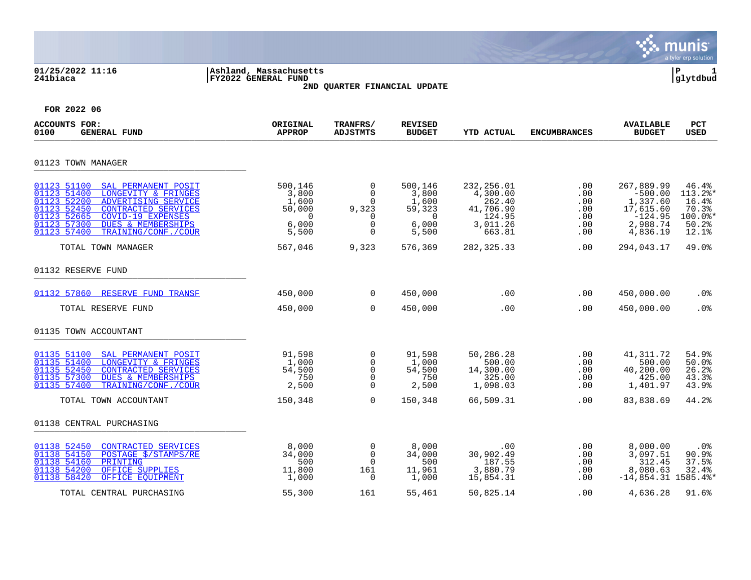|                                                                                                                                                                                                                                                                            |                                                                         |                                                                                |                                                                         |                                                                               |                                                    |                                                                                       | munis<br>a tyler erp solution                                     |
|----------------------------------------------------------------------------------------------------------------------------------------------------------------------------------------------------------------------------------------------------------------------------|-------------------------------------------------------------------------|--------------------------------------------------------------------------------|-------------------------------------------------------------------------|-------------------------------------------------------------------------------|----------------------------------------------------|---------------------------------------------------------------------------------------|-------------------------------------------------------------------|
| 01/25/2022 11:16<br>241biaca                                                                                                                                                                                                                                               | Ashland, Massachusetts<br>FY2022 GENERAL FUND                           | 2ND QUARTER FINANCIAL UPDATE                                                   |                                                                         |                                                                               |                                                    |                                                                                       | ΙP<br>glytdbud                                                    |
| FOR 2022 06                                                                                                                                                                                                                                                                |                                                                         |                                                                                |                                                                         |                                                                               |                                                    |                                                                                       |                                                                   |
| <b>ACCOUNTS FOR:</b><br><b>GENERAL FUND</b><br>0100                                                                                                                                                                                                                        | ORIGINAL<br><b>APPROP</b>                                               | TRANFRS/<br><b>ADJSTMTS</b>                                                    | <b>REVISED</b><br><b>BUDGET</b>                                         | <b>YTD ACTUAL</b>                                                             | <b>ENCUMBRANCES</b>                                | <b>AVAILABLE</b><br><b>BUDGET</b>                                                     | PCT<br><b>USED</b>                                                |
| 01123 TOWN MANAGER                                                                                                                                                                                                                                                         |                                                                         |                                                                                |                                                                         |                                                                               |                                                    |                                                                                       |                                                                   |
| 01123 51100<br>SAL PERMANENT POSIT<br>01123 51400<br>LONGEVITY & FRINGES<br>01123 52200<br>ADVERTISING SERVICE<br>01123 52450<br><b>CONTRACTED SERVICES</b><br>01123 52665<br>COVID-19 EXPENSES<br>DUES & MEMBERSHIPS<br>01123 57300<br>01123 57400<br>TRAINING/CONF./COUR | 500,146<br>3,800<br>1,600<br>50,000<br>$\overline{0}$<br>6,000<br>5,500 | 0<br>$\mathbf 0$<br>0<br>9,323<br>$\mathbf 0$<br>$\mathbf 0$<br>$\overline{0}$ | 500,146<br>3,800<br>1,600<br>59,323<br>$\overline{0}$<br>6,000<br>5,500 | 232,256.01<br>4,300.00<br>262.40<br>41,706.90<br>124.95<br>3,011.26<br>663.81 | $.00 \,$<br>.00<br>.00<br>.00<br>.00<br>.00<br>.00 | 267,889.99<br>$-500.00$<br>1,337.60<br>17,615.60<br>$-124.95$<br>2,988.74<br>4,836.19 | 46.4%<br>113.2%*<br>16.4%<br>70.3%<br>$100.0$ *<br>50.2%<br>12.1% |
| TOTAL TOWN MANAGER                                                                                                                                                                                                                                                         | 567,046                                                                 | 9,323                                                                          | 576,369                                                                 | 282, 325. 33                                                                  | .00                                                | 294,043.17                                                                            | 49.0%                                                             |
| 01132 RESERVE FUND                                                                                                                                                                                                                                                         |                                                                         |                                                                                |                                                                         |                                                                               |                                                    |                                                                                       |                                                                   |
| 01132 57860 RESERVE FUND TRANSF                                                                                                                                                                                                                                            | 450,000                                                                 | $\Omega$                                                                       | 450,000                                                                 | .00                                                                           | .00                                                | 450,000.00                                                                            | .0 <sub>8</sub>                                                   |
| TOTAL RESERVE FUND                                                                                                                                                                                                                                                         | 450,000                                                                 | $\mathbf 0$                                                                    | 450,000                                                                 | .00                                                                           | .00                                                | 450,000.00                                                                            | .0%                                                               |
| 01135 TOWN ACCOUNTANT                                                                                                                                                                                                                                                      |                                                                         |                                                                                |                                                                         |                                                                               |                                                    |                                                                                       |                                                                   |
| 01135 51100<br>SAL PERMANENT POSIT<br>01135 51400<br>LONGEVITY & FRINGES<br>01135 52450<br>CONTRACTED SERVICES<br>01135 57300<br><b>DUES &amp; MEMBERSHIPS</b><br>01135 57400<br>TRAINING/CONF./COUR                                                                       | 91,598<br>1,000<br>54,500<br>750<br>2,500                               | 0<br>0<br>$\mathbf 0$<br>$\Omega$<br>$\Omega$                                  | 91,598<br>1,000<br>54,500<br>750<br>2,500                               | 50,286.28<br>500.00<br>14,300.00<br>325.00<br>1,098.03                        | .00<br>.00<br>.00<br>.00<br>.00                    | 41,311.72<br>500.00<br>40,200.00<br>425.00<br>1,401.97                                | 54.9%<br>50.0%<br>26.2%<br>43.3%<br>43.9%                         |
| TOTAL TOWN ACCOUNTANT                                                                                                                                                                                                                                                      | 150,348                                                                 | $\Omega$                                                                       | 150,348                                                                 | 66,509.31                                                                     | .00                                                | 83,838.69                                                                             | 44.2%                                                             |
| 01138 CENTRAL PURCHASING                                                                                                                                                                                                                                                   |                                                                         |                                                                                |                                                                         |                                                                               |                                                    |                                                                                       |                                                                   |
| 01138 52450<br>CONTRACTED SERVICES<br>01138 54150<br>POSTAGE \$/STAMPS/RE<br>01138 54160<br>PRINTING<br>01138 54200<br>OFFICE SUPPLIES<br>01138 58420<br>OFFICE EOUIPMENT                                                                                                  | 8,000<br>34,000<br>500<br>11,800<br>1,000                               | $\mathbf 0$<br>$\mathbf 0$<br>$\mathbf 0$<br>161<br>0                          | 8,000<br>34,000<br>500<br>11,961<br>1,000                               | .00<br>30,902.49<br>187.55<br>3,880.79<br>15,854.31                           | $.00 \,$<br>.00<br>.00<br>.00<br>$.00 \,$          | 8,000.00<br>3,097.51<br>312.45<br>8,080.63<br>$-14,854.31$ 1585.4%'                   | .0%<br>90.9%<br>37.5%<br>32.4%                                    |
| TOTAL CENTRAL PURCHASING                                                                                                                                                                                                                                                   | 55,300                                                                  | 161                                                                            | 55,461                                                                  | 50,825.14                                                                     | .00                                                | 4,636.28                                                                              | 91.6%                                                             |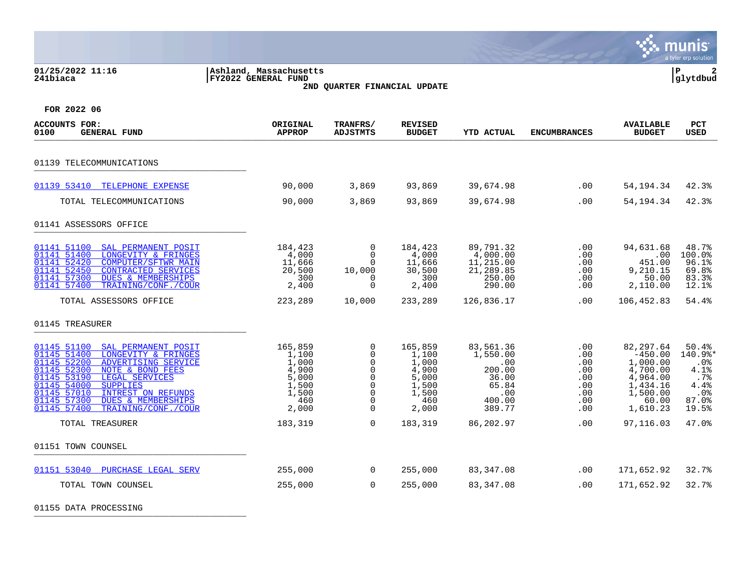| 01/25/2022 11:16<br>241biaca                                                                                                                                                                                                                                                                                                                | Ashland, Massachusetts<br>FY2022 GENERAL FUND                                 | 2ND QUARTER FINANCIAL UPDATE                                                                               |                                                                               |                                                                                     |                                                                       |                                                                                                         | P<br>glytdbud                                                              |
|---------------------------------------------------------------------------------------------------------------------------------------------------------------------------------------------------------------------------------------------------------------------------------------------------------------------------------------------|-------------------------------------------------------------------------------|------------------------------------------------------------------------------------------------------------|-------------------------------------------------------------------------------|-------------------------------------------------------------------------------------|-----------------------------------------------------------------------|---------------------------------------------------------------------------------------------------------|----------------------------------------------------------------------------|
| FOR 2022 06                                                                                                                                                                                                                                                                                                                                 |                                                                               |                                                                                                            |                                                                               |                                                                                     |                                                                       |                                                                                                         |                                                                            |
| <b>ACCOUNTS FOR:</b><br>0100<br><b>GENERAL FUND</b>                                                                                                                                                                                                                                                                                         | ORIGINAL<br><b>APPROP</b>                                                     | TRANFRS/<br><b>ADJSTMTS</b>                                                                                | <b>REVISED</b><br><b>BUDGET</b>                                               | <b>YTD ACTUAL</b>                                                                   | <b>ENCUMBRANCES</b>                                                   | <b>AVAILABLE</b><br><b>BUDGET</b>                                                                       | <b>PCT</b><br><b>USED</b>                                                  |
| 01139 TELECOMMUNICATIONS                                                                                                                                                                                                                                                                                                                    |                                                                               |                                                                                                            |                                                                               |                                                                                     |                                                                       |                                                                                                         |                                                                            |
| 01139 53410 TELEPHONE EXPENSE                                                                                                                                                                                                                                                                                                               | 90,000                                                                        | 3,869                                                                                                      | 93,869                                                                        | 39,674.98                                                                           | .00                                                                   | 54,194.34                                                                                               | 42.3%                                                                      |
| TOTAL TELECOMMUNICATIONS                                                                                                                                                                                                                                                                                                                    | 90,000                                                                        | 3,869                                                                                                      | 93,869                                                                        | 39,674.98                                                                           | .00                                                                   | 54,194.34                                                                                               | 42.3%                                                                      |
| 01141 ASSESSORS OFFICE                                                                                                                                                                                                                                                                                                                      |                                                                               |                                                                                                            |                                                                               |                                                                                     |                                                                       |                                                                                                         |                                                                            |
| 01141 51100<br>SAL PERMANENT POSIT<br>01141 51400<br>LONGEVITY & FRINGES<br>01141 52420<br><b>COMPUTER/SFTWR MAIN</b><br>01141 52450<br><b>CONTRACTED SERVICES</b><br>01141 57300<br><b>DUES &amp; MEMBERSHIPS</b><br>01141 57400<br>TRAINING/CONF./COUR                                                                                    | 184,423<br>4,000<br>11,666<br>20,500<br>300<br>2,400                          | 0<br>$\Omega$<br>$\Omega$<br>10,000<br>$\Omega$<br>$\Omega$                                                | 184,423<br>4,000<br>11,666<br>30,500<br>300<br>2,400                          | 89,791.32<br>4,000.00<br>11,215.00<br>21,289.85<br>250.00<br>290.00                 | .00<br>$.00 \,$<br>$.00 \,$<br>$.00 \,$<br>.00<br>$.00 \,$            | 94,631.68<br>.00<br>451.00<br>9,210.15<br>50.00<br>2,110.00                                             | 48.7%<br>100.0%<br>96.1%<br>69.8%<br>83.3%<br>12.1%                        |
| TOTAL ASSESSORS OFFICE                                                                                                                                                                                                                                                                                                                      | 223,289                                                                       | 10,000                                                                                                     | 233,289                                                                       | 126,836.17                                                                          | .00                                                                   | 106,452.83                                                                                              | 54.4%                                                                      |
| 01145 TREASURER                                                                                                                                                                                                                                                                                                                             |                                                                               |                                                                                                            |                                                                               |                                                                                     |                                                                       |                                                                                                         |                                                                            |
| SAL PERMANENT POSIT<br>01145 51100<br>01145 51400<br>LONGEVITY & FRINGES<br>01145 52200<br>ADVERTISING SERVICE<br>01145 52300<br>NOTE & BOND FEES<br>01145 53190<br>LEGAL SERVICES<br>01145 54000<br><b>SUPPLIES</b><br>01145 57010<br><b>INTREST ON REFUNDS</b><br>01145 57300<br>DUES & MEMBERSHIPS<br>01145 57400<br>TRAINING/CONF./COUR | 165,859<br>1,100<br>1,000<br>4,900<br>5,000<br>1,500<br>1,500<br>460<br>2,000 | $\mathbf 0$<br>$\mathbf 0$<br>$\mathsf{O}$<br>$\mathbf 0$<br>$\mathbf 0$<br>0<br>0<br>$\Omega$<br>$\Omega$ | 165,859<br>1,100<br>1,000<br>4,900<br>5,000<br>1,500<br>1,500<br>460<br>2,000 | 83,561.36<br>1,550.00<br>.00<br>200.00<br>36.00<br>65.84<br>.00<br>400.00<br>389.77 | .00<br>.00<br>$.00 \,$<br>.00<br>.00<br>.00<br>.00<br>.00<br>$.00 \,$ | 82,297.64<br>$-450.00$<br>1,000.00<br>4,700.00<br>4,964.00<br>1,434.16<br>1,500.00<br>60.00<br>1,610.23 | 50.4%<br>140.9%*<br>.0%<br>4.1%<br>$.7\%$<br>4.4%<br>.0%<br>87.0%<br>19.5% |
| TOTAL TREASURER                                                                                                                                                                                                                                                                                                                             | 183,319                                                                       | $\mathbf 0$                                                                                                | 183,319                                                                       | 86,202.97                                                                           | .00                                                                   | 97,116.03                                                                                               | 47.0%                                                                      |
| 01151 TOWN COUNSEL                                                                                                                                                                                                                                                                                                                          |                                                                               |                                                                                                            |                                                                               |                                                                                     |                                                                       |                                                                                                         |                                                                            |
| 01151 53040 PURCHASE LEGAL SERV                                                                                                                                                                                                                                                                                                             | 255,000                                                                       | $\overline{0}$                                                                                             | 255,000                                                                       | 83,347.08                                                                           | $.00 \,$                                                              | 171,652.92                                                                                              | 32.7%                                                                      |
| TOTAL TOWN COUNSEL                                                                                                                                                                                                                                                                                                                          | 255,000                                                                       | $\Omega$                                                                                                   | 255,000                                                                       | 83,347.08                                                                           | .00                                                                   | 171,652.92                                                                                              | 32.7%                                                                      |
|                                                                                                                                                                                                                                                                                                                                             |                                                                               |                                                                                                            |                                                                               |                                                                                     |                                                                       |                                                                                                         |                                                                            |

**SALE MUNIS** 

01155 DATA PROCESSING \_\_\_\_\_\_\_\_\_\_\_\_\_\_\_\_\_\_\_\_\_\_\_\_\_\_\_\_\_\_\_\_\_\_\_\_\_\_\_\_\_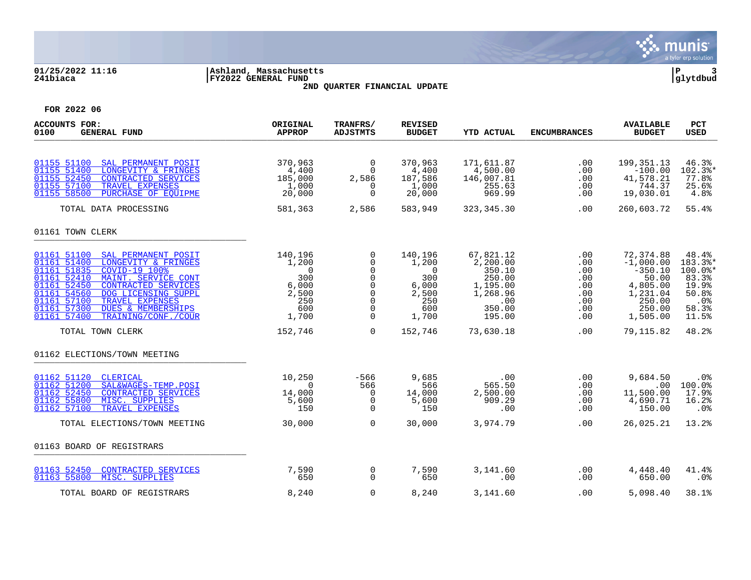

# **01/25/2022 11:16 |Ashland, Massachusetts |P 3 241biaca |FY2022 GENERAL FUND |glytdbud 2ND QUARTER FINANCIAL UPDATE**



| <b>ACCOUNTS FOR:</b><br>0100<br><b>GENERAL FUND</b>                                                                                                                                                                                                                                                                                                       | ORIGINAL<br><b>APPROP</b>                                                          | TRANFRS/<br><b>ADJSTMTS</b>                                                                                         | <b>REVISED</b><br><b>BUDGET</b>                                                    | <b>YTD ACTUAL</b>                                                                            | <b>ENCUMBRANCES</b>                                         | <b>AVAILABLE</b><br><b>BUDGET</b>                                                                      | <b>PCT</b><br><b>USED</b>                                                                     |
|-----------------------------------------------------------------------------------------------------------------------------------------------------------------------------------------------------------------------------------------------------------------------------------------------------------------------------------------------------------|------------------------------------------------------------------------------------|---------------------------------------------------------------------------------------------------------------------|------------------------------------------------------------------------------------|----------------------------------------------------------------------------------------------|-------------------------------------------------------------|--------------------------------------------------------------------------------------------------------|-----------------------------------------------------------------------------------------------|
| 01155 51100<br>SAL PERMANENT POSIT<br>01155 51400<br>LONGEVITY & FRINGES<br>01155 52450<br>CONTRACTED SERVICES<br>01155 57100<br>TRAVEL EXPENSES<br>01155 58500<br>PURCHASE OF EQUIPME                                                                                                                                                                    | 370,963<br>4,400<br>185,000<br>1,000<br>20,000                                     | $\overline{0}$<br>$\Omega$<br>2,586<br>$\Omega$<br>$\Omega$                                                         | 370,963<br>4,400<br>187,586<br>1,000<br>20,000                                     | 171,611.87<br>4,500.00<br>146,007.81<br>255.63<br>969.99                                     | .00<br>.00<br>$.00 \,$<br>.00<br>.00                        | 199, 351. 13<br>$-100.00$<br>41,578.21<br>744.37<br>19,030.01                                          | 46.3%<br>$102.3$ *<br>77.8%<br>25.6%<br>4.8%                                                  |
| TOTAL DATA PROCESSING                                                                                                                                                                                                                                                                                                                                     | 581,363                                                                            | 2,586                                                                                                               | 583,949                                                                            | 323, 345. 30                                                                                 | .00                                                         | 260,603.72                                                                                             | 55.4%                                                                                         |
| 01161 TOWN CLERK                                                                                                                                                                                                                                                                                                                                          |                                                                                    |                                                                                                                     |                                                                                    |                                                                                              |                                                             |                                                                                                        |                                                                                               |
| 01161 51100<br>SAL PERMANENT POSIT<br>01161 51400<br>LONGEVITY & FRINGES<br>01161 51835<br>COVID-19 100%<br>01161 52410<br>MAINT. SERVICE CONT<br>01161 52450<br><b>CONTRACTED SERVICES</b><br>01161 54560<br>DOG LICENSING SUPPL<br>01161 57100<br>TRAVEL EXPENSES<br>01161 57300<br><b>DUES &amp; MEMBERSHIPS</b><br>01161 57400<br>TRAINING/CONF./COUR | 140,196<br>1,200<br>$\overline{0}$<br>300<br>6,000<br>2,500<br>250<br>600<br>1,700 | 0<br>$\Omega$<br>$\mathbf 0$<br>$\mathbf 0$<br>$\mathbf 0$<br>$\mathbf 0$<br>$\mathbf 0$<br>$\mathbf 0$<br>$\Omega$ | 140,196<br>1,200<br>$\overline{0}$<br>300<br>6,000<br>2,500<br>250<br>600<br>1,700 | 67,821.12<br>2,200.00<br>350.10<br>250.00<br>1,195.00<br>1,268.96<br>.00<br>350.00<br>195.00 | .00<br>.00<br>.00<br>.00<br>.00<br>.00<br>.00<br>.00<br>.00 | 72,374.88<br>$-1,000.00$<br>$-350.10$<br>50.00<br>4,805.00<br>1,231.04<br>250.00<br>250.00<br>1,505.00 | 48.4%<br>183.3%*<br>$100.0$ *<br>83.3%<br>19.9%<br>50.8%<br>.0 <sub>8</sub><br>58.3%<br>11.5% |
| TOTAL TOWN CLERK                                                                                                                                                                                                                                                                                                                                          | 152,746                                                                            | $\Omega$                                                                                                            | 152,746                                                                            | 73,630.18                                                                                    | .00                                                         | 79,115.82                                                                                              | 48.2%                                                                                         |
| 01162 ELECTIONS/TOWN MEETING                                                                                                                                                                                                                                                                                                                              |                                                                                    |                                                                                                                     |                                                                                    |                                                                                              |                                                             |                                                                                                        |                                                                                               |
| 01162 51120<br>CLERICAL<br>01162 51200<br>SAL&WAGES-TEMP.POSI<br>01162 52450<br>CONTRACTED SERVICES<br>01162 55800<br>MISC. SUPPLIES<br>01162 57100<br>TRAVEL EXPENSES                                                                                                                                                                                    | 10,250<br>$\Omega$<br>14,000<br>5,600<br>150                                       | -566<br>566<br>$\Omega$<br>$\mathbf 0$<br>$\Omega$                                                                  | 9,685<br>566<br>14,000<br>5,600<br>150                                             | .00<br>565.50<br>2,500.00<br>909.29<br>.00                                                   | .00<br>.00<br>.00<br>.00<br>.00                             | 9,684.50<br>.00<br>11,500.00<br>4,690.71<br>150.00                                                     | .0%<br>100.0%<br>17.9%<br>16.2%<br>.0%                                                        |
| TOTAL ELECTIONS/TOWN MEETING                                                                                                                                                                                                                                                                                                                              | 30,000                                                                             | $\Omega$                                                                                                            | 30,000                                                                             | 3,974.79                                                                                     | .00                                                         | 26,025.21                                                                                              | 13.2%                                                                                         |
| 01163 BOARD OF REGISTRARS                                                                                                                                                                                                                                                                                                                                 |                                                                                    |                                                                                                                     |                                                                                    |                                                                                              |                                                             |                                                                                                        |                                                                                               |
| 01163 52450<br><b>CONTRACTED SERVICES</b><br>MISC. SUPPLIES<br>01163 55800                                                                                                                                                                                                                                                                                | 7,590<br>650                                                                       | 0<br>$\Omega$                                                                                                       | 7,590<br>650                                                                       | 3,141.60<br>.00                                                                              | $.00 \,$<br>.00                                             | 4,448.40<br>650.00                                                                                     | 41.4%<br>.0%                                                                                  |
| TOTAL BOARD OF REGISTRARS                                                                                                                                                                                                                                                                                                                                 | 8,240                                                                              | $\Omega$                                                                                                            | 8,240                                                                              | 3,141.60                                                                                     | .00                                                         | 5,098.40                                                                                               | 38.1%                                                                                         |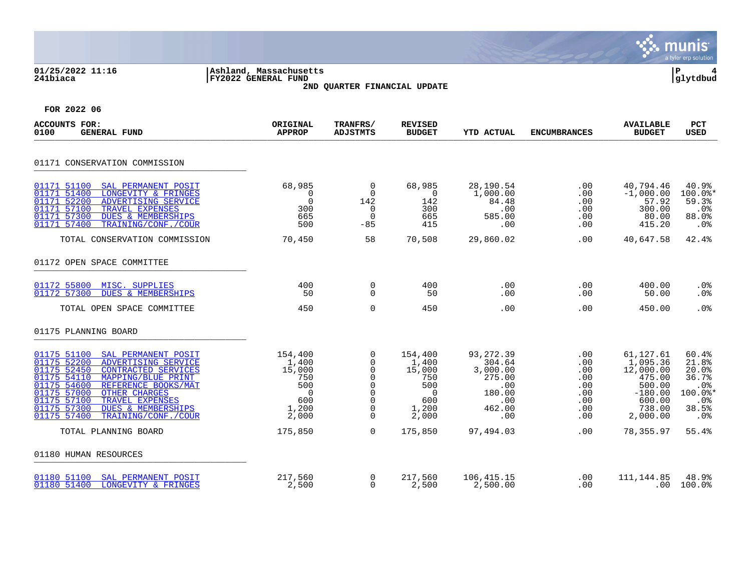|                                                                                                                                                                                                                                                                                                                                                      |                                                                               |                                                                                                                        |                                                                                     |                                                                                          |                                                             |                                                                                                     | munis<br>a tyler erp solution                                                                     |
|------------------------------------------------------------------------------------------------------------------------------------------------------------------------------------------------------------------------------------------------------------------------------------------------------------------------------------------------------|-------------------------------------------------------------------------------|------------------------------------------------------------------------------------------------------------------------|-------------------------------------------------------------------------------------|------------------------------------------------------------------------------------------|-------------------------------------------------------------|-----------------------------------------------------------------------------------------------------|---------------------------------------------------------------------------------------------------|
| 01/25/2022 11:16<br>241biaca                                                                                                                                                                                                                                                                                                                         | Ashland, Massachusetts<br><b>FY2022 GENERAL FUND</b>                          | 2ND QUARTER FINANCIAL UPDATE                                                                                           |                                                                                     |                                                                                          |                                                             |                                                                                                     | ΙP<br> glytdbud                                                                                   |
| FOR 2022 06                                                                                                                                                                                                                                                                                                                                          |                                                                               |                                                                                                                        |                                                                                     |                                                                                          |                                                             |                                                                                                     |                                                                                                   |
| <b>ACCOUNTS FOR:</b><br>0100<br><b>GENERAL FUND</b>                                                                                                                                                                                                                                                                                                  | ORIGINAL<br><b>APPROP</b>                                                     | TRANFRS/<br><b>ADJSTMTS</b>                                                                                            | <b>REVISED</b><br><b>BUDGET</b>                                                     | <b>YTD ACTUAL</b>                                                                        | <b>ENCUMBRANCES</b>                                         | <b>AVAILABLE</b><br><b>BUDGET</b>                                                                   | <b>PCT</b><br>USED                                                                                |
| 01171 CONSERVATION COMMISSION                                                                                                                                                                                                                                                                                                                        |                                                                               |                                                                                                                        |                                                                                     |                                                                                          |                                                             |                                                                                                     |                                                                                                   |
| 01171 51100<br>SAL PERMANENT POSIT<br>01171 51400<br>LONGEVITY & FRINGES<br>01171 52200<br>ADVERTISING SERVICE<br>01171 57100<br>TRAVEL EXPENSES<br>01171 57300<br>DUES & MEMBERSHIPS<br>01171 57400<br>TRAINING/CONF./COUR                                                                                                                          | 68,985<br>0<br>$\mathbf 0$<br>300<br>665<br>500                               | $\Omega$<br>$\Omega$<br>142<br>$\mathbf 0$<br>$\Omega$<br>$-85$                                                        | 68,985<br>$\overline{0}$<br>142<br>300<br>665<br>415                                | 28,190.54<br>1,000.00<br>84.48<br>.00<br>585.00<br>.00                                   | .00<br>.00<br>.00<br>.00<br>.00<br>.00                      | 40,794.46<br>$-1,000.00$<br>57.92<br>300.00<br>80.00<br>415.20                                      | 40.9%<br>$100.0$ *<br>59.3%<br>.0 <sub>8</sub><br>88.0%<br>.0%                                    |
| TOTAL CONSERVATION COMMISSION                                                                                                                                                                                                                                                                                                                        | 70,450                                                                        | 58                                                                                                                     | 70,508                                                                              | 29,860.02                                                                                | .00                                                         | 40,647.58                                                                                           | 42.4%                                                                                             |
| 01172 OPEN SPACE COMMITTEE                                                                                                                                                                                                                                                                                                                           |                                                                               |                                                                                                                        |                                                                                     |                                                                                          |                                                             |                                                                                                     |                                                                                                   |
| 01172 55800<br>MISC. SUPPLIES<br>01172 57300<br><b>DUES &amp; MEMBERSHIPS</b>                                                                                                                                                                                                                                                                        | 400<br>50                                                                     | 0<br>$\Omega$                                                                                                          | 400<br>50                                                                           | .00<br>.00                                                                               | .00<br>.00                                                  | 400.00<br>50.00                                                                                     | .0%<br>.0%                                                                                        |
| TOTAL OPEN SPACE COMMITTEE                                                                                                                                                                                                                                                                                                                           | 450                                                                           | $\mathbf 0$                                                                                                            | 450                                                                                 | .00                                                                                      | .00                                                         | 450.00                                                                                              | .0%                                                                                               |
| 01175 PLANNING BOARD                                                                                                                                                                                                                                                                                                                                 |                                                                               |                                                                                                                        |                                                                                     |                                                                                          |                                                             |                                                                                                     |                                                                                                   |
| 01175 51100<br>SAL PERMANENT POSIT<br>01175 52200<br>ADVERTISING SERVICE<br>01175 52450<br><b>CONTRACTED SERVICES</b><br>01175 54110<br>MAPPING/BLUE PRINT<br>01175 54600<br>REFERENCE BOOKS/MAT<br>01175 57000<br><b>OTHER CHARGES</b><br>01175 57100<br>TRAVEL EXPENSES<br>01175 57300<br>DUES & MEMBERSHIPS<br>01175 57400<br>TRAINING/CONF./COUR | 154,400<br>1,400<br>15,000<br>750<br>500<br>$\Omega$<br>600<br>1,200<br>2,000 | $\mathbf 0$<br>0<br>$\mathbf 0$<br>$\mathbf 0$<br>$\mathbf 0$<br>$\mathbf 0$<br>$\mathbf 0$<br>$\mathbf 0$<br>$\Omega$ | 154,400<br>1,400<br>15,000<br>750<br>500<br>$\overline{0}$<br>600<br>1,200<br>2,000 | 93, 272.39<br>304.64<br>3,000.00<br>275.00<br>.00<br>180.00<br>$.00 \,$<br>462.00<br>.00 | .00<br>.00<br>.00<br>.00<br>.00<br>.00<br>.00<br>.00<br>.00 | 61,127.61<br>1,095.36<br>12,000.00<br>475.00<br>500.00<br>$-180.00$<br>600.00<br>738.00<br>2,000.00 | 60.4%<br>21.8%<br>20.0%<br>36.7%<br>.0 <sub>8</sub><br>100.0%*<br>.0 <sub>8</sub><br>38.5%<br>.0% |
| TOTAL PLANNING BOARD                                                                                                                                                                                                                                                                                                                                 | 175,850                                                                       | $\mathbf 0$                                                                                                            | 175,850                                                                             | 97,494.03                                                                                | .00                                                         | 78,355.97                                                                                           | 55.4%                                                                                             |
| 01180 HUMAN RESOURCES                                                                                                                                                                                                                                                                                                                                |                                                                               |                                                                                                                        |                                                                                     |                                                                                          |                                                             |                                                                                                     |                                                                                                   |
| SAL PERMANENT POSIT<br>01180 51100<br>01180 51400<br>LONGEVITY & FRINGES                                                                                                                                                                                                                                                                             | 217,560<br>2,500                                                              | $\mathbf 0$<br>$\Omega$                                                                                                | 217,560<br>2,500                                                                    | 106, 415. 15<br>2,500.00                                                                 | .00<br>.00                                                  | 111, 144.85                                                                                         | 48.9%<br>$.00 100.0$ <sup>8</sup>                                                                 |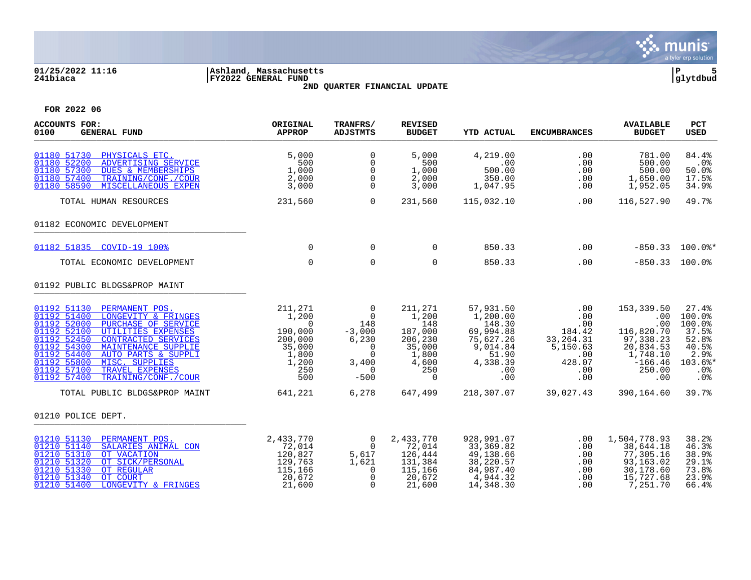

### **01/25/2022 11:16 |Ashland, Massachusetts |P 5 241biaca |FY2022 GENERAL FUND |glytdbud 2ND QUARTER FINANCIAL UPDATE**



| <b>ACCOUNTS FOR:</b><br>0100<br><b>GENERAL FUND</b>                                                                                                                                                                                                                                                                                                                              | ORIGINAL<br><b>APPROP</b>                                                                    | TRANFRS/<br><b>ADJSTMTS</b>                                                                                  | <b>REVISED</b><br><b>BUDGET</b>                                                              | <b>YTD ACTUAL</b>                                                                                        | <b>ENCUMBRANCES</b>                                                                   | <b>AVAILABLE</b><br><b>BUDGET</b>                                                                          | PCT<br><b>USED</b>                                                                    |
|----------------------------------------------------------------------------------------------------------------------------------------------------------------------------------------------------------------------------------------------------------------------------------------------------------------------------------------------------------------------------------|----------------------------------------------------------------------------------------------|--------------------------------------------------------------------------------------------------------------|----------------------------------------------------------------------------------------------|----------------------------------------------------------------------------------------------------------|---------------------------------------------------------------------------------------|------------------------------------------------------------------------------------------------------------|---------------------------------------------------------------------------------------|
| 01180 51730<br>PHYSICALS ETC.<br>01180 52200<br>ADVERTISING SERVICE<br>01180 57300<br><b>DUES &amp; MEMBERSHIPS</b><br>01180 57400<br>TRAINING/CONF./COUR<br>01180 58590<br>MISCELLANEOUS EXPEN                                                                                                                                                                                  | 5,000<br>500<br>1,000<br>2,000<br>3,000                                                      | $\Omega$<br>0<br>$\mathbf 0$<br>0<br>$\Omega$                                                                | 5,000<br>500<br>1,000<br>2,000<br>3,000                                                      | 4,219.00<br>.00<br>500.00<br>350.00<br>1,047.95                                                          | .00<br>.00<br>.00<br>.00<br>.00                                                       | 781.00<br>500.00<br>500.00<br>1,650.00<br>1,952.05                                                         | 84.4%<br>.0%<br>50.0%<br>17.5%<br>34.9%                                               |
| TOTAL HUMAN RESOURCES                                                                                                                                                                                                                                                                                                                                                            | 231,560                                                                                      | $\Omega$                                                                                                     | 231,560                                                                                      | 115,032.10                                                                                               | .00                                                                                   | 116,527.90                                                                                                 | 49.7%                                                                                 |
| 01182 ECONOMIC DEVELOPMENT                                                                                                                                                                                                                                                                                                                                                       |                                                                                              |                                                                                                              |                                                                                              |                                                                                                          |                                                                                       |                                                                                                            |                                                                                       |
| 01182 51835 COVID-19 100%                                                                                                                                                                                                                                                                                                                                                        | $\Omega$                                                                                     | $\mathbf 0$                                                                                                  | $\Omega$                                                                                     | 850.33                                                                                                   | .00                                                                                   |                                                                                                            | $-850.33$ 100.0%*                                                                     |
| TOTAL ECONOMIC DEVELOPMENT                                                                                                                                                                                                                                                                                                                                                       | $\Omega$                                                                                     | $\mathbf 0$                                                                                                  | $\Omega$                                                                                     | 850.33                                                                                                   | .00                                                                                   | $-850.33$ 100.0%                                                                                           |                                                                                       |
| 01192 PUBLIC BLDGS&PROP MAINT                                                                                                                                                                                                                                                                                                                                                    |                                                                                              |                                                                                                              |                                                                                              |                                                                                                          |                                                                                       |                                                                                                            |                                                                                       |
| 01192 51130<br>PERMANENT POS.<br>01192 51400<br>LONGEVITY & FRINGES<br>01192 52000<br>PURCHASE OF SERVICE<br>01192 52100<br>UTILITIES EXPENSES<br>01192 52450<br><b>CONTRACTED SERVICES</b><br>01192 54300<br>MAINTENANCE SUPPLIE<br>01192 54400<br>AUTO PARTS & SUPPLI<br>01192 55800<br>MISC. SUPPLIES<br>01192 57100<br>TRAVEL EXPENSES<br>01192 57400<br>TRAINING/CONF./COUR | 211,271<br>1,200<br>$\Omega$<br>190,000<br>200,000<br>35,000<br>1,800<br>1,200<br>250<br>500 | $\overline{0}$<br>$\overline{0}$<br>148<br>$-3,000$<br>6,230<br>0<br>$\Omega$<br>3,400<br>$\Omega$<br>$-500$ | 211,271<br>1,200<br>148<br>187,000<br>206,230<br>35,000<br>1,800<br>4,600<br>250<br>$\Omega$ | 57,931.50<br>1,200.00<br>148.30<br>69,994.88<br>75,627.26<br>9,014.84<br>51.90<br>4,338.39<br>.00<br>.00 | .00<br>.00<br>.00<br>184.42<br>33, 264. 31<br>5,150.63<br>.00<br>428.07<br>.00<br>.00 | 153,339.50<br>.00<br>.00<br>116,820.70<br>97,338.23<br>20,834.53<br>1,748.10<br>$-166.46$<br>250.00<br>.00 | 27.4%<br>100.0%<br>100.0%<br>37.5%<br>52.8%<br>40.5%<br>2.9%<br>103.6%*<br>.0%<br>.0% |
| TOTAL PUBLIC BLDGS&PROP MAINT                                                                                                                                                                                                                                                                                                                                                    | 641,221                                                                                      | 6,278                                                                                                        | 647,499                                                                                      | 218,307.07                                                                                               | 39,027.43                                                                             | 390,164.60                                                                                                 | 39.7%                                                                                 |
| 01210 POLICE DEPT.                                                                                                                                                                                                                                                                                                                                                               |                                                                                              |                                                                                                              |                                                                                              |                                                                                                          |                                                                                       |                                                                                                            |                                                                                       |
| 01210 51130<br>PERMANENT POS.<br>01210 51140<br>SALARIES ANIMAL CON<br>01210 51310<br>OT VACATION<br>01210 51320<br>OT SICK/PERSONAL<br>01210 51330<br>OT REGULAR<br>01210 51340<br>OT COURT<br>01210 51400<br>LONGEVITY & FRINGES                                                                                                                                               | 2,433,770<br>72,014<br>120,827<br>129,763<br>115,166<br>20,672<br>21,600                     | $\overline{0}$<br>$\overline{0}$<br>5,617<br>1,621<br>$\Omega$<br>$\Omega$<br>$\Omega$                       | 2,433,770<br>72,014<br>126,444<br>131,384<br>115,166<br>20,672<br>21,600                     | 928,991.07<br>33, 369.82<br>49,138.66<br>38,220.57<br>84,987.40<br>4,944.32<br>14,348.30                 | $.00 \,$<br>.00<br>.00<br>.00<br>.00<br>.00<br>.00                                    | 1,504,778.93<br>38,644.18<br>77,305.16<br>93,163.02<br>30,178.60<br>15,727.68<br>7,251.70                  | 38.2%<br>46.3%<br>38.9%<br>29.1%<br>73.8%<br>23.9%<br>66.4%                           |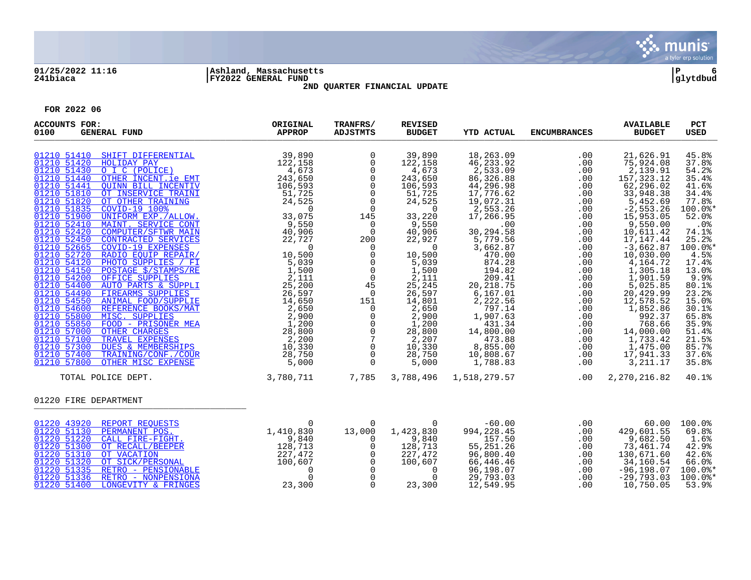

# **01/25/2022 11:16 |Ashland, Massachusetts |P 6 241biaca |FY2022 GENERAL FUND |glytdbud**



**2ND QUARTER FINANCIAL UPDATE**

| <b>ACCOUNTS FOR:</b><br>0100<br><b>GENERAL FUND</b>                                                                                                                                                                                                                                                                                                                                             | ORIGINAL<br><b>APPROP</b> | TRANFRS/<br><b>ADJSTMTS</b> | <b>REVISED</b><br><b>BUDGET</b>                                                                                                                                                                                                                                                                                                 | <b>YTD ACTUAL</b>                                                                                                                                                                                                                                                                                                                                                    | <b>ENCUMBRANCES</b>                                                                         | <b>AVAILABLE</b><br><b>BUDGET</b>                                                                            | PCT<br><b>USED</b>                                                                                                                                                                                                                                              |
|-------------------------------------------------------------------------------------------------------------------------------------------------------------------------------------------------------------------------------------------------------------------------------------------------------------------------------------------------------------------------------------------------|---------------------------|-----------------------------|---------------------------------------------------------------------------------------------------------------------------------------------------------------------------------------------------------------------------------------------------------------------------------------------------------------------------------|----------------------------------------------------------------------------------------------------------------------------------------------------------------------------------------------------------------------------------------------------------------------------------------------------------------------------------------------------------------------|---------------------------------------------------------------------------------------------|--------------------------------------------------------------------------------------------------------------|-----------------------------------------------------------------------------------------------------------------------------------------------------------------------------------------------------------------------------------------------------------------|
|                                                                                                                                                                                                                                                                                                                                                                                                 |                           | $\overline{0}$<br>$\Omega$  | 39,890<br>122, 158<br>4,673<br>243,650<br>106,593<br>51,725<br>24,525<br>$\overline{0}$<br>33,220<br>9,550<br>40,906<br>22,927<br>$\overline{0}$<br>$\frac{1}{2}, \frac{5}{111}$<br>25, 245<br>26,597<br>14,801<br>2,650<br>$2,900$<br>$1,200$<br>$2\bar{8}$ , 800<br>2,207<br>10,330<br>28,750<br>$\frac{20}{5},\frac{1}{000}$ | $\begin{array}{cccccccc} 1 & 0 & 21,626.91 & 4 \\ 2 & 0 & 7,524.08 & 7 \\ 3 & 0 & 7,523.12 & 9 & 1 \\ 38 & 0.00 & 57,323.12 & 1 \\ 4 & 0.00 & 52,236.02 & 1 \\ 52 & 0.00 & 52,236.02 & 1 \\ 52 & 0.00 & 52,296.02 & 1 \\ 52 & 0.00 & 52,296.02 & 1 \\ 52 & 0.00 & 52,553.26 & 1 \\ 52 & 0.0$<br>$\begin{array}{cc} 10,500 & 3,002.107 \\ 5,039 & 874.28 \end{array}$ |                                                                                             |                                                                                                              | 45.8%<br>37.8%<br>54.2%<br>35.4%<br>41.6%<br>34.4%<br>77.8%<br>$100.0$ *<br>52.0%<br>$.0\%$<br>74.1%<br>25.2%<br>$100.0$ *<br>4.5%<br>17.4%<br>13.0%<br>9.9%<br>80.1%<br>23.2%<br>15.0%<br>30.1%<br>65.8%<br>35.9%<br>51.4%<br>21.5%<br>85.7%<br>37.6%<br>35.8% |
| 3,780,711<br>TOTAL POLICE DEPT.                                                                                                                                                                                                                                                                                                                                                                 |                           | 7,785                       | 3,788,496                                                                                                                                                                                                                                                                                                                       |                                                                                                                                                                                                                                                                                                                                                                      |                                                                                             |                                                                                                              | 40.1%                                                                                                                                                                                                                                                           |
| 01220 FIRE DEPARTMENT                                                                                                                                                                                                                                                                                                                                                                           |                           |                             |                                                                                                                                                                                                                                                                                                                                 |                                                                                                                                                                                                                                                                                                                                                                      |                                                                                             |                                                                                                              |                                                                                                                                                                                                                                                                 |
| $\begin{array}{cccc} \texttt{01220} & \texttt{43920} & \texttt{REPORT REQUESTS} & 0 \\ \texttt{01220} & \texttt{51130} & \texttt{PERMAMENT POS}. & 1,410,830 \\ \texttt{01220} & \texttt{51220} & \texttt{CALL} & \texttt{FIRE-FIGHT}. & 9,840 \\ \texttt{01220} & \texttt{51300} & \texttt{OT RECALL/BEEPER} & 128,713 \\ \texttt{01220} & \texttt{51310} & \texttt{OT SICK/PEESONAL} & 227,4$ |                           | $\overline{0}$              | $\overline{0}$<br>$\begin{smallmatrix} &0& &0\ 13\,,000& &1\,,423\,,830\ 0& &9\,,840\ 0& &128\,,713\ 0& &227\,,472\ 0& &100\,,607\ 0& & &\ 0& & &\ 0& & &\ 0& & &\ 0& & &\ 0& & &\ 0& & &\ 0& & &\ 0& & &\ 0& & &\ 0& & &\ 0& & &\ 0& & &\ 0& & &\ 0& & &\ 0& & &\ 0& & &\ 0& & &\ 0& & &\ 0& & &\ 0& & &\ 0& & &\ 0& &$        | $-60.00$<br>994,228.45<br>157.50<br>55,251.26<br>96,800.40<br>66,446.46<br>96,198.07<br>29,793.03<br>12,549.95                                                                                                                                                                                                                                                       | $\begin{array}{c} 00\ 0.000\ 0.0000\ 0.0000\ 0.0000\ 0.000\ 0.000\ 0.00\ 0.00\ \end{array}$ | 429,601.55<br>9,682.50<br>73,461.74<br>130,671.60<br>34,160.54<br>$-96, 198.07$<br>$-29,793.03$<br>10,750.05 | 60.00 100.0%<br>69.8%<br>1.6%<br>42.9%<br>42.6%<br>66.0%<br>$100.0$ *<br>$100.0$ $*$<br>53.9%                                                                                                                                                                   |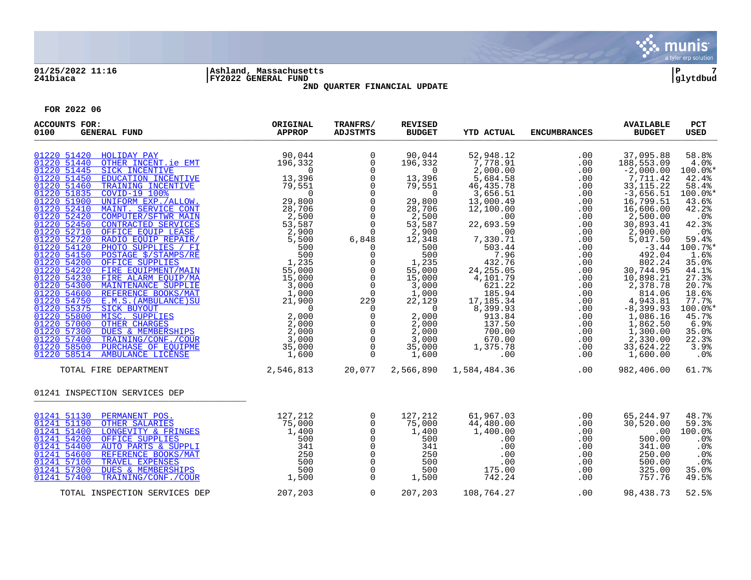

### **01/25/2022 11:16 |Ashland, Massachusetts |P 7 241biaca |FY2022 GENERAL FUND |glytdbud 2ND QUARTER FINANCIAL UPDATE**

| <b>ACCOUNTS FOR:</b><br><b>GENERAL FUND</b><br>0100                                                                                                                                                                                                                                                                                                                                                                                                                                                                                                                                                                                                                                                                                        | ORIGINAL<br><b>APPROP</b>                       | TRANFRS/<br><b>ADJSTMTS</b>                                                                                                                                                                                                                                                                                                                                                         | <b>REVISED</b><br><b>BUDGET</b>                                                                                                                                                                                                                                                                                                              | <b>YTD ACTUAL</b>                                                                  | <b>ENCUMBRANCES</b>                                                     | <b>AVAILABLE</b><br><b>BUDGET</b>                                                         | PCT<br><b>USED</b>                                                                                                                                                                                                                               |
|--------------------------------------------------------------------------------------------------------------------------------------------------------------------------------------------------------------------------------------------------------------------------------------------------------------------------------------------------------------------------------------------------------------------------------------------------------------------------------------------------------------------------------------------------------------------------------------------------------------------------------------------------------------------------------------------------------------------------------------------|-------------------------------------------------|-------------------------------------------------------------------------------------------------------------------------------------------------------------------------------------------------------------------------------------------------------------------------------------------------------------------------------------------------------------------------------------|----------------------------------------------------------------------------------------------------------------------------------------------------------------------------------------------------------------------------------------------------------------------------------------------------------------------------------------------|------------------------------------------------------------------------------------|-------------------------------------------------------------------------|-------------------------------------------------------------------------------------------|--------------------------------------------------------------------------------------------------------------------------------------------------------------------------------------------------------------------------------------------------|
| FOLIDAY PAY 90,044<br>OTHER INCENT.ie EMT 196,332<br>01220 51420 HOLIDAY PAY<br>01220 51440<br>01220 51445<br>FOR FAIR CONSTRAINS (1997)<br>SICK INCENTIVE<br>TRAINING INCENTIVE<br>TRAINING INCENTIVE<br>TRAINING INCENTIVE<br>TRAINING INCENTIVE<br>TRAINING INCENTIVE<br>IS 3396<br>ONITE ALLOW<br>INTERNATIONAL 29, 8006<br>MAINT SERVICE CONT<br>CONTERATED S<br>01220 51450<br>01220 51460<br>01220 51835<br>01220 51900<br>01220 52410<br>01220 52420<br>01220 52450<br>01220 52710<br>01220 52720<br>01220 54120<br>01220 54150<br>01220 54200<br>01220 54220<br>01220 54230<br>01220 54300<br>01220 54600<br>01220 54750<br>01220 55375<br>01220 55800<br>01220 57000<br>01220 57300<br>01220 57400<br>01220 58500<br>01220 58514 |                                                 | $\overline{0}$<br>$\overline{0}$<br>$\overline{0}$<br>0<br>0<br>0<br>0<br>0<br>0<br>0<br>0<br>0<br>0<br>0<br>0<br>0<br>0<br>0<br>0<br>0<br>0<br>0<br>$\overline{0}$<br>$0$<br>6,848<br>$\overline{0}$<br>$\mathbf 0$<br>$\overline{0}$<br>$\overline{0}$<br>$\begin{bmatrix} 0 & 0 & 0 \ 0 & 0 & 0 \ 0 & 0 & 0 \ 0 & 0 & 0 \ 0 & 0 & 0 \ 0 & 0 & 0 \end{bmatrix}$<br>$\overline{0}$ | 90,044<br>196,332<br>$\sim$ 0<br>13,396<br>79,551<br>$\overline{0}$<br>29,800<br>28,706<br>2,500<br>53,587<br>387 , د ے<br>2 , 900<br>12 .<br>500<br>500<br>1,235<br>55.000<br>55,000<br>15,000<br>$\frac{15,000}{3,000}$<br>1,000<br>22,129<br>$\overline{0}$<br>2,000<br>2,000<br>2,000<br>$\frac{3}{3}$ ,000<br>35,000<br>35,000<br>1,600 |                                                                                    |                                                                         |                                                                                           | 58.8%<br>4.0%<br>100.0%*<br>42.4%<br>58.4%<br>100.0%*<br>43.6%<br>42.2%<br>.0%<br>42.3%<br>$.0\%$<br>59.4%<br>100.7%*<br>1.6%<br>35.0%<br>44.1%<br>27.3%<br>20.7%<br>18.6%<br>77.7%<br>100.0%*<br>45.7%<br>6.9%<br>35.0%<br>22.3%<br>3.9%<br>.0% |
| TOTAL FIRE DEPARTMENT                                                                                                                                                                                                                                                                                                                                                                                                                                                                                                                                                                                                                                                                                                                      | $2,546,813$ $20,077$ $2,566,890$ $1,584,484.36$ |                                                                                                                                                                                                                                                                                                                                                                                     |                                                                                                                                                                                                                                                                                                                                              |                                                                                    | .00                                                                     | 982,406.00                                                                                | 61.7%                                                                                                                                                                                                                                            |
| 01241 INSPECTION SERVICES DEP                                                                                                                                                                                                                                                                                                                                                                                                                                                                                                                                                                                                                                                                                                              |                                                 |                                                                                                                                                                                                                                                                                                                                                                                     |                                                                                                                                                                                                                                                                                                                                              |                                                                                    |                                                                         |                                                                                           |                                                                                                                                                                                                                                                  |
| $\begin{tabular}{l l l} {\small \bf PERMANENT\ POS.} & 127,212 \\ {\small \bf{OTHER\ SALARIES} & 75,000 \\ {\small \bf{LONGEVITY \& FRINGS} & 75,000 \\ {\small \bf{OFFICE} & \tt SUPPLIES & 500 \\ \hline AUTO PARTS & 500 \\ \hline AUTO PARTS & 341 \\ \hline REFERENCE \& BOKS/MAT & 250 \\ \hline \end{tabular} \qquad \begin{tabular}{l} 127,212 \\ 75,000 \\ 500 \\ 341 \\ 341 \\ 250 \\ \hline \end{tabular}$<br>01241 51130 PERMANENT POS.<br>01241 51190<br>01241 51400<br>01241 54200<br>01241 54400<br>01241 54600<br>01241 57100<br>01241 57300<br>01241 57400                                                                                                                                                                |                                                 | $\overline{0}$<br>$\mathsf{O}$<br>$\overline{0}$<br>$\mathsf{O}$<br>$\overline{0}$<br>$\overline{0}$<br>$\overline{0}$<br>$\begin{matrix} 0 \\ 0 \end{matrix}$                                                                                                                                                                                                                      | 127,212<br>75,000<br>1,400<br>500<br>341<br>250<br>500<br>$\frac{0}{0}$<br>500<br>1,500                                                                                                                                                                                                                                                      | 61,967.03<br>44,480.00<br>1,400.00<br>.00<br>.00<br>.00<br>.00<br>175.00<br>742.24 | .00<br>.00<br>.00<br>.00<br>.00<br>.00<br>.00<br>.00<br>$\frac{1}{200}$ | 65,244.97<br>30,520.00<br>.00<br>500.00<br>341.00<br>250.00<br>500.00<br>325.00<br>757.76 | 48.7%<br>59.3%<br>100.0%<br>.0%<br>.0%<br>.0%<br>.0%<br>35.0%<br>49.5%                                                                                                                                                                           |
| TOTAL INSPECTION SERVICES DEP                                                                                                                                                                                                                                                                                                                                                                                                                                                                                                                                                                                                                                                                                                              | 207, 203                                        | $\overline{0}$                                                                                                                                                                                                                                                                                                                                                                      | 207,203                                                                                                                                                                                                                                                                                                                                      | 108,764.27                                                                         | .00                                                                     | 98,438.73                                                                                 | 52.5%                                                                                                                                                                                                                                            |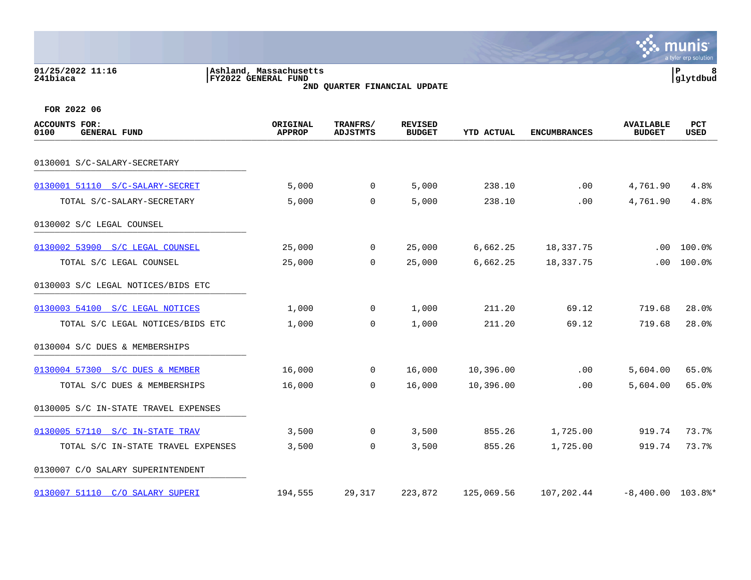|                                                     |                                               |                              |                                 |                   |                     |                                   | a tyler erp solutior |
|-----------------------------------------------------|-----------------------------------------------|------------------------------|---------------------------------|-------------------|---------------------|-----------------------------------|----------------------|
| 01/25/2022 11:16<br>241biaca                        | Ashland, Massachusetts<br>FY2022 GENERAL FUND | 2ND QUARTER FINANCIAL UPDATE |                                 |                   |                     |                                   | P<br> glytdbud       |
| FOR 2022 06                                         |                                               |                              |                                 |                   |                     |                                   |                      |
| <b>ACCOUNTS FOR:</b><br><b>GENERAL FUND</b><br>0100 | ORIGINAL<br><b>APPROP</b>                     | TRANFRS/<br><b>ADJSTMTS</b>  | <b>REVISED</b><br><b>BUDGET</b> | <b>YTD ACTUAL</b> | <b>ENCUMBRANCES</b> | <b>AVAILABLE</b><br><b>BUDGET</b> | PCT<br><b>USED</b>   |
| 0130001 S/C-SALARY-SECRETARY                        |                                               |                              |                                 |                   |                     |                                   |                      |
| 0130001 51110 S/C-SALARY-SECRET                     | 5,000                                         | 0                            | 5,000                           | 238.10            | .00                 | 4,761.90                          | 4.8%                 |
| TOTAL S/C-SALARY-SECRETARY                          | 5,000                                         | 0                            | 5,000                           | 238.10            | .00                 | 4,761.90                          | 4.8%                 |
| 0130002 S/C LEGAL COUNSEL                           |                                               |                              |                                 |                   |                     |                                   |                      |
| 0130002 53900 S/C LEGAL COUNSEL                     | 25,000                                        | 0                            | 25,000                          | 6,662.25          | 18,337.75           | .00                               | 100.0%               |
| TOTAL S/C LEGAL COUNSEL                             | 25,000                                        | $\mathbf 0$                  | 25,000                          | 6,662.25          | 18,337.75           | .00                               | 100.0%               |
| 0130003 S/C LEGAL NOTICES/BIDS ETC                  |                                               |                              |                                 |                   |                     |                                   |                      |
| 0130003 54100 S/C LEGAL NOTICES                     | 1,000                                         | 0                            | 1,000                           | 211.20            | 69.12               | 719.68                            | 28.0%                |
| TOTAL S/C LEGAL NOTICES/BIDS ETC                    | 1,000                                         | $\mathbf 0$                  | 1,000                           | 211.20            | 69.12               | 719.68                            | 28.0%                |
| 0130004 S/C DUES & MEMBERSHIPS                      |                                               |                              |                                 |                   |                     |                                   |                      |
| 0130004 57300 S/C DUES & MEMBER                     | 16,000                                        | 0                            | 16,000                          | 10,396.00         | .00                 | 5,604.00                          | 65.0%                |
| TOTAL S/C DUES & MEMBERSHIPS                        | 16,000                                        | $\mathbf 0$                  | 16,000                          | 10,396.00         | .00                 | 5,604.00                          | 65.0%                |
| 0130005 S/C IN-STATE TRAVEL EXPENSES                |                                               |                              |                                 |                   |                     |                                   |                      |
| 0130005 57110 S/C IN-STATE TRAV                     | 3,500                                         | $\mathbf 0$                  | 3,500                           | 855.26            | 1,725.00            | 919.74                            | 73.7%                |
| TOTAL S/C IN-STATE TRAVEL EXPENSES                  | 3,500                                         | 0                            | 3,500                           | 855.26            | 1,725.00            | 919.74                            | 73.7%                |
| 0130007 C/O SALARY SUPERINTENDENT                   |                                               |                              |                                 |                   |                     |                                   |                      |
| 0130007 51110 C/O SALARY SUPERI                     | 194,555                                       | 29,317                       | 223,872                         | 125,069.56        | 107,202.44          | $-8,400.00$ 103.8%*               |                      |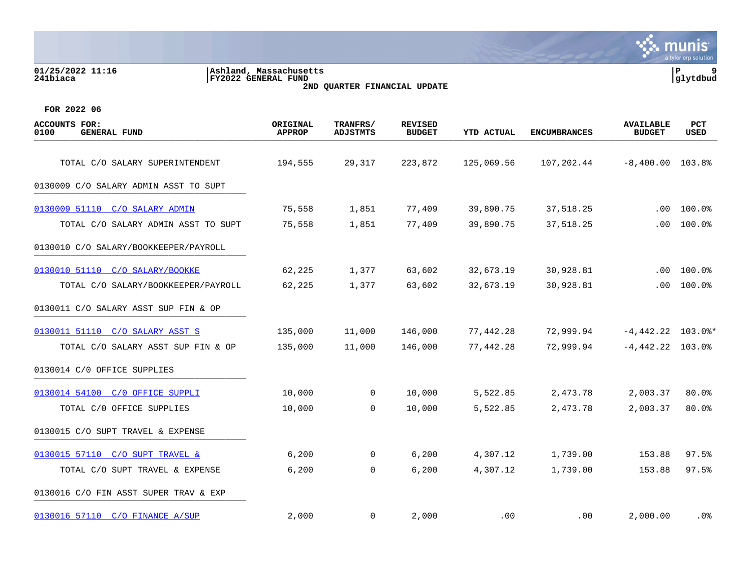| 01/25/2022 11:16<br>241biaca                        | Ashland, Massachusetts<br><b>FY2022 GENERAL FUND</b> | 2ND QUARTER FINANCIAL UPDATE |                                 |                   |                     |                                   | P<br>9<br>glytdbud |
|-----------------------------------------------------|------------------------------------------------------|------------------------------|---------------------------------|-------------------|---------------------|-----------------------------------|--------------------|
| FOR 2022 06                                         |                                                      |                              |                                 |                   |                     |                                   |                    |
| <b>ACCOUNTS FOR:</b><br><b>GENERAL FUND</b><br>0100 | ORIGINAL<br><b>APPROP</b>                            | TRANFRS/<br><b>ADJSTMTS</b>  | <b>REVISED</b><br><b>BUDGET</b> | <b>YTD ACTUAL</b> | <b>ENCUMBRANCES</b> | <b>AVAILABLE</b><br><b>BUDGET</b> | <b>PCT</b><br>USED |
| TOTAL C/O SALARY SUPERINTENDENT                     | 194,555                                              | 29,317                       | 223,872                         | 125,069.56        | 107,202.44          | $-8,400.00$ 103.8%                |                    |
| 0130009 C/O SALARY ADMIN ASST TO SUPT               |                                                      |                              |                                 |                   |                     |                                   |                    |
| 0130009 51110 C/O SALARY ADMIN                      | 75,558                                               | 1,851                        | 77,409                          | 39,890.75         | 37,518.25           | $.00 \,$                          | 100.0%             |
| TOTAL C/O SALARY ADMIN ASST TO SUPT                 | 75,558                                               | 1,851                        | 77,409                          | 39,890.75         | 37,518.25           | .00                               | 100.0%             |
| 0130010 C/O SALARY/BOOKKEEPER/PAYROLL               |                                                      |                              |                                 |                   |                     |                                   |                    |
| 0130010 51110 C/O SALARY/BOOKKE                     | 62,225                                               | 1,377                        | 63,602                          | 32,673.19         | 30,928.81           | .00                               | 100.0%             |
| TOTAL C/O SALARY/BOOKKEEPER/PAYROLL                 | 62,225                                               | 1,377                        | 63,602                          | 32,673.19         | 30,928.81           | $.00 \,$                          | 100.0%             |
| 0130011 C/O SALARY ASST SUP FIN & OP                |                                                      |                              |                                 |                   |                     |                                   |                    |
| 0130011 51110 C/O SALARY ASST S                     | 135,000                                              | 11,000                       | 146,000                         | 77,442.28         | 72,999.94           | $-4,442.22$ 103.0%*               |                    |
| TOTAL C/O SALARY ASST SUP FIN & OP                  | 135,000                                              | 11,000                       | 146,000                         | 77,442.28         | 72,999.94           | $-4,442.22$ 103.0%                |                    |
| 0130014 C/O OFFICE SUPPLIES                         |                                                      |                              |                                 |                   |                     |                                   |                    |
| 0130014 54100 C/O OFFICE SUPPLI                     | 10,000                                               | 0                            | 10,000                          | 5,522.85          | 2,473.78            | 2,003.37                          | 80.0%              |
| TOTAL C/0 OFFICE SUPPLIES                           | 10,000                                               | $\mathbf 0$                  | 10,000                          | 5,522.85          | 2,473.78            | 2,003.37                          | 80.0%              |
| 0130015 C/O SUPT TRAVEL & EXPENSE                   |                                                      |                              |                                 |                   |                     |                                   |                    |
| 0130015 57110 C/O SUPT TRAVEL &                     | 6,200                                                | 0                            | 6,200                           | 4,307.12          | 1,739.00            | 153.88                            | 97.5%              |
| TOTAL C/O SUPT TRAVEL & EXPENSE                     | 6,200                                                | 0                            | 6,200                           | 4,307.12          | 1,739.00            | 153.88                            | 97.5%              |
| 0130016 C/O FIN ASST SUPER TRAV & EXP               |                                                      |                              |                                 |                   |                     |                                   |                    |
| 0130016 57110 C/O FINANCE A/SUP                     | 2,000                                                | 0                            | 2,000                           | .00               | .00                 | 2,000.00                          | . 0 %              |

mu

**Inis** a tyler erp solution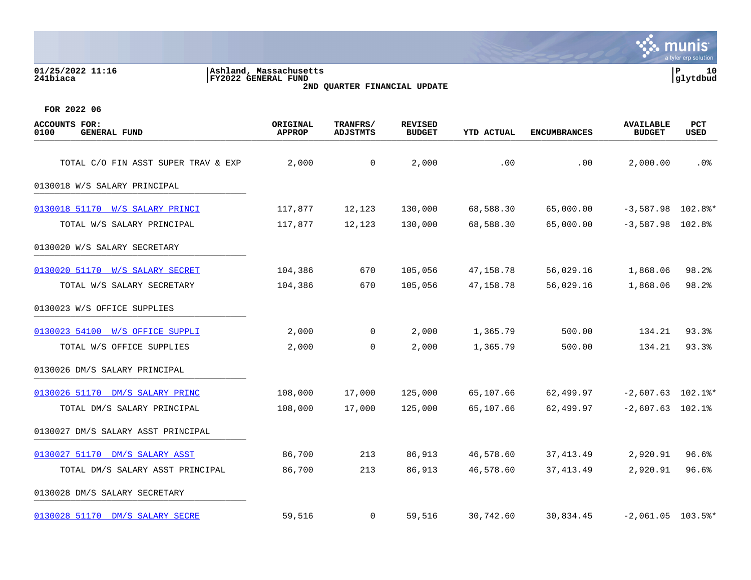| 01/25/2022 11:16<br>241biaca                        | Ashland, Massachusetts<br>FY2022 GENERAL FUND | 2ND QUARTER FINANCIAL UPDATE |                                 |                   |                     |                                   | P<br>10<br> glytdbud |
|-----------------------------------------------------|-----------------------------------------------|------------------------------|---------------------------------|-------------------|---------------------|-----------------------------------|----------------------|
| FOR 2022 06                                         |                                               |                              |                                 |                   |                     |                                   |                      |
| <b>ACCOUNTS FOR:</b><br>0100<br><b>GENERAL FUND</b> | ORIGINAL<br><b>APPROP</b>                     | TRANFRS/<br><b>ADJSTMTS</b>  | <b>REVISED</b><br><b>BUDGET</b> | <b>YTD ACTUAL</b> | <b>ENCUMBRANCES</b> | <b>AVAILABLE</b><br><b>BUDGET</b> | PCT<br>USED          |
| TOTAL C/O FIN ASST SUPER TRAV & EXP                 | 2,000                                         | 0                            | 2,000                           | .00               | .00                 | 2,000.00                          | $.0\%$               |
| 0130018 W/S SALARY PRINCIPAL                        |                                               |                              |                                 |                   |                     |                                   |                      |
| 0130018 51170 W/S SALARY PRINCI                     | 117,877                                       | 12,123                       | 130,000                         | 68,588.30         | 65,000.00           |                                   | $-3,587.98$ 102.8%*  |
| TOTAL W/S SALARY PRINCIPAL                          | 117,877                                       | 12,123                       | 130,000                         | 68,588.30         | 65,000.00           | $-3,587.98$ 102.8%                |                      |
| 0130020 W/S SALARY SECRETARY                        |                                               |                              |                                 |                   |                     |                                   |                      |
| 0130020 51170 W/S SALARY SECRET                     | 104,386                                       | 670                          | 105,056                         | 47,158.78         | 56,029.16           | 1,868.06                          | 98.2%                |
| TOTAL W/S SALARY SECRETARY                          | 104,386                                       | 670                          | 105,056                         | 47,158.78         | 56,029.16           | 1,868.06                          | 98.2%                |
| 0130023 W/S OFFICE SUPPLIES                         |                                               |                              |                                 |                   |                     |                                   |                      |
| 0130023 54100 W/S OFFICE SUPPLI                     | 2,000                                         | 0                            | 2,000                           | 1,365.79          | 500.00              | 134.21                            | 93.3%                |
| TOTAL W/S OFFICE SUPPLIES                           | 2,000                                         | 0                            | 2,000                           | 1,365.79          | 500.00              | 134.21                            | 93.3%                |
| 0130026 DM/S SALARY PRINCIPAL                       |                                               |                              |                                 |                   |                     |                                   |                      |
| 0130026 51170 DM/S SALARY PRINC                     | 108,000                                       | 17,000                       | 125,000                         | 65,107.66         | 62,499.97           |                                   | $-2,607.63$ 102.1%*  |
| TOTAL DM/S SALARY PRINCIPAL                         | 108,000                                       | 17,000                       | 125,000                         | 65,107.66         | 62,499.97           | $-2,607.63$ 102.1%                |                      |
| 0130027 DM/S SALARY ASST PRINCIPAL                  |                                               |                              |                                 |                   |                     |                                   |                      |
| 0130027 51170 DM/S SALARY ASST                      | 86,700                                        | 213                          | 86,913                          | 46,578.60         | 37, 413.49          | 2,920.91                          | 96.6%                |
| TOTAL DM/S SALARY ASST PRINCIPAL                    | 86,700                                        | 213                          | 86,913                          | 46,578.60         | 37, 413.49          | 2,920.91                          | 96.6%                |
| 0130028 DM/S SALARY SECRETARY                       |                                               |                              |                                 |                   |                     |                                   |                      |
| 0130028 51170 DM/S SALARY SECRE                     | 59,516                                        | 0                            | 59,516                          | 30,742.60         | 30,834.45           |                                   | $-2,061.05$ 103.5%*  |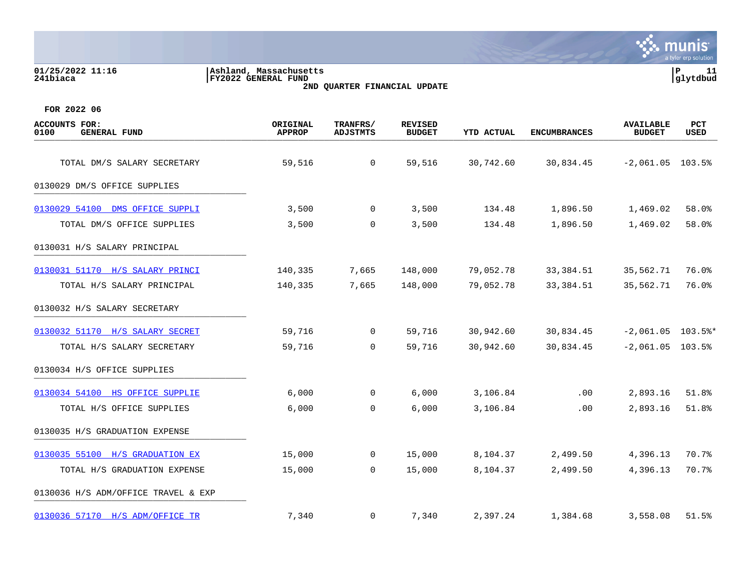**01/25/2022 11:16 |Ashland, Massachusetts |P 11 241biaca |FY2022 GENERAL FUND |glytdbud 2ND QUARTER FINANCIAL UPDATE**



| <b>ACCOUNTS FOR:</b><br>0100<br><b>GENERAL FUND</b> | ORIGINAL<br><b>APPROP</b> | TRANFRS/<br><b>ADJSTMTS</b> | <b>REVISED</b><br><b>BUDGET</b> | <b>YTD ACTUAL</b> | <b>ENCUMBRANCES</b> | <b>AVAILABLE</b><br><b>BUDGET</b> | PCT<br>USED |
|-----------------------------------------------------|---------------------------|-----------------------------|---------------------------------|-------------------|---------------------|-----------------------------------|-------------|
| TOTAL DM/S SALARY SECRETARY                         | 59,516                    | $\mathsf{O}$                | 59,516                          | 30,742.60         | 30,834.45           | $-2,061.05$ 103.5%                |             |
| 0130029 DM/S OFFICE SUPPLIES                        |                           |                             |                                 |                   |                     |                                   |             |
| 0130029 54100 DMS OFFICE SUPPLI                     | 3,500                     | $\Omega$                    | 3,500                           | 134.48            | 1,896.50            | 1,469.02                          | 58.0%       |
| TOTAL DM/S OFFICE SUPPLIES                          | 3,500                     | $\mathbf 0$                 | 3,500                           | 134.48            | 1,896.50            | 1,469.02                          | 58.0%       |
| 0130031 H/S SALARY PRINCIPAL                        |                           |                             |                                 |                   |                     |                                   |             |
| 0130031 51170 H/S SALARY PRINCI                     | 140,335                   | 7,665                       | 148,000                         | 79,052.78         | 33,384.51           | 35,562.71                         | 76.0%       |
| TOTAL H/S SALARY PRINCIPAL                          | 140,335                   | 7,665                       | 148,000                         | 79,052.78         | 33, 384.51          | 35,562.71                         | 76.0%       |
| 0130032 H/S SALARY SECRETARY                        |                           |                             |                                 |                   |                     |                                   |             |
| 0130032 51170 H/S SALARY SECRET                     | 59,716                    | $\mathbf 0$                 | 59,716                          | 30,942.60         | 30,834.45           | $-2,061.05$ 103.5%*               |             |
| TOTAL H/S SALARY SECRETARY                          | 59,716                    | $\Omega$                    | 59,716                          | 30,942.60         | 30,834.45           | $-2,061.05$ 103.5%                |             |
| 0130034 H/S OFFICE SUPPLIES                         |                           |                             |                                 |                   |                     |                                   |             |
| 0130034 54100 HS OFFICE SUPPLIE                     | 6,000                     | 0                           | 6,000                           | 3,106.84          | .00                 | 2,893.16                          | 51.8%       |
| TOTAL H/S OFFICE SUPPLIES                           | 6,000                     | $\mathbf 0$                 | 6,000                           | 3,106.84          | .00                 | 2,893.16                          | 51.8%       |
| 0130035 H/S GRADUATION EXPENSE                      |                           |                             |                                 |                   |                     |                                   |             |
| 0130035 55100 H/S GRADUATION EX                     | 15,000                    | 0                           | 15,000                          | 8,104.37          | 2,499.50            | 4,396.13                          | 70.7%       |
| TOTAL H/S GRADUATION EXPENSE                        | 15,000                    | $\mathbf 0$                 | 15,000                          | 8,104.37          | 2,499.50            | 4,396.13                          | 70.7%       |
| 0130036 H/S ADM/OFFICE TRAVEL & EXP                 |                           |                             |                                 |                   |                     |                                   |             |
| 0130036 57170 H/S ADM/OFFICE TR                     | 7,340                     | $\mathbf 0$                 | 7,340                           | 2,397.24          | 1,384.68            | 3,558.08                          | 51.5%       |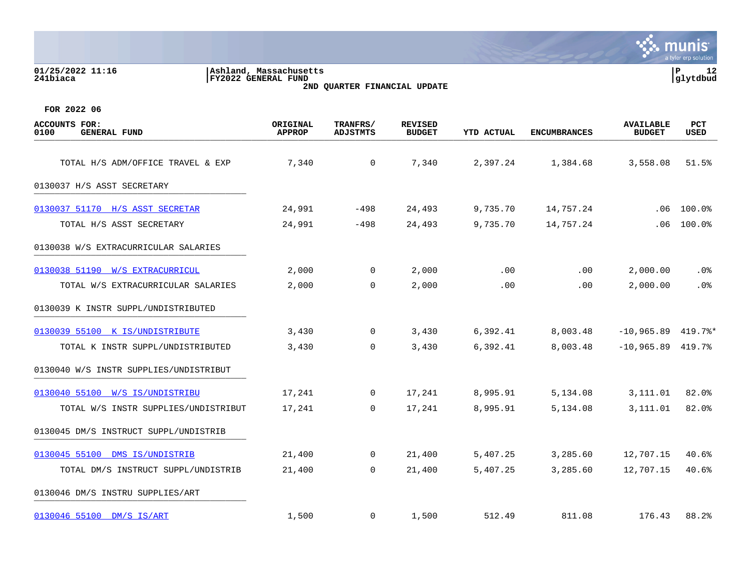|                                                     |                                               |                                    |                                 |                   |                     |                                   | a tyler erp solution |
|-----------------------------------------------------|-----------------------------------------------|------------------------------------|---------------------------------|-------------------|---------------------|-----------------------------------|----------------------|
| 01/25/2022 11:16<br>241biaca                        | Ashland, Massachusetts<br>FY2022 GENERAL FUND | 2ND QUARTER FINANCIAL UPDATE       |                                 |                   |                     |                                   | P<br>12<br>glytdbud  |
| FOR 2022 06                                         |                                               |                                    |                                 |                   |                     |                                   |                      |
| <b>ACCOUNTS FOR:</b><br>0100<br><b>GENERAL FUND</b> | ORIGINAL<br><b>APPROP</b>                     | <b>TRANFRS/</b><br><b>ADJSTMTS</b> | <b>REVISED</b><br><b>BUDGET</b> | <b>YTD ACTUAL</b> | <b>ENCUMBRANCES</b> | <b>AVAILABLE</b><br><b>BUDGET</b> | PCT<br>USED          |
| TOTAL H/S ADM/OFFICE TRAVEL & EXP                   | 7,340                                         | 0                                  | 7,340                           | 2,397.24          | 1,384.68            | 3,558.08                          | 51.5%                |
| 0130037 H/S ASST SECRETARY                          |                                               |                                    |                                 |                   |                     |                                   |                      |
| 0130037 51170 H/S ASST SECRETAR                     | 24,991                                        | -498                               | 24,493                          | 9,735.70          | 14,757.24           | .06                               | 100.0%               |
| TOTAL H/S ASST SECRETARY                            | 24,991                                        | -498                               | 24,493                          | 9,735.70          | 14,757.24           | .06                               | 100.0%               |
| 0130038 W/S EXTRACURRICULAR SALARIES                |                                               |                                    |                                 |                   |                     |                                   |                      |
| 0130038 51190 W/S EXTRACURRICUL                     | 2,000                                         | $\mathbf 0$                        | 2,000                           | .00               | .00                 | 2,000.00                          | .0%                  |
| TOTAL W/S EXTRACURRICULAR SALARIES                  | 2,000                                         | $\mathbf 0$                        | 2,000                           | .00               | .00                 | 2,000.00                          | .0 <sub>8</sub>      |
| 0130039 K INSTR SUPPL/UNDISTRIBUTED                 |                                               |                                    |                                 |                   |                     |                                   |                      |
| 0130039 55100 K IS/UNDISTRIBUTE                     | 3,430                                         | 0                                  | 3,430                           | 6,392.41          | 8,003.48            | $-10,965.89$                      | $419.7$ %*           |
| TOTAL K INSTR SUPPL/UNDISTRIBUTED                   | 3,430                                         | $\mathbf 0$                        | 3,430                           | 6,392.41          | 8,003.48            | -10,965.89                        | 419.7%               |
| 0130040 W/S INSTR SUPPLIES/UNDISTRIBUT              |                                               |                                    |                                 |                   |                     |                                   |                      |
| 0130040 55100 W/S IS/UNDISTRIBU                     | 17,241                                        | 0                                  | 17,241                          | 8,995.91          | 5,134.08            | 3,111.01                          | 82.0%                |
| TOTAL W/S INSTR SUPPLIES/UNDISTRIBUT                | 17,241                                        | $\mathbf 0$                        | 17,241                          | 8,995.91          | 5,134.08            | 3,111.01                          | 82.0%                |
| 0130045 DM/S INSTRUCT SUPPL/UNDISTRIB               |                                               |                                    |                                 |                   |                     |                                   |                      |
| 0130045 55100<br>DMS IS/UNDISTRIB                   | 21,400                                        | 0                                  | 21,400                          | 5,407.25          | 3,285.60            | 12,707.15                         | 40.6%                |
| TOTAL DM/S INSTRUCT SUPPL/UNDISTRIB                 | 21,400                                        | $\mathbf 0$                        | 21,400                          | 5,407.25          | 3,285.60            | 12,707.15                         | 40.6%                |
| 0130046 DM/S INSTRU SUPPLIES/ART                    |                                               |                                    |                                 |                   |                     |                                   |                      |
| 0130046 55100 DM/S IS/ART                           | 1,500                                         | $\mathbf 0$                        | 1,500                           | 512.49            | 811.08              | 176.43                            | 88.2%                |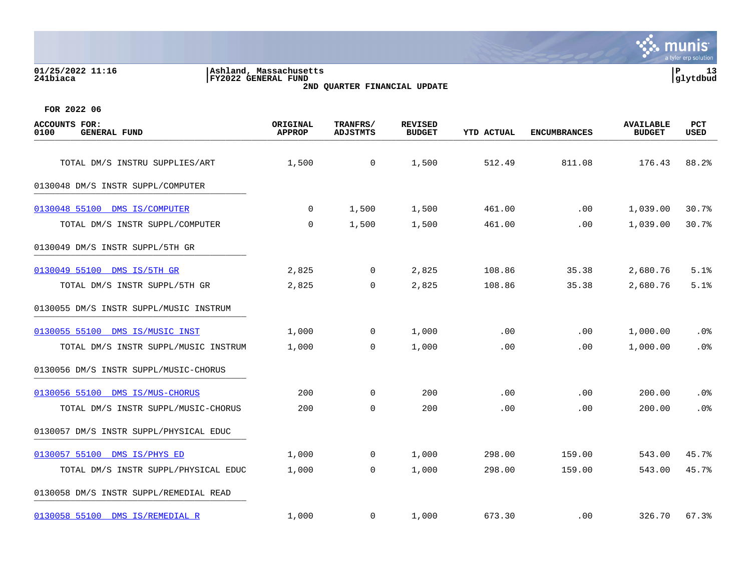| 01/25/2022 11:16<br>241biaca                        | Ashland, Massachusetts<br>FY2022 GENERAL FUND | 2ND QUARTER FINANCIAL UPDATE |                                 |                   |                     |                                   |                           |  |
|-----------------------------------------------------|-----------------------------------------------|------------------------------|---------------------------------|-------------------|---------------------|-----------------------------------|---------------------------|--|
| FOR 2022 06                                         |                                               |                              |                                 |                   |                     |                                   |                           |  |
| <b>ACCOUNTS FOR:</b><br>0100<br><b>GENERAL FUND</b> | ORIGINAL<br><b>APPROP</b>                     | TRANFRS/<br><b>ADJSTMTS</b>  | <b>REVISED</b><br><b>BUDGET</b> | <b>YTD ACTUAL</b> | <b>ENCUMBRANCES</b> | <b>AVAILABLE</b><br><b>BUDGET</b> | <b>PCT</b><br><b>USED</b> |  |
| TOTAL DM/S INSTRU SUPPLIES/ART                      | 1,500                                         | 0                            | 1,500                           | 512.49            | 811.08              | 176.43                            | 88.2%                     |  |
| 0130048 DM/S INSTR SUPPL/COMPUTER                   |                                               |                              |                                 |                   |                     |                                   |                           |  |
| 0130048 55100<br>DMS IS/COMPUTER                    | 0                                             | 1,500                        | 1,500                           | 461.00            | .00                 | 1,039.00                          | 30.7%                     |  |
| TOTAL DM/S INSTR SUPPL/COMPUTER                     | 0                                             | 1,500                        | 1,500                           | 461.00            | .00                 | 1,039.00                          | 30.7%                     |  |
| 0130049 DM/S INSTR SUPPL/5TH GR                     |                                               |                              |                                 |                   |                     |                                   |                           |  |
| 0130049 55100 DMS IS/5TH GR                         | 2,825                                         | $\Omega$                     | 2,825                           | 108.86            | 35.38               | 2,680.76                          | 5.1%                      |  |
| TOTAL DM/S INSTR SUPPL/5TH GR                       | 2,825                                         | $\Omega$                     | 2,825                           | 108.86            | 35.38               | 2,680.76                          | 5.1%                      |  |
| 0130055 DM/S INSTR SUPPL/MUSIC INSTRUM              |                                               |                              |                                 |                   |                     |                                   |                           |  |
| 0130055 55100<br>DMS IS/MUSIC INST                  | 1,000                                         | 0                            | 1,000                           | .00               | .00                 | 1,000.00                          | .0%                       |  |
| TOTAL DM/S INSTR SUPPL/MUSIC INSTRUM                | 1,000                                         | 0                            | 1,000                           | .00               | .00                 | 1,000.00                          | .0%                       |  |
| 0130056 DM/S INSTR SUPPL/MUSIC-CHORUS               |                                               |                              |                                 |                   |                     |                                   |                           |  |
| 0130056 55100 DMS IS/MUS-CHORUS                     | 200                                           | $\Omega$                     | 200                             | .00               | .00                 | 200.00                            | .0%                       |  |
| TOTAL DM/S INSTR SUPPL/MUSIC-CHORUS                 | 200                                           | $\Omega$                     | 200                             | .00               | .00                 | 200.00                            | .0 <sup>8</sup>           |  |

 $\therefore$  munis

a tyler erp solutic

0130057 DM/S INSTR SUPPL/PHYSICAL EDUC [0130057 55100 DMS IS/PHYS ED](https://yvwlndash063.tylertech.com/sites/mu0241/LIVE/_layouts/15/DashboardMunisV6.3/PassThru.aspx?-E=VyGpTORnDCXxM7pkMCd5QQCgOrdL0Ruyld%2Be5ZAwE3v8262p90V9wH4aHWGlG8Pv&) 1,000 0 1,000 298.00 159.00 543.00 45.7%

TOTAL DM/S INSTR SUPPL/PHYSICAL EDUC 1,000 0 1,000 298.00 159.00 543.00 45.7% 0130058 DM/S INSTR SUPPL/REMEDIAL READ

[0130058 55100 DMS IS/REMEDIAL R](https://yvwlndash063.tylertech.com/sites/mu0241/LIVE/_layouts/15/DashboardMunisV6.3/PassThru.aspx?-E=RdpHE5uVVCWg3BH9aNMBJNiFKB9wwjgBQf0az4lJo7QY3wPvenHv471gfmAWjXIp&) 1,000 0 1,000 673.30 .00 326.70 67.3%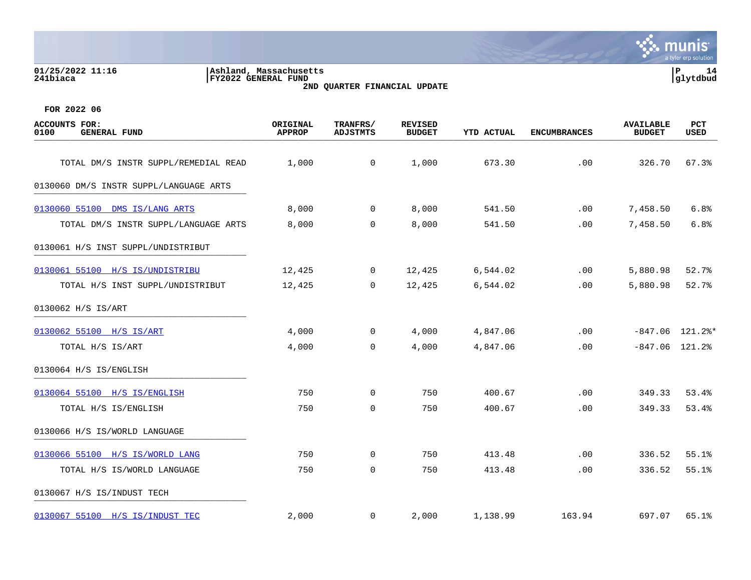### **01/25/2022 11:16 |Ashland, Massachusetts |P 14 241biaca |FY2022 GENERAL FUND |glytdbud 2ND QUARTER FINANCIAL UPDATE**



| ACCOUNTS FOR:<br>0100<br><b>GENERAL FUND</b> | ORIGINAL<br><b>APPROP</b> | TRANFRS/<br><b>ADJSTMTS</b> | <b>REVISED</b><br><b>BUDGET</b> | <b>YTD ACTUAL</b> | <b>ENCUMBRANCES</b> | <b>AVAILABLE</b><br><b>BUDGET</b> | PCT<br><b>USED</b> |
|----------------------------------------------|---------------------------|-----------------------------|---------------------------------|-------------------|---------------------|-----------------------------------|--------------------|
| TOTAL DM/S INSTR SUPPL/REMEDIAL READ         | 1,000                     | $\overline{0}$              | 1,000                           | 673.30            | .00                 | 326.70                            | 67.3%              |
| 0130060 DM/S INSTR SUPPL/LANGUAGE ARTS       |                           |                             |                                 |                   |                     |                                   |                    |
| 0130060 55100 DMS IS/LANG ARTS               | 8,000                     | $\mathbf 0$                 | 8,000                           | 541.50            | .00                 | 7,458.50                          | 6.8%               |
| TOTAL DM/S INSTR SUPPL/LANGUAGE ARTS         | 8,000                     | 0                           | 8,000                           | 541.50            | .00                 | 7,458.50                          | 6.8%               |
| 0130061 H/S INST SUPPL/UNDISTRIBUT           |                           |                             |                                 |                   |                     |                                   |                    |
| 0130061 55100 H/S IS/UNDISTRIBU              | 12,425                    | $\mathbf 0$                 | 12,425                          | 6,544.02          | .00                 | 5,880.98                          | 52.7%              |
| TOTAL H/S INST SUPPL/UNDISTRIBUT             | 12,425                    | $\mathbf 0$                 | 12,425                          | 6,544.02          | .00                 | 5,880.98                          | 52.7%              |
| 0130062 H/S IS/ART                           |                           |                             |                                 |                   |                     |                                   |                    |
| 0130062 55100 H/S IS/ART                     | 4,000                     | 0                           | 4,000                           | 4,847.06          | .00                 |                                   | $-847.06$ 121.2%*  |
| TOTAL H/S IS/ART                             | 4,000                     | $\mathbf 0$                 | 4,000                           | 4,847.06          | .00                 | $-847.06$ 121.2%                  |                    |
| 0130064 H/S IS/ENGLISH                       |                           |                             |                                 |                   |                     |                                   |                    |
| 0130064 55100 H/S IS/ENGLISH                 | 750                       | $\Omega$                    | 750                             | 400.67            | .00                 | 349.33                            | 53.4%              |
| TOTAL H/S IS/ENGLISH                         | 750                       | $\mathbf 0$                 | 750                             | 400.67            | .00                 | 349.33                            | 53.4%              |
| 0130066 H/S IS/WORLD LANGUAGE                |                           |                             |                                 |                   |                     |                                   |                    |
| 0130066 55100 H/S IS/WORLD LANG              | 750                       | 0                           | 750                             | 413.48            | .00                 | 336.52                            | 55.1%              |
| TOTAL H/S IS/WORLD LANGUAGE                  | 750                       | 0                           | 750                             | 413.48            | .00                 | 336.52                            | 55.1%              |
| 0130067 H/S IS/INDUST TECH                   |                           |                             |                                 |                   |                     |                                   |                    |
| 0130067 55100 H/S IS/INDUST TEC              | 2,000                     | 0                           | 2,000                           | 1,138.99          | 163.94              | 697.07                            | 65.1%              |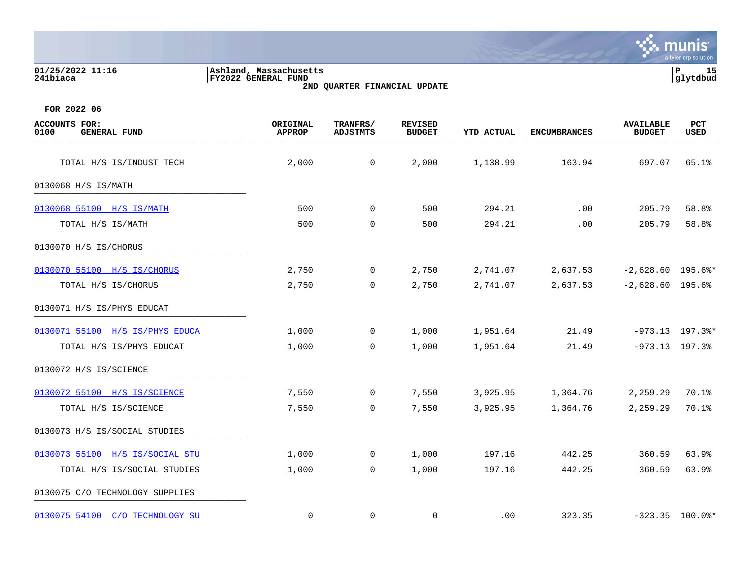| 01/25/2022 11:16<br>241biaca                        | Ashland, Massachusetts<br>FY2022 GENERAL FUND | 2ND QUARTER FINANCIAL UPDATE |                                 |            |                     |                                   | P<br>15<br>glytdbud |
|-----------------------------------------------------|-----------------------------------------------|------------------------------|---------------------------------|------------|---------------------|-----------------------------------|---------------------|
| FOR 2022 06                                         |                                               |                              |                                 |            |                     |                                   |                     |
| <b>ACCOUNTS FOR:</b><br><b>GENERAL FUND</b><br>0100 | ORIGINAL<br><b>APPROP</b>                     | TRANFRS/<br><b>ADJSTMTS</b>  | <b>REVISED</b><br><b>BUDGET</b> | YTD ACTUAL | <b>ENCUMBRANCES</b> | <b>AVAILABLE</b><br><b>BUDGET</b> | PCT<br><b>USED</b>  |
| TOTAL H/S IS/INDUST TECH                            | 2,000                                         | $\mathbf 0$                  | 2,000                           | 1,138.99   | 163.94              | 697.07                            | 65.1%               |
| 0130068 H/S IS/MATH                                 |                                               |                              |                                 |            |                     |                                   |                     |
| 0130068 55100 H/S IS/MATH                           | 500                                           | $\Omega$                     | 500                             | 294.21     | .00                 | 205.79                            | 58.8%               |
| TOTAL H/S IS/MATH                                   | 500                                           | 0                            | 500                             | 294.21     | .00                 | 205.79                            | 58.8%               |
| 0130070 H/S IS/CHORUS                               |                                               |                              |                                 |            |                     |                                   |                     |
| 0130070 55100 H/S IS/CHORUS                         | 2,750                                         | 0                            | 2,750                           | 2,741.07   | 2,637.53            | $-2,628.60$ 195.6%*               |                     |
| TOTAL H/S IS/CHORUS                                 | 2,750                                         | 0                            | 2,750                           | 2,741.07   | 2,637.53            | $-2,628.60$ 195.6%                |                     |
| 0130071 H/S IS/PHYS EDUCAT                          |                                               |                              |                                 |            |                     |                                   |                     |
| 0130071 55100 H/S IS/PHYS EDUCA                     | 1,000                                         | $\overline{0}$               | 1,000                           | 1,951.64   | 21.49               |                                   | $-973.13$ 197.3%*   |
| TOTAL H/S IS/PHYS EDUCAT                            | 1,000                                         | $\mathbf 0$                  | 1,000                           | 1,951.64   | 21.49               |                                   | $-973.13$ 197.3%    |
| 0130072 H/S IS/SCIENCE                              |                                               |                              |                                 |            |                     |                                   |                     |
| 0130072 55100 H/S IS/SCIENCE                        | 7,550                                         | 0                            | 7,550                           | 3,925.95   | 1,364.76            | 2,259.29                          | 70.1%               |
| TOTAL H/S IS/SCIENCE                                | 7,550                                         | $\mathbf 0$                  | 7,550                           | 3,925.95   | 1,364.76            | 2,259.29                          | 70.1%               |
| 0130073 H/S IS/SOCIAL STUDIES                       |                                               |                              |                                 |            |                     |                                   |                     |
| 0130073 55100 H/S IS/SOCIAL STU                     | 1,000                                         | $\overline{0}$               | 1,000                           | 197.16     | 442.25              | 360.59                            | 63.9%               |
| TOTAL H/S IS/SOCIAL STUDIES                         | 1,000                                         | 0                            | 1,000                           | 197.16     | 442.25              | 360.59                            | 63.9%               |
|                                                     |                                               |                              |                                 |            |                     |                                   |                     |

0130075 C/O TECHNOLOGY SUPPLIES \_\_\_\_\_\_\_\_\_\_\_\_\_\_\_\_\_\_\_\_\_\_\_\_\_\_\_\_\_\_\_\_\_\_\_\_\_\_\_\_\_

[0130075 54100 C/O TECHNOLOGY SU](https://yvwlndash063.tylertech.com/sites/mu0241/LIVE/_layouts/15/DashboardMunisV6.3/PassThru.aspx?-E=52Fejah01Nrwkm1BBQallenOwTpfp%2BOD1ADQ9WpHaDmmndb3tWp/wzVL3VoAROoz&) 0 0 0 0 0 0 0 323.35 -323.35 100.0%\*

**Second Munity**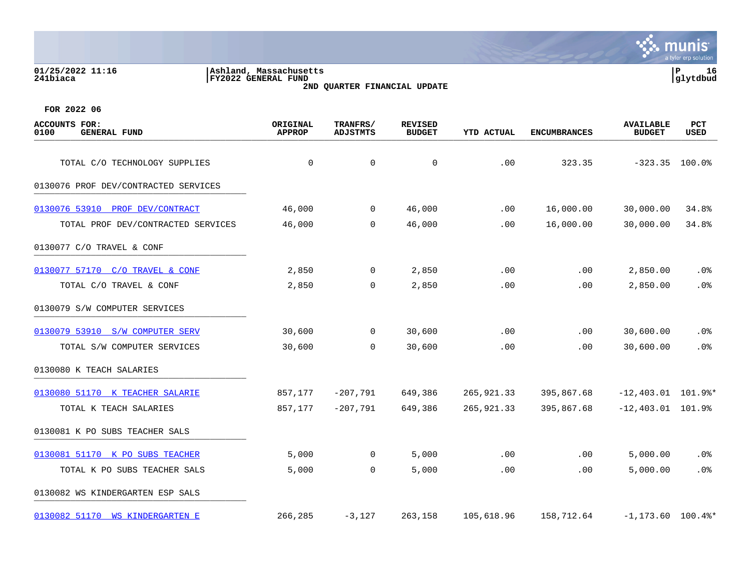| 01/25/2022 11:16<br>241biaca                        | Ashland, Massachusetts<br><b>FY2022 GENERAL FUND</b><br>2ND QUARTER FINANCIAL UPDATE |                             |                                 |            |                     |                                   | 16<br>P<br>glytdbud       |  |
|-----------------------------------------------------|--------------------------------------------------------------------------------------|-----------------------------|---------------------------------|------------|---------------------|-----------------------------------|---------------------------|--|
| FOR 2022 06                                         |                                                                                      |                             |                                 |            |                     |                                   |                           |  |
| <b>ACCOUNTS FOR:</b><br>0100<br><b>GENERAL FUND</b> | ORIGINAL<br><b>APPROP</b>                                                            | TRANFRS/<br><b>ADJSTMTS</b> | <b>REVISED</b><br><b>BUDGET</b> | YTD ACTUAL | <b>ENCUMBRANCES</b> | <b>AVAILABLE</b><br><b>BUDGET</b> | <b>PCT</b><br><b>USED</b> |  |
| TOTAL C/O TECHNOLOGY SUPPLIES                       | 0                                                                                    | $\mathbf 0$                 | 0                               | .00        | 323.35              | $-323.35$                         | 100.0%                    |  |
| 0130076 PROF DEV/CONTRACTED SERVICES                |                                                                                      |                             |                                 |            |                     |                                   |                           |  |
| 0130076 53910<br>PROF DEV/CONTRACT                  | 46,000                                                                               | $\overline{0}$              | 46,000                          | .00        | 16,000.00           | 30,000.00                         | 34.8%                     |  |
| TOTAL PROF DEV/CONTRACTED SERVICES                  | 46,000                                                                               | $\mathbf 0$                 | 46,000                          | .00        | 16,000.00           | 30,000.00                         | 34.8%                     |  |
| 0130077 C/O TRAVEL & CONF                           |                                                                                      |                             |                                 |            |                     |                                   |                           |  |
| 0130077 57170<br>$C/O$ TRAVEL & $CONF$              | 2,850                                                                                | $\overline{0}$              | 2,850                           | .00        | .00                 | 2,850.00                          | .0 <sub>8</sub>           |  |
| TOTAL C/O TRAVEL & CONF                             | 2,850                                                                                | $\mathbf 0$                 | 2,850                           | .00        | .00                 | 2,850.00                          | .0%                       |  |
| 0130079 S/W COMPUTER SERVICES                       |                                                                                      |                             |                                 |            |                     |                                   |                           |  |
| 0130079 53910<br>S/W COMPUTER SERV                  | 30,600                                                                               | 0                           | 30,600                          | .00        | .00                 | 30,600.00                         | $.0\%$                    |  |
| TOTAL S/W COMPUTER SERVICES                         | 30,600                                                                               | 0                           | 30,600                          | .00        | .00                 | 30,600.00                         | .0%                       |  |

| 0130080 K TEACH SALARIES           |         |             |         |            |            |                     |                   |
|------------------------------------|---------|-------------|---------|------------|------------|---------------------|-------------------|
| 0130080 51170 K TEACHER SALARIE    | 857,177 | $-207.791$  | 649,386 | 265,921.33 | 395,867.68 | $-12.403.01$        | 101.9%*           |
| TOTAL K TEACH SALARIES             | 857,177 | $-207,791$  | 649,386 | 265,921.33 | 395,867.68 | $-12,403.01$ 101.9% |                   |
| 0130081 K PO SUBS TEACHER SALS     |         |             |         |            |            |                     |                   |
| 0130081 51170 K PO SUBS TEACHER    | 5,000   | 0           | 5,000   | .00        | $.00 \,$   | 5,000.00            | $.0\%$            |
| TOTAL K PO SUBS TEACHER SALS       | 5,000   | $\mathbf 0$ | 5,000   | .00        | $.00 \,$   | 5,000.00            | $.0\%$            |
| 0130082 WS KINDERGARTEN ESP SALS   |         |             |         |            |            |                     |                   |
| 0130082 51170<br>WS KINDERGARTEN E | 266,285 | $-3,127$    | 263,158 | 105,618.96 | 158,712.64 | $-1.173.60$         | $100.4\mathrm{*}$ |

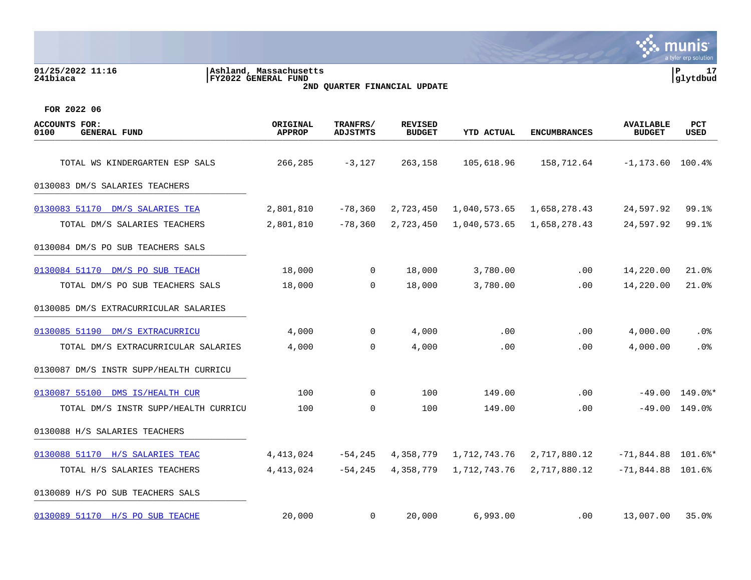| 01/25/2022 11:16<br>241biaca                        | Ashland, Massachusetts<br><b>FY2022 GENERAL FUND</b> | 2ND QUARTER FINANCIAL UPDATE |                                 |                   |                     |                                   | P<br>17<br>glytdbud |
|-----------------------------------------------------|------------------------------------------------------|------------------------------|---------------------------------|-------------------|---------------------|-----------------------------------|---------------------|
| FOR 2022 06                                         |                                                      |                              |                                 |                   |                     |                                   |                     |
| <b>ACCOUNTS FOR:</b><br>0100<br><b>GENERAL FUND</b> | ORIGINAL<br><b>APPROP</b>                            | TRANFRS/<br><b>ADJSTMTS</b>  | <b>REVISED</b><br><b>BUDGET</b> | <b>YTD ACTUAL</b> | <b>ENCUMBRANCES</b> | <b>AVAILABLE</b><br><b>BUDGET</b> | PCT<br>USED         |
| TOTAL WS KINDERGARTEN ESP SALS                      | 266,285                                              | $-3,127$                     | 263,158                         | 105,618.96        | 158,712.64          | $-1, 173.60$                      | 100.4%              |
| 0130083 DM/S SALARIES TEACHERS                      |                                                      |                              |                                 |                   |                     |                                   |                     |
| 0130083 51170 DM/S SALARIES TEA                     | 2,801,810                                            | $-78,360$                    | 2,723,450                       | 1,040,573.65      | 1,658,278.43        | 24,597.92                         | 99.1%               |
| TOTAL DM/S SALARIES TEACHERS                        | 2,801,810                                            | $-78,360$                    | 2,723,450                       | 1,040,573.65      | 1,658,278.43        | 24,597.92                         | 99.1%               |
| 0130084 DM/S PO SUB TEACHERS SALS                   |                                                      |                              |                                 |                   |                     |                                   |                     |
| 0130084 51170 DM/S PO SUB TEACH                     | 18,000                                               | 0                            | 18,000                          | 3,780.00          | .00                 | 14,220.00                         | 21.0%               |
| TOTAL DM/S PO SUB TEACHERS SALS                     | 18,000                                               | $\mathbf 0$                  | 18,000                          | 3,780.00          | .00                 | 14,220.00                         | 21.0%               |
| 0130085 DM/S EXTRACURRICULAR SALARIES               |                                                      |                              |                                 |                   |                     |                                   |                     |
| 0130085 51190 DM/S EXTRACURRICU                     | 4,000                                                | 0                            | 4,000                           | .00               | .00                 | 4,000.00                          | .0%                 |
| TOTAL DM/S EXTRACURRICULAR SALARIES                 | 4,000                                                | 0                            | 4,000                           | .00               | .00                 | 4,000.00                          | .0%                 |
| 0130087 DM/S INSTR SUPP/HEALTH CURRICU              |                                                      |                              |                                 |                   |                     |                                   |                     |
| 0130087 55100 DMS IS/HEALTH CUR                     | 100                                                  | 0                            | 100                             | 149.00            | .00                 | $-49.00$                          | 149.0%*             |
| TOTAL DM/S INSTR SUPP/HEALTH CURRICU                | 100                                                  | 0                            | 100                             | 149.00            | .00                 |                                   | $-49.00$ 149.0%     |
| 0130088 H/S SALARIES TEACHERS                       |                                                      |                              |                                 |                   |                     |                                   |                     |
| 0130088 51170 H/S SALARIES TEAC                     | 4, 413, 024                                          | $-54, 245$                   | 4,358,779                       | 1,712,743.76      | 2,717,880.12        | $-71,844.88$ 101.6%*              |                     |
| TOTAL H/S SALARIES TEACHERS                         | 4,413,024                                            | $-54, 245$                   | 4,358,779                       | 1,712,743.76      | 2,717,880.12        | $-71,844.88$ 101.6%               |                     |
| 0130089 H/S PO SUB TEACHERS SALS                    |                                                      |                              |                                 |                   |                     |                                   |                     |
| 0130089 51170 H/S PO SUB TEACHE                     | 20,000                                               | 0                            | 20,000                          | 6,993.00          | .00                 | 13,007.00                         | 35.0%               |

**BASE** 

 $\overline{\mathsf{nis}}$ 

a tyler erp solution

m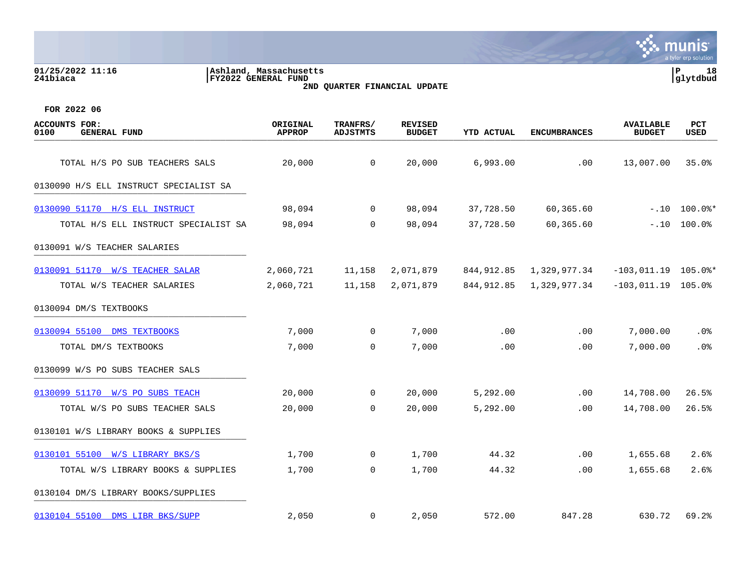**01/25/2022 11:16 |Ashland, Massachusetts |P 18 241biaca |FY2022 GENERAL FUND |glytdbud 2ND QUARTER FINANCIAL UPDATE**



| <b>ACCOUNTS FOR:</b><br>0100<br><b>GENERAL FUND</b> | ORIGINAL<br><b>APPROP</b> | TRANFRS/<br><b>ADJSTMTS</b> | <b>REVISED</b><br><b>BUDGET</b> | <b>YTD ACTUAL</b> | <b>ENCUMBRANCES</b> | <b>AVAILABLE</b><br><b>BUDGET</b> | <b>PCT</b><br><b>USED</b> |
|-----------------------------------------------------|---------------------------|-----------------------------|---------------------------------|-------------------|---------------------|-----------------------------------|---------------------------|
| TOTAL H/S PO SUB TEACHERS SALS                      | 20,000                    | 0                           | 20,000                          | 6,993.00          | .00                 | 13,007.00                         | 35.0%                     |
| 0130090 H/S ELL INSTRUCT SPECIALIST SA              |                           |                             |                                 |                   |                     |                                   |                           |
| 0130090 51170 H/S ELL INSTRUCT                      | 98,094                    | $\overline{0}$              | 98,094                          | 37,728.50         | 60,365.60           | $-.10$                            | $100.0$ $*$               |
| TOTAL H/S ELL INSTRUCT SPECIALIST SA                | 98,094                    | $\mathbf 0$                 | 98,094                          | 37,728.50         | 60,365.60           | $-.10$                            | 100.0%                    |
| 0130091 W/S TEACHER SALARIES                        |                           |                             |                                 |                   |                     |                                   |                           |
| 0130091 51170 W/S TEACHER SALAR                     | 2,060,721                 | 11,158                      | 2,071,879                       | 844, 912.85       | 1,329,977.34        | $-103,011.19$ 105.0%*             |                           |
| TOTAL W/S TEACHER SALARIES                          | 2,060,721                 | 11,158                      | 2,071,879                       | 844, 912.85       | 1,329,977.34        | $-103, 011.19$ 105.0%             |                           |
| 0130094 DM/S TEXTBOOKS                              |                           |                             |                                 |                   |                     |                                   |                           |
| 0130094 55100 DMS TEXTBOOKS                         | 7,000                     | $\overline{0}$              | 7,000                           | .00               | .00                 | 7,000.00                          | .0%                       |
| TOTAL DM/S TEXTBOOKS                                | 7,000                     | $\mathbf 0$                 | 7,000                           | .00               | .00                 | 7,000.00                          | .0%                       |
| 0130099 W/S PO SUBS TEACHER SALS                    |                           |                             |                                 |                   |                     |                                   |                           |
| 0130099 51170 W/S PO SUBS TEACH                     | 20,000                    | $\overline{0}$              | 20,000                          | 5,292.00          | .00                 | 14,708.00                         | 26.5%                     |
| TOTAL W/S PO SUBS TEACHER SALS                      | 20,000                    | $\mathbf 0$                 | 20,000                          | 5,292.00          | .00                 | 14,708.00                         | 26.5%                     |
| 0130101 W/S LIBRARY BOOKS & SUPPLIES                |                           |                             |                                 |                   |                     |                                   |                           |
| 0130101 55100 W/S LIBRARY BKS/S                     | 1,700                     | $\mathbf{0}$                | 1,700                           | 44.32             | .00                 | 1,655.68                          | 2.6%                      |
| TOTAL W/S LIBRARY BOOKS & SUPPLIES                  | 1,700                     | $\mathbf 0$                 | 1,700                           | 44.32             | .00                 | 1,655.68                          | 2.6%                      |
| 0130104 DM/S LIBRARY BOOKS/SUPPLIES                 |                           |                             |                                 |                   |                     |                                   |                           |
| 0130104 55100 DMS LIBR BKS/SUPP                     | 2,050                     | 0                           | 2,050                           | 572.00            | 847.28              | 630.72                            | 69.2%                     |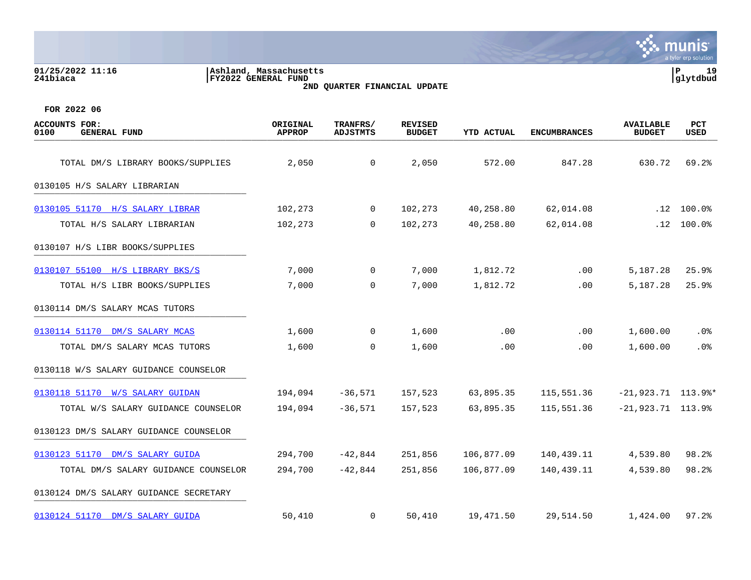| 01/25/2022 11:16<br>241biaca                        | Ashland, Massachusetts<br>FY2022 GENERAL FUND | 2ND QUARTER FINANCIAL UPDATE |                                 |                   |                     |                                   |                    |
|-----------------------------------------------------|-----------------------------------------------|------------------------------|---------------------------------|-------------------|---------------------|-----------------------------------|--------------------|
| FOR 2022 06                                         |                                               |                              |                                 |                   |                     |                                   |                    |
| <b>ACCOUNTS FOR:</b><br>0100<br><b>GENERAL FUND</b> | ORIGINAL<br><b>APPROP</b>                     | TRANFRS/<br><b>ADJSTMTS</b>  | <b>REVISED</b><br><b>BUDGET</b> | <b>YTD ACTUAL</b> | <b>ENCUMBRANCES</b> | <b>AVAILABLE</b><br><b>BUDGET</b> | <b>PCT</b><br>USED |
| TOTAL DM/S LIBRARY BOOKS/SUPPLIES                   | 2,050                                         | 0                            | 2,050                           | 572.00            | 847.28              | 630.72                            | 69.2%              |
| 0130105 H/S SALARY LIBRARIAN                        |                                               |                              |                                 |                   |                     |                                   |                    |
| 0130105 51170<br>H/S SALARY LIBRAR                  | 102,273                                       | $\overline{0}$               | 102,273                         | 40,258.80         | 62,014.08           | .12                               | $100.0$ %          |
| TOTAL H/S SALARY LIBRARIAN                          | 102,273                                       | $\mathbf 0$                  | 102,273                         | 40,258.80         | 62,014.08           | .12                               | $100.0$ %          |
| 0130107 H/S LIBR BOOKS/SUPPLIES                     |                                               |                              |                                 |                   |                     |                                   |                    |
| 0130107 55100<br>H/S LIBRARY BKS/S                  | 7,000                                         | 0                            | 7,000                           | 1,812.72          | .00                 | 5,187.28                          | 25.9%              |
| TOTAL H/S LIBR BOOKS/SUPPLIES                       | 7,000                                         | 0                            | 7,000                           | 1,812.72          | .00                 | 5,187.28                          | 25.9%              |
| 0130114 DM/S SALARY MCAS TUTORS                     |                                               |                              |                                 |                   |                     |                                   |                    |

[0130114 51170 DM/S SALARY MCAS](https://yvwlndash063.tylertech.com/sites/mu0241/LIVE/_layouts/15/DashboardMunisV6.3/PassThru.aspx?-E=chWzxfojuTGWPmMFvD/TcHvUlqT5yHroDiKpI5dZQwPOfFLPXDECaYQ/xDpYhI3N&) 1,600 0 1,600 .00 .00 1,600.00 .0% TOTAL DM/S SALARY MCAS TUTORS 1,600 0 1,600 .00 .00 1,600.00 .0% 0130118 W/S SALARY GUIDANCE COUNSELOR

# [0130118 51170 W/S SALARY GUIDAN](https://yvwlndash063.tylertech.com/sites/mu0241/LIVE/_layouts/15/DashboardMunisV6.3/PassThru.aspx?-E=2nLSKPgd5O3QeO7CeCeBqq9SquReYfTEm5bBsIPCT9juJknlc0zo4FYC40s62fbS&) 194,094 -36,571 157,523 63,895.35 115,551.36 -21,923.71 113.9%\* TOTAL W/S SALARY GUIDANCE COUNSELOR 194,094 -36,571 157,523 63,895.35 115,551.36 -21,923.71 113.9% 0130123 DM/S SALARY GUIDANCE COUNSELOR [0130123 51170 DM/S SALARY GUIDA](https://yvwlndash063.tylertech.com/sites/mu0241/LIVE/_layouts/15/DashboardMunisV6.3/PassThru.aspx?-E=bYmVNJlorO1fqK72eyGCqDNHo/FEoSJMLXwX4TUOvk6iPNItZAj6EOm5%2B58QfqZo&) 294,700 -42,844 251,856 106,877.09 140,439.11 4,539.80 98.2% TOTAL DM/S SALARY GUIDANCE COUNSELOR 294,700 -42,844 251,856 106,877.09 140,439.11 4,539.80 98.2% 0130124 DM/S SALARY GUIDANCE SECRETARY [0130124 51170 DM/S SALARY GUIDA](https://yvwlndash063.tylertech.com/sites/mu0241/LIVE/_layouts/15/DashboardMunisV6.3/PassThru.aspx?-E=RSVNpaOUDT9QsHVkkBTH%2B4g/yox34YaJoaUfrXziBSUpUdDcs1XyRUAG/x0trvkd&) 50,410 0 50,410 19,471.50 29,514.50 1,424.00 97.2%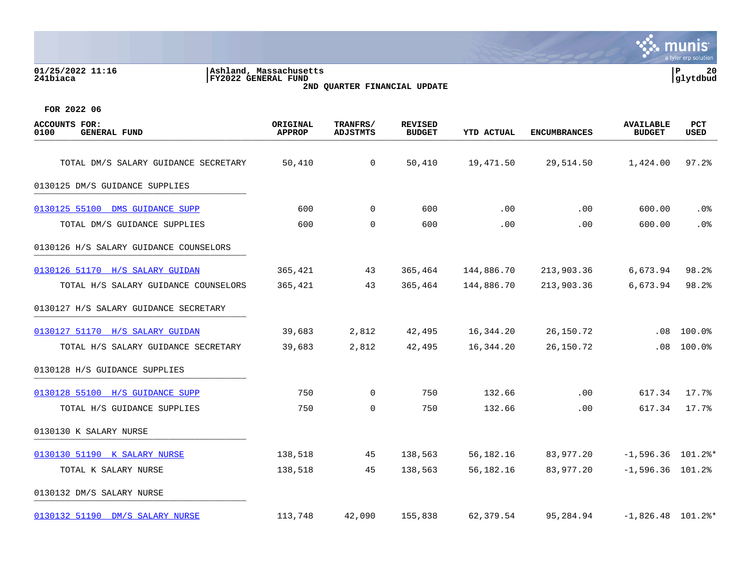| <b>PCT</b><br><b>USED</b>                                                                                                   |
|-----------------------------------------------------------------------------------------------------------------------------|
| 97.2%                                                                                                                       |
|                                                                                                                             |
| $.0\%$                                                                                                                      |
| .0%                                                                                                                         |
|                                                                                                                             |
| 98.2%                                                                                                                       |
| 98.2%                                                                                                                       |
|                                                                                                                             |
| 100.0%                                                                                                                      |
| 100.0%                                                                                                                      |
|                                                                                                                             |
| 17.7%                                                                                                                       |
| 17.7%                                                                                                                       |
| <b>AVAILABLE</b><br><b>BUDGET</b><br>1,424.00<br>600.00<br>600.00<br>6,673.94<br>6,673.94<br>.08<br>.08<br>617.34<br>617.34 |

[0130130 51190 K SALARY NURSE](https://yvwlndash063.tylertech.com/sites/mu0241/LIVE/_layouts/15/DashboardMunisV6.3/PassThru.aspx?-E=DVJoijc%2B3aStDbLvxhflkYpX/wHgeI%2BP0lVbjFspSIfSnDcdMZhtdpf2iSnePBnA&) 138,518 45 138,563 56,182.16 83,977.20 -1,596.36 101.2%\* TOTAL K SALARY NURSE 138,518 45 138,563 56,182.16 83,977.20 -1,596.36 101.2%

[0130132 51190 DM/S SALARY NURSE](https://yvwlndash063.tylertech.com/sites/mu0241/LIVE/_layouts/15/DashboardMunisV6.3/PassThru.aspx?-E=1AH8dba7R54Nib9ORoCY1ZQGkOBBBHemLVXakmYlce3UH%2BhhxQmG13WV2AMs3Inw&) 113,748 42,090 155,838 62,379.54 95,284.94 -1,826.48 101.2%\*

0130130 K SALARY NURSE \_\_\_\_\_\_\_\_\_\_\_\_\_\_\_\_\_\_\_\_\_\_\_\_\_\_\_\_\_\_\_\_\_\_\_\_\_\_\_\_\_

0130132 DM/S SALARY NURSE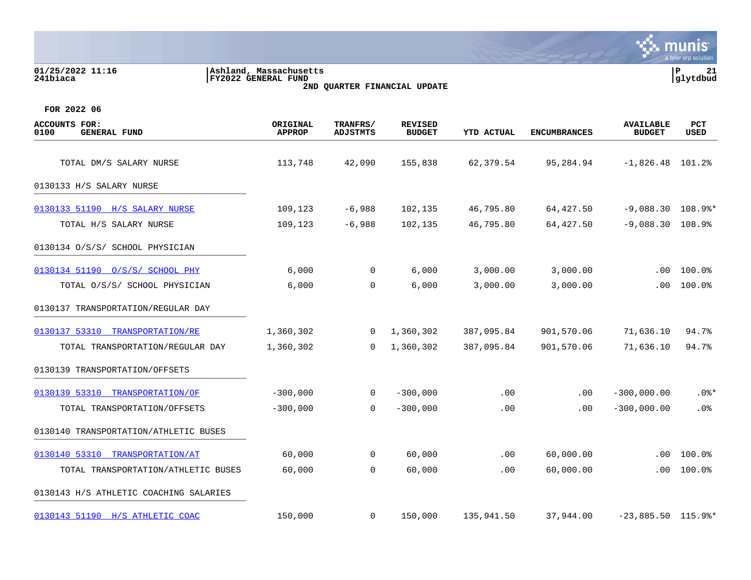| 01/25/2022 11:16<br>241biaca                        | Ashland, Massachusetts <br><b>FY2022 GENERAL FUND</b> |                             | 2ND QUARTER FINANCIAL UPDATE    |            |                     |                                   | lР<br>21<br>glytdbud |
|-----------------------------------------------------|-------------------------------------------------------|-----------------------------|---------------------------------|------------|---------------------|-----------------------------------|----------------------|
| FOR 2022 06                                         |                                                       |                             |                                 |            |                     |                                   |                      |
| <b>ACCOUNTS FOR:</b><br><b>GENERAL FUND</b><br>0100 | ORIGINAL<br><b>APPROP</b>                             | TRANFRS/<br><b>ADJSTMTS</b> | <b>REVISED</b><br><b>BUDGET</b> | YTD ACTUAL | <b>ENCUMBRANCES</b> | <b>AVAILABLE</b><br><b>BUDGET</b> | PCT<br>USED          |
| TOTAL DM/S SALARY NURSE                             | 113,748                                               | 42,090                      | 155,838                         | 62,379.54  | 95,284.94           | $-1,826.48$ 101.2%                |                      |
| 0130133 H/S SALARY NURSE                            |                                                       |                             |                                 |            |                     |                                   |                      |
| 0130133 51190 H/S SALARY NURSE                      | 109,123                                               | $-6,988$                    | 102,135                         | 46,795.80  | 64, 427.50          | $-9,088.30$ 108.9%*               |                      |
| TOTAL H/S SALARY NURSE                              | 109,123                                               | $-6,988$                    | 102,135                         | 46,795.80  | 64, 427.50          | $-9,088.30$                       | 108.9%               |
| 0130134 O/S/S/ SCHOOL PHYSICIAN                     |                                                       |                             |                                 |            |                     |                                   |                      |
| 0130134 51190 0/S/S/ SCHOOL PHY                     | 6,000                                                 | 0                           | 6,000                           | 3,000.00   | 3,000.00            | .00                               | 100.0%               |
| TOTAL 0/S/S/ SCHOOL PHYSICIAN                       | 6,000                                                 | 0                           | 6,000                           | 3,000.00   | 3,000.00            | .00                               | $100.0$ %            |
| 0130137 TRANSPORTATION/REGULAR DAY                  |                                                       |                             |                                 |            |                     |                                   |                      |
| 0130137 53310 TRANSPORTATION/RE                     | 1,360,302                                             | 0                           | 1,360,302                       | 387,095.84 | 901,570.06          | 71,636.10                         | 94.7%                |
| TOTAL TRANSPORTATION/REGULAR DAY                    | 1,360,302                                             | 0                           | 1,360,302                       | 387,095.84 | 901,570.06          | 71,636.10                         | 94.7%                |
| 0130139 TRANSPORTATION/OFFSETS                      |                                                       |                             |                                 |            |                     |                                   |                      |
| 0130139 53310 TRANSPORTATION/OF                     | $-300,000$                                            | 0                           | $-300,000$                      | .00        | .00                 | $-300,000.00$                     | $.0$ %*              |
| TOTAL TRANSPORTATION/OFFSETS                        | $-300,000$                                            | 0                           | $-300,000$                      | .00        | .00                 | $-300,000.00$                     | .0%                  |
| 0130140 TRANSPORTATION/ATHLETIC BUSES               |                                                       |                             |                                 |            |                     |                                   |                      |
| 0130140 53310 TRANSPORTATION/AT                     | 60,000                                                | $\mathbf 0$                 | 60,000                          | .00        | 60,000.00           | .00                               | 100.0%               |
| TOTAL TRANSPORTATION/ATHLETIC BUSES                 | 60,000                                                | $\mathbf 0$                 | 60,000                          | .00        | 60,000.00           | .00                               | 100.0%               |
| 0130143 H/S ATHLETIC COACHING SALARIES              |                                                       |                             |                                 |            |                     |                                   |                      |
| 0130143 51190 H/S ATHLETIC COAC                     | 150,000                                               | 0                           | 150,000                         | 135,941.50 | 37,944.00           | $-23,885.50$ 115.9%*              |                      |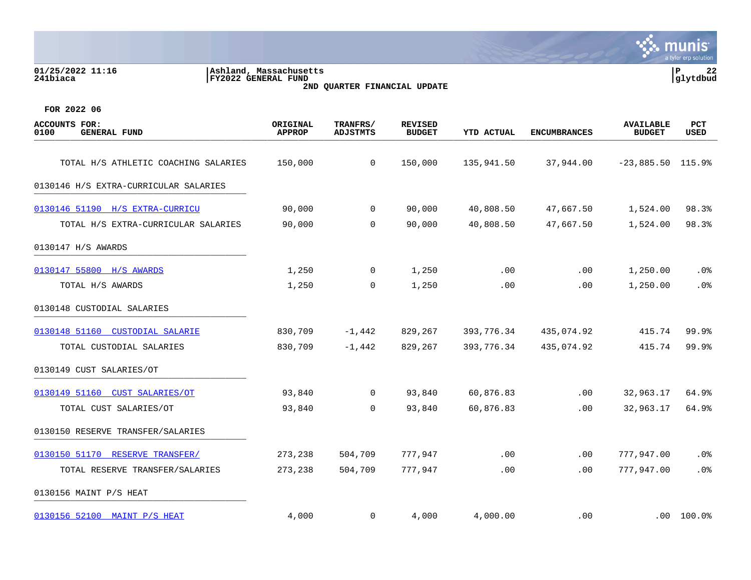| 01/25/2022 11:16<br>241biaca | Ashland, Massachusetts <br>FY2022 GENERAL FUND | 22<br> glytdbud |
|------------------------------|------------------------------------------------|-----------------|
|                              | 2ND QUARTER FINANCIAL UPDATE                   |                 |
|                              |                                                |                 |
|                              |                                                |                 |
| FOR 2022 06                  |                                                |                 |

| <b>ACCOUNTS FOR:</b><br>0100<br><b>GENERAL FUND</b> | ORIGINAL<br><b>APPROP</b> | TRANFRS/<br><b>ADJSTMTS</b> | <b>REVISED</b><br><b>BUDGET</b> | <b>YTD ACTUAL</b> | <b>ENCUMBRANCES</b> | <b>AVAILABLE</b><br><b>BUDGET</b> | <b>PCT</b><br><b>USED</b> |
|-----------------------------------------------------|---------------------------|-----------------------------|---------------------------------|-------------------|---------------------|-----------------------------------|---------------------------|
| TOTAL H/S ATHLETIC COACHING SALARIES                | 150,000                   | $\mathbf 0$                 | 150,000                         | 135,941.50        | 37,944.00           | $-23,885.50$ 115.9%               |                           |
| 0130146 H/S EXTRA-CURRICULAR SALARIES               |                           |                             |                                 |                   |                     |                                   |                           |
|                                                     |                           |                             |                                 |                   |                     |                                   |                           |
| 0130146 51190 H/S EXTRA-CURRICU                     | 90,000                    | $\mathbf 0$                 | 90,000                          | 40,808.50         | 47,667.50           | 1,524.00                          | 98.3%                     |
| TOTAL H/S EXTRA-CURRICULAR SALARIES                 | 90,000                    | 0                           | 90,000                          | 40,808.50         | 47,667.50           | 1,524.00                          | 98.3%                     |
| 0130147 H/S AWARDS                                  |                           |                             |                                 |                   |                     |                                   |                           |
| 0130147 55800 H/S AWARDS                            | 1,250                     | $\mathbf 0$                 | 1,250                           | .00               | .00                 | 1,250.00                          | .0%                       |
| TOTAL H/S AWARDS                                    | 1,250                     | $\mathbf 0$                 | 1,250                           | .00               | .00                 | 1,250.00                          | .0%                       |
| 0130148 CUSTODIAL SALARIES                          |                           |                             |                                 |                   |                     |                                   |                           |
| 0130148 51160 CUSTODIAL SALARIE                     | 830,709                   | $-1,442$                    | 829,267                         | 393,776.34        | 435,074.92          | 415.74                            | 99.9%                     |
| TOTAL CUSTODIAL SALARIES                            | 830,709                   | $-1,442$                    | 829,267                         | 393,776.34        | 435,074.92          | 415.74                            | 99.9%                     |
| 0130149 CUST SALARIES/OT                            |                           |                             |                                 |                   |                     |                                   |                           |
| 0130149 51160<br><b>CUST SALARIES/OT</b>            | 93,840                    | $\mathbf 0$                 | 93,840                          | 60,876.83         | .00                 | 32,963.17                         | 64.9%                     |
| TOTAL CUST SALARIES/OT                              | 93,840                    | $\Omega$                    | 93,840                          | 60,876.83         | .00                 | 32,963.17                         | 64.9%                     |
| 0130150 RESERVE TRANSFER/SALARIES                   |                           |                             |                                 |                   |                     |                                   |                           |
| 0130150 51170 RESERVE TRANSFER/                     | 273,238                   | 504,709                     | 777,947                         | .00               | $.00 \,$            | 777,947.00                        | .0%                       |
| TOTAL RESERVE TRANSFER/SALARIES                     | 273,238                   | 504,709                     | 777,947                         | .00               | .00                 | 777,947.00                        | .0%                       |
| 0130156 MAINT P/S HEAT                              |                           |                             |                                 |                   |                     |                                   |                           |
| 0130156 52100 MAINT P/S HEAT                        | 4,000                     | $\mathbf 0$                 | 4,000                           | 4,000.00          | .00                 |                                   | $.00 100.0$ <sup>8</sup>  |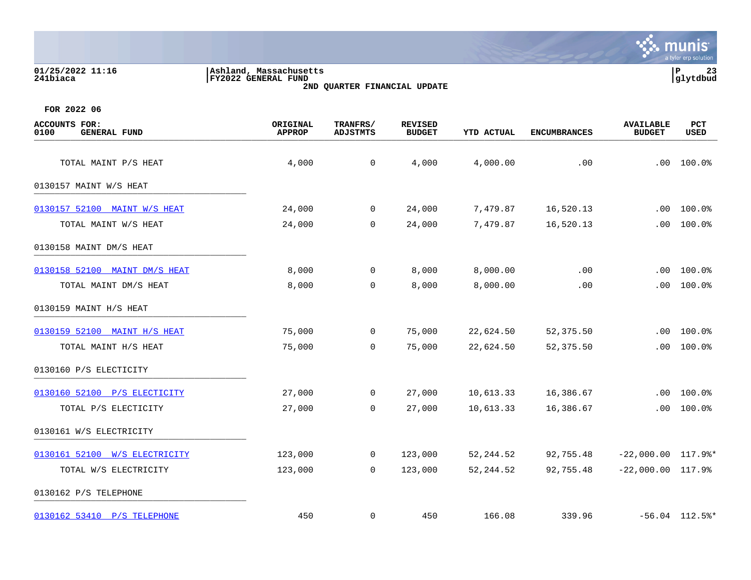| 01/25/2022 11:16<br>241biaca | , Massachusetts<br> Ashland,<br>FY2022 GENERAL FUND | l P<br> glytdbud | $\sim$ |
|------------------------------|-----------------------------------------------------|------------------|--------|
|                              |                                                     |                  |        |

**2ND QUARTER FINANCIAL UPDATE**



| <b>ACCOUNTS FOR:</b><br>0100<br><b>GENERAL FUND</b> | ORIGINAL<br><b>APPROP</b> | TRANFRS/<br><b>ADJSTMTS</b> | <b>REVISED</b><br><b>BUDGET</b> | <b>YTD ACTUAL</b> | <b>ENCUMBRANCES</b> | <b>AVAILABLE</b><br><b>BUDGET</b> | PCT<br><b>USED</b> |
|-----------------------------------------------------|---------------------------|-----------------------------|---------------------------------|-------------------|---------------------|-----------------------------------|--------------------|
| TOTAL MAINT P/S HEAT                                | 4,000                     | $\mathsf{O}$                | 4,000                           | 4,000.00          | .00                 | .00                               | 100.0%             |
| 0130157 MAINT W/S HEAT                              |                           |                             |                                 |                   |                     |                                   |                    |
|                                                     |                           |                             |                                 |                   |                     |                                   |                    |
| 0130157 52100 MAINT W/S HEAT                        | 24,000                    | $\overline{0}$              | 24,000                          | 7,479.87          | 16,520.13           | .00                               | 100.0%             |
| TOTAL MAINT W/S HEAT                                | 24,000                    | $\mathsf{O}$                | 24,000                          | 7,479.87          | 16,520.13           | .00                               | 100.0%             |
| 0130158 MAINT DM/S HEAT                             |                           |                             |                                 |                   |                     |                                   |                    |
| 0130158 52100 MAINT DM/S HEAT                       | 8,000                     | $\mathbf 0$                 | 8,000                           | 8,000.00          | .00                 | .00                               | 100.0%             |
| TOTAL MAINT DM/S HEAT                               | 8,000                     | $\mathbf 0$                 | 8,000                           | 8,000.00          | .00                 | .00.                              | 100.0%             |
| 0130159 MAINT H/S HEAT                              |                           |                             |                                 |                   |                     |                                   |                    |
| 0130159 52100 MAINT H/S HEAT                        | 75,000                    | $\mathsf{O}$                | 75,000                          | 22,624.50         | 52,375.50           | .00                               | 100.0%             |
| TOTAL MAINT H/S HEAT                                | 75,000                    | $\Omega$                    | 75,000                          | 22,624.50         | 52,375.50           | .00                               | 100.0%             |
| 0130160 P/S ELECTICITY                              |                           |                             |                                 |                   |                     |                                   |                    |
| 0130160 52100 P/S ELECTICITY                        | 27,000                    | 0                           | 27,000                          | 10,613.33         | 16,386.67           | .00                               | 100.0%             |
| TOTAL P/S ELECTICITY                                | 27,000                    | $\mathbf 0$                 | 27,000                          | 10,613.33         | 16,386.67           | .00                               | 100.0%             |
| 0130161 W/S ELECTRICITY                             |                           |                             |                                 |                   |                     |                                   |                    |
| 0130161 52100 W/S ELECTRICITY                       | 123,000                   | 0                           | 123,000                         | 52, 244.52        | 92,755.48           | $-22,000.00$ 117.9%*              |                    |
| TOTAL W/S ELECTRICITY                               | 123,000                   | $\mathbf 0$                 | 123,000                         | 52, 244.52        | 92,755.48           | $-22,000.00$ 117.9%               |                    |
| 0130162 P/S TELEPHONE                               |                           |                             |                                 |                   |                     |                                   |                    |
| 0130162 53410 P/S TELEPHONE                         | 450                       | $\mathbf 0$                 | 450                             | 166.08            | 339.96              |                                   | $-56.04$ 112.5%*   |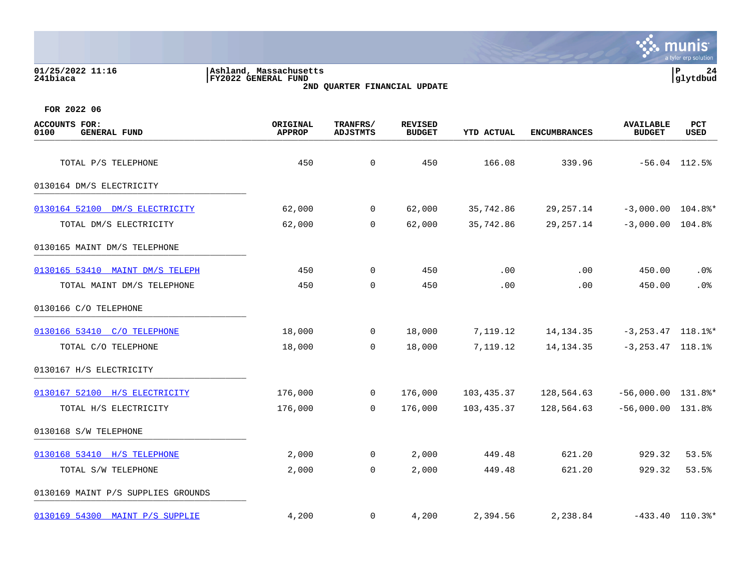| 01/25/2022 11:16<br>241biaca                        | Ashland, Massachusetts<br>FY2022 GENERAL FUND | 2ND QUARTER FINANCIAL UPDATE |                                 |                   |                     |                                   | P<br>24<br>glytdbud |
|-----------------------------------------------------|-----------------------------------------------|------------------------------|---------------------------------|-------------------|---------------------|-----------------------------------|---------------------|
| FOR 2022 06                                         |                                               |                              |                                 |                   |                     |                                   |                     |
| <b>ACCOUNTS FOR:</b><br><b>GENERAL FUND</b><br>0100 | ORIGINAL<br><b>APPROP</b>                     | TRANFRS/<br>ADJSTMTS         | <b>REVISED</b><br><b>BUDGET</b> | <b>YTD ACTUAL</b> | <b>ENCUMBRANCES</b> | <b>AVAILABLE</b><br><b>BUDGET</b> | PCT<br>USED         |
| TOTAL P/S TELEPHONE                                 | 450                                           | $\mathbf 0$                  | 450                             | 166.08            | 339.96              |                                   | $-56.04$ 112.5%     |
| 0130164 DM/S ELECTRICITY                            |                                               |                              |                                 |                   |                     |                                   |                     |
| 0130164 52100 DM/S ELECTRICITY                      | 62,000                                        | 0                            | 62,000                          | 35,742.86         | 29, 257. 14         | $-3,000.00$                       | $104.8$ $*$         |
| TOTAL DM/S ELECTRICITY                              | 62,000                                        | $\mathbf 0$                  | 62,000                          | 35,742.86         | 29, 257. 14         | $-3,000.00$                       | 104.8%              |
| 0130165 MAINT DM/S TELEPHONE                        |                                               |                              |                                 |                   |                     |                                   |                     |
| 0130165 53410 MAINT DM/S TELEPH                     | 450                                           | $\mathsf{O}$                 | 450                             | .00               | .00                 | 450.00                            | .0 <sub>8</sub>     |
| TOTAL MAINT DM/S TELEPHONE                          | 450                                           | $\mathbf 0$                  | 450                             | .00               | .00                 | 450.00                            | .0%                 |
| 0130166 C/O TELEPHONE                               |                                               |                              |                                 |                   |                     |                                   |                     |
| 0130166 53410 C/O TELEPHONE                         | 18,000                                        | 0                            | 18,000                          | 7,119.12          | 14, 134. 35         | $-3, 253.47$ 118.1%*              |                     |
| TOTAL C/O TELEPHONE                                 | 18,000                                        | 0                            | 18,000                          | 7,119.12          | 14, 134. 35         | $-3, 253.47$ 118.1%               |                     |
| 0130167 H/S ELECTRICITY                             |                                               |                              |                                 |                   |                     |                                   |                     |
| 0130167 52100 H/S ELECTRICITY                       | 176,000                                       | 0                            | 176,000                         | 103,435.37        | 128,564.63          | $-56,000.00$ 131.8%*              |                     |
| TOTAL H/S ELECTRICITY                               | 176,000                                       | 0                            | 176,000                         | 103,435.37        | 128,564.63          | $-56,000.00$ 131.8%               |                     |
| 0130168 S/W TELEPHONE                               |                                               |                              |                                 |                   |                     |                                   |                     |
| 0130168 53410 H/S TELEPHONE                         | 2,000                                         | 0                            | 2,000                           | 449.48            | 621.20              | 929.32                            | 53.5%               |
| TOTAL S/W TELEPHONE                                 | 2,000                                         | $\mathbf 0$                  | 2,000                           | 449.48            | 621.20              | 929.32                            | 53.5%               |
| 0130169 MAINT P/S SUPPLIES GROUNDS                  |                                               |                              |                                 |                   |                     |                                   |                     |

**SASE MUNIS** 

[0130169 54300 MAINT P/S SUPPLIE](https://yvwlndash063.tylertech.com/sites/mu0241/LIVE/_layouts/15/DashboardMunisV6.3/PassThru.aspx?-E=Yh7G2kJS6Bar1NOz9/ozvKIxRt7MsIaiFw2ykNWBuTvg%2BlGhsCXclFo0hqUS7Y38&) 4,200 0 4,200 2,394.56 2,238.84 -433.40 110.3%\*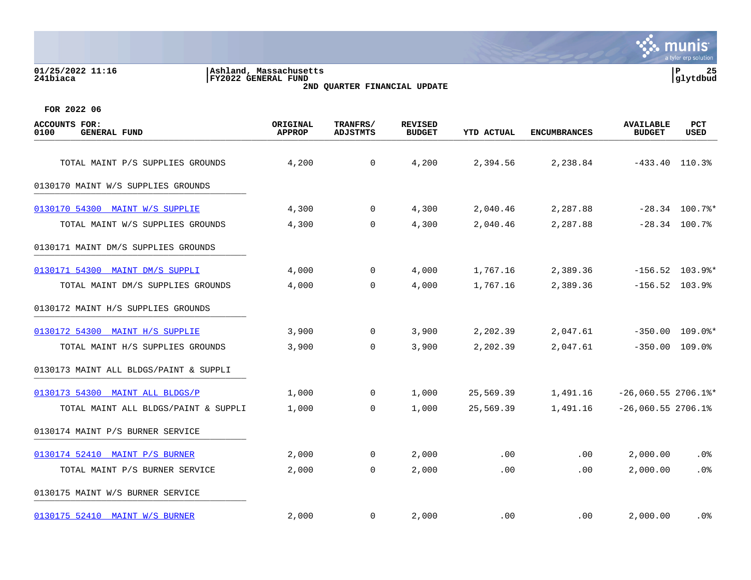### **01/25/2022 11:16 |Ashland, Massachusetts |P 25 241biaca |FY2022 GENERAL FUND |glytdbud 2ND QUARTER FINANCIAL UPDATE**



| <b>ACCOUNTS FOR:</b><br><b>GENERAL FUND</b><br>0100 | ORIGINAL<br><b>APPROP</b> | TRANFRS/<br><b>ADJSTMTS</b> | <b>REVISED</b><br><b>BUDGET</b> | <b>YTD ACTUAL</b> | <b>ENCUMBRANCES</b> | <b>AVAILABLE</b><br><b>BUDGET</b> | <b>PCT</b><br><b>USED</b> |
|-----------------------------------------------------|---------------------------|-----------------------------|---------------------------------|-------------------|---------------------|-----------------------------------|---------------------------|
| TOTAL MAINT P/S SUPPLIES GROUNDS                    | 4,200                     | $\mathbf 0$                 | 4,200                           | 2,394.56          | 2,238.84            |                                   | $-433.40$ 110.3%          |
| 0130170 MAINT W/S SUPPLIES GROUNDS                  |                           |                             |                                 |                   |                     |                                   |                           |
| 0130170 54300 MAINT W/S SUPPLIE                     | 4,300                     | $\mathbf 0$                 | 4,300                           | 2,040.46          | 2,287.88            |                                   | $-28.34$ 100.7%*          |
| TOTAL MAINT W/S SUPPLIES GROUNDS                    | 4,300                     | 0                           | 4,300                           | 2,040.46          | 2,287.88            |                                   | $-28.34$ 100.7%           |
| 0130171 MAINT DM/S SUPPLIES GROUNDS                 |                           |                             |                                 |                   |                     |                                   |                           |
| 0130171 54300 MAINT DM/S SUPPLI                     | 4,000                     | $\overline{0}$              | 4,000                           | 1,767.16          | 2,389.36            |                                   | $-156.52$ 103.9%*         |
| TOTAL MAINT DM/S SUPPLIES GROUNDS                   | 4,000                     | $\mathbf 0$                 | 4,000                           | 1,767.16          | 2,389.36            |                                   | $-156.52$ 103.9%          |
| 0130172 MAINT H/S SUPPLIES GROUNDS                  |                           |                             |                                 |                   |                     |                                   |                           |
| 0130172 54300 MAINT H/S SUPPLIE                     | 3,900                     | 0                           | 3,900                           | 2,202.39          | 2,047.61            |                                   | $-350.00$ 109.0%*         |
| TOTAL MAINT H/S SUPPLIES GROUNDS                    | 3,900                     | $\Omega$                    | 3,900                           | 2,202.39          | 2,047.61            |                                   | $-350.00$ 109.0%          |
| 0130173 MAINT ALL BLDGS/PAINT & SUPPLI              |                           |                             |                                 |                   |                     |                                   |                           |
| 0130173 54300 MAINT ALL BLDGS/P                     | 1,000                     | $\overline{0}$              | 1,000                           | 25,569.39         | 1,491.16            | $-26,060.55$ 2706.1%*             |                           |
| TOTAL MAINT ALL BLDGS/PAINT & SUPPLI                | 1,000                     | 0                           | 1,000                           | 25,569.39         | 1,491.16            | $-26,060.55$ 2706.1%              |                           |
| 0130174 MAINT P/S BURNER SERVICE                    |                           |                             |                                 |                   |                     |                                   |                           |
| 0130174 52410 MAINT P/S BURNER                      | 2,000                     | $\mathbf 0$                 | 2,000                           | .00               | .00                 | 2,000.00                          | $.0\%$                    |
| TOTAL MAINT P/S BURNER SERVICE                      | 2,000                     | $\mathbf 0$                 | 2,000                           | .00               | .00                 | 2,000.00                          | .0%                       |
| 0130175 MAINT W/S BURNER SERVICE                    |                           |                             |                                 |                   |                     |                                   |                           |
| 0130175 52410 MAINT W/S BURNER                      | 2,000                     | $\mathbf 0$                 | 2,000                           | .00               | $.00 \,$            | 2,000.00                          | .0%                       |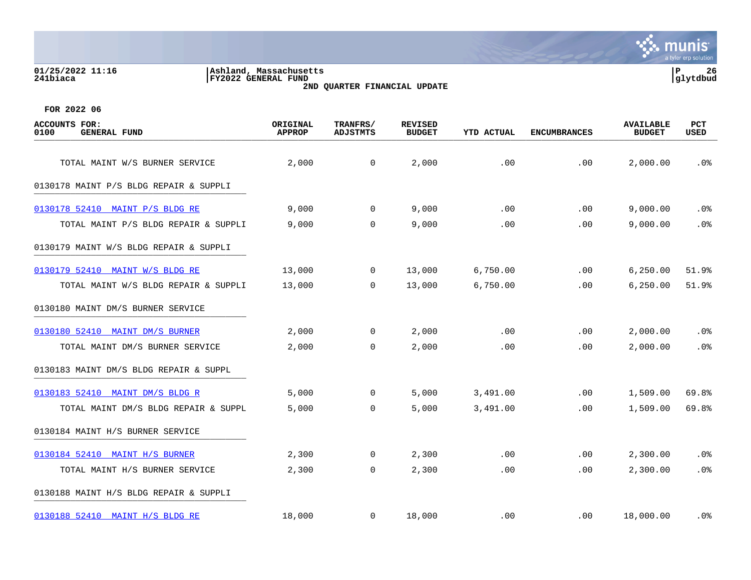### **01/25/2022 11:16 |Ashland, Massachusetts |P 26 241biaca |FY2022 GENERAL FUND |glytdbud 2ND QUARTER FINANCIAL UPDATE**



| ACCOUNTS FOR:<br>0100<br><b>GENERAL FUND</b> | ORIGINAL<br><b>APPROP</b> | TRANFRS/<br><b>ADJSTMTS</b> | <b>REVISED</b><br><b>BUDGET</b> | <b>YTD ACTUAL</b> | <b>ENCUMBRANCES</b> | <b>AVAILABLE</b><br><b>BUDGET</b> | PCT<br>USED     |
|----------------------------------------------|---------------------------|-----------------------------|---------------------------------|-------------------|---------------------|-----------------------------------|-----------------|
| TOTAL MAINT W/S BURNER SERVICE               | 2,000                     | $\mathsf{O}$                | 2,000                           | .00               | .00                 | 2,000.00                          | .0%             |
| 0130178 MAINT P/S BLDG REPAIR & SUPPLI       |                           |                             |                                 |                   |                     |                                   |                 |
|                                              |                           |                             |                                 |                   |                     |                                   |                 |
| 0130178 52410 MAINT P/S BLDG RE              | 9,000                     | $\mathbf 0$                 | 9,000                           | .00               | .00                 | 9,000.00                          | .0%             |
| TOTAL MAINT P/S BLDG REPAIR & SUPPLI         | 9,000                     | $\mathbf 0$                 | 9,000                           | .00               | .00                 | 9,000.00                          | .0%             |
| 0130179 MAINT W/S BLDG REPAIR & SUPPLI       |                           |                             |                                 |                   |                     |                                   |                 |
| 0130179 52410 MAINT W/S BLDG RE              | 13,000                    | $\mathbf 0$                 | 13,000                          | 6,750.00          | .00                 | 6, 250.00                         | 51.9%           |
| TOTAL MAINT W/S BLDG REPAIR & SUPPLI         | 13,000                    | $\Omega$                    | 13,000                          | 6,750.00          | .00                 | 6, 250.00                         | 51.9%           |
| 0130180 MAINT DM/S BURNER SERVICE            |                           |                             |                                 |                   |                     |                                   |                 |
| 0130180 52410 MAINT DM/S BURNER              | 2,000                     | 0                           | 2,000                           | .00               | .00                 | 2,000.00                          | .0%             |
| TOTAL MAINT DM/S BURNER SERVICE              | 2,000                     | $\Omega$                    | 2,000                           | .00               | .00                 | 2,000.00                          | .0 <sub>8</sub> |
| 0130183 MAINT DM/S BLDG REPAIR & SUPPL       |                           |                             |                                 |                   |                     |                                   |                 |
| 0130183 52410 MAINT DM/S BLDG R              | 5,000                     | $\mathbf 0$                 | 5,000                           | 3,491.00          | .00                 | 1,509.00                          | 69.8%           |
| TOTAL MAINT DM/S BLDG REPAIR & SUPPL         | 5,000                     | $\mathbf 0$                 | 5,000                           | 3,491.00          | .00                 | 1,509.00                          | 69.8%           |
| 0130184 MAINT H/S BURNER SERVICE             |                           |                             |                                 |                   |                     |                                   |                 |
| 0130184 52410 MAINT H/S BURNER               | 2,300                     | 0                           | 2,300                           | .00               | .00                 | 2,300.00                          | $.0\%$          |
| TOTAL MAINT H/S BURNER SERVICE               | 2,300                     | $\mathbf 0$                 | 2,300                           | .00               | .00                 | 2,300.00                          | .0%             |
| 0130188 MAINT H/S BLDG REPAIR & SUPPLI       |                           |                             |                                 |                   |                     |                                   |                 |
| 0130188 52410 MAINT H/S BLDG RE              | 18,000                    | $\mathbf 0$                 | 18,000                          | .00               | $.00 \,$            | 18,000.00                         | . 0%            |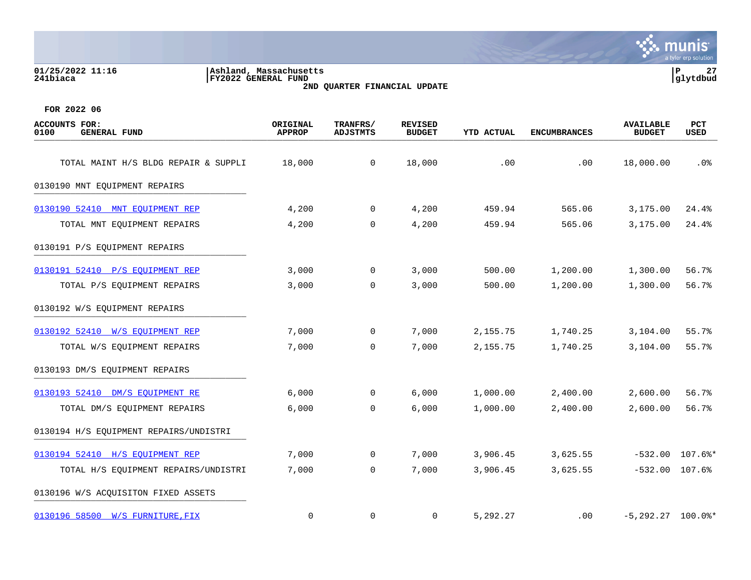### **01/25/2022 11:16 |Ashland, Massachusetts |P 27 241biaca |FY2022 GENERAL FUND |glytdbud 2ND QUARTER FINANCIAL UPDATE**



| <b>ACCOUNTS FOR:</b><br><b>GENERAL FUND</b><br>0100 | ORIGINAL<br><b>APPROP</b> | TRANFRS/<br><b>ADJSTMTS</b> | <b>REVISED</b><br><b>BUDGET</b> | YTD ACTUAL | <b>ENCUMBRANCES</b> | <b>AVAILABLE</b><br><b>BUDGET</b> | PCT<br>USED       |
|-----------------------------------------------------|---------------------------|-----------------------------|---------------------------------|------------|---------------------|-----------------------------------|-------------------|
| TOTAL MAINT H/S BLDG REPAIR & SUPPLI                | 18,000                    | $\mathbf 0$                 | 18,000                          | .00        | .00                 | 18,000.00                         | .0%               |
| 0130190 MNT EQUIPMENT REPAIRS                       |                           |                             |                                 |            |                     |                                   |                   |
| 0130190 52410 MNT EOUIPMENT REP                     | 4,200                     | 0                           | 4,200                           | 459.94     | 565.06              | 3,175.00                          | 24.4%             |
| TOTAL MNT EQUIPMENT REPAIRS                         | 4,200                     | $\mathbf 0$                 | 4,200                           | 459.94     | 565.06              | 3,175.00                          | 24.4%             |
| 0130191 P/S EQUIPMENT REPAIRS                       |                           |                             |                                 |            |                     |                                   |                   |
| 0130191 52410 P/S EQUIPMENT REP                     | 3,000                     | 0                           | 3,000                           | 500.00     | 1,200.00            | 1,300.00                          | 56.7%             |
| TOTAL P/S EQUIPMENT REPAIRS                         | 3,000                     | $\Omega$                    | 3,000                           | 500.00     | 1,200.00            | 1,300.00                          | 56.7%             |
| 0130192 W/S EQUIPMENT REPAIRS                       |                           |                             |                                 |            |                     |                                   |                   |
| 0130192 52410 W/S EOUIPMENT REP                     | 7,000                     | 0                           | 7,000                           | 2,155.75   | 1,740.25            | 3,104.00                          | 55.7%             |
| TOTAL W/S EQUIPMENT REPAIRS                         | 7,000                     | $\Omega$                    | 7,000                           | 2,155.75   | 1,740.25            | 3,104.00                          | 55.7%             |
| 0130193 DM/S EQUIPMENT REPAIRS                      |                           |                             |                                 |            |                     |                                   |                   |
| 0130193 52410 DM/S EQUIPMENT RE                     | 6,000                     | $\mathbf{0}$                | 6,000                           | 1,000.00   | 2,400.00            | 2,600.00                          | 56.7%             |
| TOTAL DM/S EQUIPMENT REPAIRS                        | 6,000                     | $\mathbf 0$                 | 6,000                           | 1,000.00   | 2,400.00            | 2,600.00                          | 56.7%             |
| 0130194 H/S EQUIPMENT REPAIRS/UNDISTRI              |                           |                             |                                 |            |                     |                                   |                   |
| 0130194 52410 H/S EOUIPMENT REP                     | 7,000                     | $\mathbf 0$                 | 7,000                           | 3,906.45   | 3,625.55            |                                   | $-532.00$ 107.6%* |
| TOTAL H/S EQUIPMENT REPAIRS/UNDISTRI                | 7,000                     | 0                           | 7,000                           | 3,906.45   | 3,625.55            | $-532.00$ 107.6%                  |                   |
| 0130196 W/S ACQUISITON FIXED ASSETS                 |                           |                             |                                 |            |                     |                                   |                   |
| 0130196 58500 W/S FURNITURE, FIX                    | $\mathbf 0$               | 0                           | $\mathbf 0$                     | 5,292.27   | .00                 | $-5,292.27$ 100.0%*               |                   |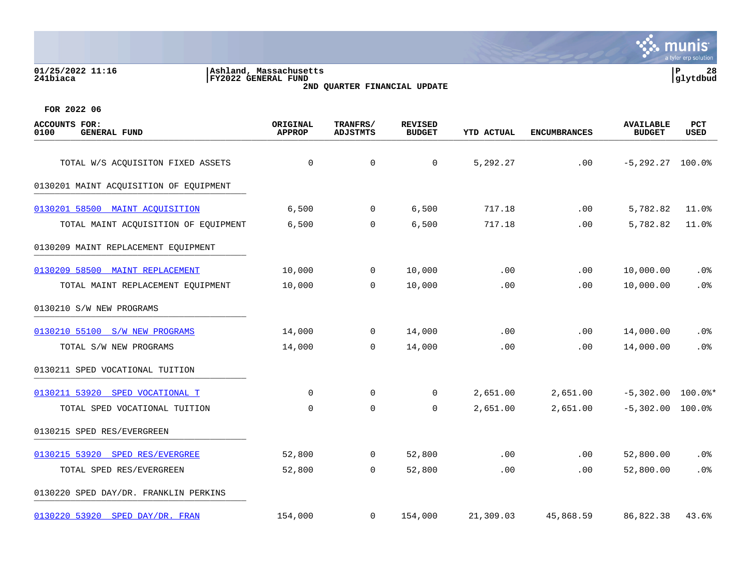**01/25/2022 11:16 |Ashland, Massachusetts |P 28 241biaca |FY2022 GENERAL FUND |glytdbud**

**2ND QUARTER FINANCIAL UPDATE**



| <b>ACCOUNTS FOR:</b><br>0100<br><b>GENERAL FUND</b> | ORIGINAL<br><b>APPROP</b> | TRANFRS/<br>ADJSTMTS | <b>REVISED</b><br><b>BUDGET</b> | <b>YTD ACTUAL</b> | <b>ENCUMBRANCES</b> | <b>AVAILABLE</b><br><b>BUDGET</b> | <b>PCT</b><br>USED |
|-----------------------------------------------------|---------------------------|----------------------|---------------------------------|-------------------|---------------------|-----------------------------------|--------------------|
| TOTAL W/S ACQUISITON FIXED ASSETS                   | $\mathbf 0$               | $\mathbf 0$          | $\mathbf 0$                     | 5,292.27          | .00                 | $-5, 292.27$ 100.0%               |                    |
| 0130201 MAINT ACQUISITION OF EQUIPMENT              |                           |                      |                                 |                   |                     |                                   |                    |
| 0130201 58500 MAINT ACOUISITION                     | 6,500                     | 0                    | 6,500                           | 717.18            | .00                 | 5,782.82                          | 11.0%              |
| TOTAL MAINT ACQUISITION OF EQUIPMENT                | 6,500                     | 0                    | 6,500                           | 717.18            | .00                 | 5,782.82                          | 11.0%              |
| 0130209 MAINT REPLACEMENT EQUIPMENT                 |                           |                      |                                 |                   |                     |                                   |                    |
| 0130209 58500 MAINT REPLACEMENT                     | 10,000                    | 0                    | 10,000                          | .00               | .00                 | 10,000.00                         | .0%                |
| TOTAL MAINT REPLACEMENT EQUIPMENT                   | 10,000                    | $\Omega$             | 10,000                          | .00               | .00                 | 10,000.00                         | .0%                |
| 0130210 S/W NEW PROGRAMS                            |                           |                      |                                 |                   |                     |                                   |                    |
| 0130210 55100 S/W NEW PROGRAMS                      | 14,000                    | $\mathbf 0$          | 14,000                          | .00               | .00                 | 14,000.00                         | .0%                |
| TOTAL S/W NEW PROGRAMS                              | 14,000                    | $\Omega$             | 14,000                          | .00               | .00.                | 14,000.00                         | .0%                |
| 0130211 SPED VOCATIONAL TUITION                     |                           |                      |                                 |                   |                     |                                   |                    |
| 0130211 53920 SPED VOCATIONAL T                     | $\mathbf 0$               | $\mathbf 0$          | 0                               | 2,651.00          | 2,651.00            | $-5,302.00$ 100.0%*               |                    |
| TOTAL SPED VOCATIONAL TUITION                       | $\mathbf 0$               | $\mathbf 0$          | 0                               | 2,651.00          | 2,651.00            | $-5,302.00$                       | 100.0%             |
| 0130215 SPED RES/EVERGREEN                          |                           |                      |                                 |                   |                     |                                   |                    |
| 0130215 53920 SPED RES/EVERGREE                     | 52,800                    | 0                    | 52,800                          | .00               | .00                 | 52,800.00                         | $.0\%$             |
| TOTAL SPED RES/EVERGREEN                            | 52,800                    | $\mathbf 0$          | 52,800                          | .00               | .00                 | 52,800.00                         | .0%                |
| 0130220 SPED DAY/DR. FRANKLIN PERKINS               |                           |                      |                                 |                   |                     |                                   |                    |
| 0130220 53920 SPED DAY/DR. FRAN                     | 154,000                   | $\mathbf 0$          | 154,000                         | 21,309.03         | 45,868.59           | 86,822.38                         | 43.6%              |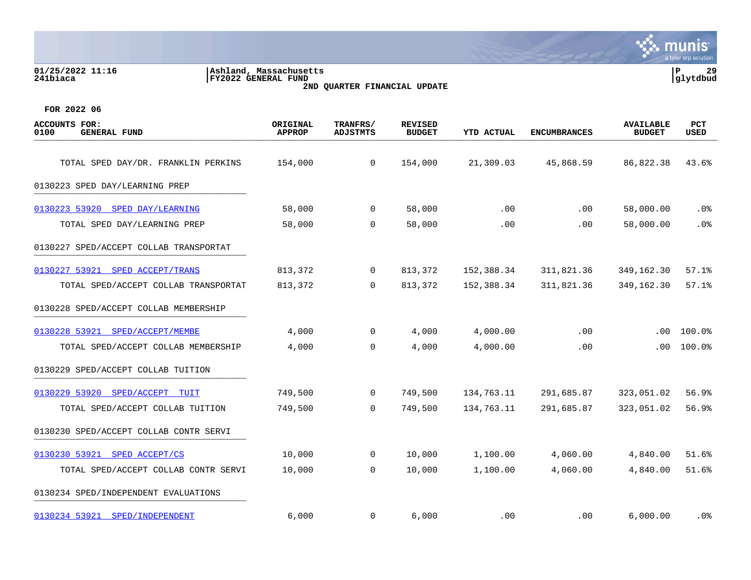### **01/25/2022 11:16 |Ashland, Massachusetts |P 29 241biaca |FY2022 GENERAL FUND |glytdbud 2ND QUARTER FINANCIAL UPDATE**



| <b>ACCOUNTS FOR:</b><br>0100<br><b>GENERAL FUND</b> | ORIGINAL<br><b>APPROP</b> | TRANFRS/<br><b>ADJSTMTS</b> | <b>REVISED</b><br><b>BUDGET</b> | <b>YTD ACTUAL</b> | <b>ENCUMBRANCES</b> | <b>AVAILABLE</b><br><b>BUDGET</b> | PCT<br><b>USED</b> |
|-----------------------------------------------------|---------------------------|-----------------------------|---------------------------------|-------------------|---------------------|-----------------------------------|--------------------|
| TOTAL SPED DAY/DR. FRANKLIN PERKINS                 | 154,000                   | $\mathbf 0$                 | 154,000                         | 21,309.03         | 45,868.59           | 86,822.38                         | 43.6%              |
|                                                     |                           |                             |                                 |                   |                     |                                   |                    |
| 0130223 SPED DAY/LEARNING PREP                      |                           |                             |                                 |                   |                     |                                   |                    |
| 0130223 53920 SPED DAY/LEARNING                     | 58,000                    | $\mathbf 0$                 | 58,000                          | .00               | .00                 | 58,000.00                         | $.0\%$             |
| TOTAL SPED DAY/LEARNING PREP                        | 58,000                    | $\mathbf 0$                 | 58,000                          | .00               | .00                 | 58,000.00                         | .0%                |
| 0130227 SPED/ACCEPT COLLAB TRANSPORTAT              |                           |                             |                                 |                   |                     |                                   |                    |
| 0130227 53921<br>SPED ACCEPT/TRANS                  | 813,372                   | 0                           | 813,372                         | 152,388.34        | 311,821.36          | 349,162.30                        | 57.1%              |
| TOTAL SPED/ACCEPT COLLAB TRANSPORTAT                | 813,372                   | $\mathbf 0$                 | 813,372                         | 152,388.34        | 311,821.36          | 349,162.30                        | 57.1%              |
| 0130228 SPED/ACCEPT COLLAB MEMBERSHIP               |                           |                             |                                 |                   |                     |                                   |                    |
| 0130228 53921 SPED/ACCEPT/MEMBE                     | 4,000                     | 0                           | 4,000                           | 4,000.00          | .00                 | .00.                              | 100.0%             |
| TOTAL SPED/ACCEPT COLLAB MEMBERSHIP                 | 4,000                     | 0                           | 4,000                           | 4,000.00          | .00                 | .00.                              | 100.0%             |
| 0130229 SPED/ACCEPT COLLAB TUITION                  |                           |                             |                                 |                   |                     |                                   |                    |
| 0130229 53920 SPED/ACCEPT TUIT                      | 749,500                   | $\mathbf 0$                 | 749,500                         | 134,763.11        | 291,685.87          | 323,051.02                        | 56.9%              |
| TOTAL SPED/ACCEPT COLLAB TUITION                    | 749,500                   | $\mathbf 0$                 | 749,500                         | 134,763.11        | 291,685.87          | 323,051.02                        | 56.9%              |
| 0130230 SPED/ACCEPT COLLAB CONTR SERVI              |                           |                             |                                 |                   |                     |                                   |                    |
| 0130230 53921 SPED ACCEPT/CS                        | 10,000                    | 0                           | 10,000                          | 1,100.00          | 4,060.00            | 4,840.00                          | 51.6%              |
| TOTAL SPED/ACCEPT COLLAB CONTR SERVI                | 10,000                    | 0                           | 10,000                          | 1,100.00          | 4,060.00            | 4,840.00                          | 51.6%              |
| 0130234 SPED/INDEPENDENT EVALUATIONS                |                           |                             |                                 |                   |                     |                                   |                    |
| 0130234 53921 SPED/INDEPENDENT                      | 6,000                     | 0                           | 6,000                           | .00               | .00                 | 6,000.00                          | . 0%               |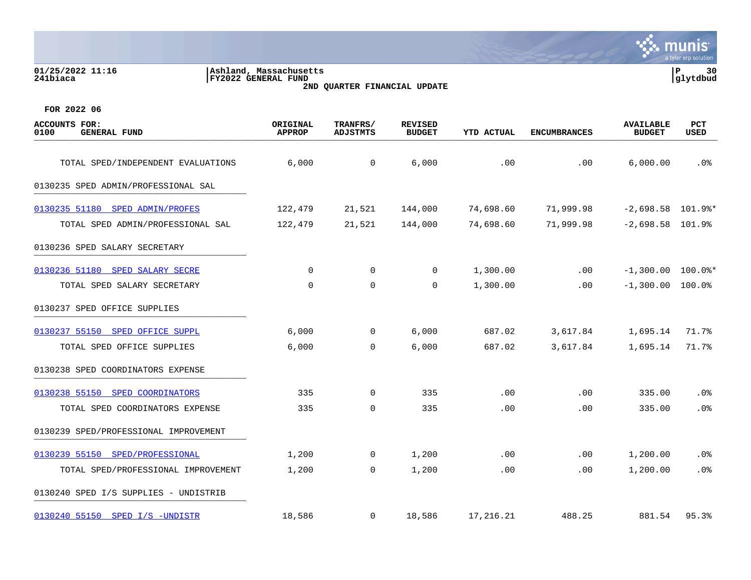| 01/25/2022 11:16<br>241biaca                        | Ashland, Massachusetts<br><b>FY2022 GENERAL FUND</b> | 2ND QUARTER FINANCIAL UPDATE |                                 |                   |                     |                                   | P<br>30<br>glytdbud |
|-----------------------------------------------------|------------------------------------------------------|------------------------------|---------------------------------|-------------------|---------------------|-----------------------------------|---------------------|
| FOR 2022 06                                         |                                                      |                              |                                 |                   |                     |                                   |                     |
| <b>ACCOUNTS FOR:</b><br>0100<br><b>GENERAL FUND</b> | ORIGINAL<br><b>APPROP</b>                            | TRANFRS/<br><b>ADJSTMTS</b>  | <b>REVISED</b><br><b>BUDGET</b> | <b>YTD ACTUAL</b> | <b>ENCUMBRANCES</b> | <b>AVAILABLE</b><br><b>BUDGET</b> | PCT<br>USED         |
| TOTAL SPED/INDEPENDENT EVALUATIONS                  | 6,000                                                | 0                            | 6,000                           | .00               | .00                 | 6,000.00                          | .0%                 |
| 0130235 SPED ADMIN/PROFESSIONAL SAL                 |                                                      |                              |                                 |                   |                     |                                   |                     |
| 0130235 51180 SPED ADMIN/PROFES                     | 122,479                                              | 21,521                       | 144,000                         | 74,698.60         | 71,999.98           | $-2,698.58$ 101.9%*               |                     |
| TOTAL SPED ADMIN/PROFESSIONAL SAL                   | 122,479                                              | 21,521                       | 144,000                         | 74,698.60         | 71,999.98           | $-2,698.58$ 101.9%                |                     |
| 0130236 SPED SALARY SECRETARY                       |                                                      |                              |                                 |                   |                     |                                   |                     |
| 0130236 51180 SPED SALARY SECRE                     | 0                                                    | 0                            | $\mathbf 0$                     | 1,300.00          | .00                 | $-1,300.00$ 100.0%*               |                     |
| TOTAL SPED SALARY SECRETARY                         | 0                                                    | $\mathbf 0$                  | 0                               | 1,300.00          | .00                 | $-1,300.00$ 100.0%                |                     |
| 0130237 SPED OFFICE SUPPLIES                        |                                                      |                              |                                 |                   |                     |                                   |                     |
| 0130237 55150 SPED OFFICE SUPPL                     | 6,000                                                | 0                            | 6,000                           | 687.02            | 3,617.84            | 1,695.14                          | 71.7%               |
| TOTAL SPED OFFICE SUPPLIES                          | 6,000                                                | 0                            | 6,000                           | 687.02            | 3,617.84            | 1,695.14                          | 71.7%               |
| 0130238 SPED COORDINATORS EXPENSE                   |                                                      |                              |                                 |                   |                     |                                   |                     |
| 0130238 55150<br>SPED COORDINATORS                  | 335                                                  | 0                            | 335                             | .00               | .00                 | 335.00                            | .0%                 |
| TOTAL SPED COORDINATORS EXPENSE                     | 335                                                  | 0                            | 335                             | .00               | .00                 | 335.00                            | .0%                 |
| 0130239 SPED/PROFESSIONAL IMPROVEMENT               |                                                      |                              |                                 |                   |                     |                                   |                     |
| 0130239 55150<br>SPED/PROFESSIONAL                  | 1,200                                                | 0                            | 1,200                           | .00               | .00                 | 1,200.00                          | .0%                 |
| TOTAL SPED/PROFESSIONAL IMPROVEMENT                 | 1,200                                                | 0                            | 1,200                           | .00               | .00                 | 1,200.00                          | .0%                 |
| 0130240 SPED I/S SUPPLIES - UNDISTRIB               |                                                      |                              |                                 |                   |                     |                                   |                     |
| 0130240 55150 SPED I/S -UNDISTR                     | 18,586                                               | 0                            | 18,586                          | 17,216.21         | 488.25              | 881.54                            | 95.3%               |

**SASE MUNIS**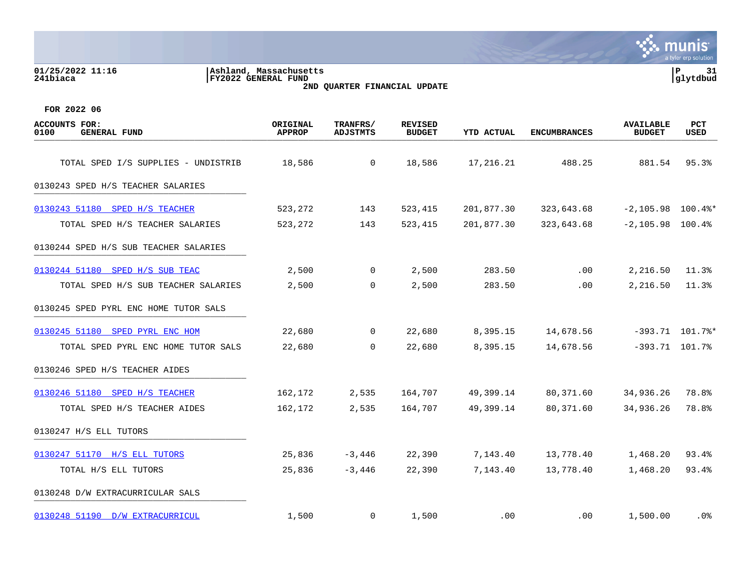| 01/25/2022 11:16<br>241biaca                        | Ashland, Massachusetts<br>FY2022 GENERAL FUND | 2ND QUARTER FINANCIAL UPDATE |                                 |                   |                     |                                   | ${\bf P}$<br>31<br>glytdbud |
|-----------------------------------------------------|-----------------------------------------------|------------------------------|---------------------------------|-------------------|---------------------|-----------------------------------|-----------------------------|
| FOR 2022 06                                         |                                               |                              |                                 |                   |                     |                                   |                             |
| <b>ACCOUNTS FOR:</b><br><b>GENERAL FUND</b><br>0100 | ORIGINAL<br><b>APPROP</b>                     | TRANFRS/<br><b>ADJSTMTS</b>  | <b>REVISED</b><br><b>BUDGET</b> | <b>YTD ACTUAL</b> | <b>ENCUMBRANCES</b> | <b>AVAILABLE</b><br><b>BUDGET</b> | <b>PCT</b><br><b>USED</b>   |
| TOTAL SPED I/S SUPPLIES - UNDISTRIB                 | 18,586                                        | $\mathbf 0$                  | 18,586                          | 17,216.21         | 488.25              | 881.54                            | 95.3%                       |
| 0130243 SPED H/S TEACHER SALARIES                   |                                               |                              |                                 |                   |                     |                                   |                             |
| 0130243 51180<br>SPED H/S TEACHER                   | 523,272                                       | 143                          | 523,415                         | 201,877.30        | 323,643.68          | $-2,105.98$ 100.4%*               |                             |
| TOTAL SPED H/S TEACHER SALARIES                     | 523,272                                       | 143                          | 523,415                         | 201,877.30        | 323,643.68          | $-2, 105.98$ 100.4%               |                             |
| 0130244 SPED H/S SUB TEACHER SALARIES               |                                               |                              |                                 |                   |                     |                                   |                             |
| 0130244 51180 SPED H/S SUB TEAC                     | 2,500                                         | 0                            | 2,500                           | 283.50            | .00                 | 2,216.50                          | 11.3%                       |
| TOTAL SPED H/S SUB TEACHER SALARIES                 | 2,500                                         | $\Omega$                     | 2,500                           | 283.50            | .00                 | 2,216.50                          | 11.3%                       |
| 0130245 SPED PYRL ENC HOME TUTOR SALS               |                                               |                              |                                 |                   |                     |                                   |                             |
| 0130245 51180<br>SPED PYRL ENC HOM                  | 22,680                                        | $\mathbf 0$                  | 22,680                          | 8,395.15          | 14,678.56           | $-393.71$                         | $101.7$ $*$                 |
| TOTAL SPED PYRL ENC HOME TUTOR SALS                 | 22,680                                        | 0                            | 22,680                          | 8,395.15          | 14,678.56           |                                   | $-393.71$ 101.7%            |
| 0130246 SPED H/S TEACHER AIDES                      |                                               |                              |                                 |                   |                     |                                   |                             |
| 0130246 51180 SPED H/S TEACHER                      | 162,172                                       | 2,535                        | 164,707                         | 49,399.14         | 80,371.60           | 34,936.26                         | 78.8%                       |
| TOTAL SPED H/S TEACHER AIDES                        | 162,172                                       | 2,535                        | 164,707                         | 49,399.14         | 80,371.60           | 34,936.26                         | 78.8%                       |
| 0130247 H/S ELL TUTORS                              |                                               |                              |                                 |                   |                     |                                   |                             |
| 0130247 51170 H/S ELL TUTORS                        | 25,836                                        | $-3,446$                     | 22,390                          | 7,143.40          | 13,778.40           | 1,468.20                          | 93.4%                       |
| TOTAL H/S ELL TUTORS                                | 25,836                                        | $-3,446$                     | 22,390                          | 7,143.40          | 13,778.40           | 1,468.20                          | 93.4%                       |
| 0130248 D/W EXTRACURRICULAR SALS                    |                                               |                              |                                 |                   |                     |                                   |                             |

[0130248 51190 D/W EXTRACURRICUL](https://yvwlndash063.tylertech.com/sites/mu0241/LIVE/_layouts/15/DashboardMunisV6.3/PassThru.aspx?-E=Umf5g3vNbSMgEGDpLFAxpyBTGkStiimye7JiaCPJCrisXeCXvI8BpJFEi6GYiWHz&) 1,500 0 1,500 .00 .00 1,500.00 .0%

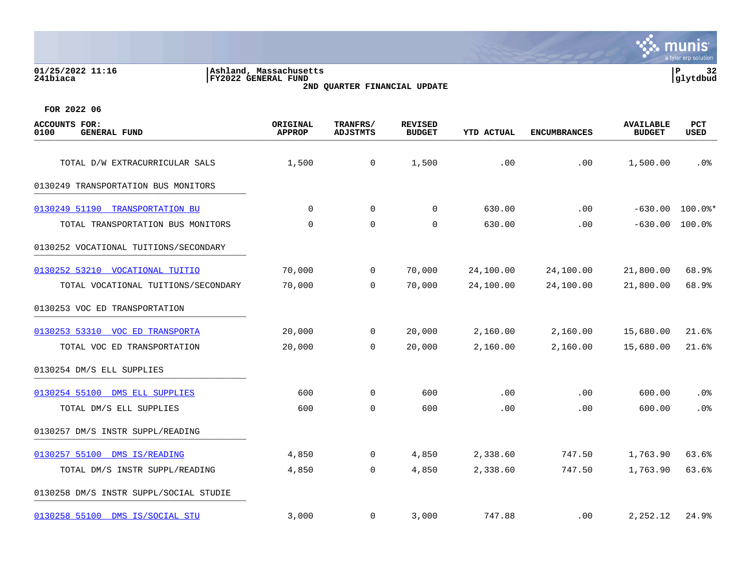**01/25/2022 11:16 |Ashland, Massachusetts |P 32 241biaca |FY2022 GENERAL FUND |glytdbud 2ND QUARTER FINANCIAL UPDATE**



| <b>ACCOUNTS FOR:</b><br>0100<br><b>GENERAL FUND</b> | ORIGINAL<br><b>APPROP</b> | TRANFRS/<br><b>ADJSTMTS</b> | <b>REVISED</b><br><b>BUDGET</b> | <b>YTD ACTUAL</b> | <b>ENCUMBRANCES</b> | <b>AVAILABLE</b><br><b>BUDGET</b> | PCT<br><b>USED</b> |
|-----------------------------------------------------|---------------------------|-----------------------------|---------------------------------|-------------------|---------------------|-----------------------------------|--------------------|
| TOTAL D/W EXTRACURRICULAR SALS                      | 1,500                     | $\mathsf{O}$                | 1,500                           | .00               | .00                 | 1,500.00                          | .0%                |
| 0130249 TRANSPORTATION BUS MONITORS                 |                           |                             |                                 |                   |                     |                                   |                    |
| 0130249 51190 TRANSPORTATION BU                     | $\Omega$                  | $\mathbf 0$                 | $\Omega$                        | 630.00            | .00                 | $-630.00$                         | $100.0$ $*$        |
| TOTAL TRANSPORTATION BUS MONITORS                   | 0                         | $\mathbf 0$                 | 0                               | 630.00            | .00                 | $-630.00$                         | 100.0%             |
| 0130252 VOCATIONAL TUITIONS/SECONDARY               |                           |                             |                                 |                   |                     |                                   |                    |
| 0130252 53210 VOCATIONAL TUITIO                     | 70,000                    | $\mathbf 0$                 | 70,000                          | 24,100.00         | 24,100.00           | 21,800.00                         | 68.9%              |
| TOTAL VOCATIONAL TUITIONS/SECONDARY                 | 70,000                    | $\Omega$                    | 70,000                          | 24,100.00         | 24,100.00           | 21,800.00                         | 68.9%              |
| 0130253 VOC ED TRANSPORTATION                       |                           |                             |                                 |                   |                     |                                   |                    |
| 0130253 53310 VOC ED TRANSPORTA                     | 20,000                    | $\mathsf{O}$                | 20,000                          | 2,160.00          | 2,160.00            | 15,680.00                         | 21.6%              |
| TOTAL VOC ED TRANSPORTATION                         | 20,000                    | $\Omega$                    | 20,000                          | 2,160.00          | 2,160.00            | 15,680.00                         | 21.6%              |
| 0130254 DM/S ELL SUPPLIES                           |                           |                             |                                 |                   |                     |                                   |                    |
| 0130254 55100 DMS ELL SUPPLIES                      | 600                       | 0                           | 600                             | .00               | .00                 | 600.00                            | .0%                |
| TOTAL DM/S ELL SUPPLIES                             | 600                       | $\mathbf 0$                 | 600                             | .00               | .00                 | 600.00                            | .0%                |
| 0130257 DM/S INSTR SUPPL/READING                    |                           |                             |                                 |                   |                     |                                   |                    |
| 0130257 55100 DMS IS/READING                        | 4,850                     | 0                           | 4,850                           | 2,338.60          | 747.50              | 1,763.90                          | 63.6%              |
| TOTAL DM/S INSTR SUPPL/READING                      | 4,850                     | $\mathbf 0$                 | 4,850                           | 2,338.60          | 747.50              | 1,763.90                          | 63.6%              |
| 0130258 DM/S INSTR SUPPL/SOCIAL STUDIE              |                           |                             |                                 |                   |                     |                                   |                    |
| 0130258 55100 DMS IS/SOCIAL STU                     | 3,000                     | $\mathbf 0$                 | 3,000                           | 747.88            | $.00 \,$            | 2,252.12                          | 24.9%              |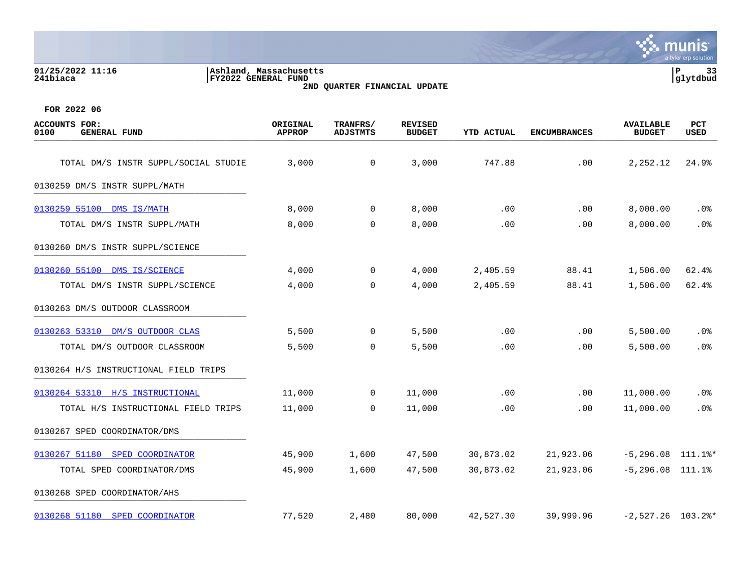### **01/25/2022 11:16 |Ashland, Massachusetts |P 33 241biaca |FY2022 GENERAL FUND |glytdbud 2ND QUARTER FINANCIAL UPDATE**



| <b>ACCOUNTS FOR:</b><br>0100<br><b>GENERAL FUND</b> | ORIGINAL<br><b>APPROP</b> | TRANFRS/<br><b>ADJSTMTS</b> | <b>REVISED</b><br><b>BUDGET</b> | <b>YTD ACTUAL</b> | <b>ENCUMBRANCES</b> | <b>AVAILABLE</b><br><b>BUDGET</b> | PCT<br><b>USED</b> |
|-----------------------------------------------------|---------------------------|-----------------------------|---------------------------------|-------------------|---------------------|-----------------------------------|--------------------|
| TOTAL DM/S INSTR SUPPL/SOCIAL STUDIE                | 3,000                     | $\mathbf 0$                 | 3,000                           | 747.88            | .00                 | 2,252.12                          | 24.9%              |
| 0130259 DM/S INSTR SUPPL/MATH                       |                           |                             |                                 |                   |                     |                                   |                    |
| 0130259 55100 DMS IS/MATH                           | 8,000                     | $\mathbf{0}$                | 8,000                           | .00               | .00                 | 8,000.00                          | $.0\%$             |
| TOTAL DM/S INSTR SUPPL/MATH                         | 8,000                     | 0                           | 8,000                           | .00               | .00                 | 8,000.00                          | .0%                |
| 0130260 DM/S INSTR SUPPL/SCIENCE                    |                           |                             |                                 |                   |                     |                                   |                    |
| 0130260 55100 DMS IS/SCIENCE                        | 4,000                     | $\mathbf 0$                 | 4,000                           | 2,405.59          | 88.41               | 1,506.00                          | 62.4%              |
| TOTAL DM/S INSTR SUPPL/SCIENCE                      | 4,000                     | $\overline{0}$              | 4,000                           | 2,405.59          | 88.41               | 1,506.00                          | 62.4%              |
| 0130263 DM/S OUTDOOR CLASSROOM                      |                           |                             |                                 |                   |                     |                                   |                    |
| 0130263 53310 DM/S OUTDOOR CLAS                     | 5,500                     | 0                           | 5,500                           | .00               | .00                 | 5,500.00                          | $.0\%$             |
| TOTAL DM/S OUTDOOR CLASSROOM                        | 5,500                     | $\Omega$                    | 5,500                           | .00               | .00                 | 5,500.00                          | .0%                |
| 0130264 H/S INSTRUCTIONAL FIELD TRIPS               |                           |                             |                                 |                   |                     |                                   |                    |
| 0130264 53310 H/S INSTRUCTIONAL                     | 11,000                    | $\mathbf{0}$                | 11,000                          | .00               | .00                 | 11,000.00                         | .0%                |
| TOTAL H/S INSTRUCTIONAL FIELD TRIPS                 | 11,000                    | 0                           | 11,000                          | .00               | .00                 | 11,000.00                         | .0%                |
| 0130267 SPED COORDINATOR/DMS                        |                           |                             |                                 |                   |                     |                                   |                    |
| 0130267 51180 SPED COORDINATOR                      | 45,900                    | 1,600                       | 47,500                          | 30,873.02         | 21,923.06           | $-5,296.08$ 111.1%*               |                    |
| TOTAL SPED COORDINATOR/DMS                          | 45,900                    | 1,600                       | 47,500                          | 30,873.02         | 21,923.06           | $-5, 296.08$ 111.1%               |                    |
| 0130268 SPED COORDINATOR/AHS                        |                           |                             |                                 |                   |                     |                                   |                    |
| 0130268 51180 SPED COORDINATOR                      | 77,520                    | 2,480                       | 80,000                          | 42,527.30         | 39,999.96           | $-2,527.26$ 103.2%*               |                    |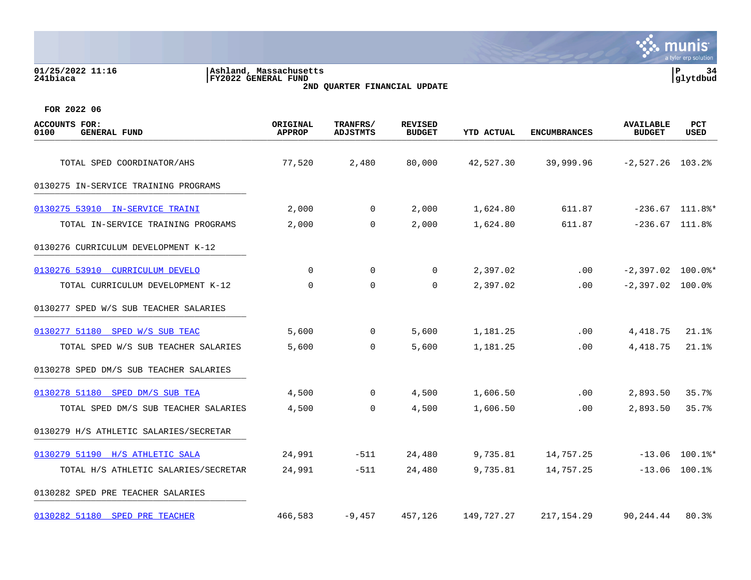| 01/25/2022 11:16<br>241biaca                        | Ashland, Massachusetts<br>FY2022 GENERAL FUND | 2ND QUARTER FINANCIAL UPDATE       |                                 |                   |                     |                                   | P<br>34<br>glytdbud |  |
|-----------------------------------------------------|-----------------------------------------------|------------------------------------|---------------------------------|-------------------|---------------------|-----------------------------------|---------------------|--|
| FOR 2022 06                                         |                                               |                                    |                                 |                   |                     |                                   |                     |  |
| <b>ACCOUNTS FOR:</b><br>0100<br><b>GENERAL FUND</b> | ORIGINAL<br><b>APPROP</b>                     | <b>TRANFRS/</b><br><b>ADJSTMTS</b> | <b>REVISED</b><br><b>BUDGET</b> | <b>YTD ACTUAL</b> | <b>ENCUMBRANCES</b> | <b>AVAILABLE</b><br><b>BUDGET</b> | PCT<br><b>USED</b>  |  |
| TOTAL SPED COORDINATOR/AHS                          | 77,520                                        | 2,480                              | 80,000                          | 42,527.30         | 39,999.96           | $-2,527.26$ 103.2%                |                     |  |
| 0130275 IN-SERVICE TRAINING PROGRAMS                |                                               |                                    |                                 |                   |                     |                                   |                     |  |
| 0130275 53910 IN-SERVICE TRAINI                     | 2,000                                         | $\overline{0}$                     | 2,000                           | 1,624.80          | 611.87              |                                   | $-236.67$ 111.8%*   |  |
| TOTAL IN-SERVICE TRAINING PROGRAMS                  | 2,000                                         | $\mathbf 0$                        | 2,000                           | 1,624.80          | 611.87              |                                   | $-236.67$ 111.8%    |  |
| 0130276 CURRICULUM DEVELOPMENT K-12                 |                                               |                                    |                                 |                   |                     |                                   |                     |  |
| 0130276 53910<br>CURRICULUM DEVELO                  | $\mathbf 0$                                   | $\Omega$                           | $\Omega$                        | 2,397.02          | .00                 | $-2,397.02$ 100.0%*               |                     |  |
| TOTAL CURRICULUM DEVELOPMENT K-12                   | $\mathbf 0$                                   | $\Omega$                           | $\Omega$                        | 2,397.02          | $.00 \,$            | $-2,397.02$ 100.0%                |                     |  |
| 0130277 SPED W/S SUB TEACHER SALARIES               |                                               |                                    |                                 |                   |                     |                                   |                     |  |
| 0130277 51180 SPED W/S SUB TEAC                     | 5,600                                         | $\Omega$                           | 5,600                           | 1,181.25          | .00                 | 4,418.75                          | 21.1%               |  |
| TOTAL SPED W/S SUB TEACHER SALARIES                 | 5,600                                         | 0                                  | 5,600                           | 1,181.25          | .00                 | 4,418.75                          | 21.1%               |  |
| 0130278 SPED DM/S SUB TEACHER SALARIES              |                                               |                                    |                                 |                   |                     |                                   |                     |  |
| 0130278 51180 SPED DM/S SUB TEA                     | 4,500                                         | $\overline{0}$                     | 4,500                           | 1,606.50          | .00                 | 2,893.50                          | 35.7%               |  |
| TOTAL SPED DM/S SUB TEACHER SALARIES                | 4,500                                         | $\mathbf 0$                        | 4,500                           | 1,606.50          | .00                 | 2,893.50                          | 35.7%               |  |
| 0130279 H/S ATHLETIC SALARIES/SECRETAR              |                                               |                                    |                                 |                   |                     |                                   |                     |  |
| 0130279 51190 H/S ATHLETIC SALA                     | 24,991                                        | $-511$                             | 24,480                          | 9,735.81          | 14,757.25           |                                   | $-13.06$ 100.1%*    |  |
| TOTAL H/S ATHLETIC SALARIES/SECRETAR                | 24,991                                        | $-511$                             | 24,480                          | 9,735.81          | 14,757.25           | $-13.06$                          | 100.1%              |  |
|                                                     |                                               |                                    |                                 |                   |                     |                                   |                     |  |

0130282 SPED PRE TEACHER SALARIES

[0130282 51180 SPED PRE TEACHER](https://yvwlndash063.tylertech.com/sites/mu0241/LIVE/_layouts/15/DashboardMunisV6.3/PassThru.aspx?-E=C1AvaFgYYAHic2PHFPSUPkRmiJ5SUtrNd4w317qqm1Kdm/c6Ks76113lsSe/qRtY&) 466,583 -9,457 457,126 149,727.27 217,154.29 90,244.44 80.3%

**Second Munity**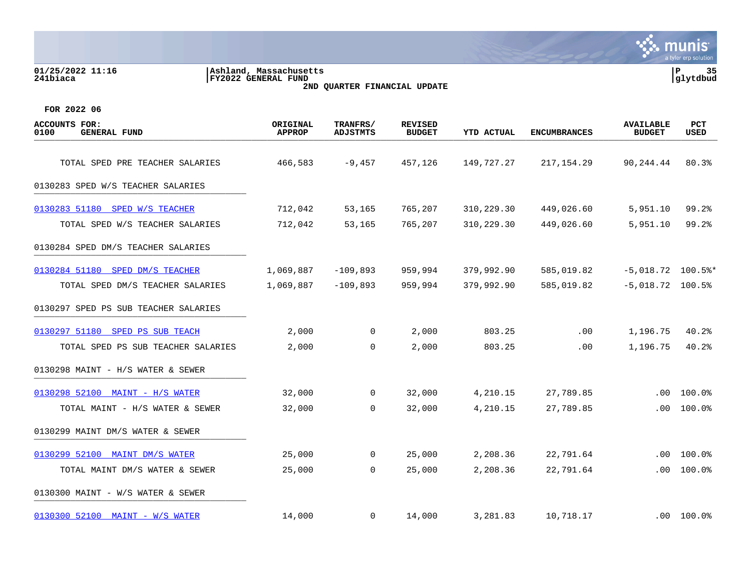**01/25/2022 11:16 |Ashland, Massachusetts |P 35 241biaca |FY2022 GENERAL FUND |glytdbud**





| <b>ACCOUNTS FOR:</b><br>0100<br><b>GENERAL FUND</b> | ORIGINAL<br><b>APPROP</b> | TRANFRS/<br><b>ADJSTMTS</b> | <b>REVISED</b><br><b>BUDGET</b> | YTD ACTUAL | <b>ENCUMBRANCES</b> | <b>AVAILABLE</b><br><b>BUDGET</b> | PCT<br>USED |
|-----------------------------------------------------|---------------------------|-----------------------------|---------------------------------|------------|---------------------|-----------------------------------|-------------|
| TOTAL SPED PRE TEACHER SALARIES                     | 466,583                   | $-9,457$                    | 457,126                         | 149,727.27 | 217, 154.29         | 90,244.44                         | 80.3%       |
| 0130283 SPED W/S TEACHER SALARIES                   |                           |                             |                                 |            |                     |                                   |             |
| 0130283 51180 SPED W/S TEACHER                      | 712,042                   | 53,165                      | 765,207                         | 310,229.30 | 449,026.60          | 5,951.10                          | 99.2%       |
| TOTAL SPED W/S TEACHER SALARIES                     | 712,042                   | 53,165                      | 765,207                         | 310,229.30 | 449,026.60          | 5,951.10                          | 99.2%       |
| 0130284 SPED DM/S TEACHER SALARIES                  |                           |                             |                                 |            |                     |                                   |             |
| 0130284 51180 SPED DM/S TEACHER                     | 1,069,887                 | $-109,893$                  | 959,994                         | 379,992.90 | 585,019.82          | $-5,018.72$ 100.5%*               |             |
| TOTAL SPED DM/S TEACHER SALARIES                    | 1,069,887                 | $-109,893$                  | 959,994                         | 379,992.90 | 585,019.82          | $-5,018.72$ 100.5%                |             |
| 0130297 SPED PS SUB TEACHER SALARIES                |                           |                             |                                 |            |                     |                                   |             |
| 0130297 51180 SPED PS SUB TEACH                     | 2,000                     | $\mathbf 0$                 | 2,000                           | 803.25     | .00                 | 1,196.75                          | 40.2%       |
| TOTAL SPED PS SUB TEACHER SALARIES                  | 2,000                     | $\Omega$                    | 2,000                           | 803.25     | .00                 | 1,196.75                          | 40.2%       |
| 0130298 MAINT - H/S WATER & SEWER                   |                           |                             |                                 |            |                     |                                   |             |
| 0130298 52100 MAINT - H/S WATER                     | 32,000                    | 0                           | 32,000                          | 4,210.15   | 27,789.85           | $.00 \,$                          | 100.0%      |
| TOTAL MAINT - H/S WATER & SEWER                     | 32,000                    | $\mathbf 0$                 | 32,000                          | 4,210.15   | 27,789.85           | .00                               | 100.0%      |
| 0130299 MAINT DM/S WATER & SEWER                    |                           |                             |                                 |            |                     |                                   |             |
| 0130299 52100 MAINT DM/S WATER                      | 25,000                    | 0                           | 25,000                          | 2,208.36   | 22,791.64           | $.00 \,$                          | 100.0%      |
| TOTAL MAINT DM/S WATER & SEWER                      | 25,000                    | $\mathbf 0$                 | 25,000                          | 2,208.36   | 22,791.64           | .00                               | 100.0%      |
| 0130300 MAINT - W/S WATER & SEWER                   |                           |                             |                                 |            |                     |                                   |             |
| 0130300 52100 MAINT - W/S WATER                     | 14,000                    | $\mathbf 0$                 | 14,000                          | 3,281.83   | 10,718.17           |                                   | .00 100.0   |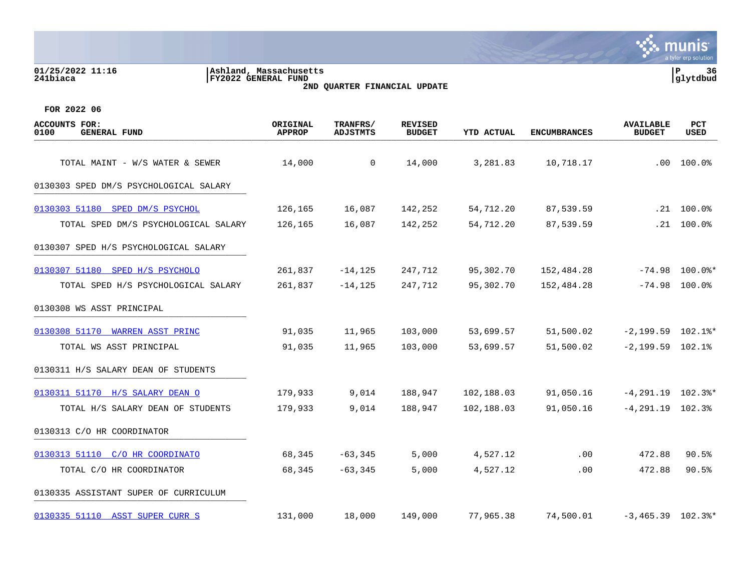| 01/25/2022 11:16<br>241biaca                 | Ashland, Massachusetts<br>FY2022 GENERAL FUND<br>2ND QUARTER FINANCIAL UPDATE |                             |                                 |            |                     |                                   | ΙP<br>36<br>glytdbud             |  |
|----------------------------------------------|-------------------------------------------------------------------------------|-----------------------------|---------------------------------|------------|---------------------|-----------------------------------|----------------------------------|--|
| FOR 2022 06                                  |                                                                               |                             |                                 |            |                     |                                   |                                  |  |
| ACCOUNTS FOR:<br><b>GENERAL FUND</b><br>0100 | ORIGINAL<br><b>APPROP</b>                                                     | TRANFRS/<br><b>ADJSTMTS</b> | <b>REVISED</b><br><b>BUDGET</b> | YTD ACTUAL | <b>ENCUMBRANCES</b> | <b>AVAILABLE</b><br><b>BUDGET</b> | <b>PCT</b><br><b>USED</b>        |  |
| TOTAL MAINT - W/S WATER & SEWER              | 14,000                                                                        | 0                           | 14,000                          | 3,281.83   | 10,718.17           | .00                               | 100.0%                           |  |
| 0130303 SPED DM/S PSYCHOLOGICAL SALARY       |                                                                               |                             |                                 |            |                     |                                   |                                  |  |
| 0130303 51180 SPED DM/S PSYCHOL              | 126,165                                                                       | 16,087                      | 142,252                         | 54,712.20  | 87,539.59           | . 21                              | $100.0$ $^{\circ}$               |  |
| TOTAL SPED DM/S PSYCHOLOGICAL SALARY         | 126,165                                                                       | 16,087                      | 142,252                         | 54,712.20  | 87,539.59           | .21                               | 100.0%                           |  |
| 0130307 SPED H/S PSYCHOLOGICAL SALARY        |                                                                               |                             |                                 |            |                     |                                   |                                  |  |
| 0130307 51180 SPED H/S PSYCHOLO              | 261,837                                                                       | $-14, 125$                  | 247,712                         | 95,302.70  | 152,484.28          |                                   | $-74.98$ 100.0%*                 |  |
| TOTAL SPED H/S PSYCHOLOGICAL SALARY          | 261,837                                                                       | $-14, 125$                  | 247,712                         | 95,302.70  | 152,484.28          |                                   | $-74.98$ 100.0%                  |  |
| 0130308 WS ASST PRINCIPAL                    |                                                                               |                             |                                 |            |                     |                                   |                                  |  |
| 0130308 51170 WARREN ASST PRINC              | 91,035                                                                        | 11,965                      | 103,000                         | 53,699.57  | 51,500.02           |                                   | $-2,199.59$ $102.1$ <sup>*</sup> |  |
| TOTAL WS ASST PRINCIPAL                      | 91,035                                                                        | 11,965                      | 103,000                         | 53,699.57  | 51,500.02           | $-2,199.59$ $102.1%$              |                                  |  |
| 0130311 H/S SALARY DEAN OF STUDENTS          |                                                                               |                             |                                 |            |                     |                                   |                                  |  |
| 0130311 51170 H/S SALARY DEAN O              | 179,933                                                                       | 9,014                       | 188,947                         | 102,188.03 | 91,050.16           | $-4, 291.19$                      | $102.3$ %*                       |  |
| TOTAL H/S SALARY DEAN OF STUDENTS            | 179,933                                                                       | 9,014                       | 188,947                         | 102,188.03 | 91,050.16           | $-4, 291.19$ 102.3%               |                                  |  |
| 0130313 C/O HR COORDINATOR                   |                                                                               |                             |                                 |            |                     |                                   |                                  |  |
| 0130313 51110 C/O HR COORDINATO              | 68,345                                                                        | $-63,345$                   | 5,000                           | 4,527.12   | .00                 | 472.88                            | 90.5%                            |  |
| TOTAL C/O HR COORDINATOR                     | 68,345                                                                        | $-63, 345$                  | 5,000                           | 4,527.12   | .00                 | 472.88                            | 90.5%                            |  |

0130335 ASSISTANT SUPER OF CURRICULUM

[0130335 51110 ASST SUPER CURR S](https://yvwlndash063.tylertech.com/sites/mu0241/LIVE/_layouts/15/DashboardMunisV6.3/PassThru.aspx?-E=%2ByWv1csi4Io8eMzCNbpDRcfpD8NKc%2B0hfN0UmRWNVnHxx9NWGbBZvtoHT21I7CQs&) 131,000 18,000 149,000 77,965.38 74,500.01 -3,465.39 102.3%\*

mu

**nis** a tyler erp solution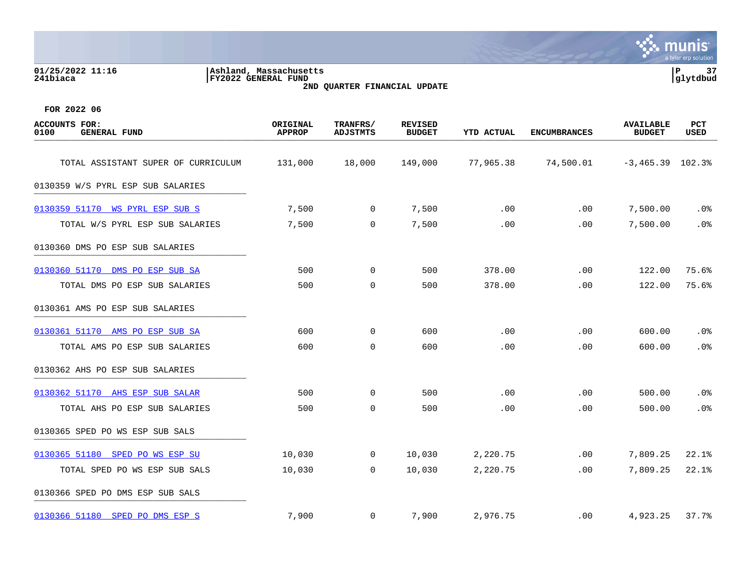**01/25/2022 11:16 |Ashland, Massachusetts |P 37 241biaca |FY2022 GENERAL FUND |glytdbud 2ND QUARTER FINANCIAL UPDATE**



| <b>ACCOUNTS FOR:</b><br>0100<br><b>GENERAL FUND</b> | ORIGINAL<br><b>APPROP</b> | TRANFRS/<br><b>ADJSTMTS</b> | <b>REVISED</b><br><b>BUDGET</b> | <b>YTD ACTUAL</b> | <b>ENCUMBRANCES</b> | <b>AVAILABLE</b><br><b>BUDGET</b> | PCT<br>USED |
|-----------------------------------------------------|---------------------------|-----------------------------|---------------------------------|-------------------|---------------------|-----------------------------------|-------------|
| TOTAL ASSISTANT SUPER OF CURRICULUM                 | 131,000                   | 18,000                      | 149,000                         | 77,965.38         | 74,500.01           | $-3,465.39$ 102.3%                |             |
| 0130359 W/S PYRL ESP SUB SALARIES                   |                           |                             |                                 |                   |                     |                                   |             |
| 0130359 51170 WS PYRL ESP SUB S                     | 7,500                     | 0                           | 7,500                           | .00               | .00                 | 7,500.00                          | .0%         |
| TOTAL W/S PYRL ESP SUB SALARIES                     | 7,500                     | 0                           | 7,500                           | .00               | .00                 | 7,500.00                          | .0%         |
| 0130360 DMS PO ESP SUB SALARIES                     |                           |                             |                                 |                   |                     |                                   |             |
| 0130360 51170 DMS PO ESP SUB SA                     | 500                       | 0                           | 500                             | 378.00            | .00                 | 122.00                            | 75.6%       |
| TOTAL DMS PO ESP SUB SALARIES                       | 500                       | $\mathbf 0$                 | 500                             | 378.00            | .00                 | 122.00                            | 75.6%       |
| 0130361 AMS PO ESP SUB SALARIES                     |                           |                             |                                 |                   |                     |                                   |             |
| 0130361 51170 AMS PO ESP SUB SA                     | 600                       | $\mathsf{O}$                | 600                             | .00               | .00                 | 600.00                            | .0%         |
| TOTAL AMS PO ESP SUB SALARIES                       | 600                       | $\mathbf 0$                 | 600                             | .00               | .00                 | 600.00                            | .0%         |
| 0130362 AHS PO ESP SUB SALARIES                     |                           |                             |                                 |                   |                     |                                   |             |
| 0130362 51170 AHS ESP SUB SALAR                     | 500                       | $\mathbf 0$                 | 500                             | .00               | .00                 | 500.00                            | .0%         |
| TOTAL AHS PO ESP SUB SALARIES                       | 500                       | $\mathbf 0$                 | 500                             | .00               | .00                 | 500.00                            | .0%         |
| 0130365 SPED PO WS ESP SUB SALS                     |                           |                             |                                 |                   |                     |                                   |             |
| 0130365 51180 SPED PO WS ESP SU                     | 10,030                    | 0                           | 10,030                          | 2,220.75          | .00                 | 7,809.25                          | 22.1%       |
| TOTAL SPED PO WS ESP SUB SALS                       | 10,030                    | $\mathbf 0$                 | 10,030                          | 2,220.75          | .00                 | 7,809.25                          | 22.1%       |
| 0130366 SPED PO DMS ESP SUB SALS                    |                           |                             |                                 |                   |                     |                                   |             |
| 0130366 51180 SPED PO DMS ESP S                     | 7,900                     | $\mathbf 0$                 | 7,900                           | 2,976.75          | $.00 \,$            | 4,923.25                          | 37.7%       |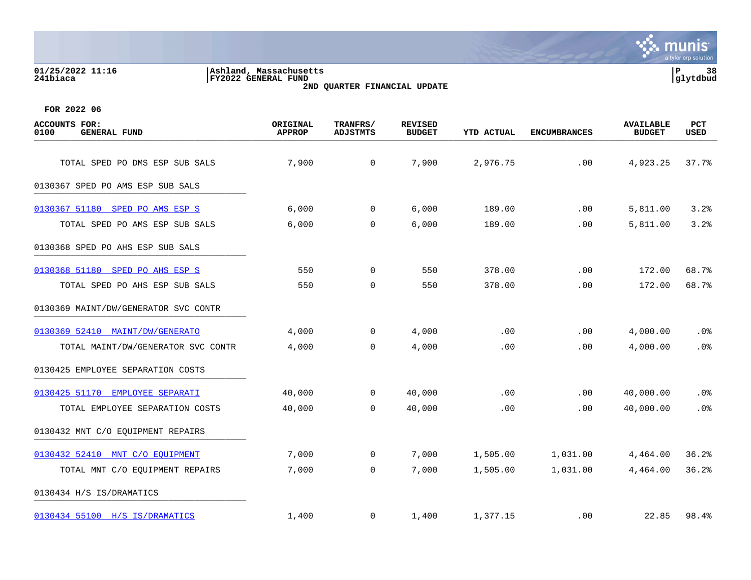# **01/25/2022 11:16 |Ashland, Massachusetts |P 38 241biaca |FY2022 GENERAL FUND |glytdbud 2ND QUARTER FINANCIAL UPDATE**



| <b>ACCOUNTS FOR:</b><br>0100<br><b>GENERAL FUND</b> | ORIGINAL<br><b>APPROP</b> | TRANFRS/<br><b>ADJSTMTS</b> | <b>REVISED</b><br><b>BUDGET</b> | <b>YTD ACTUAL</b> | <b>ENCUMBRANCES</b> | <b>AVAILABLE</b><br><b>BUDGET</b> | PCT<br><b>USED</b> |
|-----------------------------------------------------|---------------------------|-----------------------------|---------------------------------|-------------------|---------------------|-----------------------------------|--------------------|
| TOTAL SPED PO DMS ESP SUB SALS                      | 7,900                     | 0                           | 7,900                           | 2,976.75          | .00                 | 4,923.25                          | 37.7%              |
| 0130367 SPED PO AMS ESP SUB SALS                    |                           |                             |                                 |                   |                     |                                   |                    |
| 0130367 51180 SPED PO AMS ESP S                     | 6,000                     | $\overline{0}$              | 6,000                           | 189.00            | .00                 | 5,811.00                          | 3.2%               |
| TOTAL SPED PO AMS ESP SUB SALS                      | 6,000                     | $\mathbf 0$                 | 6,000                           | 189.00            | .00                 | 5,811.00                          | 3.2%               |
| 0130368 SPED PO AHS ESP SUB SALS                    |                           |                             |                                 |                   |                     |                                   |                    |
| 0130368 51180 SPED PO AHS ESP S                     | 550                       | $\overline{0}$              | 550                             | 378.00            | .00                 | 172.00                            | 68.7%              |
| TOTAL SPED PO AHS ESP SUB SALS                      | 550                       | $\mathbf 0$                 | 550                             | 378.00            | .00                 | 172.00                            | 68.7%              |
| 0130369 MAINT/DW/GENERATOR SVC CONTR                |                           |                             |                                 |                   |                     |                                   |                    |
| 0130369 52410 MAINT/DW/GENERATO                     | 4,000                     | $\mathsf{O}$                | 4,000                           | .00               | .00                 | 4,000.00                          | .0%                |
| TOTAL MAINT/DW/GENERATOR SVC CONTR                  | 4,000                     | $\Omega$                    | 4,000                           | .00               | .00                 | 4,000.00                          | .0%                |
| 0130425 EMPLOYEE SEPARATION COSTS                   |                           |                             |                                 |                   |                     |                                   |                    |
| 0130425 51170 EMPLOYEE SEPARATI                     | 40,000                    | $\mathbf 0$                 | 40,000                          | .00               | .00                 | 40,000.00                         | .0%                |
| TOTAL EMPLOYEE SEPARATION COSTS                     | 40,000                    | $\mathbf 0$                 | 40,000                          | .00               | .00                 | 40,000.00                         | .0%                |
| 0130432 MNT C/O EQUIPMENT REPAIRS                   |                           |                             |                                 |                   |                     |                                   |                    |
| 0130432 52410 MNT C/O EQUIPMENT                     | 7,000                     | $\mathbf 0$                 | 7,000                           | 1,505.00          | 1,031.00            | 4,464.00                          | 36.2%              |
| TOTAL MNT C/O EQUIPMENT REPAIRS                     | 7,000                     | $\mathbf 0$                 | 7,000                           | 1,505.00          | 1,031.00            | 4,464.00                          | 36.2%              |
| 0130434 H/S IS/DRAMATICS                            |                           |                             |                                 |                   |                     |                                   |                    |
| 0130434 55100 H/S IS/DRAMATICS                      | 1,400                     | $\mathbf{0}$                | 1,400                           | 1,377.15          | $.00 \,$            | 22.85                             | 98.4%              |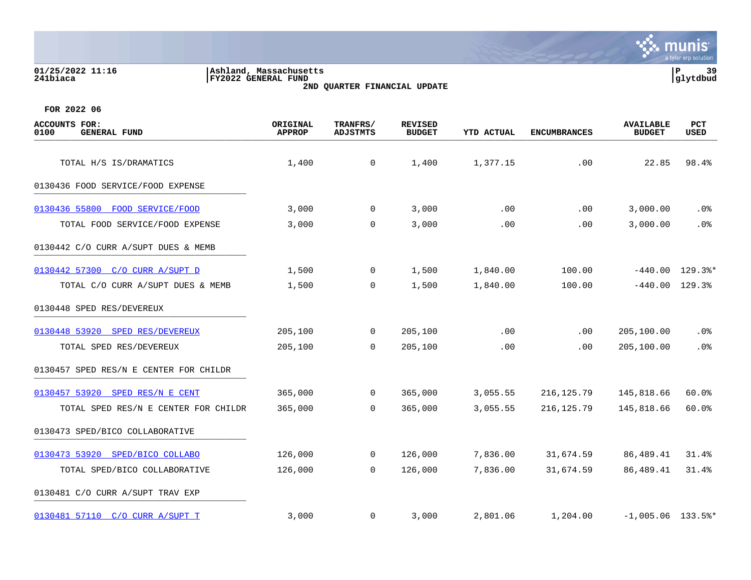| 01/25/2022 11:16<br>241biaca                        | Ashland, Massachusetts<br>FY2022 GENERAL FUND<br>2ND QUARTER FINANCIAL UPDATE |                             | P<br>39<br>glytdbud             |                   |                     |                                   |                      |
|-----------------------------------------------------|-------------------------------------------------------------------------------|-----------------------------|---------------------------------|-------------------|---------------------|-----------------------------------|----------------------|
| FOR 2022 06                                         |                                                                               |                             |                                 |                   |                     |                                   |                      |
| <b>ACCOUNTS FOR:</b><br><b>GENERAL FUND</b><br>0100 | ORIGINAL<br><b>APPROP</b>                                                     | TRANFRS/<br><b>ADJSTMTS</b> | <b>REVISED</b><br><b>BUDGET</b> | <b>YTD ACTUAL</b> | <b>ENCUMBRANCES</b> | <b>AVAILABLE</b><br><b>BUDGET</b> | PCT<br>USED          |
| TOTAL H/S IS/DRAMATICS                              | 1,400                                                                         | 0                           | 1,400                           | 1,377.15          | .00                 | 22.85                             | 98.4%                |
| 0130436 FOOD SERVICE/FOOD EXPENSE                   |                                                                               |                             |                                 |                   |                     |                                   |                      |
| 0130436 55800<br>FOOD SERVICE/FOOD                  | 3,000                                                                         | 0                           | 3,000                           | .00               | .00                 | 3,000.00                          | $.0\%$               |
| TOTAL FOOD SERVICE/FOOD EXPENSE                     | 3,000                                                                         | $\mathbf 0$                 | 3,000                           | .00               | .00                 | 3,000.00                          | .0%                  |
| 0130442 C/O CURR A/SUPT DUES & MEMB                 |                                                                               |                             |                                 |                   |                     |                                   |                      |
| 0130442 57300 C/O CURR A/SUPT D                     | 1,500                                                                         | $\overline{0}$              | 1,500                           | 1,840.00          | 100.00              | $-440.00$                         | $129.3$ <sup>*</sup> |
| TOTAL C/O CURR A/SUPT DUES & MEMB                   | 1,500                                                                         | 0                           | 1,500                           | 1,840.00          | 100.00              | $-440.00$                         | 129.3%               |
| 0130448 SPED RES/DEVEREUX                           |                                                                               |                             |                                 |                   |                     |                                   |                      |
| 0130448 53920<br>SPED RES/DEVEREUX                  | 205,100                                                                       | $\mathbf 0$                 | 205,100                         | .00               | .00                 | 205,100.00                        | $.0\%$               |
| TOTAL SPED RES/DEVEREUX                             | 205,100                                                                       | 0                           | 205,100                         | .00               | .00                 | 205,100.00                        | $.0\%$               |
| 0130457 SPED RES/N E CENTER FOR CHILDR              |                                                                               |                             |                                 |                   |                     |                                   |                      |
| 0130457 53920 SPED RES/N E CENT                     | 365,000                                                                       | $\Omega$                    | 365,000                         | 3,055.55          | 216, 125.79         | 145,818.66                        | 60.0%                |
| TOTAL SPED RES/N E CENTER FOR CHILDR                | 365,000                                                                       | 0                           | 365,000                         | 3,055.55          | 216, 125.79         | 145,818.66                        | 60.0%                |
| 0130473 SPED/BICO COLLABORATIVE                     |                                                                               |                             |                                 |                   |                     |                                   |                      |

[0130473 53920 SPED/BICO COLLABO](https://yvwlndash063.tylertech.com/sites/mu0241/LIVE/_layouts/15/DashboardMunisV6.3/PassThru.aspx?-E=L7RDHJ0Tf%2BmEdxBNVaX1zE4x0wiWxZty9wSeq32TeKIl088lhN22%2BTvhzuBfMFPV&) 126,000 0 126,000 7,836.00 31,674.59 86,489.41 31.4%

[0130481 57110 C/O CURR A/SUPT T](https://yvwlndash063.tylertech.com/sites/mu0241/LIVE/_layouts/15/DashboardMunisV6.3/PassThru.aspx?-E=%2B3XZcziBDWuhY7b7kS3Pmwy4FsK5CgJunBR1hoyfqlxw64BlubCR2b3l%2Bok1wO0v&) 3,000 0 3,000 2,801.06 1,204.00 -1,005.06 133.5%\*

TOTAL SPED/BICO COLLABORATIVE 126,000 0 126,000 7,836.00 31,674.59 86,489.41 31.4%

0130481 C/O CURR A/SUPT TRAV EXP \_\_\_\_\_\_\_\_\_\_\_\_\_\_\_\_\_\_\_\_\_\_\_\_\_\_\_\_\_\_\_\_\_\_\_\_\_\_\_\_\_



**∵ munis**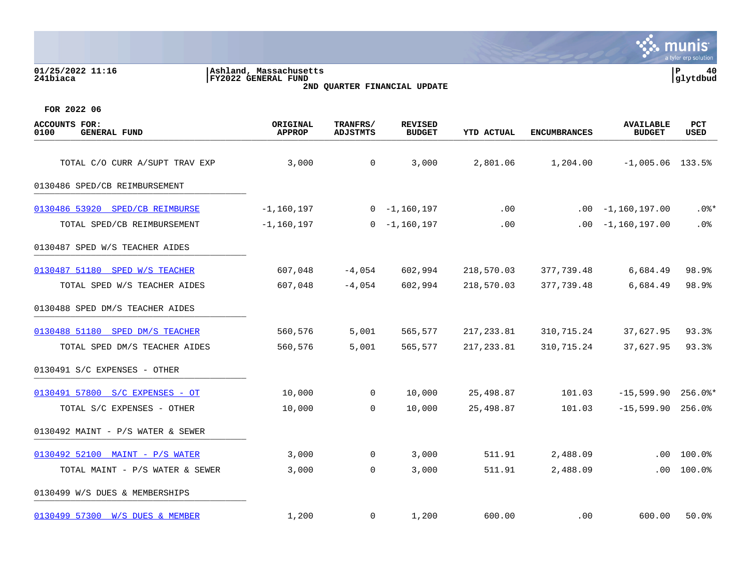| 01/25/2022 11:16<br>241biaca                        | Ashland, Massachusetts<br>FY2022 GENERAL FUND |                             | 2ND QUARTER FINANCIAL UPDATE    |                   |                     |                                   | P<br>40<br> glytdbud |
|-----------------------------------------------------|-----------------------------------------------|-----------------------------|---------------------------------|-------------------|---------------------|-----------------------------------|----------------------|
| FOR 2022 06                                         |                                               |                             |                                 |                   |                     |                                   |                      |
| <b>ACCOUNTS FOR:</b><br>0100<br><b>GENERAL FUND</b> | ORIGINAL<br><b>APPROP</b>                     | TRANFRS/<br><b>ADJSTMTS</b> | <b>REVISED</b><br><b>BUDGET</b> | <b>YTD ACTUAL</b> | <b>ENCUMBRANCES</b> | <b>AVAILABLE</b><br><b>BUDGET</b> | PCT<br>USED          |
| TOTAL C/O CURR A/SUPT TRAV EXP                      | 3,000                                         | 0                           | 3,000                           | 2,801.06          | 1,204.00            | $-1,005.06$ 133.5%                |                      |
| 0130486 SPED/CB REIMBURSEMENT                       |                                               |                             |                                 |                   |                     |                                   |                      |
| 0130486 53920 SPED/CB REIMBURSE                     | $-1,160,197$                                  |                             | $0 - 1,160,197$                 | .00               | $.00 \,$            | -1,160,197.00                     | $.0$ %*              |
| TOTAL SPED/CB REIMBURSEMENT                         | $-1,160,197$                                  | 0                           | -1,160,197                      | $.00 \,$          | .00                 | -1,160,197.00                     | .0%                  |
| 0130487 SPED W/S TEACHER AIDES                      |                                               |                             |                                 |                   |                     |                                   |                      |
| 0130487 51180 SPED W/S TEACHER                      | 607,048                                       | $-4,054$                    | 602,994                         | 218,570.03        | 377,739.48          | 6,684.49                          | 98.9%                |
| TOTAL SPED W/S TEACHER AIDES                        | 607,048                                       | $-4,054$                    | 602,994                         | 218,570.03        | 377,739.48          | 6,684.49                          | 98.9%                |
| 0130488 SPED DM/S TEACHER AIDES                     |                                               |                             |                                 |                   |                     |                                   |                      |
| 0130488 51180 SPED DM/S TEACHER                     | 560,576                                       | 5,001                       | 565,577                         | 217,233.81        | 310,715.24          | 37,627.95                         | 93.3%                |
| TOTAL SPED DM/S TEACHER AIDES                       | 560,576                                       | 5,001                       | 565,577                         | 217,233.81        | 310,715.24          | 37,627.95                         | 93.3%                |
| 0130491 S/C EXPENSES - OTHER                        |                                               |                             |                                 |                   |                     |                                   |                      |
| 0130491 57800 S/C EXPENSES - OT                     | 10,000                                        | 0                           | 10,000                          | 25,498.87         | 101.03              | $-15,599.90$                      | $256.0$ %*           |
| TOTAL S/C EXPENSES - OTHER                          | 10,000                                        | 0                           | 10,000                          | 25,498.87         | 101.03              | $-15,599.90$                      | 256.0%               |
| 0130492 MAINT - P/S WATER & SEWER                   |                                               |                             |                                 |                   |                     |                                   |                      |
| 0130492 52100 MAINT - P/S WATER                     | 3,000                                         | 0                           | 3,000                           | 511.91            | 2,488.09            | .00                               | 100.0%               |
| TOTAL MAINT - P/S WATER & SEWER                     | 3,000                                         | 0                           | 3,000                           | 511.91            | 2,488.09            | .00                               | 100.0%               |
| 0130499 W/S DUES & MEMBERSHIPS                      |                                               |                             |                                 |                   |                     |                                   |                      |
| 0130499 57300 W/S DUES & MEMBER                     | 1,200                                         | 0                           | 1,200                           | 600.00            | .00                 | 600.00                            | 50.0%                |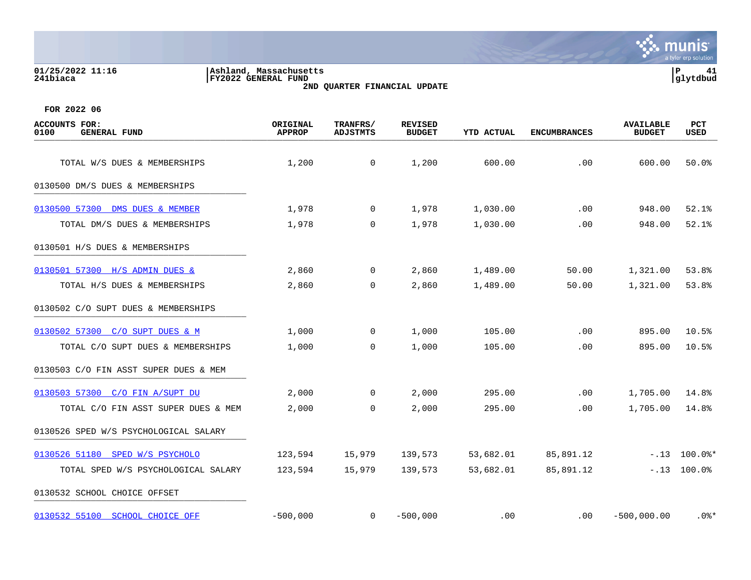## **01/25/2022 11:16 |Ashland, Massachusetts |P 41 241biaca |FY2022 GENERAL FUND |glytdbud 2ND QUARTER FINANCIAL UPDATE**



| <b>ACCOUNTS FOR:</b><br>0100<br><b>GENERAL FUND</b> | ORIGINAL<br><b>APPROP</b> | TRANFRS/<br>ADJSTMTS | <b>REVISED</b><br><b>BUDGET</b> | YTD ACTUAL | <b>ENCUMBRANCES</b> | <b>AVAILABLE</b><br><b>BUDGET</b> | <b>PCT</b><br>USED |
|-----------------------------------------------------|---------------------------|----------------------|---------------------------------|------------|---------------------|-----------------------------------|--------------------|
| TOTAL W/S DUES & MEMBERSHIPS                        | 1,200                     | 0                    | 1,200                           | 600.00     | .00                 | 600.00                            | 50.0%              |
| 0130500 DM/S DUES & MEMBERSHIPS                     |                           |                      |                                 |            |                     |                                   |                    |
| 0130500 57300 DMS DUES & MEMBER                     | 1,978                     | $\mathbf{0}$         | 1,978                           | 1,030.00   | .00                 | 948.00                            | 52.1%              |
| TOTAL DM/S DUES & MEMBERSHIPS                       | 1,978                     | $\mathbf 0$          | 1,978                           | 1,030.00   | .00                 | 948.00                            | 52.1%              |
| 0130501 H/S DUES & MEMBERSHIPS                      |                           |                      |                                 |            |                     |                                   |                    |
| 0130501 57300 H/S ADMIN DUES &                      | 2,860                     | $\mathbf 0$          | 2,860                           | 1,489.00   | 50.00               | 1,321.00                          | 53.8%              |
| TOTAL H/S DUES & MEMBERSHIPS                        | 2,860                     | $\mathbf 0$          | 2,860                           | 1,489.00   | 50.00               | 1,321.00                          | 53.8%              |
| 0130502 C/O SUPT DUES & MEMBERSHIPS                 |                           |                      |                                 |            |                     |                                   |                    |
| 0130502 57300 C/O SUPT DUES & M                     | 1,000                     | $\overline{0}$       | 1,000                           | 105.00     | .00                 | 895.00                            | 10.5%              |
| TOTAL C/O SUPT DUES & MEMBERSHIPS                   | 1,000                     | $\Omega$             | 1,000                           | 105.00     | .00                 | 895.00                            | 10.5%              |
| 0130503 C/O FIN ASST SUPER DUES & MEM               |                           |                      |                                 |            |                     |                                   |                    |
| 0130503 57300 C/O FIN A/SUPT DU                     | 2,000                     | $\mathbf 0$          | 2,000                           | 295.00     | .00                 | 1,705.00                          | 14.8%              |
| TOTAL C/O FIN ASST SUPER DUES & MEM                 | 2,000                     | $\mathbf 0$          | 2,000                           | 295.00     | .00                 | 1,705.00                          | 14.8%              |
| 0130526 SPED W/S PSYCHOLOGICAL SALARY               |                           |                      |                                 |            |                     |                                   |                    |
| 0130526 51180 SPED W/S PSYCHOLO                     | 123,594                   | 15,979               | 139,573                         | 53,682.01  | 85,891.12           |                                   | $-.13$ 100.0%*     |
| TOTAL SPED W/S PSYCHOLOGICAL SALARY                 | 123,594                   | 15,979               | 139,573                         | 53,682.01  | 85,891.12           |                                   | $-.13$ 100.0%      |
| 0130532 SCHOOL CHOICE OFFSET                        |                           |                      |                                 |            |                     |                                   |                    |
| 0130532 55100 SCHOOL CHOICE OFF                     | $-500,000$                | $\mathbf 0$          | $-500,000$                      | .00        | $.00 \,$            | $-500,000.00$                     | $.0$ %*            |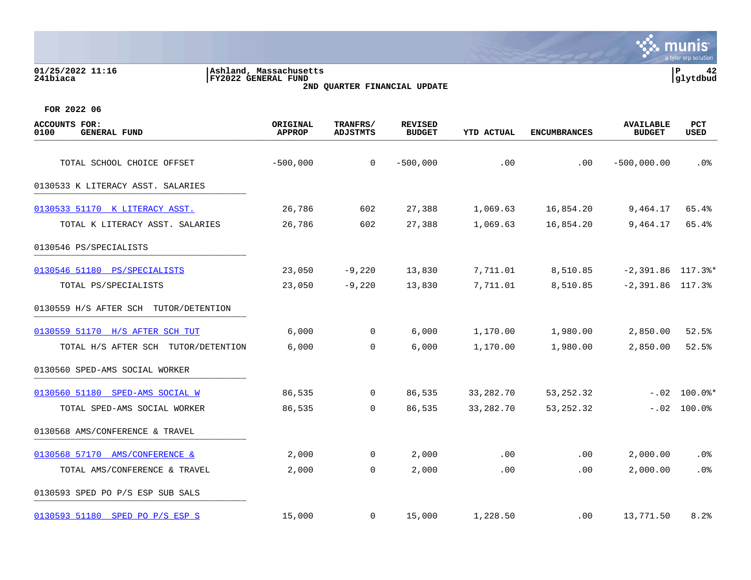| 01/25/2022 11:16<br>241biaca                        | Ashland, Massachusetts<br>FY2022 GENERAL FUND | 2ND QUARTER FINANCIAL UPDATE |                                 |                   |                     |                                   | ∣P<br>42<br>glytdbud |
|-----------------------------------------------------|-----------------------------------------------|------------------------------|---------------------------------|-------------------|---------------------|-----------------------------------|----------------------|
| FOR 2022 06                                         |                                               |                              |                                 |                   |                     |                                   |                      |
| <b>ACCOUNTS FOR:</b><br><b>GENERAL FUND</b><br>0100 | ORIGINAL<br><b>APPROP</b>                     | TRANFRS/<br><b>ADJSTMTS</b>  | <b>REVISED</b><br><b>BUDGET</b> | <b>YTD ACTUAL</b> | <b>ENCUMBRANCES</b> | <b>AVAILABLE</b><br><b>BUDGET</b> | <b>PCT</b><br>USED   |
| TOTAL SCHOOL CHOICE OFFSET                          | $-500,000$                                    | 0                            | $-500,000$                      | .00               | .00                 | $-500,000.00$                     | .0 <sub>8</sub>      |
| 0130533 K LITERACY ASST.<br>SALARIES                |                                               |                              |                                 |                   |                     |                                   |                      |
| 0130533 51170 K LITERACY ASST.                      | 26,786                                        | 602                          | 27,388                          | 1,069.63          | 16,854.20           | 9,464.17                          | 65.4%                |
| TOTAL K LITERACY ASST. SALARIES                     | 26,786                                        | 602                          | 27,388                          | 1,069.63          | 16,854.20           | 9,464.17                          | 65.4%                |
| 0130546 PS/SPECIALISTS                              |                                               |                              |                                 |                   |                     |                                   |                      |
| 0130546 51180 PS/SPECIALISTS                        | 23,050                                        | $-9,220$                     | 13,830                          | 7,711.01          | 8,510.85            | $-2,391.86$ 117.3%*               |                      |
| TOTAL PS/SPECIALISTS                                | 23,050                                        | $-9,220$                     | 13,830                          | 7,711.01          | 8,510.85            | $-2,391.86$ 117.3%                |                      |
| 0130559 H/S AFTER SCH<br>TUTOR/DETENTION            |                                               |                              |                                 |                   |                     |                                   |                      |
| 0130559 51170 H/S AFTER SCH TUT                     | 6,000                                         | $\Omega$                     | 6,000                           | 1,170.00          | 1,980.00            | 2,850.00                          | 52.5%                |
| TOTAL H/S AFTER SCH                                 | 6,000<br>TUTOR/DETENTION                      | 0                            | 6,000                           | 1,170.00          | 1,980.00            | 2,850.00                          | 52.5%                |

 $\mathbf{\ddot{.}}\mathbf{\ddot{.}}\mathbf{.}$  munis

0130560 SPED-AMS SOCIAL WORKER

[0130560 51180 SPED-AMS SOCIAL W](https://yvwlndash063.tylertech.com/sites/mu0241/LIVE/_layouts/15/DashboardMunisV6.3/PassThru.aspx?-E=5mJNXfRqVzYLNl0notzyLMjWAt0ykJzdw0A1V0IojD2S254gAbmFQs3%2BzikfPSR2&) 86,535 0 86,535 33,282.70 53,252.32 -.02 100.0%\* TOTAL SPED-AMS SOCIAL WORKER 86,535 0 86,535 33,282.70 53,252.32 -.02 100.0% 0130568 AMS/CONFERENCE & TRAVEL [0130568 57170 AMS/CONFERENCE &](https://yvwlndash063.tylertech.com/sites/mu0241/LIVE/_layouts/15/DashboardMunisV6.3/PassThru.aspx?-E=j7JWf7y75jDdT3gifKDFyAjvBXCbWTnxCXFkbGpvrgXZkM9B0JyTtuGo16OG4Ygd&) 2,000 0 2,000 .00 .00 2,000.00 .0% TOTAL AMS/CONFERENCE & TRAVEL 2,000 0 2,000 .00 .00 2,000.00 .0% 0130593 SPED PO P/S ESP SUB SALS [0130593 51180 SPED PO P/S ESP S](https://yvwlndash063.tylertech.com/sites/mu0241/LIVE/_layouts/15/DashboardMunisV6.3/PassThru.aspx?-E=E9LbTzRnANmDD%2BhQ5YzJfj02xzj1bJ9Vku3Pfo277IGlegxAyeex149t3x7Da8Vs&) 15,000 0 15,000 1,228.50 .00 13,771.50 8.2%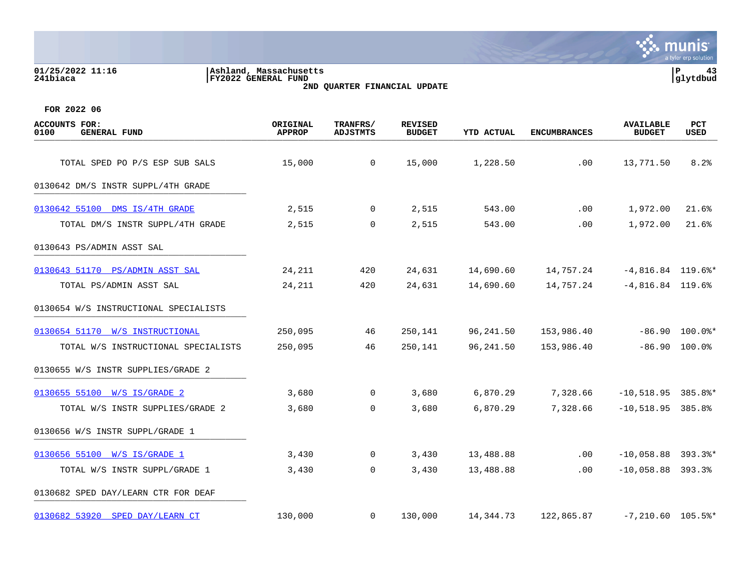## **01/25/2022 11:16 |Ashland, Massachusetts |P 43 241biaca |FY2022 GENERAL FUND |glytdbud 2ND QUARTER FINANCIAL UPDATE**



| <b>ACCOUNTS FOR:</b><br>0100<br><b>GENERAL FUND</b> | ORIGINAL<br><b>APPROP</b> | TRANFRS/<br><b>ADJSTMTS</b> | <b>REVISED</b><br><b>BUDGET</b> | <b>YTD ACTUAL</b> | <b>ENCUMBRANCES</b> | <b>AVAILABLE</b><br><b>BUDGET</b> | PCT<br>USED      |
|-----------------------------------------------------|---------------------------|-----------------------------|---------------------------------|-------------------|---------------------|-----------------------------------|------------------|
| TOTAL SPED PO P/S ESP SUB SALS                      | 15,000                    | $\overline{0}$              | 15,000                          | 1,228.50          | .00                 | 13,771.50                         | 8.2%             |
|                                                     |                           |                             |                                 |                   |                     |                                   |                  |
| 0130642 DM/S INSTR SUPPL/4TH GRADE                  |                           |                             |                                 |                   |                     |                                   |                  |
| 0130642 55100 DMS IS/4TH GRADE                      | 2,515                     | $\overline{0}$              | 2,515                           | 543.00            | .00                 | 1,972.00                          | 21.6%            |
| TOTAL DM/S INSTR SUPPL/4TH GRADE                    | 2,515                     | $\mathbf 0$                 | 2,515                           | 543.00            | .00                 | 1,972.00                          | 21.6%            |
| 0130643 PS/ADMIN ASST SAL                           |                           |                             |                                 |                   |                     |                                   |                  |
| 0130643 51170 PS/ADMIN ASST SAL                     | 24,211                    | 420                         | 24,631                          | 14,690.60         | 14,757.24           | $-4,816.84$ 119.6%*               |                  |
| TOTAL PS/ADMIN ASST SAL                             | 24,211                    | 420                         | 24,631                          | 14,690.60         | 14,757.24           | $-4,816.84$ 119.6%                |                  |
| 0130654 W/S INSTRUCTIONAL SPECIALISTS               |                           |                             |                                 |                   |                     |                                   |                  |
| 0130654 51170 W/S INSTRUCTIONAL                     | 250,095                   | 46                          | 250,141                         | 96,241.50         | 153,986.40          |                                   | $-86.90$ 100.0%* |
| TOTAL W/S INSTRUCTIONAL SPECIALISTS                 | 250,095                   | 46                          | 250,141                         | 96,241.50         | 153,986.40          |                                   | $-86.90$ 100.0%  |
| 0130655 W/S INSTR SUPPLIES/GRADE 2                  |                           |                             |                                 |                   |                     |                                   |                  |
| 0130655 55100 W/S IS/GRADE 2                        | 3,680                     | $\Omega$                    | 3,680                           | 6,870.29          | 7,328.66            | $-10,518.95$ 385.8%*              |                  |
| TOTAL W/S INSTR SUPPLIES/GRADE 2                    | 3,680                     | $\mathbf 0$                 | 3,680                           | 6,870.29          | 7,328.66            | $-10,518.95$ 385.8%               |                  |
| 0130656 W/S INSTR SUPPL/GRADE 1                     |                           |                             |                                 |                   |                     |                                   |                  |
| 0130656 55100 W/S IS/GRADE 1                        | 3,430                     | 0                           | 3,430                           | 13,488.88         | .00                 | $-10,058.88$ 393.3%*              |                  |
| TOTAL W/S INSTR SUPPL/GRADE 1                       | 3,430                     | 0                           | 3,430                           | 13,488.88         | .00                 | $-10,058.88$ 393.3%               |                  |
| 0130682 SPED DAY/LEARN CTR FOR DEAF                 |                           |                             |                                 |                   |                     |                                   |                  |
| 0130682 53920 SPED DAY/LEARN CT                     | 130,000                   | 0                           | 130,000                         | 14,344.73         | 122,865.87          | $-7,210.60$ 105.5%*               |                  |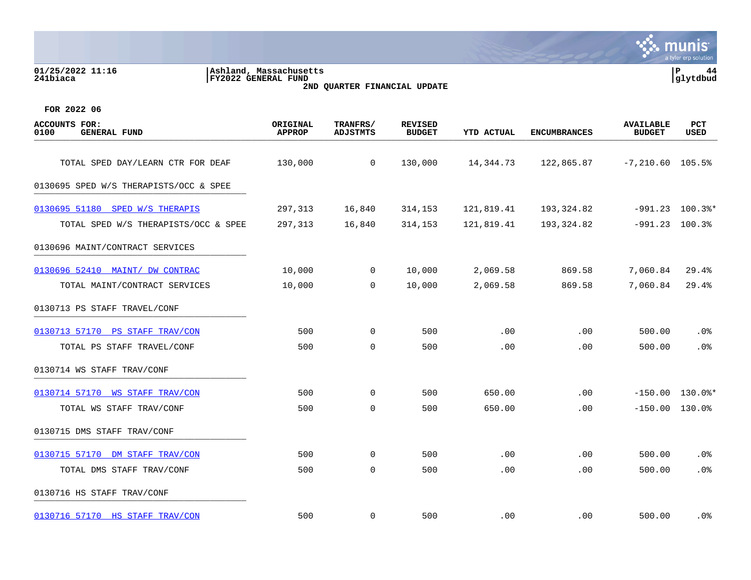| 01/25/2022 11:16<br>241biaca                        | Ashland, Massachusetts<br>FY2022 GENERAL FUND | 2ND QUARTER FINANCIAL UPDATE |                                 |                   |                     |                                   | P<br>44<br>glytdbud       |
|-----------------------------------------------------|-----------------------------------------------|------------------------------|---------------------------------|-------------------|---------------------|-----------------------------------|---------------------------|
| FOR 2022 06                                         |                                               |                              |                                 |                   |                     |                                   |                           |
| <b>ACCOUNTS FOR:</b><br><b>GENERAL FUND</b><br>0100 | ORIGINAL<br><b>APPROP</b>                     | TRANFRS/<br><b>ADJSTMTS</b>  | <b>REVISED</b><br><b>BUDGET</b> | <b>YTD ACTUAL</b> | <b>ENCUMBRANCES</b> | <b>AVAILABLE</b><br><b>BUDGET</b> | <b>PCT</b><br><b>USED</b> |
| TOTAL SPED DAY/LEARN CTR FOR DEAF                   | 130,000                                       | $\mathbf 0$                  | 130,000                         | 14,344.73         | 122,865.87          | $-7,210.60$ 105.5%                |                           |
| 0130695 SPED W/S THERAPISTS/OCC & SPEE              |                                               |                              |                                 |                   |                     |                                   |                           |
| 0130695 51180 SPED W/S THERAPIS                     | 297,313                                       | 16,840                       | 314,153                         | 121,819.41        | 193,324.82          |                                   | $-991.23$ 100.3%*         |
| TOTAL SPED W/S THERAPISTS/OCC & SPEE                | 297,313                                       | 16,840                       | 314,153                         | 121,819.41        | 193,324.82          |                                   | $-991.23$ 100.3%          |
| 0130696 MAINT/CONTRACT SERVICES                     |                                               |                              |                                 |                   |                     |                                   |                           |
| 0130696 52410 MAINT/ DW CONTRAC                     | 10,000                                        | 0                            | 10,000                          | 2,069.58          | 869.58              | 7,060.84                          | 29.4%                     |
| TOTAL MAINT/CONTRACT SERVICES                       | 10,000                                        | $\Omega$                     | 10,000                          | 2,069.58          | 869.58              | 7,060.84                          | 29.4%                     |
| 0130713 PS STAFF TRAVEL/CONF                        |                                               |                              |                                 |                   |                     |                                   |                           |
| 0130713 57170 PS STAFF TRAV/CON                     | 500                                           | $\mathbf 0$                  | 500                             | .00               | .00                 | 500.00                            | .0 <sub>8</sub>           |
| TOTAL PS STAFF TRAVEL/CONF                          | 500                                           | $\mathbf 0$                  | 500                             | .00               | .00                 | 500.00                            | .0 <sub>8</sub>           |
| 0130714 WS STAFF TRAV/CONF                          |                                               |                              |                                 |                   |                     |                                   |                           |
| 0130714 57170 WS STAFF TRAV/CON                     | 500                                           | $\mathbf 0$                  | 500                             | 650.00            | .00                 | $-150.00$                         | $130.0$ $*$               |
| TOTAL WS STAFF TRAV/CONF                            | 500                                           | $\mathbf 0$                  | 500                             | 650.00            | .00                 |                                   | $-150.00$ 130.0%          |
| 0130715 DMS STAFF TRAV/CONF                         |                                               |                              |                                 |                   |                     |                                   |                           |
| 0130715 57170 DM STAFF TRAV/CON                     | 500                                           | 0                            | 500                             | .00               | .00                 | 500.00                            | .0%                       |
| TOTAL DMS STAFF TRAV/CONF                           | 500                                           | $\mathbf 0$                  | 500                             | .00               | .00                 | 500.00                            | .0%                       |
| 0130716 HS STAFF TRAV/CONF                          |                                               |                              |                                 |                   |                     |                                   |                           |

[0130716 57170 HS STAFF TRAV/CON](https://yvwlndash063.tylertech.com/sites/mu0241/LIVE/_layouts/15/DashboardMunisV6.3/PassThru.aspx?-E=80gOmdYvsv/uKbpde%2BpwzwVvBJWDtvPiVF2eTpf%2BkyU8G9Hcqe%2B0o9buRKlR8PG2&) 500 500 0 500 .00 .00 .00 500.00 .0%

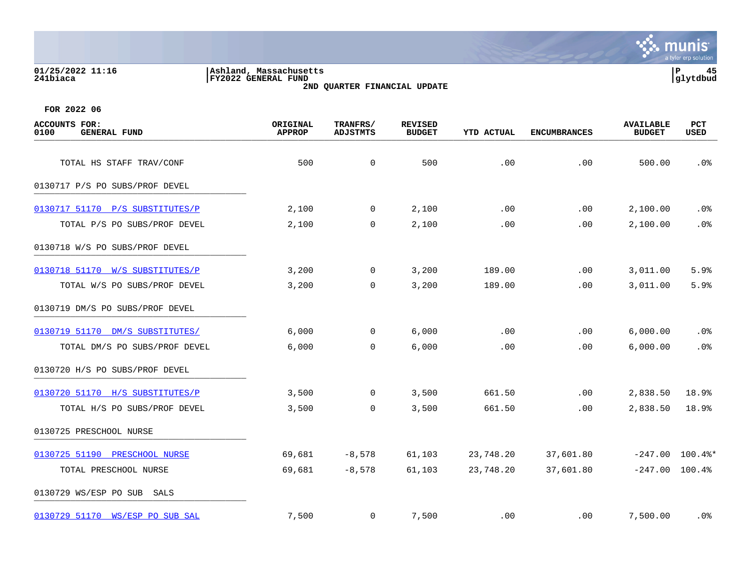## **01/25/2022 11:16 |Ashland, Massachusetts |P 45 241biaca |FY2022 GENERAL FUND |glytdbud 2ND QUARTER FINANCIAL UPDATE**



| ACCOUNTS FOR:<br>0100<br><b>GENERAL FUND</b> | ORIGINAL<br><b>APPROP</b> | TRANFRS/<br><b>ADJSTMTS</b> | <b>REVISED</b><br><b>BUDGET</b> | <b>YTD ACTUAL</b> | <b>ENCUMBRANCES</b> | <b>AVAILABLE</b><br><b>BUDGET</b> | PCT<br>USED       |
|----------------------------------------------|---------------------------|-----------------------------|---------------------------------|-------------------|---------------------|-----------------------------------|-------------------|
| TOTAL HS STAFF TRAV/CONF                     | 500                       | 0                           | 500                             | .00               | .00                 | 500.00                            | .0%               |
| 0130717 P/S PO SUBS/PROF DEVEL               |                           |                             |                                 |                   |                     |                                   |                   |
| 0130717 51170 P/S SUBSTITUTES/P              | 2,100                     | $\overline{0}$              | 2,100                           | .00               | .00                 | 2,100.00                          | $.0\%$            |
| TOTAL P/S PO SUBS/PROF DEVEL                 | 2,100                     | $\mathbf 0$                 | 2,100                           | .00               | .00                 | 2,100.00                          | .0%               |
| 0130718 W/S PO SUBS/PROF DEVEL               |                           |                             |                                 |                   |                     |                                   |                   |
| 0130718 51170 W/S SUBSTITUTES/P              | 3,200                     | 0                           | 3,200                           | 189.00            | .00                 | 3,011.00                          | 5.9%              |
| TOTAL W/S PO SUBS/PROF DEVEL                 | 3,200                     | 0                           | 3,200                           | 189.00            | .00                 | 3,011.00                          | 5.9%              |
| 0130719 DM/S PO SUBS/PROF DEVEL              |                           |                             |                                 |                   |                     |                                   |                   |
| 0130719 51170 DM/S SUBSTITUTES/              | 6,000                     | 0                           | 6,000                           | .00               | .00                 | 6,000.00                          | .0%               |
| TOTAL DM/S PO SUBS/PROF DEVEL                | 6,000                     | 0                           | 6,000                           | .00               | .00                 | 6,000.00                          | $.0\%$            |
| 0130720 H/S PO SUBS/PROF DEVEL               |                           |                             |                                 |                   |                     |                                   |                   |
| 0130720 51170 H/S SUBSTITUTES/P              | 3,500                     | 0                           | 3,500                           | 661.50            | .00                 | 2,838.50                          | 18.9%             |
| TOTAL H/S PO SUBS/PROF DEVEL                 | 3,500                     | $\mathbf 0$                 | 3,500                           | 661.50            | .00                 | 2,838.50                          | 18.9%             |
| 0130725 PRESCHOOL NURSE                      |                           |                             |                                 |                   |                     |                                   |                   |
| 0130725 51190 PRESCHOOL NURSE                | 69,681                    | $-8,578$                    | 61,103                          | 23,748.20         | 37,601.80           |                                   | $-247.00$ 100.4%* |
| TOTAL PRESCHOOL NURSE                        | 69,681                    | $-8,578$                    | 61,103                          | 23,748.20         | 37,601.80           | $-247.00$ 100.4%                  |                   |
| 0130729 WS/ESP PO SUB<br>SALS                |                           |                             |                                 |                   |                     |                                   |                   |
| 0130729 51170 WS/ESP PO SUB SAL              | 7,500                     | 0                           | 7,500                           | .00               | $.00 \,$            | 7,500.00                          | . 0%              |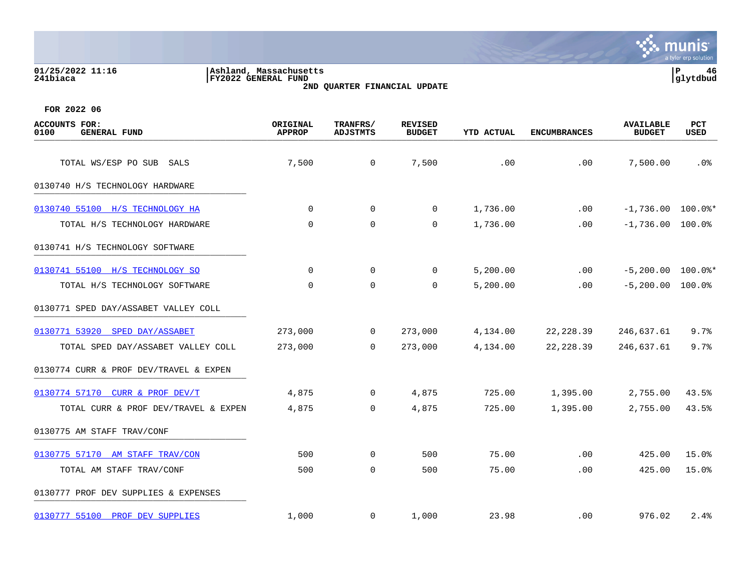### **01/25/2022 11:16 |Ashland, Massachusetts |P 46 241biaca |FY2022 GENERAL FUND |glytdbud 2ND QUARTER FINANCIAL UPDATE**



| <b>ACCOUNTS FOR:</b><br><b>GENERAL FUND</b><br>0100 | ORIGINAL<br><b>APPROP</b> | TRANFRS/<br><b>ADJSTMTS</b> | <b>REVISED</b><br><b>BUDGET</b> | YTD ACTUAL | <b>ENCUMBRANCES</b> | <b>AVAILABLE</b><br><b>BUDGET</b> | PCT<br>USED |
|-----------------------------------------------------|---------------------------|-----------------------------|---------------------------------|------------|---------------------|-----------------------------------|-------------|
| TOTAL WS/ESP PO SUB SALS                            | 7,500                     | $\overline{0}$              | 7,500                           | .00        | .00                 | 7,500.00                          | $.0\%$      |
| 0130740 H/S TECHNOLOGY HARDWARE                     |                           |                             |                                 |            |                     |                                   |             |
| 0130740 55100 H/S TECHNOLOGY HA                     | $\mathbf 0$               | $\overline{0}$              | 0                               | 1,736.00   | .00                 | $-1,736.00$ 100.0%*               |             |
| TOTAL H/S TECHNOLOGY HARDWARE                       | 0                         | $\mathbf 0$                 | 0                               | 1,736.00   | .00                 | $-1,736.00$ 100.0%                |             |
| 0130741 H/S TECHNOLOGY SOFTWARE                     |                           |                             |                                 |            |                     |                                   |             |
| 0130741 55100 H/S TECHNOLOGY SO                     | $\Omega$                  | $\mathbf 0$                 | 0                               | 5,200.00   | .00                 | $-5,200.00$ 100.0%*               |             |
| TOTAL H/S TECHNOLOGY SOFTWARE                       | $\Omega$                  | $\mathbf 0$                 | $\mathbf 0$                     | 5,200.00   | .00                 | $-5,200.00$ 100.0%                |             |
| 0130771 SPED DAY/ASSABET VALLEY COLL                |                           |                             |                                 |            |                     |                                   |             |
| 0130771 53920 SPED DAY/ASSABET                      | 273,000                   | $\overline{0}$              | 273,000                         | 4,134.00   | 22,228.39           | 246,637.61                        | 9.7%        |
| TOTAL SPED DAY/ASSABET VALLEY COLL                  | 273,000                   | $\overline{0}$              | 273,000                         | 4,134.00   | 22, 228.39          | 246,637.61                        | 9.7%        |
| 0130774 CURR & PROF DEV/TRAVEL & EXPEN              |                           |                             |                                 |            |                     |                                   |             |
| 0130774 57170 CURR & PROF DEV/T                     | 4,875                     | $\mathbf{0}$                | 4,875                           | 725.00     | 1,395.00            | 2,755.00                          | 43.5%       |
| TOTAL CURR & PROF DEV/TRAVEL & EXPEN                | 4,875                     | 0                           | 4,875                           | 725.00     | 1,395.00            | 2,755.00                          | 43.5%       |
| 0130775 AM STAFF TRAV/CONF                          |                           |                             |                                 |            |                     |                                   |             |
| 0130775 57170 AM STAFF TRAV/CON                     | 500                       | 0                           | 500                             | 75.00      | .00                 | 425.00                            | 15.0%       |
| TOTAL AM STAFF TRAV/CONF                            | 500                       | 0                           | 500                             | 75.00      | .00                 | 425.00                            | 15.0%       |
| 0130777 PROF DEV SUPPLIES & EXPENSES                |                           |                             |                                 |            |                     |                                   |             |
| 0130777 55100 PROF DEV SUPPLIES                     | 1,000                     | $\mathbf{0}$                | 1,000                           | 23.98      | $.00 \,$            | 976.02                            | 2.4%        |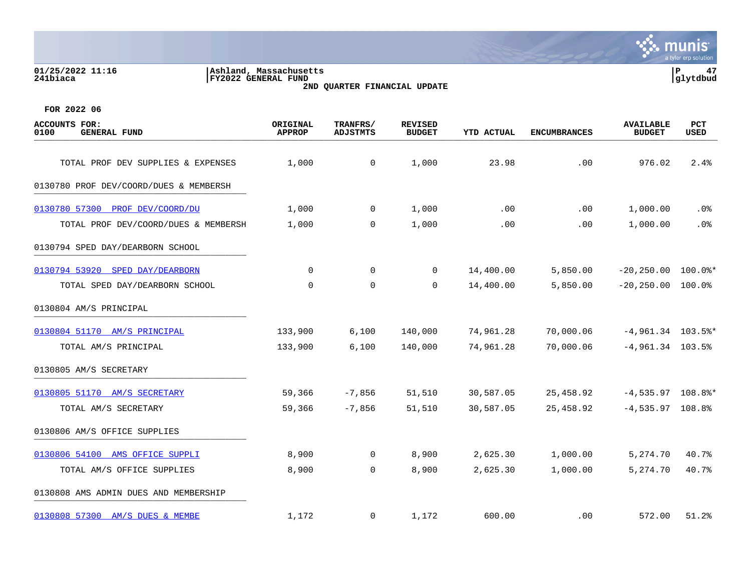### **01/25/2022 11:16 |Ashland, Massachusetts |P 47 241biaca |FY2022 GENERAL FUND |glytdbud 2ND QUARTER FINANCIAL UPDATE**



| <b>ACCOUNTS FOR:</b><br>0100<br><b>GENERAL FUND</b> | ORIGINAL<br><b>APPROP</b> | TRANFRS/<br><b>ADJSTMTS</b> | <b>REVISED</b><br><b>BUDGET</b> | YTD ACTUAL | <b>ENCUMBRANCES</b> | <b>AVAILABLE</b><br><b>BUDGET</b> | PCT<br><b>USED</b> |
|-----------------------------------------------------|---------------------------|-----------------------------|---------------------------------|------------|---------------------|-----------------------------------|--------------------|
| TOTAL PROF DEV SUPPLIES & EXPENSES                  | 1,000                     | 0                           | 1,000                           | 23.98      | .00                 | 976.02                            | 2.4%               |
| 0130780 PROF DEV/COORD/DUES & MEMBERSH              |                           |                             |                                 |            |                     |                                   |                    |
| 0130780 57300 PROF DEV/COORD/DU                     | 1,000                     | $\mathbf 0$                 | 1,000                           | .00        | .00                 | 1,000.00                          | .0%                |
| TOTAL PROF DEV/COORD/DUES & MEMBERSH                | 1,000                     | 0                           | 1,000                           | .00        | .00                 | 1,000.00                          | .0%                |
| 0130794 SPED DAY/DEARBORN SCHOOL                    |                           |                             |                                 |            |                     |                                   |                    |
| 0130794 53920 SPED DAY/DEARBORN                     | $\mathbf 0$               | $\mathbf 0$                 | $\mathbf 0$                     | 14,400.00  | 5,850.00            | $-20, 250.00$                     | $100.0$ *          |
| TOTAL SPED DAY/DEARBORN SCHOOL                      | $\Omega$                  | $\mathbf 0$                 | $\Omega$                        | 14,400.00  | 5,850.00            | $-20, 250.00$ 100.0%              |                    |
| 0130804 AM/S PRINCIPAL                              |                           |                             |                                 |            |                     |                                   |                    |
| 0130804 51170 AM/S PRINCIPAL                        | 133,900                   | 6,100                       | 140,000                         | 74,961.28  | 70,000.06           | $-4,961.34$ 103.5%*               |                    |
| TOTAL AM/S PRINCIPAL                                | 133,900                   | 6,100                       | 140,000                         | 74,961.28  | 70,000.06           | $-4,961.34$ 103.5%                |                    |
| 0130805 AM/S SECRETARY                              |                           |                             |                                 |            |                     |                                   |                    |
| 0130805 51170 AM/S SECRETARY                        | 59,366                    | $-7,856$                    | 51,510                          | 30,587.05  | 25,458.92           | $-4,535.97$ 108.8%*               |                    |
| TOTAL AM/S SECRETARY                                | 59,366                    | $-7,856$                    | 51,510                          | 30,587.05  | 25,458.92           | $-4,535.97$ 108.8%                |                    |
| 0130806 AM/S OFFICE SUPPLIES                        |                           |                             |                                 |            |                     |                                   |                    |
| 0130806 54100 AMS OFFICE SUPPLI                     | 8,900                     | $\mathbf 0$                 | 8,900                           | 2,625.30   | 1,000.00            | 5,274.70                          | 40.7%              |
| TOTAL AM/S OFFICE SUPPLIES                          | 8,900                     | $\mathbf 0$                 | 8,900                           | 2,625.30   | 1,000.00            | 5,274.70                          | 40.7%              |
| 0130808 AMS ADMIN DUES AND MEMBERSHIP               |                           |                             |                                 |            |                     |                                   |                    |
| 0130808 57300 AM/S DUES & MEMBE                     | 1,172                     | 0                           | 1,172                           | 600.00     | .00                 | 572.00                            | 51.2%              |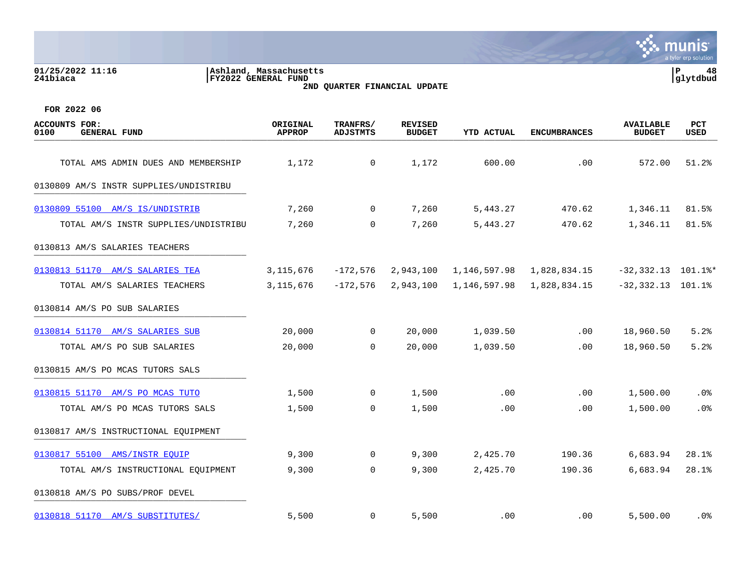| 01/25/2022 11:16<br>241biaca                 | Ashland, Massachusetts<br>FY2022 GENERAL FUND | 2ND QUARTER FINANCIAL UPDATE |                                 |              |                     |                                   | P<br>48<br>glytdbud |
|----------------------------------------------|-----------------------------------------------|------------------------------|---------------------------------|--------------|---------------------|-----------------------------------|---------------------|
| FOR 2022 06                                  |                                               |                              |                                 |              |                     |                                   |                     |
| ACCOUNTS FOR:<br><b>GENERAL FUND</b><br>0100 | ORIGINAL<br><b>APPROP</b>                     | TRANFRS/<br><b>ADJSTMTS</b>  | <b>REVISED</b><br><b>BUDGET</b> | YTD ACTUAL   | <b>ENCUMBRANCES</b> | <b>AVAILABLE</b><br><b>BUDGET</b> | <b>PCT</b><br>USED  |
| TOTAL AMS ADMIN DUES AND MEMBERSHIP          | 1,172                                         | 0                            | 1,172                           | 600.00       | .00                 | 572.00                            | 51.2%               |
| 0130809 AM/S INSTR SUPPLIES/UNDISTRIBU       |                                               |                              |                                 |              |                     |                                   |                     |
| 0130809 55100 AM/S IS/UNDISTRIB              | 7,260                                         | 0                            | 7,260                           | 5,443.27     | 470.62              | 1,346.11                          | 81.5%               |
| TOTAL AM/S INSTR SUPPLIES/UNDISTRIBU         | 7,260                                         | 0                            | 7,260                           | 5,443.27     | 470.62              | 1,346.11                          | 81.5%               |
| 0130813 AM/S SALARIES TEACHERS               |                                               |                              |                                 |              |                     |                                   |                     |
| 0130813 51170 AM/S SALARIES TEA              | 3, 115, 676                                   | $-172,576$                   | 2,943,100                       | 1,146,597.98 | 1,828,834.15        | $-32,332.13$ 101.1%*              |                     |
| TOTAL AM/S SALARIES TEACHERS                 | 3,115,676                                     | $-172,576$                   | 2,943,100                       | 1,146,597.98 | 1,828,834.15        | $-32,332.13$ 101.1%               |                     |
| 0130814 AM/S PO SUB SALARIES                 |                                               |                              |                                 |              |                     |                                   |                     |
| 0130814 51170 AM/S SALARIES SUB              | 20,000                                        | 0                            | 20,000                          | 1,039.50     | .00                 | 18,960.50                         | 5.2%                |
| TOTAL AM/S PO SUB SALARIES                   | 20,000                                        | $\mathbf 0$                  | 20,000                          | 1,039.50     | .00                 | 18,960.50                         | 5.2%                |
| 0130815 AM/S PO MCAS TUTORS SALS             |                                               |                              |                                 |              |                     |                                   |                     |
| 0130815 51170 AM/S PO MCAS TUTO              | 1,500                                         | 0                            | 1,500                           | .00          | .00                 | 1,500.00                          | .0%                 |
| TOTAL AM/S PO MCAS TUTORS SALS               | 1,500                                         | 0                            | 1,500                           | .00          | .00                 | 1,500.00                          | .0%                 |
| 0130817 AM/S INSTRUCTIONAL EQUIPMENT         |                                               |                              |                                 |              |                     |                                   |                     |
| 0130817 55100 AMS/INSTR EQUIP                | 9,300                                         | 0                            | 9,300                           | 2,425.70     | 190.36              | 6,683.94                          | 28.1%               |
| TOTAL AM/S INSTRUCTIONAL EQUIPMENT           | 9,300                                         | 0                            | 9,300                           | 2,425.70     | 190.36              | 6,683.94                          | 28.1%               |
| 0130818 AM/S PO SUBS/PROF DEVEL              |                                               |                              |                                 |              |                     |                                   |                     |
| 0130818 51170 AM/S SUBSTITUTES/              | 5,500                                         | 0                            | 5,500                           | .00          | .00                 | 5,500.00                          | .0 <sub>8</sub>     |

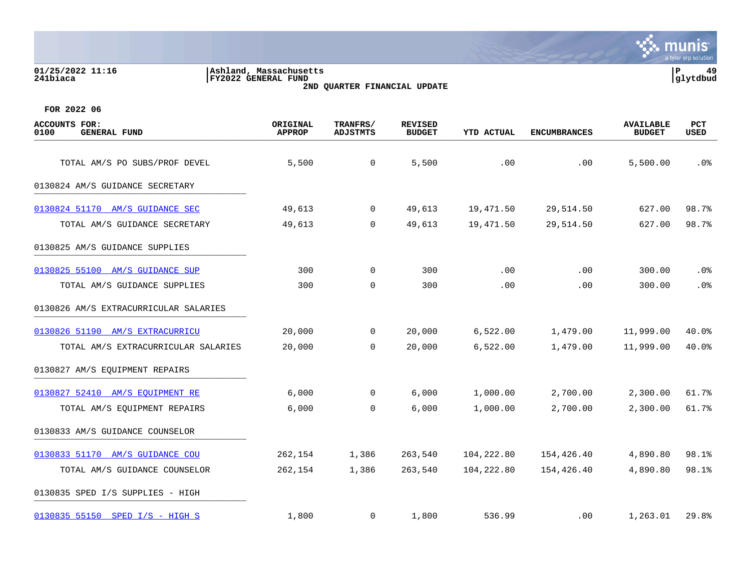**01/25/2022 11:16 |Ashland, Massachusetts |P 49 241biaca |FY2022 GENERAL FUND |glytdbud**





| <b>ACCOUNTS FOR:</b><br>0100<br><b>GENERAL FUND</b> | ORIGINAL<br><b>APPROP</b> | TRANFRS/<br><b>ADJSTMTS</b> | <b>REVISED</b><br><b>BUDGET</b> | <b>YTD ACTUAL</b> | <b>ENCUMBRANCES</b> | <b>AVAILABLE</b><br><b>BUDGET</b> | <b>PCT</b><br>USED |
|-----------------------------------------------------|---------------------------|-----------------------------|---------------------------------|-------------------|---------------------|-----------------------------------|--------------------|
| TOTAL AM/S PO SUBS/PROF DEVEL                       | 5,500                     | 0                           | 5,500                           | .00               | .00                 | 5,500.00                          | $.0\%$             |
| 0130824 AM/S GUIDANCE SECRETARY                     |                           |                             |                                 |                   |                     |                                   |                    |
| 0130824 51170 AM/S GUIDANCE SEC                     | 49,613                    | $\mathbf 0$                 | 49,613                          | 19,471.50         | 29,514.50           | 627.00                            | 98.7%              |
| TOTAL AM/S GUIDANCE SECRETARY                       | 49,613                    | $\mathbf 0$                 | 49,613                          | 19,471.50         | 29,514.50           | 627.00                            | 98.7%              |
| 0130825 AM/S GUIDANCE SUPPLIES                      |                           |                             |                                 |                   |                     |                                   |                    |
| 0130825 55100 AM/S GUIDANCE SUP                     | 300                       | $\overline{0}$              | 300                             | .00               | .00                 | 300.00                            | .0%                |
| TOTAL AM/S GUIDANCE SUPPLIES                        | 300                       | $\mathbf 0$                 | 300                             | .00               | .00                 | 300.00                            | .0%                |
| 0130826 AM/S EXTRACURRICULAR SALARIES               |                           |                             |                                 |                   |                     |                                   |                    |
| 0130826 51190 AM/S EXTRACURRICU                     | 20,000                    | $\mathsf{O}$                | 20,000                          | 6,522.00          | 1,479.00            | 11,999.00                         | 40.0%              |
| TOTAL AM/S EXTRACURRICULAR SALARIES                 | 20,000                    | $\Omega$                    | 20,000                          | 6,522.00          | 1,479.00            | 11,999.00                         | 40.0%              |
| 0130827 AM/S EQUIPMENT REPAIRS                      |                           |                             |                                 |                   |                     |                                   |                    |
| 0130827 52410 AM/S EOUIPMENT RE                     | 6,000                     | $\overline{0}$              | 6,000                           | 1,000.00          | 2,700.00            | 2,300.00                          | 61.7%              |
| TOTAL AM/S EQUIPMENT REPAIRS                        | 6,000                     | $\mathbf 0$                 | 6,000                           | 1,000.00          | 2,700.00            | 2,300.00                          | 61.7%              |
| 0130833 AM/S GUIDANCE COUNSELOR                     |                           |                             |                                 |                   |                     |                                   |                    |
| 0130833 51170 AM/S GUIDANCE COU                     | 262,154                   | 1,386                       | 263,540                         | 104,222.80        | 154,426.40          | 4,890.80                          | 98.1%              |
| TOTAL AM/S GUIDANCE COUNSELOR                       | 262,154                   | 1,386                       | 263,540                         | 104,222.80        | 154,426.40          | 4,890.80                          | 98.1%              |
| 0130835 SPED I/S SUPPLIES - HIGH                    |                           |                             |                                 |                   |                     |                                   |                    |
| 0130835 55150 SPED I/S - HIGH S                     | 1,800                     | $\mathbf{0}$                | 1,800                           | 536.99            | $.00 \,$            | 1,263.01                          | 29.8%              |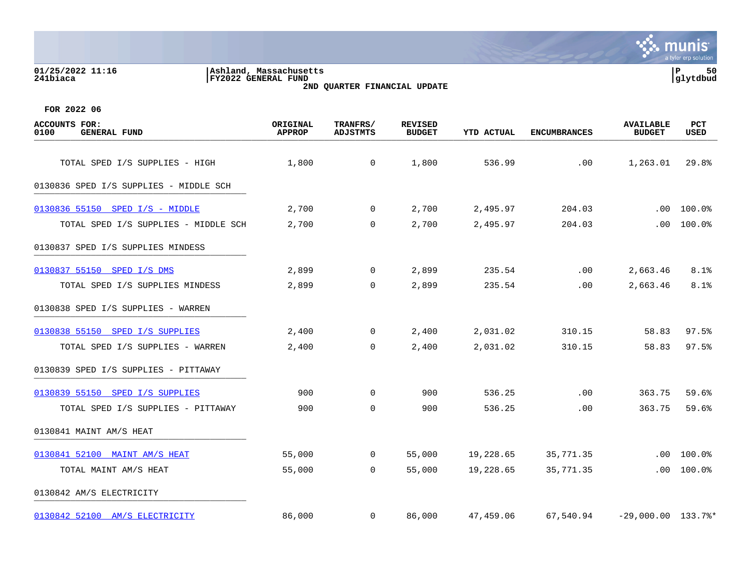## **01/25/2022 11:16 |Ashland, Massachusetts |P 50 241biaca |FY2022 GENERAL FUND |glytdbud 2ND QUARTER FINANCIAL UPDATE**



| ACCOUNTS FOR:<br>0100<br><b>GENERAL FUND</b> | ORIGINAL<br><b>APPROP</b> | TRANFRS/<br><b>ADJSTMTS</b> | <b>REVISED</b><br><b>BUDGET</b> | <b>YTD ACTUAL</b> | <b>ENCUMBRANCES</b> | <b>AVAILABLE</b><br><b>BUDGET</b> | <b>PCT</b><br>USED |
|----------------------------------------------|---------------------------|-----------------------------|---------------------------------|-------------------|---------------------|-----------------------------------|--------------------|
| TOTAL SPED I/S SUPPLIES - HIGH               | 1,800                     | $\overline{0}$              | 1,800                           | 536.99            | .00                 | 1,263.01                          | 29.8%              |
| 0130836 SPED I/S SUPPLIES - MIDDLE SCH       |                           |                             |                                 |                   |                     |                                   |                    |
| 0130836 55150 SPED I/S - MIDDLE              | 2,700                     | $\mathbf 0$                 | 2,700                           | 2,495.97          | 204.03              |                                   | $.00 100.0$ %      |
| TOTAL SPED I/S SUPPLIES - MIDDLE SCH         | 2,700                     | $\mathbf 0$                 | 2,700                           | 2,495.97          | 204.03              | .00                               | 100.0%             |
| 0130837 SPED I/S SUPPLIES MINDESS            |                           |                             |                                 |                   |                     |                                   |                    |
| 0130837 55150 SPED I/S DMS                   | 2,899                     | $\mathbf 0$                 | 2,899                           | 235.54            | .00                 | 2,663.46                          | 8.1%               |
| TOTAL SPED I/S SUPPLIES MINDESS              | 2,899                     | $\mathbf 0$                 | 2,899                           | 235.54            | .00                 | 2,663.46                          | 8.1%               |
| 0130838 SPED I/S SUPPLIES - WARREN           |                           |                             |                                 |                   |                     |                                   |                    |
| 0130838 55150 SPED I/S SUPPLIES              | 2,400                     | $\mathsf{O}$                | 2,400                           | 2,031.02          | 310.15              | 58.83                             | 97.5%              |
| TOTAL SPED I/S SUPPLIES - WARREN             | 2,400                     | $\Omega$                    | 2,400                           | 2,031.02          | 310.15              | 58.83                             | 97.5%              |
| 0130839 SPED I/S SUPPLIES - PITTAWAY         |                           |                             |                                 |                   |                     |                                   |                    |
| 0130839 55150 SPED I/S SUPPLIES              | 900                       | $\mathbf 0$                 | 900                             | 536.25            | .00                 | 363.75                            | 59.6%              |
| TOTAL SPED I/S SUPPLIES - PITTAWAY           | 900                       | $\mathbf 0$                 | 900                             | 536.25            | .00                 | 363.75                            | 59.6%              |
| 0130841 MAINT AM/S HEAT                      |                           |                             |                                 |                   |                     |                                   |                    |
| 0130841 52100 MAINT AM/S HEAT                | 55,000                    | $\overline{0}$              | 55,000                          | 19,228.65         | 35,771.35           | $.00 \,$                          | 100.0%             |
| TOTAL MAINT AM/S HEAT                        | 55,000                    | $\Omega$                    | 55,000                          | 19,228.65         | 35,771.35           | .00                               | 100.0%             |
| 0130842 AM/S ELECTRICITY                     |                           |                             |                                 |                   |                     |                                   |                    |
| 0130842 52100 AM/S ELECTRICITY               | 86,000                    | $\mathbf 0$                 | 86,000                          | 47,459.06         | 67,540.94           | $-29,000.00$ $133.7$ <sup>*</sup> |                    |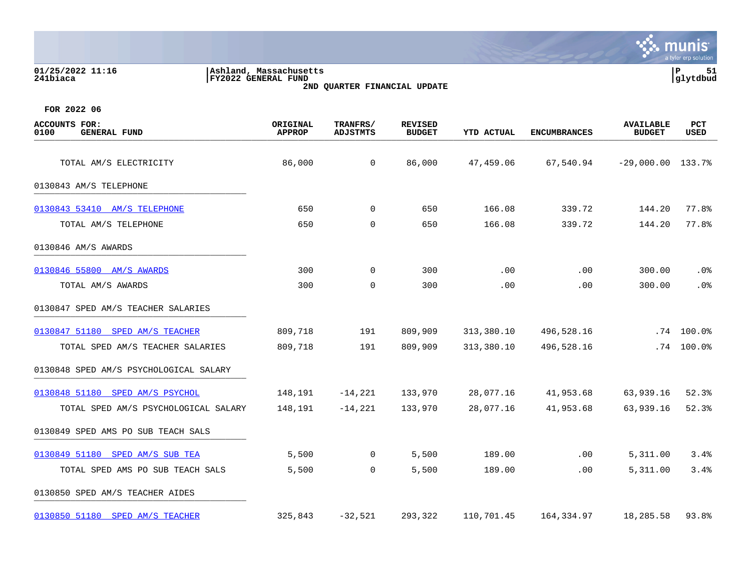| 01/25/2022 11:16<br>241biaca                        | Ashland, Massachusetts<br>FY2022 GENERAL FUND | 2ND QUARTER FINANCIAL UPDATE |                                 |                   |                     |                                   | P.<br>51<br>glytdbud |
|-----------------------------------------------------|-----------------------------------------------|------------------------------|---------------------------------|-------------------|---------------------|-----------------------------------|----------------------|
| FOR 2022 06                                         |                                               |                              |                                 |                   |                     |                                   |                      |
| <b>ACCOUNTS FOR:</b><br>0100<br><b>GENERAL FUND</b> | ORIGINAL<br><b>APPROP</b>                     | TRANFRS/<br><b>ADJSTMTS</b>  | <b>REVISED</b><br><b>BUDGET</b> | <b>YTD ACTUAL</b> | <b>ENCUMBRANCES</b> | <b>AVAILABLE</b><br><b>BUDGET</b> | PCT<br><b>USED</b>   |
| TOTAL AM/S ELECTRICITY                              | 86,000                                        | 0                            | 86,000                          | 47,459.06         | 67,540.94           | $-29,000.00$ 133.7%               |                      |
| 0130843 AM/S TELEPHONE                              |                                               |                              |                                 |                   |                     |                                   |                      |
| 0130843 53410 AM/S TELEPHONE                        | 650                                           | 0                            | 650                             | 166.08            | 339.72              | 144.20                            | 77.8%                |
| TOTAL AM/S TELEPHONE                                | 650                                           | $\mathbf 0$                  | 650                             | 166.08            | 339.72              | 144.20                            | 77.8%                |
| 0130846 AM/S AWARDS                                 |                                               |                              |                                 |                   |                     |                                   |                      |
| 0130846 55800 AM/S AWARDS                           | 300                                           | 0                            | 300                             | .00               | .00                 | 300.00                            | .0 <sub>8</sub>      |
| TOTAL AM/S AWARDS                                   | 300                                           | 0                            | 300                             | .00               | .00                 | 300.00                            | .0 <sub>8</sub>      |
| 0130847 SPED AM/S TEACHER SALARIES                  |                                               |                              |                                 |                   |                     |                                   |                      |
| 0130847 51180 SPED AM/S TEACHER                     | 809,718                                       | 191                          | 809,909                         | 313,380.10        | 496,528.16          |                                   | $.74$ 100.0%         |
| TOTAL SPED AM/S TEACHER SALARIES                    | 809,718                                       | 191                          | 809,909                         | 313,380.10        | 496,528.16          |                                   | $.74$ 100.0%         |
| 0130848 SPED AM/S PSYCHOLOGICAL SALARY              |                                               |                              |                                 |                   |                     |                                   |                      |
| 0130848 51180 SPED AM/S PSYCHOL                     | 148,191                                       | $-14,221$                    | 133,970                         | 28,077.16         | 41,953.68           | 63,939.16                         | 52.3%                |
| TOTAL SPED AM/S PSYCHOLOGICAL SALARY                | 148,191                                       | $-14,221$                    | 133,970                         | 28,077.16         | 41,953.68           | 63,939.16                         | 52.3%                |
| 0130849 SPED AMS PO SUB TEACH SALS                  |                                               |                              |                                 |                   |                     |                                   |                      |
| 0130849 51180 SPED AM/S SUB TEA                     | 5,500                                         | 0                            | 5,500                           | 189.00            | .00                 | 5,311.00                          | 3.4%                 |
| TOTAL SPED AMS PO SUB TEACH SALS                    | 5,500                                         | 0                            | 5,500                           | 189.00            | .00                 | 5,311.00                          | 3.4%                 |
| 0130850 SPED AM/S TEACHER AIDES                     |                                               |                              |                                 |                   |                     |                                   |                      |
| 0130850 51180 SPED AM/S TEACHER                     | 325,843                                       | $-32,521$                    | 293,322                         | 110,701.45        | 164,334.97          | 18,285.58                         | 93.8%                |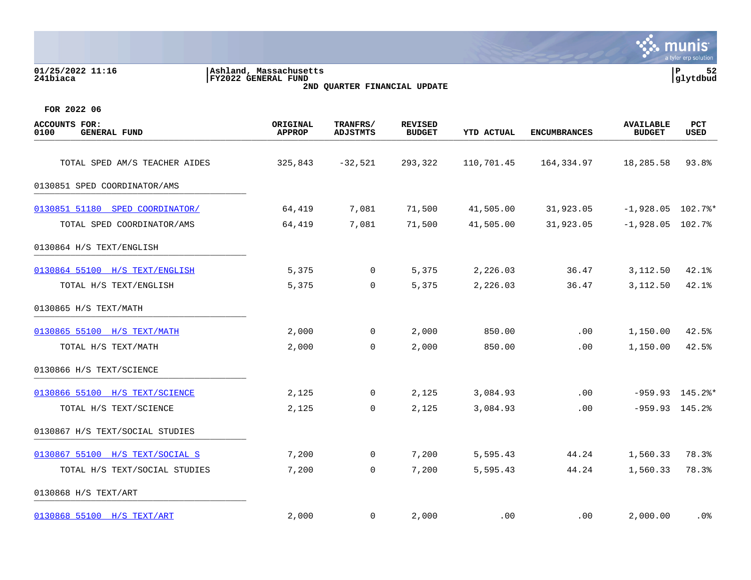|                                                     |                                               |                              |                                 |                   |                     |                                   | a tyler erp solution |
|-----------------------------------------------------|-----------------------------------------------|------------------------------|---------------------------------|-------------------|---------------------|-----------------------------------|----------------------|
| 01/25/2022 11:16<br>241biaca                        | Ashland, Massachusetts<br>FY2022 GENERAL FUND | 2ND QUARTER FINANCIAL UPDATE |                                 |                   |                     |                                   | ΙP<br>52<br>glytdbud |
| FOR 2022 06                                         |                                               |                              |                                 |                   |                     |                                   |                      |
| <b>ACCOUNTS FOR:</b><br>0100<br><b>GENERAL FUND</b> | ORIGINAL<br><b>APPROP</b>                     | TRANFRS/<br><b>ADJSTMTS</b>  | <b>REVISED</b><br><b>BUDGET</b> | <b>YTD ACTUAL</b> | <b>ENCUMBRANCES</b> | <b>AVAILABLE</b><br><b>BUDGET</b> | PCT<br>USED          |
| TOTAL SPED AM/S TEACHER AIDES                       | 325,843                                       | $-32,521$                    | 293,322                         | 110,701.45        | 164,334.97          | 18,285.58                         | 93.8%                |
| 0130851 SPED COORDINATOR/AMS                        |                                               |                              |                                 |                   |                     |                                   |                      |
| 0130851 51180 SPED COORDINATOR/                     | 64,419                                        | 7,081                        | 71,500                          | 41,505.00         | 31,923.05           | $-1,928.05$ 102.7%*               |                      |
| TOTAL SPED COORDINATOR/AMS                          | 64,419                                        | 7,081                        | 71,500                          | 41,505.00         | 31,923.05           | $-1,928.05$                       | 102.7%               |
| 0130864 H/S TEXT/ENGLISH                            |                                               |                              |                                 |                   |                     |                                   |                      |
| 0130864 55100 H/S TEXT/ENGLISH                      | 5,375                                         | 0                            | 5,375                           | 2,226.03          | 36.47               | 3,112.50                          | 42.1%                |
| TOTAL H/S TEXT/ENGLISH                              | 5,375                                         | $\mathbf 0$                  | 5,375                           | 2,226.03          | 36.47               | 3,112.50                          | 42.1%                |
| 0130865 H/S TEXT/MATH                               |                                               |                              |                                 |                   |                     |                                   |                      |
| 0130865 55100 H/S TEXT/MATH                         | 2,000                                         | 0                            | 2,000                           | 850.00            | .00                 | 1,150.00                          | 42.5%                |
| TOTAL H/S TEXT/MATH                                 | 2,000                                         | 0                            | 2,000                           | 850.00            | .00                 | 1,150.00                          | 42.5%                |
| 0130866 H/S TEXT/SCIENCE                            |                                               |                              |                                 |                   |                     |                                   |                      |
| 0130866 55100 H/S TEXT/SCIENCE                      | 2,125                                         | 0                            | 2,125                           | 3,084.93          | .00                 |                                   | $-959.93$ 145.2%*    |
| TOTAL H/S TEXT/SCIENCE                              | 2,125                                         | $\mathbf 0$                  | 2,125                           | 3,084.93          | .00                 | $-959.93$ 145.2%                  |                      |
| 0130867 H/S TEXT/SOCIAL STUDIES                     |                                               |                              |                                 |                   |                     |                                   |                      |
| 0130867 55100 H/S TEXT/SOCIAL S                     | 7,200                                         | $\mathbf 0$                  | 7,200                           | 5,595.43          | 44.24               | 1,560.33                          | 78.3%                |
| TOTAL H/S TEXT/SOCIAL STUDIES                       | 7,200                                         | $\mathbf 0$                  | 7,200                           | 5,595.43          | 44.24               | 1,560.33                          | 78.3%                |
| 0130868 H/S TEXT/ART                                |                                               |                              |                                 |                   |                     |                                   |                      |
| 0130868 55100 H/S TEXT/ART                          | 2,000                                         | 0                            | 2,000                           | .00               | .00                 | 2,000.00                          | $.0\%$               |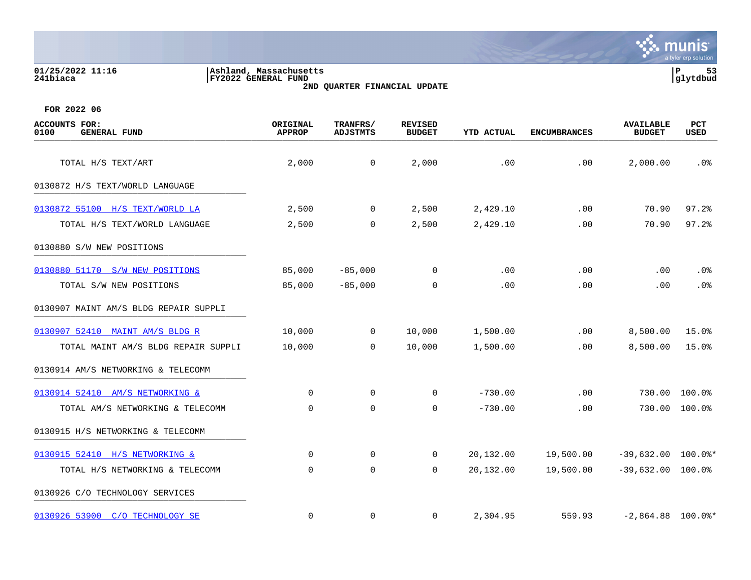| 01/25/2022 11:16<br>241biaca                           | Ashland, Massachusetts<br>FY2022 GENERAL FUND<br>2ND QUARTER FINANCIAL UPDATE |                             |                                 |                   |                     |                                   |             |
|--------------------------------------------------------|-------------------------------------------------------------------------------|-----------------------------|---------------------------------|-------------------|---------------------|-----------------------------------|-------------|
| FOR 2022 06                                            |                                                                               |                             |                                 |                   |                     |                                   |             |
| <b>ACCOUNTS</b><br>FOR:<br>0100<br><b>GENERAL FUND</b> | ORIGINAL<br><b>APPROP</b>                                                     | TRANFRS/<br><b>ADJSTMTS</b> | <b>REVISED</b><br><b>BUDGET</b> | <b>YTD ACTUAL</b> | <b>ENCUMBRANCES</b> | <b>AVAILABLE</b><br><b>BUDGET</b> | PCT<br>USED |
| TOTAL H/S TEXT/ART                                     | 2,000                                                                         | $\mathbf 0$                 | 2,000                           | .00               | .00                 | 2,000.00                          | $.0\%$      |
| 0130872 H/S TEXT/WORLD LANGUAGE                        |                                                                               |                             |                                 |                   |                     |                                   |             |
| 0130872 55100 H/S TEXT/WORLD LA                        | 2,500                                                                         | $\mathbf 0$                 | 2,500                           | 2,429.10          | .00                 | 70.90                             | 97.2%       |
| TOTAL H/S TEXT/WORLD LANGUAGE                          | 2,500                                                                         | 0                           | 2,500                           | 2,429.10          | .00                 | 70.90                             | 97.2%       |

| 1011111 11/0 11111, NORTH MARGONOL    | 4,999       |                | 4,900       | 2,12 <i>2</i> .10 | $\cdot$ $\circ$ $\circ$ | , , , , , ,          | <i>-</i>           |
|---------------------------------------|-------------|----------------|-------------|-------------------|-------------------------|----------------------|--------------------|
| 0130880 S/W NEW POSITIONS             |             |                |             |                   |                         |                      |                    |
| 0130880 51170 S/W NEW POSITIONS       | 85,000      | $-85,000$      | 0           | .00               | .00                     | .00                  | .0%                |
| TOTAL S/W NEW POSITIONS               | 85,000      | $-85,000$      | $\mathbf 0$ | .00               | .00                     | .00                  | $.0\%$             |
| 0130907 MAINT AM/S BLDG REPAIR SUPPLI |             |                |             |                   |                         |                      |                    |
| 0130907 52410 MAINT AM/S BLDG R       | 10,000      | $\overline{0}$ | 10,000      | 1,500.00          | .00                     | 8,500.00             | 15.0%              |
| TOTAL MAINT AM/S BLDG REPAIR SUPPLI   | 10,000      | $\overline{0}$ | 10,000      | 1,500.00          | .00                     | 8,500.00             | 15.0%              |
| 0130914 AM/S NETWORKING & TELECOMM    |             |                |             |                   |                         |                      |                    |
| 0130914 52410 AM/S NETWORKING &       | $\mathbf 0$ | $\mathbf 0$    | 0           | $-730.00$         | .00                     | 730.00               | $100.0$ $^{\circ}$ |
| TOTAL AM/S NETWORKING & TELECOMM      | $\mathbf 0$ | $\mathbf 0$    | 0           | $-730.00$         | .00                     | 730.00               | 100.0%             |
| 0130915 H/S NETWORKING & TELECOMM     |             |                |             |                   |                         |                      |                    |
| 0130915 52410 H/S NETWORKING &        | $\mathbf 0$ | 0              | 0           | 20,132.00         | 19,500.00               | $-39,632.00$ 100.0%* |                    |

TOTAL H/S NETWORKING & TELECOMM 0 0 0 20,132.00 19,500.00 -39,632.00 100.0%

 $0130926$  53900 C/O TECHNOLOGY SE 0 0 0 0 2,304.95 559.93 -2,864.88 100.0%\*

0130926 C/O TECHNOLOGY SERVICES \_\_\_\_\_\_\_\_\_\_\_\_\_\_\_\_\_\_\_\_\_\_\_\_\_\_\_\_\_\_\_\_\_\_\_\_\_\_\_\_\_

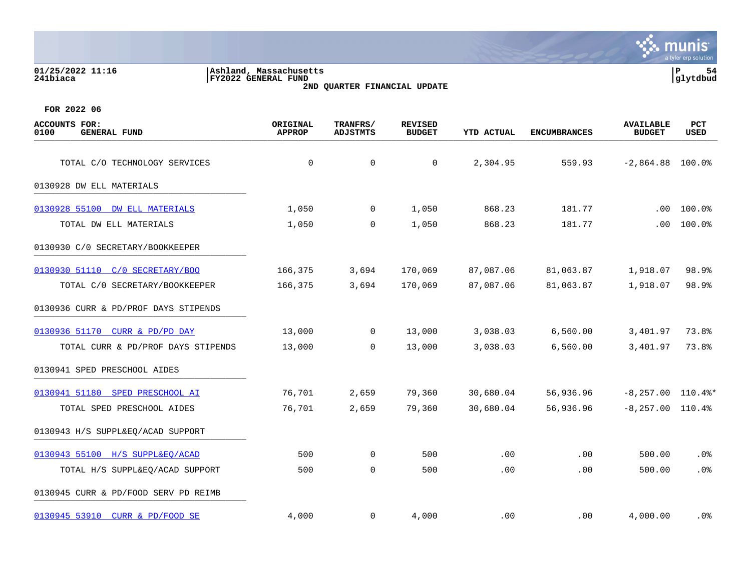| 01/25/2022 11:16<br>241biaca                        | Ashland, Massachusetts<br>FY2022 GENERAL FUND<br>2ND QUARTER FINANCIAL UPDATE |                                    |                                 |            |                     |                                   |             |  |
|-----------------------------------------------------|-------------------------------------------------------------------------------|------------------------------------|---------------------------------|------------|---------------------|-----------------------------------|-------------|--|
| FOR 2022 06                                         |                                                                               |                                    |                                 |            |                     |                                   |             |  |
| <b>ACCOUNTS FOR:</b><br>0100<br><b>GENERAL FUND</b> | ORIGINAL<br><b>APPROP</b>                                                     | <b>TRANFRS/</b><br><b>ADJSTMTS</b> | <b>REVISED</b><br><b>BUDGET</b> | YTD ACTUAL | <b>ENCUMBRANCES</b> | <b>AVAILABLE</b><br><b>BUDGET</b> | PCT<br>USED |  |
| TOTAL C/O TECHNOLOGY SERVICES                       | 0                                                                             | 0                                  | 0                               | 2,304.95   | 559.93              | $-2,864.88$ 100.0%                |             |  |
| 0130928 DW ELL MATERIALS                            |                                                                               |                                    |                                 |            |                     |                                   |             |  |
| 0130928 55100 DW ELL MATERIALS                      | 1,050                                                                         | $\overline{0}$                     | 1,050                           | 868.23     | 181.77              | .00                               | 100.0%      |  |
| TOTAL DW ELL MATERIALS                              | 1,050                                                                         | 0                                  | 1,050                           | 868.23     | 181.77              | .00                               | 100.0%      |  |
| 0130930 C/O SECRETARY/BOOKKEEPER                    |                                                                               |                                    |                                 |            |                     |                                   |             |  |
| 0130930 51110<br>C/0 SECRETARY/BOO                  | 166,375                                                                       | 3,694                              | 170,069                         | 87,087.06  | 81,063.87           | 1,918.07                          | 98.9%       |  |
| TOTAL C/0 SECRETARY/BOOKKEEPER                      | 166,375                                                                       | 3,694                              | 170,069                         | 87,087.06  | 81,063.87           | 1,918.07                          | 98.9%       |  |
| 0130936 CURR & PD/PROF DAYS STIPENDS                |                                                                               |                                    |                                 |            |                     |                                   |             |  |
| 0130936 51170<br>CURR & PD/PD DAY                   | 13,000                                                                        | 0                                  | 13,000                          | 3,038.03   | 6,560.00            | 3,401.97                          | 73.8%       |  |
| TOTAL CURR & PD/PROF DAYS STIPENDS                  | 13,000                                                                        | 0                                  | 13,000                          | 3,038.03   | 6,560.00            | 3,401.97                          | 73.8%       |  |
| 0130941 SPED PRESCHOOL AIDES                        |                                                                               |                                    |                                 |            |                     |                                   |             |  |
| 0130941 51180 SPED PRESCHOOL AI                     | 76,701                                                                        | 2,659                              | 79,360                          | 30,680.04  | 56,936.96           | $-8, 257.00$ 110.4%*              |             |  |
| TOTAL SPED PRESCHOOL AIDES                          | 76,701                                                                        | 2,659                              | 79,360                          | 30,680.04  | 56,936.96           | $-8, 257.00$ 110.4%               |             |  |
| 0130943 H/S SUPPL&EQ/ACAD SUPPORT                   |                                                                               |                                    |                                 |            |                     |                                   |             |  |
| 0130943 55100 H/S SUPPL&EO/ACAD                     | 500                                                                           | $\mathbf 0$                        | 500                             | .00        | .00                 | 500.00                            | .0%         |  |

**∵ munis** 

a tyler erp solution

TOTAL H/S SUPPL&EQ/ACAD SUPPORT 500 0 500 .00 .00 500.00 .0%

0130945 CURR & PD/FOOD SERV PD REIMB

[0130945 53910 CURR & PD/FOOD SE](https://yvwlndash063.tylertech.com/sites/mu0241/LIVE/_layouts/15/DashboardMunisV6.3/PassThru.aspx?-E=MBtP0MhEQINTnTs0AuWGpQjbGIe5RvYy7s/eQV6z1dTzOf8tLYreUlgGCejbcmJl&) 4,000 0 4,000 .00 .00 4,000.00 .0%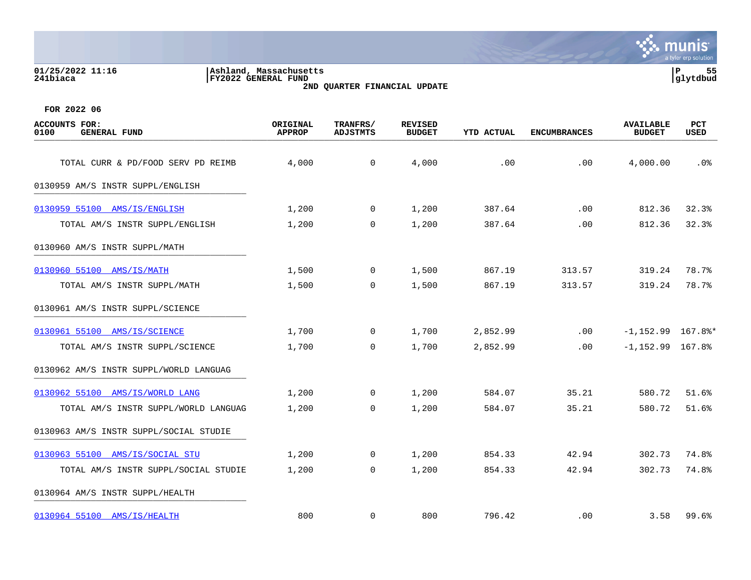### **01/25/2022 11:16 |Ashland, Massachusetts |P 55 241biaca |FY2022 GENERAL FUND |glytdbud 2ND QUARTER FINANCIAL UPDATE**



| <b>ACCOUNTS FOR:</b><br>0100<br><b>GENERAL FUND</b> | ORIGINAL<br><b>APPROP</b> | TRANFRS/<br><b>ADJSTMTS</b> | <b>REVISED</b><br><b>BUDGET</b> | <b>YTD ACTUAL</b> | <b>ENCUMBRANCES</b> | <b>AVAILABLE</b><br><b>BUDGET</b> | <b>PCT</b><br>USED |
|-----------------------------------------------------|---------------------------|-----------------------------|---------------------------------|-------------------|---------------------|-----------------------------------|--------------------|
| TOTAL CURR & PD/FOOD SERV PD REIMB                  | 4,000                     | $\overline{0}$              | 4,000                           | .00               | .00                 | 4,000.00                          | .0%                |
| 0130959 AM/S INSTR SUPPL/ENGLISH                    |                           |                             |                                 |                   |                     |                                   |                    |
|                                                     |                           |                             |                                 |                   |                     |                                   |                    |
| 0130959 55100 AMS/IS/ENGLISH                        | 1,200                     | $\mathbf 0$                 | 1,200                           | 387.64            | .00                 | 812.36                            | 32.3%              |
| TOTAL AM/S INSTR SUPPL/ENGLISH                      | 1,200                     | $\mathbf 0$                 | 1,200                           | 387.64            | .00                 | 812.36                            | 32.3%              |
| 0130960 AM/S INSTR SUPPL/MATH                       |                           |                             |                                 |                   |                     |                                   |                    |
| 0130960 55100 AMS/IS/MATH                           | 1,500                     | $\mathbf 0$                 | 1,500                           | 867.19            | 313.57              | 319.24                            | 78.7%              |
| TOTAL AM/S INSTR SUPPL/MATH                         | 1,500                     | $\Omega$                    | 1,500                           | 867.19            | 313.57              | 319.24                            | 78.7%              |
| 0130961 AM/S INSTR SUPPL/SCIENCE                    |                           |                             |                                 |                   |                     |                                   |                    |
| 0130961 55100 AMS/IS/SCIENCE                        | 1,700                     | $\mathsf{O}$                | 1,700                           | 2,852.99          | .00                 | $-1, 152.99$ 167.8%*              |                    |
| TOTAL AM/S INSTR SUPPL/SCIENCE                      | 1,700                     | $\Omega$                    | 1,700                           | 2,852.99          | $.00 \,$            | $-1,152.99$ 167.8%                |                    |
| 0130962 AM/S INSTR SUPPL/WORLD LANGUAG              |                           |                             |                                 |                   |                     |                                   |                    |
| 0130962 55100 AMS/IS/WORLD LANG                     | 1,200                     | $\mathbf 0$                 | 1,200                           | 584.07            | 35.21               | 580.72                            | 51.6%              |
| TOTAL AM/S INSTR SUPPL/WORLD LANGUAG                | 1,200                     | $\mathbf 0$                 | 1,200                           | 584.07            | 35.21               | 580.72                            | 51.6%              |
| 0130963 AM/S INSTR SUPPL/SOCIAL STUDIE              |                           |                             |                                 |                   |                     |                                   |                    |
| 0130963 55100 AMS/IS/SOCIAL STU                     | 1,200                     | 0                           | 1,200                           | 854.33            | 42.94               | 302.73                            | 74.8%              |
| TOTAL AM/S INSTR SUPPL/SOCIAL STUDIE                | 1,200                     | $\Omega$                    | 1,200                           | 854.33            | 42.94               | 302.73                            | 74.8%              |
| 0130964 AM/S INSTR SUPPL/HEALTH                     |                           |                             |                                 |                   |                     |                                   |                    |
| 0130964 55100 AMS/IS/HEALTH                         | 800                       | $\mathbf 0$                 | 800                             | 796.42            | $.00 \,$            | 3.58                              | 99.6%              |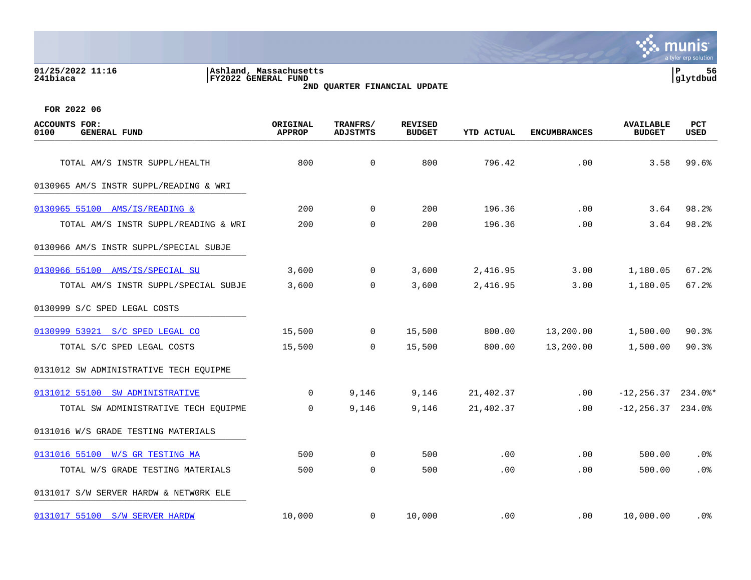# **01/25/2022 11:16 |Ashland, Massachusetts |P 56 241biaca |FY2022 GENERAL FUND |glytdbud 2ND QUARTER FINANCIAL UPDATE**



| <b>ACCOUNTS FOR:</b><br>0100<br><b>GENERAL FUND</b> | ORIGINAL<br><b>APPROP</b> | TRANFRS/<br><b>ADJSTMTS</b> | <b>REVISED</b><br><b>BUDGET</b> | <b>YTD ACTUAL</b> | <b>ENCUMBRANCES</b> | <b>AVAILABLE</b><br><b>BUDGET</b> | <b>PCT</b><br><b>USED</b> |
|-----------------------------------------------------|---------------------------|-----------------------------|---------------------------------|-------------------|---------------------|-----------------------------------|---------------------------|
| TOTAL AM/S INSTR SUPPL/HEALTH                       | 800                       | $\mathbf 0$                 | 800                             | 796.42            | .00                 | 3.58                              | 99.6%                     |
| 0130965 AM/S INSTR SUPPL/READING & WRI              |                           |                             |                                 |                   |                     |                                   |                           |
| 0130965 55100 AMS/IS/READING &                      | 200                       | $\Omega$                    | 200                             | 196.36            | .00                 | 3.64                              | 98.2%                     |
| TOTAL AM/S INSTR SUPPL/READING & WRI                | 200                       | $\mathbf 0$                 | 200                             | 196.36            | .00                 | 3.64                              | 98.2%                     |
| 0130966 AM/S INSTR SUPPL/SPECIAL SUBJE              |                           |                             |                                 |                   |                     |                                   |                           |
| 0130966 55100 AMS/IS/SPECIAL SU                     | 3,600                     | $\overline{0}$              | 3,600                           | 2,416.95          | 3.00                | 1,180.05                          | 67.2%                     |
| TOTAL AM/S INSTR SUPPL/SPECIAL SUBJE                | 3,600                     | $\Omega$                    | 3,600                           | 2,416.95          | 3.00                | 1,180.05                          | 67.2%                     |
| 0130999 S/C SPED LEGAL COSTS                        |                           |                             |                                 |                   |                     |                                   |                           |
| 0130999 53921 S/C SPED LEGAL CO                     | 15,500                    | $\overline{0}$              | 15,500                          | 800.00            | 13,200.00           | 1,500.00                          | 90.3%                     |
| TOTAL S/C SPED LEGAL COSTS                          | 15,500                    | $\Omega$                    | 15,500                          | 800.00            | 13,200.00           | 1,500.00                          | 90.3%                     |
| 0131012 SW ADMINISTRATIVE TECH EQUIPME              |                           |                             |                                 |                   |                     |                                   |                           |
| 0131012 55100 SW ADMINISTRATIVE                     | $\Omega$                  | 9,146                       | 9,146                           | 21,402.37         | .00                 | $-12, 256.37$ 234.0%*             |                           |
| TOTAL SW ADMINISTRATIVE TECH EQUIPME                | $\Omega$                  | 9,146                       | 9,146                           | 21,402.37         | .00                 | $-12, 256.37$ 234.0%              |                           |
| 0131016 W/S GRADE TESTING MATERIALS                 |                           |                             |                                 |                   |                     |                                   |                           |
| 0131016 55100 W/S GR TESTING MA                     | 500                       | 0                           | 500                             | .00               | .00                 | 500.00                            | $.0\%$                    |
| TOTAL W/S GRADE TESTING MATERIALS                   | 500                       | $\mathbf 0$                 | 500                             | .00               | .00                 | 500.00                            | .0%                       |
| 0131017 S/W SERVER HARDW & NETWORK ELE              |                           |                             |                                 |                   |                     |                                   |                           |
| 0131017 55100 S/W SERVER HARDW                      | 10,000                    | $\mathbf{0}$                | 10,000                          | .00               | $.00 \,$            | 10,000.00                         | .0%                       |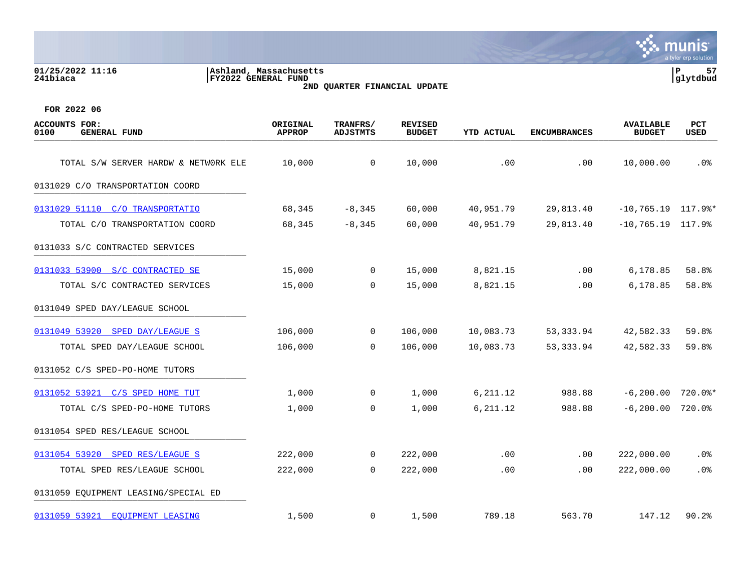| 01/25/2022 11:16<br>241biaca                        | Ashland, Massachusetts<br><b>FY2022 GENERAL FUND</b> | 2ND QUARTER FINANCIAL UPDATE |                                 |                   |                     |                                   | P<br>57<br>glytdbud |
|-----------------------------------------------------|------------------------------------------------------|------------------------------|---------------------------------|-------------------|---------------------|-----------------------------------|---------------------|
| FOR 2022 06                                         |                                                      |                              |                                 |                   |                     |                                   |                     |
| <b>ACCOUNTS FOR:</b><br>0100<br><b>GENERAL FUND</b> | ORIGINAL<br><b>APPROP</b>                            | TRANFRS/<br><b>ADJSTMTS</b>  | <b>REVISED</b><br><b>BUDGET</b> | <b>YTD ACTUAL</b> | <b>ENCUMBRANCES</b> | <b>AVAILABLE</b><br><b>BUDGET</b> | PCT<br>USED         |
| TOTAL S/W SERVER HARDW & NETWORK ELE                | 10,000                                               | 0                            | 10,000                          | .00               | .00                 | 10,000.00                         | .0 <sup>°</sup>     |
| 0131029 C/O TRANSPORTATION COORD                    |                                                      |                              |                                 |                   |                     |                                   |                     |
| 0131029 51110 C/O TRANSPORTATIO                     | 68,345                                               | $-8,345$                     | 60,000                          | 40,951.79         | 29,813.40           | $-10,765.19$ 117.9%*              |                     |
| TOTAL C/O TRANSPORTATION COORD                      | 68,345                                               | $-8,345$                     | 60,000                          | 40,951.79         | 29,813.40           | $-10,765.19$                      | 117.9%              |
| 0131033 S/C CONTRACTED SERVICES                     |                                                      |                              |                                 |                   |                     |                                   |                     |
| 0131033 53900 S/C CONTRACTED SE                     | 15,000                                               | 0                            | 15,000                          | 8,821.15          | .00                 | 6,178.85                          | 58.8%               |
| TOTAL S/C CONTRACTED SERVICES                       | 15,000                                               | 0                            | 15,000                          | 8,821.15          | .00                 | 6,178.85                          | 58.8%               |
| 0131049 SPED DAY/LEAGUE SCHOOL                      |                                                      |                              |                                 |                   |                     |                                   |                     |
| 0131049 53920 SPED DAY/LEAGUE S                     | 106,000                                              | 0                            | 106,000                         | 10,083.73         | 53, 333.94          | 42,582.33                         | 59.8%               |
| TOTAL SPED DAY/LEAGUE SCHOOL                        | 106,000                                              | 0                            | 106,000                         | 10,083.73         | 53,333.94           | 42,582.33                         | 59.8%               |
| 0131052 C/S SPED-PO-HOME TUTORS                     |                                                      |                              |                                 |                   |                     |                                   |                     |
| 0131052 53921<br>C/S SPED HOME TUT                  | 1,000                                                | 0                            | 1,000                           | 6,211.12          | 988.88              | $-6, 200.00$                      | $720.0$ *           |
| TOTAL C/S SPED-PO-HOME TUTORS                       | 1,000                                                | 0                            | 1,000                           | 6,211.12          | 988.88              | $-6, 200.00$                      | 720.0%              |
| 0131054 SPED RES/LEAGUE SCHOOL                      |                                                      |                              |                                 |                   |                     |                                   |                     |
| 0131054 53920<br>SPED RES/LEAGUE S                  | 222,000                                              | 0                            | 222,000                         | .00               | .00                 | 222,000.00                        | .0%                 |
| TOTAL SPED RES/LEAGUE SCHOOL                        | 222,000                                              | $\mathbf 0$                  | 222,000                         | .00               | .00                 | 222,000.00                        | .0%                 |
| 0131059 EQUIPMENT LEASING/SPECIAL ED                |                                                      |                              |                                 |                   |                     |                                   |                     |
| 0131059 53921<br>EQUIPMENT LEASING                  | 1,500                                                | 0                            | 1,500                           | 789.18            | 563.70              | 147.12                            | 90.2                |

munis a tyler erp solution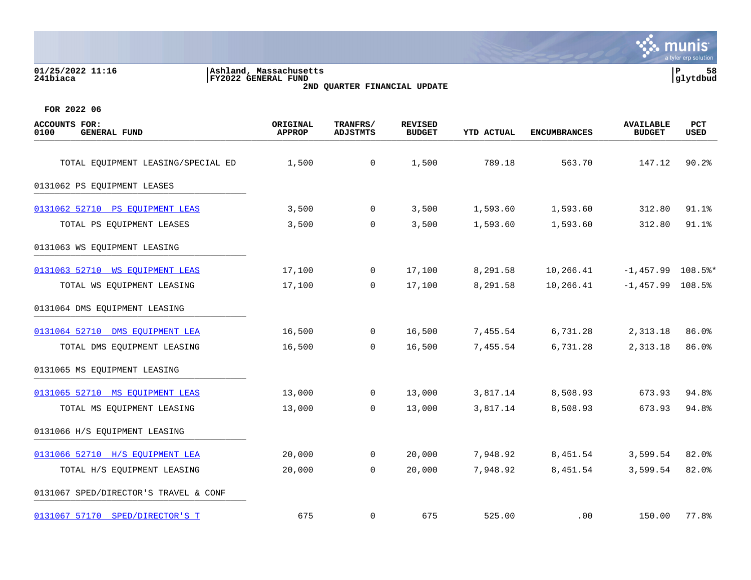| 01/25/2022 11:16<br>241biaca                                | Ashland, Massachusetts<br> FY2022 GENERAL FUND |                      | 2ND QUARTER FINANCIAL UPDATE |                   |                     | P                                 | 58<br> glytdbud    |
|-------------------------------------------------------------|------------------------------------------------|----------------------|------------------------------|-------------------|---------------------|-----------------------------------|--------------------|
| FOR 2022 06<br>ACCOUNTS FOR:<br>0100<br><b>GENERAL FUND</b> | ORIGINAL<br><b>APPROP</b>                      | TRANFRS/<br>ADJSTMTS | REVISED<br><b>BUDGET</b>     | <b>YTD ACTUAL</b> | <b>ENCUMBRANCES</b> | <b>AVAILABLE</b><br><b>BUDGET</b> | PCT<br><b>USED</b> |
| TOTAL EQUIPMENT LEASING/SPECIAL ED                          | 1,500                                          | 0                    | 1,500                        | 789.18            | 563.70              | 147.12                            | 90.2%              |
| 0131062 PS EQUIPMENT LEASES                                 |                                                |                      |                              |                   |                     |                                   |                    |

| 0131062 PS EQUIPMENT LEASES           |        |                |        |          |                   |                     |       |
|---------------------------------------|--------|----------------|--------|----------|-------------------|---------------------|-------|
| 0131062 52710 PS EQUIPMENT LEAS       | 3,500  | $\overline{0}$ | 3,500  |          | 1,593.60 1,593.60 | 312.80              | 91.1% |
| TOTAL PS EQUIPMENT LEASES             | 3,500  | 0              | 3,500  | 1,593.60 | 1,593.60          | 312.80              | 91.1% |
| 0131063 WS EOUIPMENT LEASING          |        |                |        |          |                   |                     |       |
| 0131063 52710 WS EOUIPMENT LEAS       | 17,100 | $\overline{0}$ | 17,100 | 8,291.58 | 10,266.41         | $-1,457.99$ 108.5%* |       |
| TOTAL WS EQUIPMENT LEASING            | 17,100 | $\mathsf{O}$   | 17,100 | 8,291.58 | 10,266.41         | $-1,457.99$ 108.5%  |       |
| 0131064 DMS EQUIPMENT LEASING         |        |                |        |          |                   |                     |       |
| 0131064 52710 DMS EOUIPMENT LEA       | 16,500 | $\overline{0}$ | 16,500 |          | 7,455.54 6,731.28 | 2,313.18            | 86.0% |
| TOTAL DMS EQUIPMENT LEASING           | 16,500 | $\overline{0}$ | 16,500 | 7,455.54 | 6,731.28          | 2,313.18            | 86.0% |
| 0131065 MS EQUIPMENT LEASING          |        |                |        |          |                   |                     |       |
| 0131065 52710 MS EQUIPMENT LEAS       | 13,000 | $\overline{0}$ | 13,000 |          | 3,817.14 8,508.93 | 673.93              | 94.8% |
| TOTAL MS EQUIPMENT LEASING            | 13,000 | $\overline{0}$ | 13,000 | 3,817.14 | 8,508.93          | 673.93              | 94.8% |
| 0131066 H/S EQUIPMENT LEASING         |        |                |        |          |                   |                     |       |
| 0131066 52710 H/S EOUIPMENT LEA       | 20,000 | $\mathsf{O}$   | 20,000 |          | 7,948.92 8,451.54 | 3,599.54            | 82.0% |
| TOTAL H/S EQUIPMENT LEASING           | 20,000 | 0              | 20,000 | 7,948.92 | 8,451.54          | 3,599.54            | 82.0% |
| 0131067 SPED/DIRECTOR'S TRAVEL & CONF |        |                |        |          |                   |                     |       |

[0131067 57170 SPED/DIRECTOR'S T](https://yvwlndash063.tylertech.com/sites/mu0241/LIVE/_layouts/15/DashboardMunisV6.3/PassThru.aspx?-E=1GibMPnB7RaczsqkXgzqI/VsgJ1ABysxjBa30qlMsNgUNEJT%2BV8Y7ccSxArPKc32&) 675 0 675 525.00 .00 150.00 77.8%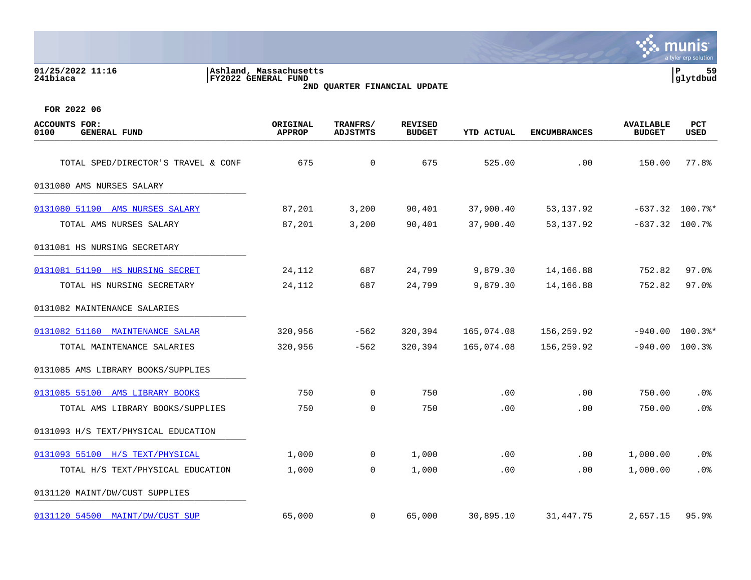| 01/25/2022 11:16<br>241biaca                        | Ashland, Massachusetts<br>FY2022 GENERAL FUND | 2ND QUARTER FINANCIAL UPDATE |                                 |            |                     |                                   | lР<br>59<br>glytdbud |
|-----------------------------------------------------|-----------------------------------------------|------------------------------|---------------------------------|------------|---------------------|-----------------------------------|----------------------|
| FOR 2022 06                                         |                                               |                              |                                 |            |                     |                                   |                      |
| <b>ACCOUNTS FOR:</b><br><b>GENERAL FUND</b><br>0100 | ORIGINAL<br><b>APPROP</b>                     | TRANFRS/<br><b>ADJSTMTS</b>  | <b>REVISED</b><br><b>BUDGET</b> | YTD ACTUAL | <b>ENCUMBRANCES</b> | <b>AVAILABLE</b><br><b>BUDGET</b> | <b>PCT</b><br>USED   |
| TOTAL SPED/DIRECTOR'S TRAVEL & CONF                 | 675                                           | 0                            | 675                             | 525.00     | .00                 | 150.00                            | 77.8%                |
| 0131080 AMS NURSES SALARY                           |                                               |                              |                                 |            |                     |                                   |                      |
| 0131080 51190 AMS NURSES SALARY                     | 87,201                                        | 3,200                        | 90,401                          | 37,900.40  | 53,137.92           |                                   | $-637.32$ 100.7%*    |
| TOTAL AMS NURSES SALARY                             | 87,201                                        | 3,200                        | 90,401                          | 37,900.40  | 53,137.92           |                                   | $-637.32$ 100.7%     |
| 0131081 HS NURSING SECRETARY                        |                                               |                              |                                 |            |                     |                                   |                      |
| 0131081 51190 HS NURSING SECRET                     | 24,112                                        | 687                          | 24,799                          | 9,879.30   | 14,166.88           | 752.82                            | $97.0$ $%$           |
| TOTAL HS NURSING SECRETARY                          | 24,112                                        | 687                          | 24,799                          | 9,879.30   | 14,166.88           | 752.82                            | $97.0$ °             |
| 0131082 MAINTENANCE SALARIES                        |                                               |                              |                                 |            |                     |                                   |                      |
| 0131082 51160 MAINTENANCE SALAR                     | 320,956                                       | $-562$                       | 320,394                         | 165,074.08 | 156,259.92          | $-940.00$                         | $100.3$ $*$          |
| TOTAL MAINTENANCE SALARIES                          | 320,956                                       | $-562$                       | 320,394                         | 165,074.08 | 156,259.92          |                                   | $-940.00$ 100.3%     |
| 0131085 AMS LIBRARY BOOKS/SUPPLIES                  |                                               |                              |                                 |            |                     |                                   |                      |
| 0131085 55100 AMS LIBRARY BOOKS                     | 750                                           | 0                            | 750                             | .00        | .00                 | 750.00                            | .0 <sub>8</sub>      |
| TOTAL AMS LIBRARY BOOKS/SUPPLIES                    | 750                                           | 0                            | 750                             | .00        | .00                 | 750.00                            | .0%                  |
| 0131093 H/S TEXT/PHYSICAL EDUCATION                 |                                               |                              |                                 |            |                     |                                   |                      |
| 0131093 55100 H/S TEXT/PHYSICAL                     | 1,000                                         | 0                            | 1,000                           | .00        | .00                 | 1,000.00                          | .0%                  |
| TOTAL H/S TEXT/PHYSICAL EDUCATION                   | 1,000                                         | 0                            | 1,000                           | .00        | .00                 | 1,000.00                          | .0 <sub>8</sub>      |
| 0131120 MAINT/DW/CUST SUPPLIES                      |                                               |                              |                                 |            |                     |                                   |                      |
| 0131120 54500 MAINT/DW/CUST SUP                     | 65,000                                        | 0                            | 65,000                          | 30,895.10  | 31,447.75           | 2,657.15                          | 95.9%                |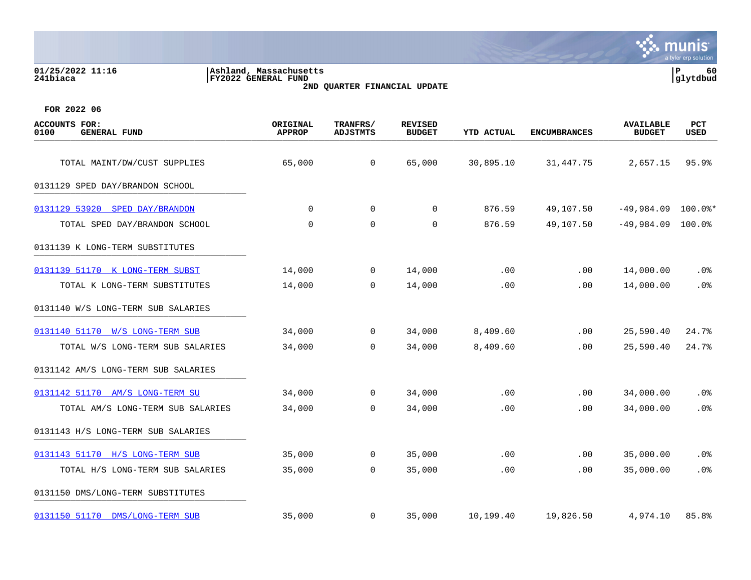# **01/25/2022 11:16 |Ashland, Massachusetts |P 60 241biaca |FY2022 GENERAL FUND |glytdbud 2ND QUARTER FINANCIAL UPDATE**



| <b>ACCOUNTS FOR:</b><br>0100<br><b>GENERAL FUND</b> | ORIGINAL<br><b>APPROP</b> | TRANFRS/<br><b>ADJSTMTS</b> | <b>REVISED</b><br><b>BUDGET</b> | <b>YTD ACTUAL</b> | <b>ENCUMBRANCES</b> | <b>AVAILABLE</b><br><b>BUDGET</b> | <b>PCT</b><br><b>USED</b> |
|-----------------------------------------------------|---------------------------|-----------------------------|---------------------------------|-------------------|---------------------|-----------------------------------|---------------------------|
| TOTAL MAINT/DW/CUST SUPPLIES                        | 65,000                    | $\mathbf 0$                 | 65,000                          | 30,895.10         | 31,447.75           | 2,657.15                          | 95.9%                     |
| 0131129 SPED DAY/BRANDON SCHOOL                     |                           |                             |                                 |                   |                     |                                   |                           |
| 0131129 53920 SPED DAY/BRANDON                      | $\Omega$                  | $\mathbf 0$                 | 0                               | 876.59            | 49,107.50           | $-49,984.09$ 100.0%*              |                           |
| TOTAL SPED DAY/BRANDON SCHOOL                       | 0                         | 0                           | 0                               | 876.59            | 49,107.50           | $-49,984.09$                      | 100.0%                    |
| 0131139 K LONG-TERM SUBSTITUTES                     |                           |                             |                                 |                   |                     |                                   |                           |
| 0131139 51170 K LONG-TERM SUBST                     | 14,000                    | 0                           | 14,000                          | .00               | .00                 | 14,000.00                         | .0%                       |
| TOTAL K LONG-TERM SUBSTITUTES                       | 14,000                    | 0                           | 14,000                          | .00               | .00                 | 14,000.00                         | .0%                       |
| 0131140 W/S LONG-TERM SUB SALARIES                  |                           |                             |                                 |                   |                     |                                   |                           |
| 0131140 51170 W/S LONG-TERM SUB                     | 34,000                    | 0                           | 34,000                          | 8,409.60          | .00                 | 25,590.40                         | 24.7%                     |
| TOTAL W/S LONG-TERM SUB SALARIES                    | 34,000                    | $\Omega$                    | 34,000                          | 8,409.60          | .00                 | 25,590.40                         | 24.7%                     |
| 0131142 AM/S LONG-TERM SUB SALARIES                 |                           |                             |                                 |                   |                     |                                   |                           |
| 0131142 51170 AM/S LONG-TERM SU                     | 34,000                    | $\mathbf 0$                 | 34,000                          | .00               | .00                 | 34,000.00                         | .0%                       |
| TOTAL AM/S LONG-TERM SUB SALARIES                   | 34,000                    | 0                           | 34,000                          | .00               | .00                 | 34,000.00                         | .0%                       |
| 0131143 H/S LONG-TERM SUB SALARIES                  |                           |                             |                                 |                   |                     |                                   |                           |
| 0131143 51170 H/S LONG-TERM SUB                     | 35,000                    | $\mathbf 0$                 | 35,000                          | .00               | .00                 | 35,000.00                         | .0%                       |
| TOTAL H/S LONG-TERM SUB SALARIES                    | 35,000                    | 0                           | 35,000                          | .00               | .00                 | 35,000.00                         | .0%                       |
| 0131150 DMS/LONG-TERM SUBSTITUTES                   |                           |                             |                                 |                   |                     |                                   |                           |
| 0131150 51170 DMS/LONG-TERM SUB                     | 35,000                    | 0                           | 35,000                          | 10,199.40         | 19,826.50           | 4,974.10                          | 85.8%                     |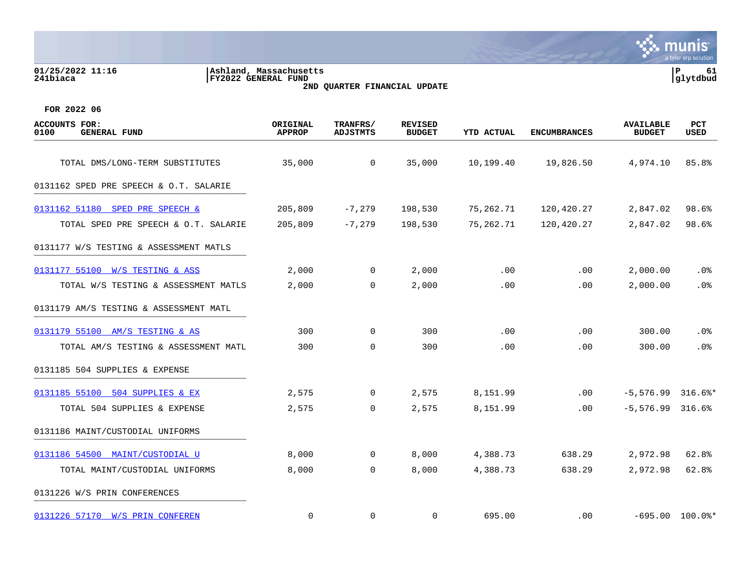| 01/25/2022 11:16<br>241biaca                 | Ashland, Massachusetts<br>FY2022 GENERAL FUND | 2ND QUARTER FINANCIAL UPDATE |                          |                   |              |                                   | 61<br>≀ P<br> glytdbud |
|----------------------------------------------|-----------------------------------------------|------------------------------|--------------------------|-------------------|--------------|-----------------------------------|------------------------|
| FOR 2022 06                                  |                                               |                              |                          |                   |              |                                   |                        |
| ACCOUNTS FOR:<br>0100<br><b>GENERAL FUND</b> | ORIGINAL<br>APPROP                            | TRANFRS/<br>ADJSTMTS         | REVISED<br><b>BUDGET</b> | <b>YTD ACTUAL</b> | ENCUMBRANCES | <b>AVAILABLE</b><br><b>BUDGET</b> | PCT<br>USED            |
|                                              |                                               |                              |                          |                   |              |                                   |                        |
| TOTAL DMS/LONG-TERM SUBSTITUTES              | 35,000                                        |                              | 35,000                   | 10,199.40         | 19,826.50    | 4,974.10                          | 85.8%                  |

# 0131162 SPED PRE SPEECH & O.T. SALARIE

| 0131162 51180 SPED PRE SPEECH &        | 205,809 | -7,279   | 198,530 | 75.262.71 | 120.420.27           | 2,847.02 98.6% |  |
|----------------------------------------|---------|----------|---------|-----------|----------------------|----------------|--|
| TOTAL SPED PRE SPEECH & O.T. SALARIE   | 205,809 | $-7,279$ | 198,530 |           | 75,262.71 120,420.27 | 2,847.02 98.6% |  |
| 0131177 W/S TESTING & ASSESSMENT MATLS |         |          |         |           |                      |                |  |

| 0131177 55100 W/S TESTING & ASS        | 2,000 | 0              | 2,000 | .00      | .00 | 2,000.00           | $.0\%$               |
|----------------------------------------|-------|----------------|-------|----------|-----|--------------------|----------------------|
| TOTAL W/S TESTING & ASSESSMENT MATLS   | 2,000 | $\mathbf 0$    | 2,000 | .00      | .00 | 2,000.00           | .0%                  |
| 0131179 AM/S TESTING & ASSESSMENT MATL |       |                |       |          |     |                    |                      |
| 0131179 55100 AM/S TESTING & AS        | 300   | 0              | 300   | .00      | .00 | 300.00             | .0%                  |
| TOTAL AM/S TESTING & ASSESSMENT MATL   | 300   | $\Omega$       | 300   | .00      | .00 | 300.00             | .0%                  |
| 0131185 504 SUPPLIES & EXPENSE         |       |                |       |          |     |                    |                      |
| 0131185 55100 504 SUPPLIES & EX        | 2,575 | $\overline{0}$ | 2,575 | 8,151.99 | .00 | -5,576.99          | $316.6$ <sup>*</sup> |
| TOTAL 504 SUPPLIES & EXPENSE           | 2,575 | 0              | 2,575 | 8,151.99 | .00 | $-5.576.99$ 316.6% |                      |

# 0131186 MAINT/CUSTODIAL UNIFORMS

| 0131186 54500 MAINT/CUSTODIAL U | 8,000    | 0        | 8,000 | 4,388.73 | 638.29 | 2,972.98  | 62.8%       |
|---------------------------------|----------|----------|-------|----------|--------|-----------|-------------|
| TOTAL MAINT/CUSTODIAL UNIFORMS  | 8,000    |          | 8,000 | 4,388.73 | 638.29 | 2,972.98  | 62.8%       |
| 0131226 W/S PRIN CONFERENCES    |          |          |       |          |        |           |             |
| 0131226 57170 W/S PRIN CONFEREN | $\Omega$ | $\Omega$ |       | 695.00   | .00    | $-695.00$ | $100.0$ $*$ |



, munis<sup>.</sup>

 $\mathcal{L}(\mathcal{S})$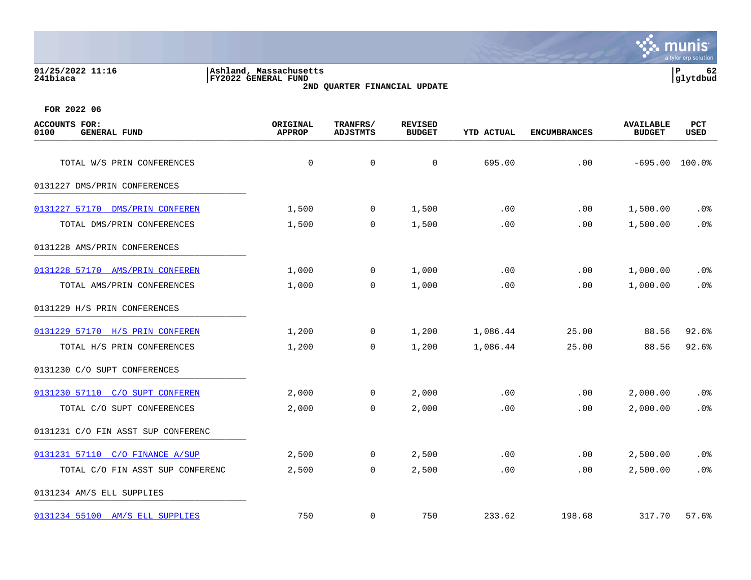| 01/25/2022 11:16<br>241biaca                           | Ashland, Massachusetts<br><b>FY2022 GENERAL FUND</b> | 2ND QUARTER FINANCIAL UPDATE |                                 |            |                     |                                   |                    |  |
|--------------------------------------------------------|------------------------------------------------------|------------------------------|---------------------------------|------------|---------------------|-----------------------------------|--------------------|--|
| FOR 2022 06                                            |                                                      |                              |                                 |            |                     |                                   |                    |  |
| FOR:<br><b>ACCOUNTS</b><br>0100<br><b>GENERAL FUND</b> | ORIGINAL<br><b>APPROP</b>                            | TRANFRS/<br><b>ADJSTMTS</b>  | <b>REVISED</b><br><b>BUDGET</b> | YTD ACTUAL | <b>ENCUMBRANCES</b> | <b>AVAILABLE</b><br><b>BUDGET</b> | PCT<br><b>USED</b> |  |
| TOTAL W/S PRIN CONFERENCES                             | $\mathbf 0$                                          | $\mathbf 0$                  | $\mathbf 0$                     | 695.00     | .00                 | $-695.00$                         | 100.0%             |  |
| 0131227 DMS/PRIN CONFERENCES                           |                                                      |                              |                                 |            |                     |                                   |                    |  |
| 0131227 57170 DMS/PRIN CONFEREN                        | 1,500                                                | $\mathbf 0$                  | 1,500                           | .00        | .00                 | 1,500.00                          | $.0\%$             |  |
| TOTAL DMS/PRIN CONFERENCES                             | 1,500                                                | 0                            | 1,500                           | .00        | .00                 | 1,500.00                          | .0%                |  |
| 0131228 AMS/PRIN CONFERENCES                           |                                                      |                              |                                 |            |                     |                                   |                    |  |

[0131228 57170 AMS/PRIN CONFEREN](https://yvwlndash063.tylertech.com/sites/mu0241/LIVE/_layouts/15/DashboardMunisV6.3/PassThru.aspx?-E=7e30ap0RT%2BJboTuxCV%2BFJfSqvTPr%2BXP3/Wl4TpEkRdiABEyhhsO3RrIhPirtpMeT&) 1,000 0 1,000 .00 .00 1,000.00 .0%

[0131229 57170 H/S PRIN CONFEREN](https://yvwlndash063.tylertech.com/sites/mu0241/LIVE/_layouts/15/DashboardMunisV6.3/PassThru.aspx?-E=0vf88/ywDXLj3q4D%2BGsYMOo88mX2Q7wSqydUaQGyTh/Jv73YbDibabHkBa6dd6mJ&) 1,200 0 1,200 1,086.44 25.00 88.56 92.6%

[0131230 57110 C/O SUPT CONFEREN](https://yvwlndash063.tylertech.com/sites/mu0241/LIVE/_layouts/15/DashboardMunisV6.3/PassThru.aspx?-E=KyY8NXDGzvf49TJ28Rez2aVggS/iw1RgGkFjMAxdmE/JG2Qeas8eNKpIZiiNLrPe&) 2,000 0 2,000 .00 .00 2,000.00 .0%

[0131231 57110 C/O FINANCE A/SUP](https://yvwlndash063.tylertech.com/sites/mu0241/LIVE/_layouts/15/DashboardMunisV6.3/PassThru.aspx?-E=iYylURXoZpqZJrFq016hN1ESGNpJFNelU3inKXquwkHJHYLQWbzuwXddP83PFuVB&) 2,500 0 2,500 .00 .00 2,500.00 .0%

[0131234 55100 AM/S ELL SUPPLIES](https://yvwlndash063.tylertech.com/sites/mu0241/LIVE/_layouts/15/DashboardMunisV6.3/PassThru.aspx?-E=uOzG8cYVt1jvUYz9GAHdPUky8i0PKFKH/39GIExQBZmVhUFl0K5NYicpdtfDI1de&) 750 0 750 233.62 198.68 317.70 57.6%

0131229 H/S PRIN CONFERENCES \_\_\_\_\_\_\_\_\_\_\_\_\_\_\_\_\_\_\_\_\_\_\_\_\_\_\_\_\_\_\_\_\_\_\_\_\_\_\_\_\_

0131230 C/O SUPT CONFERENCES \_\_\_\_\_\_\_\_\_\_\_\_\_\_\_\_\_\_\_\_\_\_\_\_\_\_\_\_\_\_\_\_\_\_\_\_\_\_\_\_\_

0131231 C/O FIN ASST SUP CONFERENC \_\_\_\_\_\_\_\_\_\_\_\_\_\_\_\_\_\_\_\_\_\_\_\_\_\_\_\_\_\_\_\_\_\_\_\_\_\_\_\_\_

0131234 AM/S ELL SUPPLIES

TOTAL AMS/PRIN CONFERENCES 1,000 0 1,000 .00 .00 1,000.00 .0%

TOTAL H/S PRIN CONFERENCES 1,200 0 1,200 1,086.44 25.00 88.56 92.6%

TOTAL C/O SUPT CONFERENCES 2,000 0 2,000 .00 .00 2,000.00 .0%

TOTAL C/O FIN ASST SUP CONFERENC 2,500 0 2,500 .00 .00 2,500.00 .0%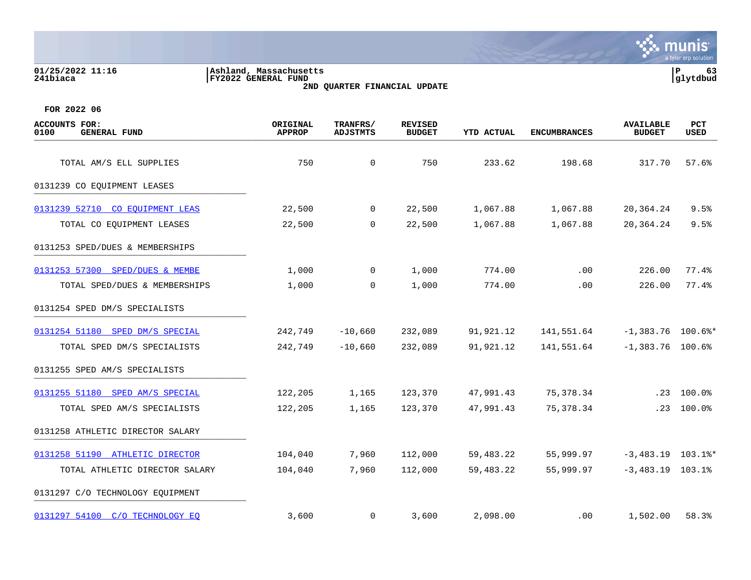## **01/25/2022 11:16 |Ashland, Massachusetts |P 63 241biaca |FY2022 GENERAL FUND |glytdbud 2ND QUARTER FINANCIAL UPDATE**



| <b>ACCOUNTS FOR:</b><br>0100<br><b>GENERAL FUND</b> | ORIGINAL<br><b>APPROP</b> | TRANFRS/<br><b>ADJSTMTS</b> | <b>REVISED</b><br><b>BUDGET</b> | <b>YTD ACTUAL</b> | <b>ENCUMBRANCES</b> | <b>AVAILABLE</b><br><b>BUDGET</b> | <b>PCT</b><br><b>USED</b> |
|-----------------------------------------------------|---------------------------|-----------------------------|---------------------------------|-------------------|---------------------|-----------------------------------|---------------------------|
| TOTAL AM/S ELL SUPPLIES                             | 750                       | $\mathbf 0$                 | 750                             | 233.62            | 198.68              | 317.70                            | 57.6%                     |
| 0131239 CO EQUIPMENT LEASES                         |                           |                             |                                 |                   |                     |                                   |                           |
|                                                     |                           |                             |                                 |                   |                     |                                   |                           |
| 0131239 52710 CO EOUIPMENT LEAS                     | 22,500                    | $\mathbf 0$                 | 22,500                          | 1,067.88          | 1,067.88            | 20,364.24                         | 9.5%                      |
| TOTAL CO EQUIPMENT LEASES                           | 22,500                    | $\mathbf 0$                 | 22,500                          | 1,067.88          | 1,067.88            | 20,364.24                         | 9.5%                      |
| 0131253 SPED/DUES & MEMBERSHIPS                     |                           |                             |                                 |                   |                     |                                   |                           |
| 0131253 57300 SPED/DUES & MEMBE                     | 1,000                     | $\mathbf 0$                 | 1,000                           | 774.00            | .00                 | 226.00                            | 77.4%                     |
| TOTAL SPED/DUES & MEMBERSHIPS                       | 1,000                     | $\Omega$                    | 1,000                           | 774.00            | .00                 | 226.00                            | 77.4%                     |
| 0131254 SPED DM/S SPECIALISTS                       |                           |                             |                                 |                   |                     |                                   |                           |
| 0131254 51180 SPED DM/S SPECIAL                     | 242,749                   | $-10,660$                   | 232,089                         | 91,921.12         | 141,551.64          | $-1,383.76$ 100.6%*               |                           |
| TOTAL SPED DM/S SPECIALISTS                         | 242,749                   | $-10,660$                   | 232,089                         | 91,921.12         | 141,551.64          | $-1,383.76$ 100.6%                |                           |
| 0131255 SPED AM/S SPECIALISTS                       |                           |                             |                                 |                   |                     |                                   |                           |
| 0131255 51180 SPED AM/S SPECIAL                     | 122,205                   | 1,165                       | 123,370                         | 47,991.43         | 75,378.34           |                                   | $.23$ 100.0%              |
| TOTAL SPED AM/S SPECIALISTS                         | 122,205                   | 1,165                       | 123,370                         | 47,991.43         | 75,378.34           | .23                               | 100.0%                    |
| 0131258 ATHLETIC DIRECTOR SALARY                    |                           |                             |                                 |                   |                     |                                   |                           |
| 0131258 51190 ATHLETIC DIRECTOR                     | 104,040                   | 7,960                       | 112,000                         | 59,483.22         | 55,999.97           | $-3,483.19$ 103.1%*               |                           |
| TOTAL ATHLETIC DIRECTOR SALARY                      | 104,040                   | 7,960                       | 112,000                         | 59,483.22         | 55,999.97           | $-3,483.19$ 103.1%                |                           |
| 0131297 C/O TECHNOLOGY EQUIPMENT                    |                           |                             |                                 |                   |                     |                                   |                           |
| 0131297 54100 C/O TECHNOLOGY EQ                     | 3,600                     | 0                           | 3,600                           | 2,098.00          | $.00 \,$            | 1,502.00                          | 58.3%                     |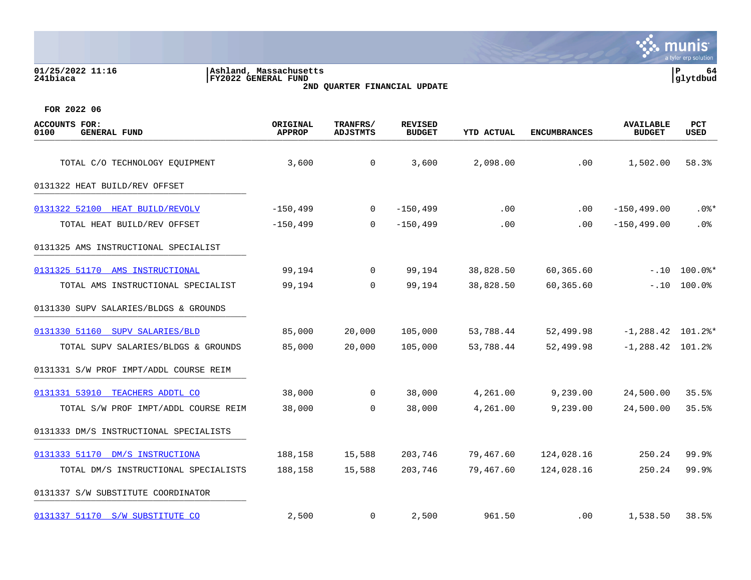| 01/25/2022 11:16<br>241biaca                        | Ashland, Massachusetts<br><b>FY2022 GENERAL FUND</b> | 2ND QUARTER FINANCIAL UPDATE |                                 |                   |                     |                                   |                    |  |
|-----------------------------------------------------|------------------------------------------------------|------------------------------|---------------------------------|-------------------|---------------------|-----------------------------------|--------------------|--|
| FOR 2022 06                                         |                                                      |                              |                                 |                   |                     |                                   |                    |  |
| <b>ACCOUNTS FOR:</b><br><b>GENERAL FUND</b><br>0100 | ORIGINAL<br><b>APPROP</b>                            | TRANFRS/<br><b>ADJSTMTS</b>  | <b>REVISED</b><br><b>BUDGET</b> | <b>YTD ACTUAL</b> | <b>ENCUMBRANCES</b> | <b>AVAILABLE</b><br><b>BUDGET</b> | PCT<br><b>USED</b> |  |
| TOTAL C/O TECHNOLOGY EQUIPMENT                      | 3,600                                                | $\mathbf 0$                  | 3,600                           | 2,098.00          | .00                 | 1,502.00                          | 58.3%              |  |
| 0131322 HEAT BUILD/REV OFFSET                       |                                                      |                              |                                 |                   |                     |                                   |                    |  |
| 0131322 52100<br>HEAT BUILD/REVOLV                  | $-150, 499$                                          | 0                            | $-150, 499$                     | .00               | .00                 | $-150, 499.00$                    | $.0$ %*            |  |
| TOTAL HEAT BUILD/REV OFFSET                         | $-150, 499$                                          | $\mathbf 0$                  | $-150, 499$                     | .00               | .00.                | $-150, 499.00$                    | .0 <sub>8</sub>    |  |
| 0131325 AMS INSTRUCTIONAL SPECIALIST                |                                                      |                              |                                 |                   |                     |                                   |                    |  |
| 0131325 51170 AMS INSTRUCTIONAL                     | 99,194                                               | 0                            | 99,194                          | 38,828.50         | 60,365.60           | $-.10$                            | $100.0$ $*$        |  |
| TOTAL AMS INSTRUCTIONAL SPECIALIST                  | 99,194                                               | $\Omega$                     | 99,194                          | 38,828.50         | 60,365.60           | $-.10$                            | 100.0%             |  |
| 0131330 SUPV SALARIES/BLDGS & GROUNDS               |                                                      |                              |                                 |                   |                     |                                   |                    |  |
| 0131330 51160<br>SUPV SALARIES/BLD                  | 85,000                                               | 20,000                       | 105,000                         | 53,788.44         | 52,499.98           | $-1, 288.42$ 101.2%*              |                    |  |
| TOTAL SUPV SALARIES/BLDGS & GROUNDS                 | 85,000                                               | 20,000                       | 105,000                         | 53,788.44         | 52,499.98           | $-1, 288.42$ 101.2%               |                    |  |
| 0131331 S/W PROF IMPT/ADDL COURSE REIM              |                                                      |                              |                                 |                   |                     |                                   |                    |  |
| 0131331 53910 TEACHERS ADDTL CO                     | 38,000                                               | 0                            | 38,000                          | 4,261.00          | 9,239.00            | 24,500.00                         | 35.5%              |  |
| TOTAL S/W PROF IMPT/ADDL COURSE REIM                | 38,000                                               | $\mathbf 0$                  | 38,000                          | 4,261.00          | 9,239.00            | 24,500.00                         | 35.5%              |  |
| 0131333 DM/S INSTRUCTIONAL SPECIALISTS              |                                                      |                              |                                 |                   |                     |                                   |                    |  |
| 0131333 51170<br>DM/S INSTRUCTIONA                  | 188,158                                              | 15,588                       | 203,746                         | 79,467.60         | 124,028.16          | 250.24                            | 99.9%              |  |
| TOTAL DM/S INSTRUCTIONAL SPECIALISTS                | 188,158                                              | 15,588                       | 203,746                         | 79,467.60         | 124,028.16          | 250.24                            | 99.9%              |  |
| 0131337 S/W SUBSTITUTE COORDINATOR                  |                                                      |                              |                                 |                   |                     |                                   |                    |  |

[0131337 51170 S/W SUBSTITUTE CO](https://yvwlndash063.tylertech.com/sites/mu0241/LIVE/_layouts/15/DashboardMunisV6.3/PassThru.aspx?-E=Jr01cahE9eg5sMECX4qnpRQ/Yhj67sZzCtPD9dYy4gCm5lvsmN1BbEcVZbmj3D5B&) 38.5% 2,500 0 2,500 961.50 0 0 961.50 0 1,538.50 38.5%

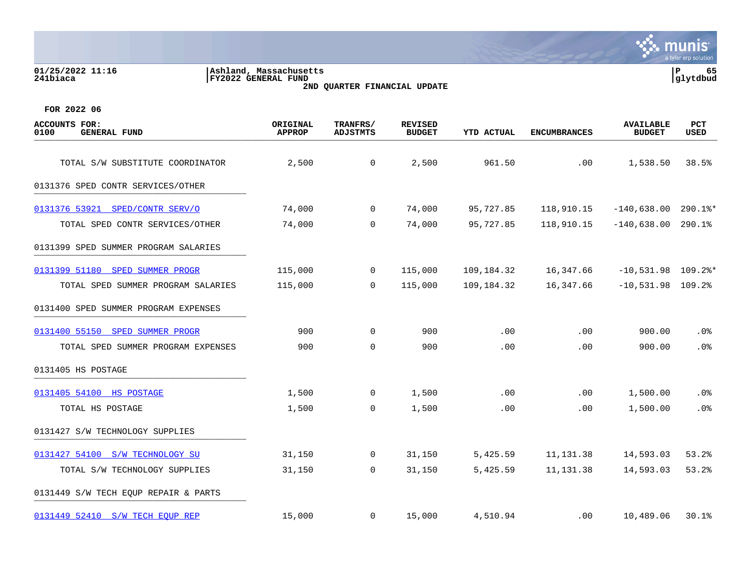# **01/25/2022 11:16 |Ashland, Massachusetts |P 65 241biaca |FY2022 GENERAL FUND |glytdbud 2ND QUARTER FINANCIAL UPDATE**



| <b>ACCOUNTS FOR:</b><br>0100<br><b>GENERAL FUND</b> | ORIGINAL<br><b>APPROP</b> | TRANFRS/<br><b>ADJSTMTS</b> | <b>REVISED</b><br><b>BUDGET</b> | <b>YTD ACTUAL</b> | <b>ENCUMBRANCES</b> | <b>AVAILABLE</b><br><b>BUDGET</b> | <b>PCT</b><br><b>USED</b> |
|-----------------------------------------------------|---------------------------|-----------------------------|---------------------------------|-------------------|---------------------|-----------------------------------|---------------------------|
| TOTAL S/W SUBSTITUTE COORDINATOR                    | 2,500                     | 0                           | 2,500                           | 961.50            | .00                 | 1,538.50                          | 38.5%                     |
|                                                     |                           |                             |                                 |                   |                     |                                   |                           |
| 0131376 SPED CONTR SERVICES/OTHER                   |                           |                             |                                 |                   |                     |                                   |                           |
| 0131376 53921 SPED/CONTR SERV/O                     | 74,000                    | $\overline{0}$              | 74,000                          | 95,727.85         | 118,910.15          | $-140,638.00$ 290.1%*             |                           |
| TOTAL SPED CONTR SERVICES/OTHER                     | 74,000                    | $\mathbf 0$                 | 74,000                          | 95,727.85         | 118,910.15          | $-140,638.00$                     | 290.1%                    |
| 0131399 SPED SUMMER PROGRAM SALARIES                |                           |                             |                                 |                   |                     |                                   |                           |
| 0131399 51180 SPED SUMMER PROGR                     | 115,000                   | $\overline{0}$              | 115,000                         | 109,184.32        | 16,347.66           | $-10,531.98$ 109.2%*              |                           |
| TOTAL SPED SUMMER PROGRAM SALARIES                  | 115,000                   | $\Omega$                    | 115,000                         | 109,184.32        | 16,347.66           | $-10,531.98$ 109.2%               |                           |
| 0131400 SPED SUMMER PROGRAM EXPENSES                |                           |                             |                                 |                   |                     |                                   |                           |
| 0131400 55150 SPED SUMMER PROGR                     | 900                       | 0                           | 900                             | .00               | .00                 | 900.00                            | .0%                       |
| TOTAL SPED SUMMER PROGRAM EXPENSES                  | 900                       | $\Omega$                    | 900                             | .00               | .00                 | 900.00                            | .0%                       |
| 0131405 HS POSTAGE                                  |                           |                             |                                 |                   |                     |                                   |                           |
| 0131405 54100 HS POSTAGE                            | 1,500                     | $\overline{0}$              | 1,500                           | .00               | .00                 | 1,500.00                          | .0%                       |
| TOTAL HS POSTAGE                                    | 1,500                     | $\mathbf 0$                 | 1,500                           | .00               | .00                 | 1,500.00                          | .0%                       |
| 0131427 S/W TECHNOLOGY SUPPLIES                     |                           |                             |                                 |                   |                     |                                   |                           |
| 0131427 54100 S/W TECHNOLOGY SU                     | 31,150                    | $\mathbf 0$                 | 31,150                          | 5,425.59          | 11, 131.38          | 14,593.03                         | 53.2%                     |
| TOTAL S/W TECHNOLOGY SUPPLIES                       | 31,150                    | $\mathbf 0$                 | 31,150                          | 5,425.59          | 11, 131.38          | 14,593.03                         | 53.2%                     |
| 0131449 S/W TECH EQUP REPAIR & PARTS                |                           |                             |                                 |                   |                     |                                   |                           |
| 0131449 52410 S/W TECH EQUP REP                     | 15,000                    | $\overline{0}$              | 15,000                          | 4,510.94          | .00                 | 10,489.06                         | 30.1%                     |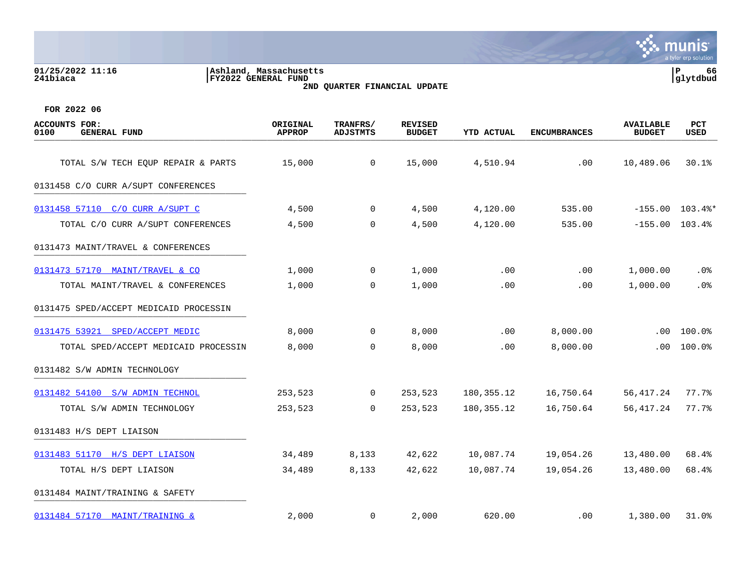# **01/25/2022 11:16 |Ashland, Massachusetts |P 66 241biaca |FY2022 GENERAL FUND |glytdbud 2ND QUARTER FINANCIAL UPDATE**



| <b>ACCOUNTS FOR:</b><br><b>GENERAL FUND</b><br>0100 | ORIGINAL<br><b>APPROP</b> | TRANFRS/<br><b>ADJSTMTS</b> | <b>REVISED</b><br><b>BUDGET</b> | YTD ACTUAL   | <b>ENCUMBRANCES</b> | <b>AVAILABLE</b><br><b>BUDGET</b> | <b>PCT</b><br>USED |
|-----------------------------------------------------|---------------------------|-----------------------------|---------------------------------|--------------|---------------------|-----------------------------------|--------------------|
| TOTAL S/W TECH EQUP REPAIR & PARTS                  | 15,000                    | $\overline{0}$              | 15,000                          | 4,510.94     | .00                 | 10,489.06                         | 30.1%              |
| 0131458 C/O CURR A/SUPT CONFERENCES                 |                           |                             |                                 |              |                     |                                   |                    |
| 0131458 57110 C/O CURR A/SUPT C                     | 4,500                     | $\mathbf 0$                 | 4,500                           | 4,120.00     | 535.00              |                                   | $-155.00$ 103.4%*  |
| TOTAL C/O CURR A/SUPT CONFERENCES                   | 4,500                     | 0                           | 4,500                           | 4,120.00     | 535.00              | $-155.00$                         | 103.4%             |
| 0131473 MAINT/TRAVEL & CONFERENCES                  |                           |                             |                                 |              |                     |                                   |                    |
| 0131473 57170 MAINT/TRAVEL & CO                     | 1,000                     | $\mathbf{0}$                | 1,000                           | .00          | .00                 | 1,000.00                          | $.0\%$             |
| TOTAL MAINT/TRAVEL & CONFERENCES                    | 1,000                     | 0                           | 1,000                           | .00          | .00                 | 1,000.00                          | .0%                |
| 0131475 SPED/ACCEPT MEDICAID PROCESSIN              |                           |                             |                                 |              |                     |                                   |                    |
| 0131475 53921 SPED/ACCEPT MEDIC                     | 8,000                     | $\overline{0}$              | 8,000                           | .00          | 8,000.00            | .00                               | $100.0$ %          |
| TOTAL SPED/ACCEPT MEDICAID PROCESSIN                | 8,000                     | $\mathbf 0$                 | 8,000                           | .00          | 8,000.00            | $.00 \,$                          | 100.0%             |
| 0131482 S/W ADMIN TECHNOLOGY                        |                           |                             |                                 |              |                     |                                   |                    |
| 0131482 54100 S/W ADMIN TECHNOL                     | 253,523                   | $\mathbf{0}$                | 253,523                         | 180, 355. 12 | 16,750.64           | 56, 417.24                        | 77.7%              |
| TOTAL S/W ADMIN TECHNOLOGY                          | 253,523                   | 0                           | 253,523                         | 180, 355. 12 | 16,750.64           | 56, 417.24                        | 77.7%              |
| 0131483 H/S DEPT LIAISON                            |                           |                             |                                 |              |                     |                                   |                    |
| 0131483 51170 H/S DEPT LIAISON                      | 34,489                    | 8,133                       | 42,622                          | 10,087.74    | 19,054.26           | 13,480.00                         | 68.4%              |
| TOTAL H/S DEPT LIAISON                              | 34,489                    | 8,133                       | 42,622                          | 10,087.74    | 19,054.26           | 13,480.00                         | 68.4%              |
| 0131484 MAINT/TRAINING & SAFETY                     |                           |                             |                                 |              |                     |                                   |                    |
| 0131484 57170 MAINT/TRAINING &                      | 2,000                     | 0                           | 2,000                           | 620.00       | $.00 \,$            | 1,380.00                          | 31.0%              |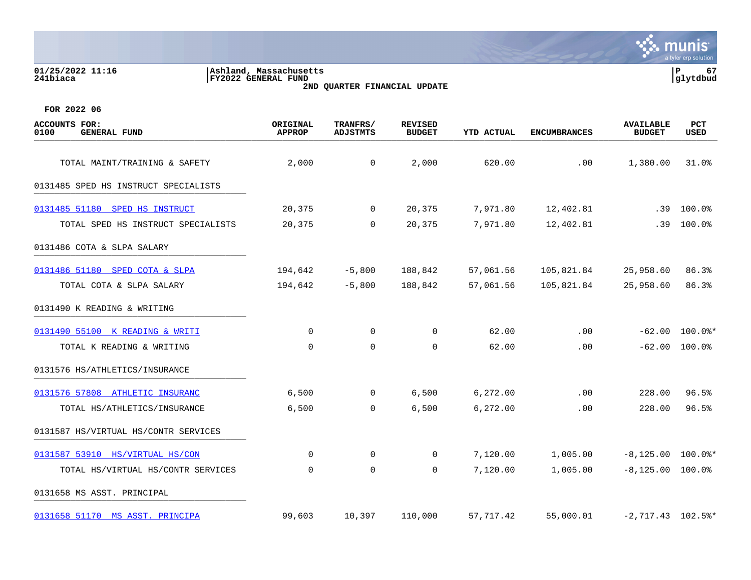| 01/25/2022 11:16<br>241biaca                                | Ashland, Massachusetts<br><b>FY2022 GENERAL FUND</b> | 2ND QUARTER FINANCIAL UPDATE |                                 |            |                     |                                   | 67<br>Р<br> glytdbud |
|-------------------------------------------------------------|------------------------------------------------------|------------------------------|---------------------------------|------------|---------------------|-----------------------------------|----------------------|
| FOR 2022 06<br>ACCOUNTS FOR:<br>0100<br><b>GENERAL FUND</b> | ORIGINAL<br><b>APPROP</b>                            | TRANFRS/<br>ADJSTMTS         | <b>REVISED</b><br><b>BUDGET</b> | YTD ACTUAL | <b>ENCUMBRANCES</b> | <b>AVAILABLE</b><br><b>BUDGET</b> | <b>PCT</b><br>USED   |
| TOTAL MAINT/TRAINING & SAFETY                               | 2,000                                                |                              | 2,000                           | 620.00     | $.00 \,$            | 1,380.00                          | 31.0%                |

# 0131485 SPED HS INSTRUCT SPECIALISTS

| 0131485 51180 SPED HS INSTRUCT       | 20,375      | 0              | 20,375         | 7,971.80  | 12,402.81  | .39                 | $100.0\%$ |
|--------------------------------------|-------------|----------------|----------------|-----------|------------|---------------------|-----------|
| TOTAL SPED HS INSTRUCT SPECIALISTS   | 20,375      | $\mathbf 0$    | 20,375         | 7,971.80  | 12,402.81  | .39                 | 100.0%    |
| 0131486 COTA & SLPA SALARY           |             |                |                |           |            |                     |           |
| 0131486 51180 SPED COTA & SLPA       | 194,642     | $-5,800$       | 188,842        | 57,061.56 | 105,821.84 | 25,958.60           | 86.3%     |
| TOTAL COTA & SLPA SALARY             | 194,642     | $-5,800$       | 188,842        | 57,061.56 | 105,821.84 | 25,958.60           | 86.3%     |
| 0131490 K READING & WRITING          |             |                |                |           |            |                     |           |
| 0131490 55100 K READING & WRITI      | 0           | $\mathbf 0$    | $\Omega$       | 62.00     | .00        | $-62.00$            | $100.0$ * |
| TOTAL K READING & WRITING            | $\mathbf 0$ | $\mathbf 0$    | $\Omega$       | 62.00     | .00        | $-62.00$            | $100.0\%$ |
| 0131576 HS/ATHLETICS/INSURANCE       |             |                |                |           |            |                     |           |
| 0131576 57808 ATHLETIC INSURANC      | 6,500       | $\overline{0}$ | 6,500          | 6,272.00  | .00        | 228.00              | 96.5%     |
| TOTAL HS/ATHLETICS/INSURANCE         | 6,500       | $\mathbf 0$    | 6,500          | 6,272.00  | .00        | 228.00              | 96.5%     |
| 0131587 HS/VIRTUAL HS/CONTR SERVICES |             |                |                |           |            |                     |           |
| 0131587 53910 HS/VIRTUAL HS/CON      | 0           | 0              | $\overline{0}$ | 7,120.00  | 1,005.00   | $-8,125.00$ 100.0%* |           |

TOTAL HS/VIRTUAL HS/CONTR SERVICES 0 0 0 7,120.00 1,005.00 -8,125.00 100.0%

0131658 MS ASST. PRINCIPAL 20131658 MS ASST. PRINCIPAL

[0131658 51170 MS ASST. PRINCIPA](https://yvwlndash063.tylertech.com/sites/mu0241/LIVE/_layouts/15/DashboardMunisV6.3/PassThru.aspx?-E=64YzZVBqcDiVE9wNtZEqP2g4SXEpdrIAs84Vmtkm3qqOfv/KyPRChDjLzLur%2B/aA&) 99,603 10,397 110,000 57,717.42 55,000.01 -2,717.43 102.5%\*

munis a tyler erp solution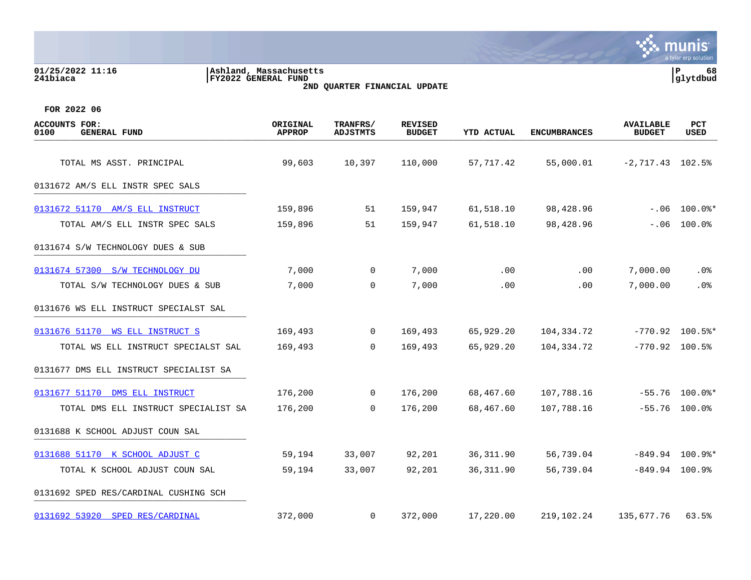# **01/25/2022 11:16 |Ashland, Massachusetts |P 68 241biaca |FY2022 GENERAL FUND |glytdbud 2ND QUARTER FINANCIAL UPDATE**



| <b>ACCOUNTS FOR:</b><br><b>GENERAL FUND</b><br>0100 | ORIGINAL<br>APPROP | TRANFRS/<br><b>ADJSTMTS</b> | <b>REVISED</b><br><b>BUDGET</b> | YTD ACTUAL | <b>ENCUMBRANCES</b> | <b>AVAILABLE</b><br><b>BUDGET</b> | <b>PCT</b><br>USED |
|-----------------------------------------------------|--------------------|-----------------------------|---------------------------------|------------|---------------------|-----------------------------------|--------------------|
| TOTAL MS ASST. PRINCIPAL                            | 99,603             | 10,397                      | 110,000                         | 57,717.42  | 55,000.01           | $-2, 717.43$ 102.5%               |                    |
| 0131672 AM/S ELL INSTR SPEC SALS                    |                    |                             |                                 |            |                     |                                   |                    |
| 0131672 51170 AM/S ELL INSTRUCT                     | 159,896            | 51                          | 159,947                         | 61,518.10  | 98,428.96           |                                   | $-.06$ 100.0%*     |
| TOTAL AM/S ELL INSTR SPEC SALS                      | 159,896            | 51                          | 159,947                         | 61,518.10  | 98,428.96           | $-.06$                            | 100.0%             |
| 0131674 S/W TECHNOLOGY DUES & SUB                   |                    |                             |                                 |            |                     |                                   |                    |
| 0131674 57300 S/W TECHNOLOGY DU                     | 7,000              | $\mathbf 0$                 | 7,000                           | .00        | $.00 \,$            | 7,000.00                          | . 0%               |
| TOTAL S/W TECHNOLOGY DUES & SUB                     | 7,000              | $\Omega$                    | 7,000                           | .00        | .00                 | 7,000.00                          | .0%                |
| 0131676 WS ELL INSTRUCT SPECIALST SAL               |                    |                             |                                 |            |                     |                                   |                    |
| 0131676 51170 WS ELL INSTRUCT S                     | 169,493            | $\mathbf{0}$                | 169,493                         | 65,929.20  | 104,334.72          |                                   | $-770.92$ 100.5%*  |
| TOTAL WS ELL INSTRUCT SPECIALST SAL                 | 169,493            | $\Omega$                    | 169,493                         | 65,929.20  | 104,334.72          | $-770.92$ 100.5%                  |                    |
| 0131677 DMS ELL INSTRUCT SPECIALIST SA              |                    |                             |                                 |            |                     |                                   |                    |
| 0131677 51170 DMS ELL INSTRUCT                      | 176,200            | $\mathbf 0$                 | 176,200                         | 68,467.60  | 107,788.16          |                                   | $-55.76$ 100.0%*   |
| TOTAL DMS ELL INSTRUCT SPECIALIST SA                | 176,200            | $\overline{0}$              | 176,200                         | 68,467.60  | 107,788.16          |                                   | $-55.76$ 100.0%    |
| 0131688 K SCHOOL ADJUST COUN SAL                    |                    |                             |                                 |            |                     |                                   |                    |
| 0131688 51170 K SCHOOL ADJUST C                     | 59,194             | 33,007                      | 92,201                          | 36, 311.90 | 56,739.04           |                                   | $-849.94$ 100.9%*  |
| TOTAL K SCHOOL ADJUST COUN SAL                      | 59,194             | 33,007                      | 92,201                          | 36, 311.90 | 56,739.04           | $-849.94$ 100.9%                  |                    |
| 0131692 SPED RES/CARDINAL CUSHING SCH               |                    |                             |                                 |            |                     |                                   |                    |
| 0131692 53920 SPED RES/CARDINAL                     | 372,000            | $\mathbf 0$                 | 372,000                         | 17,220.00  | 219,102.24          | 135,677.76                        | 63.5%              |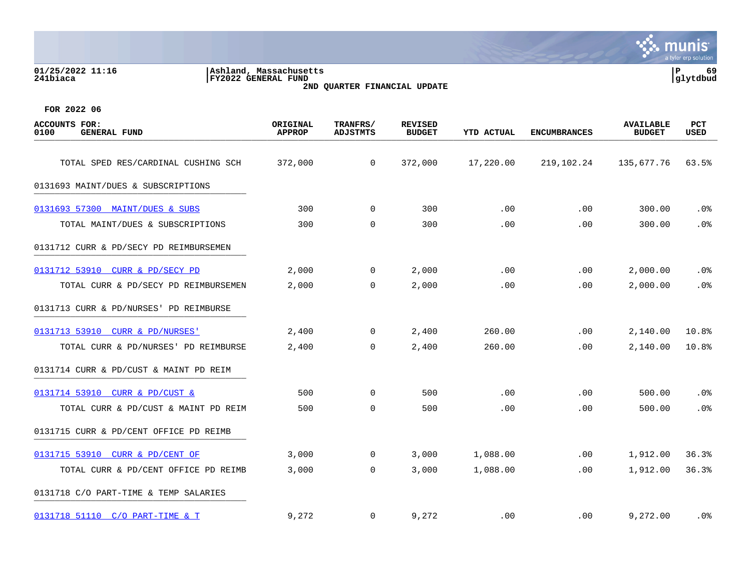### **01/25/2022 11:16 |Ashland, Massachusetts |P 69 241biaca |FY2022 GENERAL FUND |glytdbud 2ND QUARTER FINANCIAL UPDATE**



| <b>ACCOUNTS FOR:</b><br>0100<br><b>GENERAL FUND</b> | ORIGINAL<br><b>APPROP</b> | TRANFRS/<br><b>ADJSTMTS</b> | <b>REVISED</b><br><b>BUDGET</b> | <b>YTD ACTUAL</b> | <b>ENCUMBRANCES</b> | <b>AVAILABLE</b><br><b>BUDGET</b> | <b>PCT</b><br>USED |
|-----------------------------------------------------|---------------------------|-----------------------------|---------------------------------|-------------------|---------------------|-----------------------------------|--------------------|
| TOTAL SPED RES/CARDINAL CUSHING SCH                 | 372,000                   | $\mathbf 0$                 | 372,000                         | 17,220.00         | 219,102.24          | 135,677.76                        | 63.5%              |
| 0131693 MAINT/DUES & SUBSCRIPTIONS                  |                           |                             |                                 |                   |                     |                                   |                    |
| 0131693 57300 MAINT/DUES & SUBS                     | 300                       | $\mathbf 0$                 | 300                             | .00               | .00                 | 300.00                            | .0%                |
| TOTAL MAINT/DUES & SUBSCRIPTIONS                    | 300                       | 0                           | 300                             | .00               | .00                 | 300.00                            | .0%                |
| 0131712 CURR & PD/SECY PD REIMBURSEMEN              |                           |                             |                                 |                   |                     |                                   |                    |
| 0131712 53910 CURR & PD/SECY PD                     | 2,000                     | 0                           | 2,000                           | .00               | .00                 | 2,000.00                          | .0%                |
| TOTAL CURR & PD/SECY PD REIMBURSEMEN                | 2,000                     | $\mathbf 0$                 | 2,000                           | .00               | .00                 | 2,000.00                          | .0%                |
| 0131713 CURR & PD/NURSES' PD REIMBURSE              |                           |                             |                                 |                   |                     |                                   |                    |
| 0131713 53910 CURR & PD/NURSES'                     | 2,400                     | 0                           | 2,400                           | 260.00            | .00                 | 2,140.00                          | 10.8%              |
| TOTAL CURR & PD/NURSES' PD REIMBURSE                | 2,400                     | $\Omega$                    | 2,400                           | 260.00            | .00                 | 2,140.00                          | 10.8%              |
| 0131714 CURR & PD/CUST & MAINT PD REIM              |                           |                             |                                 |                   |                     |                                   |                    |
| 0131714 53910 CURR & PD/CUST &                      | 500                       | 0                           | 500                             | .00               | .00                 | 500.00                            | .0%                |
| TOTAL CURR & PD/CUST & MAINT PD REIM                | 500                       | $\mathbf 0$                 | 500                             | .00               | .00                 | 500.00                            | .0%                |
| 0131715 CURR & PD/CENT OFFICE PD REIMB              |                           |                             |                                 |                   |                     |                                   |                    |
| 0131715 53910 CURR & PD/CENT OF                     | 3,000                     | 0                           | 3,000                           | 1,088.00          | .00                 | 1,912.00                          | 36.3%              |
| TOTAL CURR & PD/CENT OFFICE PD REIMB                | 3,000                     | 0                           | 3,000                           | 1,088.00          | .00                 | 1,912.00                          | 36.3%              |
| 0131718 C/O PART-TIME & TEMP SALARIES               |                           |                             |                                 |                   |                     |                                   |                    |
| 0131718 51110 C/O PART-TIME & T                     | 9,272                     | $\mathbf 0$                 | 9,272                           | .00               | $.00 \,$            | 9,272.00                          | .0%                |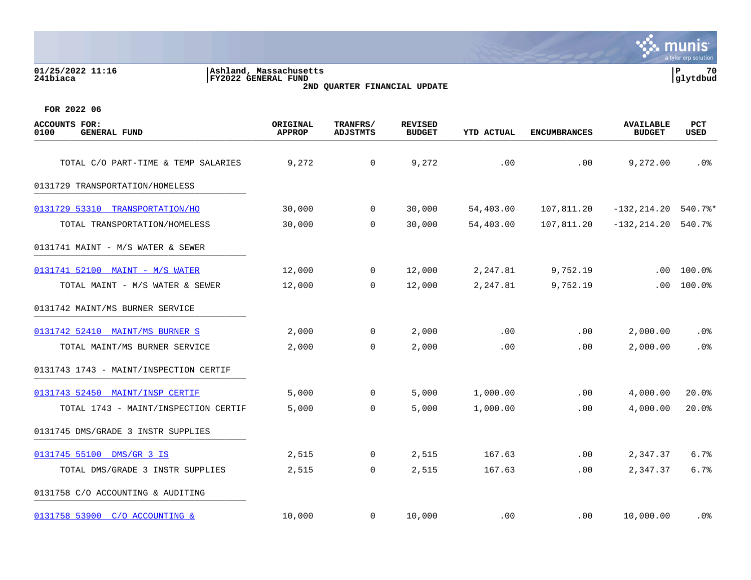|                                                     |                                                       |                              |                                 |                   |                     |                                   | munis<br>a tyler erp solution |
|-----------------------------------------------------|-------------------------------------------------------|------------------------------|---------------------------------|-------------------|---------------------|-----------------------------------|-------------------------------|
| 01/25/2022 11:16<br>241biaca                        | Ashland, Massachusetts <br><b>FY2022 GENERAL FUND</b> | 2ND QUARTER FINANCIAL UPDATE |                                 |                   |                     |                                   | P<br>70<br>glytdbud           |
| FOR 2022 06                                         |                                                       |                              |                                 |                   |                     |                                   |                               |
| <b>ACCOUNTS FOR:</b><br>0100<br><b>GENERAL FUND</b> | ORIGINAL<br><b>APPROP</b>                             | TRANFRS/<br><b>ADJSTMTS</b>  | <b>REVISED</b><br><b>BUDGET</b> | <b>YTD ACTUAL</b> | <b>ENCUMBRANCES</b> | <b>AVAILABLE</b><br><b>BUDGET</b> | PCT<br><b>USED</b>            |
| TOTAL C/O PART-TIME & TEMP SALARIES                 | 9,272                                                 | 0                            | 9,272                           | .00               | .00                 | 9,272.00                          | .0 <sub>8</sub>               |
| 0131729 TRANSPORTATION/HOMELESS                     |                                                       |                              |                                 |                   |                     |                                   |                               |
| 0131729 53310 TRANSPORTATION/HO                     | 30,000                                                | $\mathbf 0$                  | 30,000                          | 54,403.00         | 107,811.20          | $-132, 214.20$                    | 540.7%*                       |
| TOTAL TRANSPORTATION/HOMELESS                       | 30,000                                                | $\mathbf 0$                  | 30,000                          | 54,403.00         | 107,811.20          | $-132, 214.20$                    | 540.7%                        |
| 0131741 MAINT - M/S WATER & SEWER                   |                                                       |                              |                                 |                   |                     |                                   |                               |
| 0131741 52100 MAINT - M/S WATER                     | 12,000                                                | 0                            | 12,000                          | 2,247.81          | 9,752.19            | .00                               | 100.0%                        |
| TOTAL MAINT - M/S WATER & SEWER                     | 12,000                                                | $\Omega$                     | 12,000                          | 2,247.81          | 9,752.19            | .00                               | 100.0%                        |
| 0131742 MAINT/MS BURNER SERVICE                     |                                                       |                              |                                 |                   |                     |                                   |                               |
| 0131742 52410 MAINT/MS BURNER S                     | 2,000                                                 | 0                            | 2,000                           | .00               | .00                 | 2,000.00                          | .0%                           |
| TOTAL MAINT/MS BURNER SERVICE                       | 2,000                                                 | $\mathbf 0$                  | 2,000                           | .00               | .00                 | 2,000.00                          | .0 <sub>8</sub>               |
| 0131743 1743 - MAINT/INSPECTION CERTIF              |                                                       |                              |                                 |                   |                     |                                   |                               |
| 0131743 52450 MAINT/INSP CERTIF                     | 5,000                                                 | 0                            | 5,000                           | 1,000.00          | .00                 | 4,000.00                          | 20.0%                         |
| TOTAL 1743 - MAINT/INSPECTION CERTIF                | 5,000                                                 | $\mathbf 0$                  | 5,000                           | 1,000.00          | .00                 | 4,000.00                          | 20.0%                         |
| 0131745 DMS/GRADE 3 INSTR SUPPLIES                  |                                                       |                              |                                 |                   |                     |                                   |                               |
| 0131745 55100 DMS/GR 3 IS                           | 2,515                                                 | 0                            | 2,515                           | 167.63            | .00                 | 2,347.37                          | 6.7%                          |
| TOTAL DMS/GRADE 3 INSTR SUPPLIES                    | 2,515                                                 | 0                            | 2,515                           | 167.63            | .00                 | 2,347.37                          | 6.7%                          |
| 0131758 C/O ACCOUNTING & AUDITING                   |                                                       |                              |                                 |                   |                     |                                   |                               |
| 0131758 53900 C/O ACCOUNTING &                      | 10,000                                                | 0                            | 10,000                          | .00               | .00                 | 10,000.00                         | .0%                           |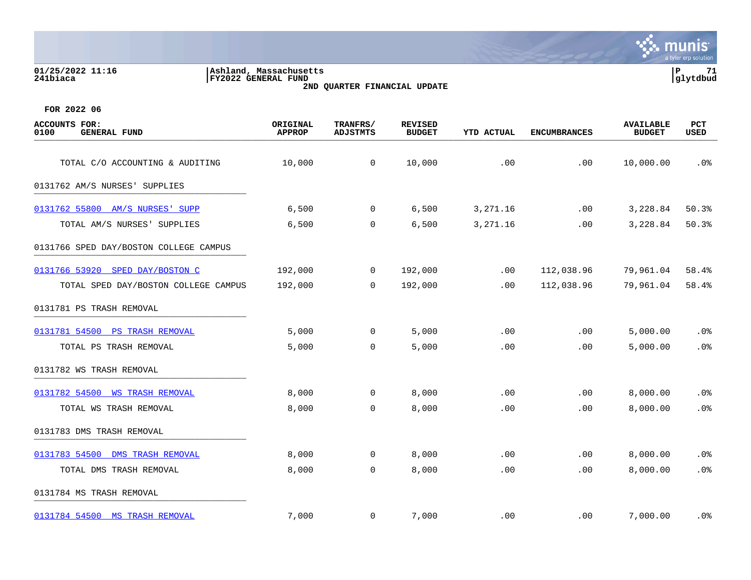# **01/25/2022 11:16 |Ashland, Massachusetts |P 71 241biaca |FY2022 GENERAL FUND |glytdbud 2ND QUARTER FINANCIAL UPDATE**



| <b>ACCOUNTS FOR:</b><br>0100<br><b>GENERAL FUND</b> | ORIGINAL<br><b>APPROP</b> | TRANFRS/<br><b>ADJSTMTS</b> | <b>REVISED</b><br><b>BUDGET</b> | YTD ACTUAL | <b>ENCUMBRANCES</b> | <b>AVAILABLE</b><br><b>BUDGET</b> | <b>PCT</b><br>USED |
|-----------------------------------------------------|---------------------------|-----------------------------|---------------------------------|------------|---------------------|-----------------------------------|--------------------|
| TOTAL C/O ACCOUNTING & AUDITING                     | 10,000                    | $\overline{0}$              | 10,000                          | .00        | .00                 | 10,000.00                         | .0%                |
| 0131762 AM/S NURSES' SUPPLIES                       |                           |                             |                                 |            |                     |                                   |                    |
| 0131762 55800 AM/S NURSES' SUPP                     | 6,500                     | $\mathbf 0$                 | 6,500                           | 3,271.16   | .00                 | 3,228.84                          | 50.3%              |
| TOTAL AM/S NURSES' SUPPLIES                         | 6,500                     | $\mathbf 0$                 | 6,500                           | 3,271.16   | .00                 | 3,228.84                          | 50.3%              |
| 0131766 SPED DAY/BOSTON COLLEGE CAMPUS              |                           |                             |                                 |            |                     |                                   |                    |
| 0131766 53920 SPED DAY/BOSTON C                     | 192,000                   | $\mathbf 0$                 | 192,000                         | .00        | 112,038.96          | 79,961.04                         | 58.4%              |
| TOTAL SPED DAY/BOSTON COLLEGE CAMPUS                | 192,000                   | $\overline{0}$              | 192,000                         | .00        | 112,038.96          | 79,961.04                         | 58.4%              |
| 0131781 PS TRASH REMOVAL                            |                           |                             |                                 |            |                     |                                   |                    |
| 0131781 54500 PS TRASH REMOVAL                      | 5,000                     | 0                           | 5,000                           | .00        | .00                 | 5,000.00                          | .0%                |
| TOTAL PS TRASH REMOVAL                              | 5,000                     | $\overline{0}$              | 5,000                           | .00        | .00                 | 5,000.00                          | .0%                |
| 0131782 WS TRASH REMOVAL                            |                           |                             |                                 |            |                     |                                   |                    |
| 0131782 54500 WS TRASH REMOVAL                      | 8,000                     | 0                           | 8,000                           | .00        | .00                 | 8,000.00                          | .0%                |
| TOTAL WS TRASH REMOVAL                              | 8,000                     | 0                           | 8,000                           | .00        | .00                 | 8,000.00                          | .0%                |
| 0131783 DMS TRASH REMOVAL                           |                           |                             |                                 |            |                     |                                   |                    |
| 0131783 54500<br><b>DMS TRASH REMOVAL</b>           | 8,000                     | 0                           | 8,000                           | .00        | .00                 | 8,000.00                          | $.0\%$             |
| TOTAL DMS TRASH REMOVAL                             | 8,000                     | $\mathbf 0$                 | 8,000                           | .00        | .00                 | 8,000.00                          | .0%                |
| 0131784 MS TRASH REMOVAL                            |                           |                             |                                 |            |                     |                                   |                    |
| 0131784 54500 MS TRASH REMOVAL                      | 7,000                     | $\mathbf{0}$                | 7,000                           | .00        | $.00 \,$            | 7,000.00                          | . 0%               |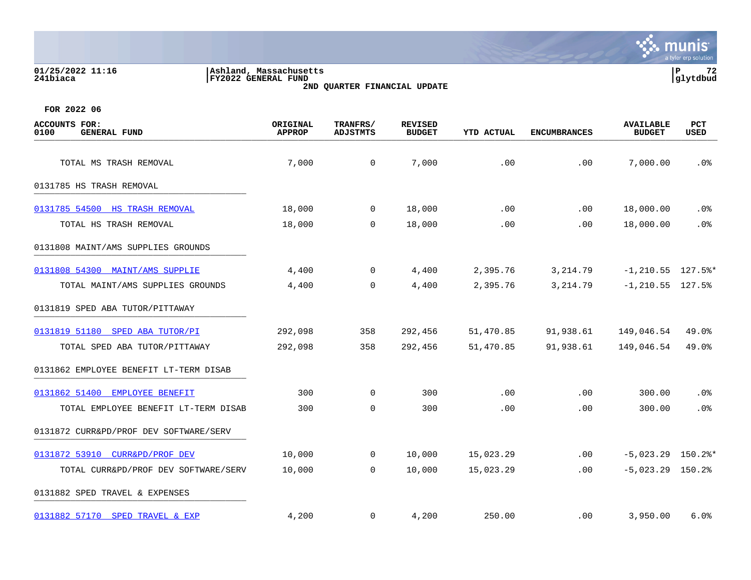## **01/25/2022 11:16 |Ashland, Massachusetts |P 72 241biaca |FY2022 GENERAL FUND |glytdbud 2ND QUARTER FINANCIAL UPDATE**



| <b>ACCOUNTS FOR:</b><br>0100<br><b>GENERAL FUND</b> | ORIGINAL<br><b>APPROP</b> | TRANFRS/<br><b>ADJSTMTS</b> | <b>REVISED</b><br><b>BUDGET</b> | <b>YTD ACTUAL</b> | <b>ENCUMBRANCES</b> | <b>AVAILABLE</b><br><b>BUDGET</b> | PCT<br>USED |
|-----------------------------------------------------|---------------------------|-----------------------------|---------------------------------|-------------------|---------------------|-----------------------------------|-------------|
| TOTAL MS TRASH REMOVAL                              | 7,000                     | $\mathbf 0$                 | 7,000                           | .00               | .00                 | 7,000.00                          | .0%         |
| 0131785 HS TRASH REMOVAL                            |                           |                             |                                 |                   |                     |                                   |             |
| 0131785 54500 HS TRASH REMOVAL                      | 18,000                    | $\overline{0}$              | 18,000                          | .00               | .00                 | 18,000.00                         | $.0\%$      |
| TOTAL HS TRASH REMOVAL                              | 18,000                    | 0                           | 18,000                          | .00               | .00                 | 18,000.00                         | .0%         |
| 0131808 MAINT/AMS SUPPLIES GROUNDS                  |                           |                             |                                 |                   |                     |                                   |             |
| 0131808 54300 MAINT/AMS SUPPLIE                     | 4,400                     | $\overline{0}$              | 4,400                           | 2,395.76          | 3, 214.79           | $-1, 210.55$ 127.5%*              |             |
| TOTAL MAINT/AMS SUPPLIES GROUNDS                    | 4,400                     | $\mathbf 0$                 | 4,400                           | 2,395.76          | 3, 214.79           | $-1, 210.55$ 127.5%               |             |
| 0131819 SPED ABA TUTOR/PITTAWAY                     |                           |                             |                                 |                   |                     |                                   |             |
| 0131819 51180 SPED ABA TUTOR/PI                     | 292,098                   | 358                         | 292,456                         | 51,470.85         | 91,938.61           | 149,046.54                        | 49.0%       |
| TOTAL SPED ABA TUTOR/PITTAWAY                       | 292,098                   | 358                         | 292,456                         | 51,470.85         | 91,938.61           | 149,046.54                        | 49.0%       |
| 0131862 EMPLOYEE BENEFIT LT-TERM DISAB              |                           |                             |                                 |                   |                     |                                   |             |
| 0131862 51400 EMPLOYEE BENEFIT                      | 300                       | 0                           | 300                             | .00               | .00                 | 300.00                            | .0%         |
| TOTAL EMPLOYEE BENEFIT LT-TERM DISAB                | 300                       | $\mathbf 0$                 | 300                             | .00               | .00                 | 300.00                            | .0%         |
| 0131872 CURR&PD/PROF DEV SOFTWARE/SERV              |                           |                             |                                 |                   |                     |                                   |             |
| 0131872 53910 CURR&PD/PROF DEV                      | 10,000                    | $\overline{0}$              | 10,000                          | 15,023.29         | .00                 | $-5,023.29$ 150.2%*               |             |
| TOTAL CURR&PD/PROF DEV SOFTWARE/SERV                | 10,000                    | 0                           | 10,000                          | 15,023.29         | .00                 | $-5,023.29$ 150.2%                |             |
| 0131882 SPED TRAVEL & EXPENSES                      |                           |                             |                                 |                   |                     |                                   |             |
| 0131882 57170 SPED TRAVEL & EXP                     | 4,200                     | $\mathbf{0}$                | 4,200                           | 250.00            | $.00 \,$            | 3,950.00                          | 6.0%        |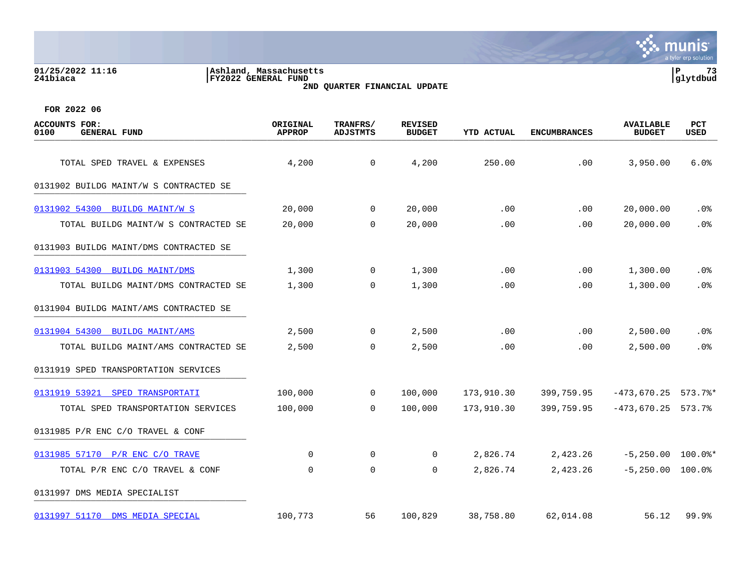#### **01/25/2022 11:16 |Ashland, Massachusetts |P 73 241biaca |FY2022 GENERAL FUND |glytdbud 2ND QUARTER FINANCIAL UPDATE**



| <b>ACCOUNTS FOR:</b><br><b>GENERAL FUND</b><br>0100 | ORIGINAL<br><b>APPROP</b> | TRANFRS/<br><b>ADJSTMTS</b> | <b>REVISED</b><br><b>BUDGET</b> | <b>YTD ACTUAL</b> | <b>ENCUMBRANCES</b> | <b>AVAILABLE</b><br><b>BUDGET</b> | PCT<br>USED |
|-----------------------------------------------------|---------------------------|-----------------------------|---------------------------------|-------------------|---------------------|-----------------------------------|-------------|
| TOTAL SPED TRAVEL & EXPENSES                        | 4,200                     | 0                           | 4,200                           | 250.00            | .00                 | 3,950.00                          | 6.0%        |
| 0131902 BUILDG MAINT/W S CONTRACTED SE              |                           |                             |                                 |                   |                     |                                   |             |
| 0131902 54300 BUILDG MAINT/W S                      | 20,000                    | $\mathbf 0$                 | 20,000                          | .00               | .00                 | 20,000.00                         | .0%         |
| TOTAL BUILDG MAINT/W S CONTRACTED SE                | 20,000                    | $\mathbf 0$                 | 20,000                          | .00               | .00                 | 20,000.00                         | .0%         |
| 0131903 BUILDG MAINT/DMS CONTRACTED SE              |                           |                             |                                 |                   |                     |                                   |             |
| 0131903 54300<br><b>BUILDG MAINT/DMS</b>            | 1,300                     | $\mathbf 0$                 | 1,300                           | .00               | .00                 | 1,300.00                          | .0%         |
| TOTAL BUILDG MAINT/DMS CONTRACTED SE                | 1,300                     | $\mathbf 0$                 | 1,300                           | .00               | .00                 | 1,300.00                          | .0%         |
| 0131904 BUILDG MAINT/AMS CONTRACTED SE              |                           |                             |                                 |                   |                     |                                   |             |
| 0131904 54300 BUILDG MAINT/AMS                      | 2,500                     | 0                           | 2,500                           | .00               | .00                 | 2,500.00                          | .0%         |
| TOTAL BUILDG MAINT/AMS CONTRACTED SE                | 2,500                     | 0                           | 2,500                           | .00               | .00.                | 2,500.00                          | .0%         |
| 0131919 SPED TRANSPORTATION SERVICES                |                           |                             |                                 |                   |                     |                                   |             |
| 0131919 53921 SPED TRANSPORTATI                     | 100,000                   | $\mathbf 0$                 | 100,000                         | 173,910.30        | 399,759.95          | $-473,670.25$ 573.7%*             |             |
| TOTAL SPED TRANSPORTATION SERVICES                  | 100,000                   | 0                           | 100,000                         | 173,910.30        | 399,759.95          | $-473,670.25$                     | 573.7%      |
| 0131985 P/R ENC C/O TRAVEL & CONF                   |                           |                             |                                 |                   |                     |                                   |             |
| 0131985 57170 P/R ENC C/O TRAVE                     | 0                         | 0                           | 0                               | 2,826.74          | 2,423.26            | $-5,250.00$                       | $100.0$ $*$ |
| TOTAL P/R ENC C/O TRAVEL & CONF                     | 0                         | $\mathbf 0$                 | 0                               | 2,826.74          | 2,423.26            | $-5,250.00$ 100.0%                |             |
| 0131997 DMS MEDIA SPECIALIST                        |                           |                             |                                 |                   |                     |                                   |             |
| 0131997 51170 DMS MEDIA SPECIAL                     | 100,773                   | 56                          | 100,829                         | 38,758.80         | 62,014.08           | 56.12                             | 99.9%       |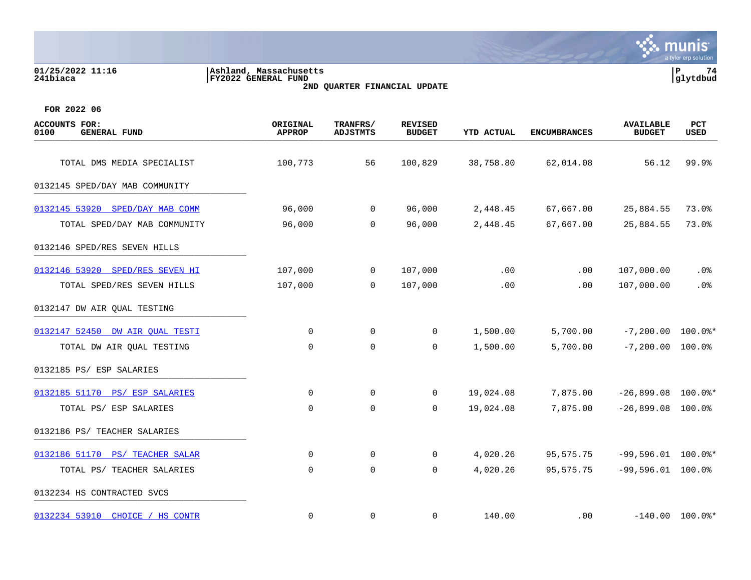| 01/25/2022 11:16<br>241biaca | Ashland, Massachusetts<br>FY2022 GENERAL FUND<br>2ND QUARTER FINANCIAL UPDATE | 74<br> glytdbud |
|------------------------------|-------------------------------------------------------------------------------|-----------------|
| FOR 2022 06                  |                                                                               |                 |

| <b>ACCOUNTS FOR:</b><br>0100<br><b>GENERAL FUND</b> | ORIGINAL<br><b>APPROP</b> | TRANFRS/<br><b>ADJSTMTS</b> | <b>REVISED</b><br><b>BUDGET</b> | <b>YTD ACTUAL</b> | <b>ENCUMBRANCES</b> | <b>AVAILABLE</b><br><b>BUDGET</b> | <b>PCT</b><br><b>USED</b> |
|-----------------------------------------------------|---------------------------|-----------------------------|---------------------------------|-------------------|---------------------|-----------------------------------|---------------------------|
| TOTAL DMS MEDIA SPECIALIST                          | 100,773                   | 56                          | 100,829                         | 38,758.80         | 62,014.08           | 56.12                             | 99.9%                     |
| 0132145 SPED/DAY MAB COMMUNITY                      |                           |                             |                                 |                   |                     |                                   |                           |
| 0132145 53920 SPED/DAY MAB COMM                     | 96,000                    | $\overline{0}$              | 96,000                          | 2,448.45          | 67,667.00           | 25,884.55                         | 73.0%                     |
| TOTAL SPED/DAY MAB COMMUNITY                        | 96,000                    | $\overline{0}$              | 96,000                          | 2,448.45          | 67,667.00           | 25,884.55                         | 73.0%                     |
| 0132146 SPED/RES SEVEN HILLS                        |                           |                             |                                 |                   |                     |                                   |                           |
| 0132146 53920 SPED/RES SEVEN HI                     | 107,000                   | $\overline{0}$              | 107,000                         | .00               | .00                 | 107,000.00                        | $.0\%$                    |
| TOTAL SPED/RES SEVEN HILLS                          | 107,000                   | $\Omega$                    | 107,000                         | .00               | .00                 | 107,000.00                        | .0%                       |
| 0132147 DW AIR QUAL TESTING                         |                           |                             |                                 |                   |                     |                                   |                           |
| 0132147 52450 DW AIR OUAL TESTI                     | $\Omega$                  | $\Omega$                    | $\mathbf 0$                     | 1,500.00          | 5,700.00            | $-7,200.00$ 100.0%*               |                           |
| TOTAL DW AIR QUAL TESTING                           | 0                         | $\mathbf 0$                 | 0                               | 1,500.00          | 5,700.00            | $-7,200.00$ 100.0%                |                           |
| 0132185 PS/ ESP SALARIES                            |                           |                             |                                 |                   |                     |                                   |                           |
| 0132185 51170 PS/ ESP SALARIES                      | 0                         | $\overline{0}$              | $\mathbf 0$                     | 19,024.08         | 7,875.00            | $-26,899.08$ 100.0%*              |                           |
| TOTAL PS/ ESP SALARIES                              | $\mathbf 0$               | $\mathbf 0$                 | $\mathbf 0$                     | 19,024.08         | 7,875.00            | $-26,899.08$ 100.0%               |                           |
| 0132186 PS/ TEACHER SALARIES                        |                           |                             |                                 |                   |                     |                                   |                           |
| 0132186 51170 PS/ TEACHER SALAR                     | 0                         | $\overline{0}$              | 0                               | 4,020.26          | 95,575.75           | $-99,596.01$ 100.0%*              |                           |
| TOTAL PS/ TEACHER SALARIES                          | $\mathbf 0$               | 0                           | 0                               | 4,020.26          | 95,575.75           | $-99,596.01$ 100.0%               |                           |
| 0132234 HS CONTRACTED SVCS                          |                           |                             |                                 |                   |                     |                                   |                           |
| 0132234 53910 CHOICE / HS CONTR                     | $\mathbf 0$               | $\mathbf 0$                 | 0                               | 140.00            | .00                 |                                   | $-140.00$ 100.0%*         |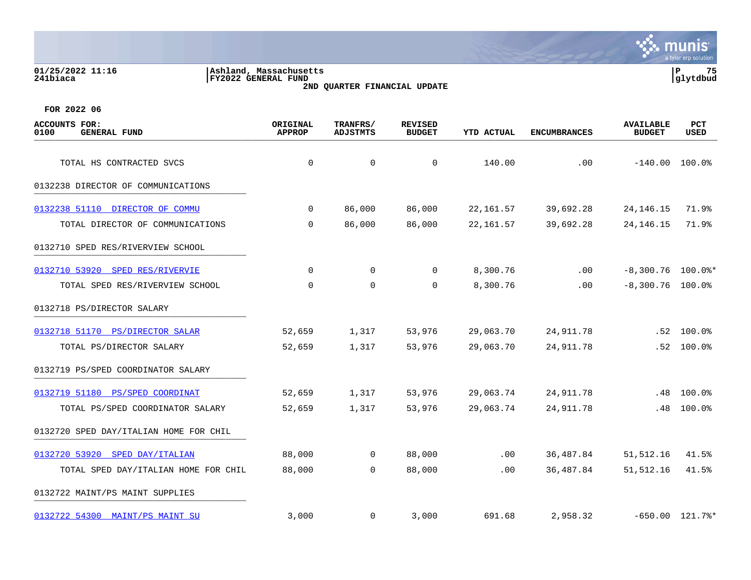| 01/25/2022 11:16<br>241biaca                        | Ashland, Massachusetts<br><b>FY2022 GENERAL FUND</b> | 2ND QUARTER FINANCIAL UPDATE |                                 |                   |                     |                                   | 75<br>lР<br>glytdbud |
|-----------------------------------------------------|------------------------------------------------------|------------------------------|---------------------------------|-------------------|---------------------|-----------------------------------|----------------------|
| FOR 2022 06                                         |                                                      |                              |                                 |                   |                     |                                   |                      |
| <b>ACCOUNTS FOR:</b><br><b>GENERAL FUND</b><br>0100 | ORIGINAL<br><b>APPROP</b>                            | TRANFRS/<br><b>ADJSTMTS</b>  | <b>REVISED</b><br><b>BUDGET</b> | <b>YTD ACTUAL</b> | <b>ENCUMBRANCES</b> | <b>AVAILABLE</b><br><b>BUDGET</b> | PCT<br>USED          |
| TOTAL HS CONTRACTED SVCS                            | $\mathbf 0$                                          | $\Omega$                     | $\Omega$                        | 140.00            | .00                 |                                   | $-140.00$ 100.0%     |
| 0132238 DIRECTOR OF COMMUNICATIONS                  |                                                      |                              |                                 |                   |                     |                                   |                      |
| 0132238 51110 DIRECTOR OF COMMU                     | $\mathbf 0$                                          | 86,000                       | 86,000                          | 22, 161.57        | 39,692.28           | 24, 146. 15                       | 71.9%                |
| TOTAL DIRECTOR OF COMMUNICATIONS                    | 0                                                    | 86,000                       | 86,000                          | 22, 161.57        | 39,692.28           | 24, 146. 15                       | 71.9%                |
| 0132710 SPED RES/RIVERVIEW SCHOOL                   |                                                      |                              |                                 |                   |                     |                                   |                      |
| 0132710 53920 SPED RES/RIVERVIE                     | $\mathbf 0$                                          | $\mathbf 0$                  | $\Omega$                        | 8,300.76          | .00                 |                                   | $-8,300.76$ 100.0%*  |
| TOTAL SPED RES/RIVERVIEW SCHOOL                     | $\mathbf 0$                                          | $\mathbf 0$                  | $\Omega$                        | 8,300.76          | .00                 | $-8,300.76$ 100.0%                |                      |
| 0132718 PS/DIRECTOR SALARY                          |                                                      |                              |                                 |                   |                     |                                   |                      |
| 0132718 51170 PS/DIRECTOR SALAR                     | 52,659                                               | 1,317                        | 53,976                          | 29,063.70         | 24,911.78           | .52                               | $100.0\%$            |
| TOTAL PS/DIRECTOR SALARY                            | 52,659                                               | 1,317                        | 53,976                          | 29,063.70         | 24,911.78           | .52                               | 100.0%               |
| 0132719 PS/SPED COORDINATOR SALARY                  |                                                      |                              |                                 |                   |                     |                                   |                      |
| 0132719 51180 PS/SPED COORDINAT                     | 52,659                                               | 1,317                        | 53,976                          | 29,063.74         | 24, 911.78          | .48                               | 100.0%               |
| TOTAL PS/SPED COORDINATOR SALARY                    | 52,659                                               | 1,317                        | 53,976                          | 29,063.74         | 24, 911.78          | .48                               | 100.0%               |
| 0132720 SPED DAY/ITALIAN HOME FOR CHIL              |                                                      |                              |                                 |                   |                     |                                   |                      |
| 0132720 53920<br>SPED DAY/ITALIAN                   | 88,000                                               | $\mathbf 0$                  | 88,000                          | .00               | 36,487.84           | 51, 512.16                        | 41.5%                |
| TOTAL SPED DAY/ITALIAN HOME FOR CHIL                | 88,000                                               | $\mathbf 0$                  | 88,000                          | .00               | 36, 487.84          | 51,512.16                         | 41.5%                |

0132722 MAINT/PS MAINT SUPPLIES

[0132722 54300 MAINT/PS MAINT SU](https://yvwlndash063.tylertech.com/sites/mu0241/LIVE/_layouts/15/DashboardMunisV6.3/PassThru.aspx?-E=mFLls5G4uyL%2BYchi84bojShAv78hHIzELRlkHb61BgFcFNKzV7jUMDondMVMSJs0&) 3,000 0 3,000 691.68 2,958.32 -650.00 121.7%\*

mu

**Inis** a tyler erp solution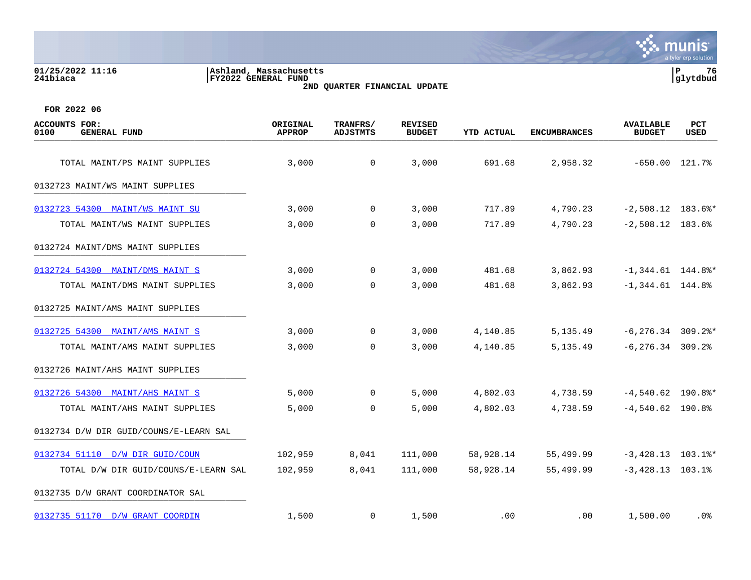### **01/25/2022 11:16 |Ashland, Massachusetts |P 76 241biaca |FY2022 GENERAL FUND |glytdbud 2ND QUARTER FINANCIAL UPDATE**



| <b>ACCOUNTS FOR:</b><br>0100<br><b>GENERAL FUND</b> | ORIGINAL<br><b>APPROP</b> | TRANFRS/<br><b>ADJSTMTS</b> | <b>REVISED</b><br><b>BUDGET</b> | <b>YTD ACTUAL</b> | <b>ENCUMBRANCES</b> | <b>AVAILABLE</b><br><b>BUDGET</b> | PCT<br>USED |
|-----------------------------------------------------|---------------------------|-----------------------------|---------------------------------|-------------------|---------------------|-----------------------------------|-------------|
| TOTAL MAINT/PS MAINT SUPPLIES                       | 3,000                     | $\mathsf{O}$                | 3,000                           | 691.68            | 2,958.32            | $-650.00$ 121.7%                  |             |
|                                                     |                           |                             |                                 |                   |                     |                                   |             |
| 0132723 MAINT/WS MAINT SUPPLIES                     |                           |                             |                                 |                   |                     |                                   |             |
| 0132723 54300 MAINT/WS MAINT SU                     | 3,000                     | $\mathbf 0$                 | 3,000                           | 717.89            | 4,790.23            | $-2,508.12$ 183.6%*               |             |
| TOTAL MAINT/WS MAINT SUPPLIES                       | 3,000                     | $\mathbf 0$                 | 3,000                           | 717.89            | 4,790.23            | $-2,508.12$ 183.6%                |             |
| 0132724 MAINT/DMS MAINT SUPPLIES                    |                           |                             |                                 |                   |                     |                                   |             |
| 0132724 54300 MAINT/DMS MAINT S                     | 3,000                     | 0                           | 3,000                           | 481.68            | 3,862.93            | $-1,344.61$ 144.8%*               |             |
| TOTAL MAINT/DMS MAINT SUPPLIES                      | 3,000                     | $\mathbf 0$                 | 3,000                           | 481.68            | 3,862.93            | $-1,344.61$ 144.8%                |             |
| 0132725 MAINT/AMS MAINT SUPPLIES                    |                           |                             |                                 |                   |                     |                                   |             |
| 0132725 54300 MAINT/AMS MAINT S                     | 3,000                     | $\mathbf 0$                 | 3,000                           | 4,140.85          | 5,135.49            | $-6, 276.34$ 309.2%*              |             |
| TOTAL MAINT/AMS MAINT SUPPLIES                      | 3,000                     | 0                           | 3,000                           | 4,140.85          | 5, 135.49           | $-6, 276.34$ 309.2%               |             |
| 0132726 MAINT/AHS MAINT SUPPLIES                    |                           |                             |                                 |                   |                     |                                   |             |
| 0132726 54300 MAINT/AHS MAINT S                     | 5,000                     | $\Omega$                    | 5,000                           | 4,802.03          | 4,738.59            | $-4,540.62$ 190.8%*               |             |
| TOTAL MAINT/AHS MAINT SUPPLIES                      | 5,000                     | $\mathbf 0$                 | 5,000                           | 4,802.03          | 4,738.59            | $-4,540.62$ 190.8%                |             |
| 0132734 D/W DIR GUID/COUNS/E-LEARN SAL              |                           |                             |                                 |                   |                     |                                   |             |
| 0132734 51110 D/W DIR GUID/COUN                     | 102,959                   | 8,041                       | 111,000                         | 58,928.14         | 55,499.99           | $-3,428.13$ 103.1%*               |             |
| TOTAL D/W DIR GUID/COUNS/E-LEARN SAL                | 102,959                   | 8,041                       | 111,000                         | 58,928.14         | 55,499.99           | $-3,428.13$ $103.1$ <sup>8</sup>  |             |
| 0132735 D/W GRANT COORDINATOR SAL                   |                           |                             |                                 |                   |                     |                                   |             |
| 0132735 51170 D/W GRANT COORDIN                     | 1,500                     | 0                           | 1,500                           | .00               | $.00 \,$            | 1,500.00                          | .0%         |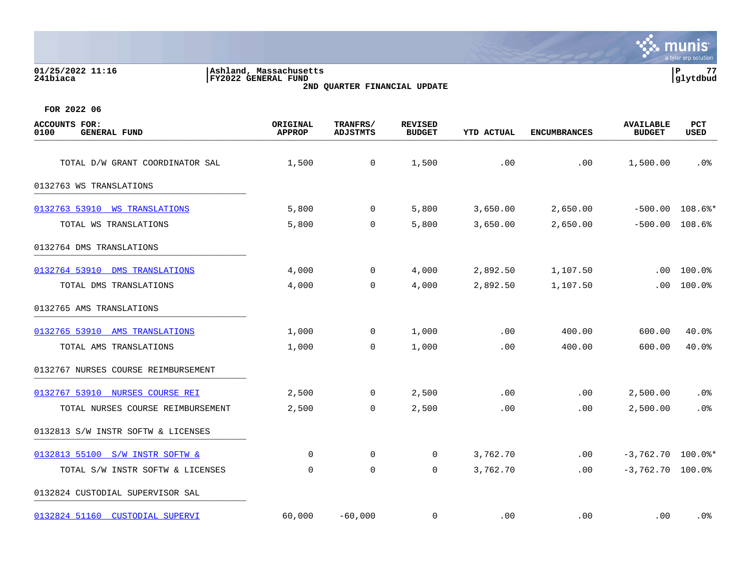| 01/25/2022 11:16<br>241biaca                        | Ashland, Massachusetts<br>FY2022 GENERAL FUND | 2ND QUARTER FINANCIAL UPDATE |                                 |                   |                     |                                   |                    |
|-----------------------------------------------------|-----------------------------------------------|------------------------------|---------------------------------|-------------------|---------------------|-----------------------------------|--------------------|
| FOR 2022 06                                         |                                               |                              |                                 |                   |                     |                                   |                    |
| <b>ACCOUNTS FOR:</b><br><b>GENERAL FUND</b><br>0100 | ORIGINAL<br><b>APPROP</b>                     | TRANFRS/<br><b>ADJSTMTS</b>  | <b>REVISED</b><br><b>BUDGET</b> | <b>YTD ACTUAL</b> | <b>ENCUMBRANCES</b> | <b>AVAILABLE</b><br><b>BUDGET</b> | PCT<br><b>USED</b> |
| TOTAL D/W GRANT COORDINATOR SAL                     | 1,500                                         | 0                            | 1,500                           | .00               | .00                 | 1,500.00                          | .0 <sub>8</sub>    |
| 0132763 WS TRANSLATIONS                             |                                               |                              |                                 |                   |                     |                                   |                    |
| 0132763 53910<br><b>WS TRANSLATIONS</b>             | 5,800                                         | $\overline{0}$               | 5,800                           | 3,650.00          | 2,650.00            | $-500.00$                         | $108.6$ %*         |
| TOTAL WS TRANSLATIONS                               | 5,800                                         | 0                            | 5,800                           | 3,650.00          | 2,650.00            | $-500.00$                         | $108.6\%$          |
| 0132764 DMS TRANSLATIONS                            |                                               |                              |                                 |                   |                     |                                   |                    |
| 0132764 53910<br>DMS TRANSLATIONS                   | 4,000                                         | 0                            | 4,000                           | 2,892.50          | 1,107.50            | .00                               | 100.0%             |
| TOTAL DMS TRANSLATIONS                              | 4,000                                         | $\mathbf 0$                  | 4,000                           | 2,892.50          | 1,107.50            | .00                               | 100.0%             |
| 0132765 AMS TRANSLATIONS                            |                                               |                              |                                 |                   |                     |                                   |                    |
| 0132765 53910<br>AMS TRANSLATIONS                   | 1,000                                         | 0                            | 1,000                           | .00               | 400.00              | 600.00                            | 40.0%              |
| TOTAL AMS TRANSLATIONS                              | 1,000                                         | $\mathbf 0$                  | 1,000                           | .00               | 400.00              | 600.00                            | 40.0%              |
| 0132767 NURSES COURSE REIMBURSEMENT                 |                                               |                              |                                 |                   |                     |                                   |                    |
| 0132767 53910<br>NURSES COURSE REI                  | 2,500                                         | $\overline{0}$               | 2,500                           | .00               | .00                 | 2,500.00                          | .0%                |
| TOTAL NURSES COURSE REIMBURSEMENT                   | 2,500                                         | $\mathbf 0$                  | 2,500                           | .00               | .00                 | 2,500.00                          | .0 <sub>8</sub>    |
| 0132813 S/W INSTR SOFTW & LICENSES                  |                                               |                              |                                 |                   |                     |                                   |                    |
| 0132813 55100<br>S/W INSTR SOFTW &                  | 0                                             | $\mathbf 0$                  | 0                               | 3,762.70          | .00                 | $-3,762.70$                       | $100.0$ $*$        |
| TOTAL S/W INSTR SOFTW & LICENSES                    | 0                                             | $\mathbf 0$                  | 0                               | 3,762.70          | .00                 | $-3,762.70$ 100.0%                |                    |

0132824 CUSTODIAL SUPERVISOR SAL \_\_\_\_\_\_\_\_\_\_\_\_\_\_\_\_\_\_\_\_\_\_\_\_\_\_\_\_\_\_\_\_\_\_\_\_\_\_\_\_\_

[0132824 51160 CUSTODIAL SUPERVI](https://yvwlndash063.tylertech.com/sites/mu0241/LIVE/_layouts/15/DashboardMunisV6.3/PassThru.aspx?-E=4DzDuTkzFP8dh/Talj1XLZV5608HYbQQrks3NNHUBcv9JfDb3uRuVNArfEfr80GW&) 60,000 -60,000 0 .00 .00 .00 .0%

nis

a tyler erp solution

mı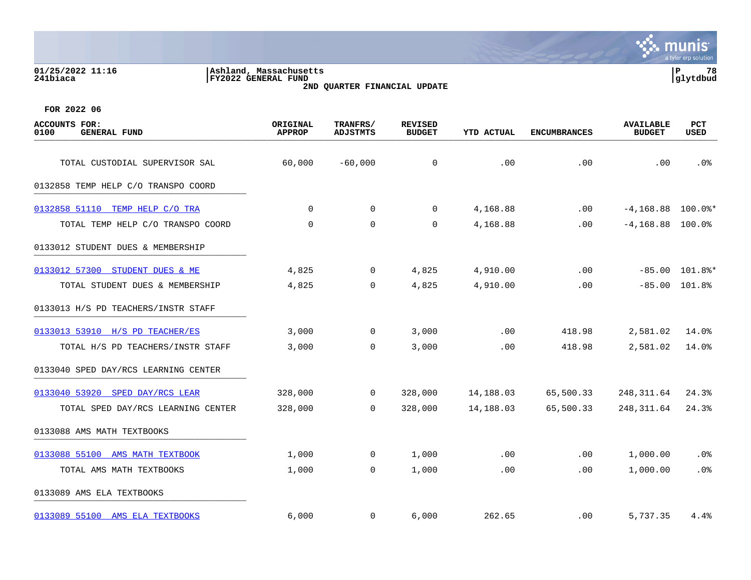#### **01/25/2022 11:16 |Ashland, Massachusetts |P 78 241biaca |FY2022 GENERAL FUND |glytdbud 2ND QUARTER FINANCIAL UPDATE**



| <b>ACCOUNTS FOR:</b><br>0100<br><b>GENERAL FUND</b> | ORIGINAL<br><b>APPROP</b> | TRANFRS/<br><b>ADJSTMTS</b> | <b>REVISED</b><br><b>BUDGET</b> | <b>YTD ACTUAL</b> | <b>ENCUMBRANCES</b> | <b>AVAILABLE</b><br><b>BUDGET</b> | <b>PCT</b><br><b>USED</b> |
|-----------------------------------------------------|---------------------------|-----------------------------|---------------------------------|-------------------|---------------------|-----------------------------------|---------------------------|
| TOTAL CUSTODIAL SUPERVISOR SAL                      | 60,000                    | $-60,000$                   | $\mathbf 0$                     | .00               | .00                 | .00                               | .0 <sub>8</sub>           |
| 0132858 TEMP HELP C/O TRANSPO COORD                 |                           |                             |                                 |                   |                     |                                   |                           |
| 0132858 51110 TEMP HELP C/O TRA                     | $\Omega$                  | $\mathbf 0$                 | 0                               | 4,168.88          | $.00 \,$            | $-4,168.88$ 100.0%*               |                           |
| TOTAL TEMP HELP C/O TRANSPO COORD                   | 0                         | 0                           | 0                               | 4,168.88          | .00                 | $-4, 168.88$ 100.0%               |                           |
| 0133012 STUDENT DUES & MEMBERSHIP                   |                           |                             |                                 |                   |                     |                                   |                           |
| 0133012 57300 STUDENT DUES & ME                     | 4,825                     | $\mathbf 0$                 | 4,825                           | 4,910.00          | .00                 |                                   | $-85.00$ 101.8%*          |
| TOTAL STUDENT DUES & MEMBERSHIP                     | 4,825                     | $\overline{0}$              | 4,825                           | 4,910.00          | .00                 |                                   | $-85.00$ 101.8%           |
| 0133013 H/S PD TEACHERS/INSTR STAFF                 |                           |                             |                                 |                   |                     |                                   |                           |
| 0133013 53910 H/S PD TEACHER/ES                     | 3,000                     | 0                           | 3,000                           | .00               | 418.98              | 2,581.02                          | 14.0%                     |
| TOTAL H/S PD TEACHERS/INSTR STAFF                   | 3,000                     | $\Omega$                    | 3,000                           | .00               | 418.98              | 2,581.02                          | 14.0%                     |
| 0133040 SPED DAY/RCS LEARNING CENTER                |                           |                             |                                 |                   |                     |                                   |                           |
| 0133040 53920 SPED DAY/RCS LEAR                     | 328,000                   | $\mathbf{0}$                | 328,000                         | 14,188.03         | 65,500.33           | 248, 311.64                       | 24.3%                     |
| TOTAL SPED DAY/RCS LEARNING CENTER                  | 328,000                   | $\mathbf 0$                 | 328,000                         | 14,188.03         | 65,500.33           | 248, 311.64                       | 24.3%                     |
| 0133088 AMS MATH TEXTBOOKS                          |                           |                             |                                 |                   |                     |                                   |                           |
| 0133088 55100 AMS MATH TEXTBOOK                     | 1,000                     | $\mathbf{0}$                | 1,000                           | .00               | .00                 | 1,000.00                          | .0%                       |
| TOTAL AMS MATH TEXTBOOKS                            | 1,000                     | $\mathbf 0$                 | 1,000                           | .00               | .00                 | 1,000.00                          | .0%                       |
| 0133089 AMS ELA TEXTBOOKS                           |                           |                             |                                 |                   |                     |                                   |                           |
| 0133089 55100 AMS ELA TEXTBOOKS                     | 6,000                     | $\mathbf{0}$                | 6,000                           | 262.65            | $.00 \,$            | 5,737.35                          | 4.4%                      |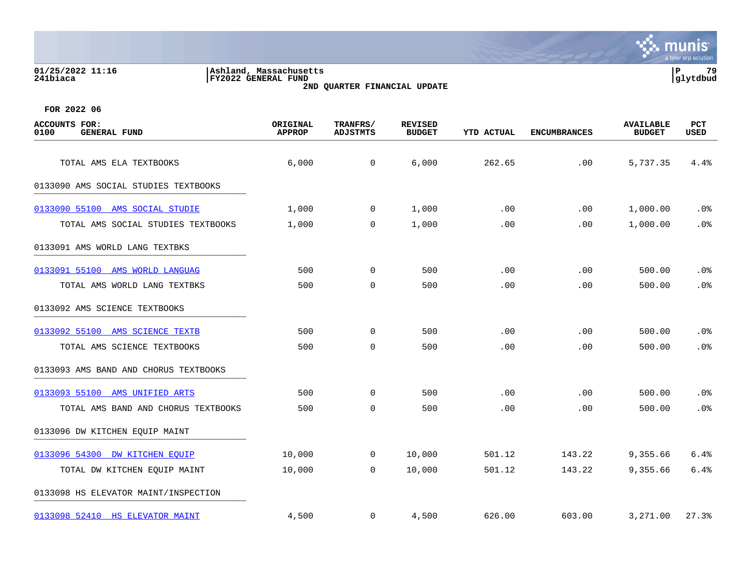| 01/25/2022 11:16<br>241biaca |                     | Ashland, Massachusetts<br>FY2022 GENERAL FUND | 2ND QUARTER FINANCIAL UPDATE |                          |                   |                     |                                   | l P<br>79<br> glytdbud    |
|------------------------------|---------------------|-----------------------------------------------|------------------------------|--------------------------|-------------------|---------------------|-----------------------------------|---------------------------|
| FOR 2022 06                  |                     |                                               |                              |                          |                   |                     |                                   |                           |
| ACCOUNTS FOR:<br>0100        | <b>GENERAL FUND</b> | ORIGINAL<br><b>APPROP</b>                     | TRANFRS/<br>ADJSTMTS         | REVISED<br><b>BUDGET</b> | <b>YTD ACTUAL</b> | <b>ENCUMBRANCES</b> | <b>AVAILABLE</b><br><b>BUDGET</b> | <b>PCT</b><br><b>USED</b> |

0133090 AMS SOCIAL STUDIES TEXTBOOKS

| 0133090 55100 AMS SOCIAL STUDIE       | 1,000  | $\overline{0}$ | 1,000  | .00    | .00    | 1,000.00 | .0%             |
|---------------------------------------|--------|----------------|--------|--------|--------|----------|-----------------|
| TOTAL AMS SOCIAL STUDIES TEXTBOOKS    | 1,000  | $\mathbf 0$    | 1,000  | .00    | .00    | 1,000.00 | .0 <sub>8</sub> |
| 0133091 AMS WORLD LANG TEXTBKS        |        |                |        |        |        |          |                 |
| 0133091 55100 AMS WORLD LANGUAG       | 500    | $\Omega$       | 500    | .00    | .00    | 500.00   | .0%             |
| TOTAL AMS WORLD LANG TEXTBKS          | 500    | $\mathbf 0$    | 500    | .00    | .00    | 500.00   | .0%             |
| 0133092 AMS SCIENCE TEXTBOOKS         |        |                |        |        |        |          |                 |
| 0133092 55100 AMS SCIENCE TEXTB       | 500    | $\mathbf 0$    | 500    | .00    | .00    | 500.00   | .0%             |
| TOTAL AMS SCIENCE TEXTBOOKS           | 500    | $\mathbf 0$    | 500    | .00    | .00    | 500.00   | .0%             |
| 0133093 AMS BAND AND CHORUS TEXTBOOKS |        |                |        |        |        |          |                 |
| 0133093 55100 AMS UNIFIED ARTS        | 500    | $\Omega$       | 500    | .00    | .00    | 500.00   | .0%             |
| TOTAL AMS BAND AND CHORUS TEXTBOOKS   | 500    | $\Omega$       | 500    | .00    | .00    | 500.00   | .0%             |
| 0133096 DW KITCHEN EQUIP MAINT        |        |                |        |        |        |          |                 |
| 0133096 54300 DW KITCHEN EQUIP        | 10,000 | $\overline{0}$ | 10,000 | 501.12 | 143.22 | 9,355.66 | 6.4%            |
| TOTAL DW KITCHEN EQUIP MAINT          | 10,000 | $\mathbf 0$    | 10,000 | 501.12 | 143.22 | 9,355.66 | 6.4%            |
| 0133098 HS ELEVATOR MAINT/INSPECTION  |        |                |        |        |        |          |                 |

TOTAL AMS ELA TEXTBOOKS 6,000 6,000 6,000 6,000 262.65 .000 5,737.35 4.4%

munis a tyler erp solution

[0133098 52410 HS ELEVATOR MAINT](https://yvwlndash063.tylertech.com/sites/mu0241/LIVE/_layouts/15/DashboardMunisV6.3/PassThru.aspx?-E=RX9LcJW0FJ2DnoF3AeVrYXEk0Nt60pG88S589/G3fO7NMWMZG37fzvrGRPh2svj6&) 4,500 0 4,500 626.00 603.00 3,271.00 27.3%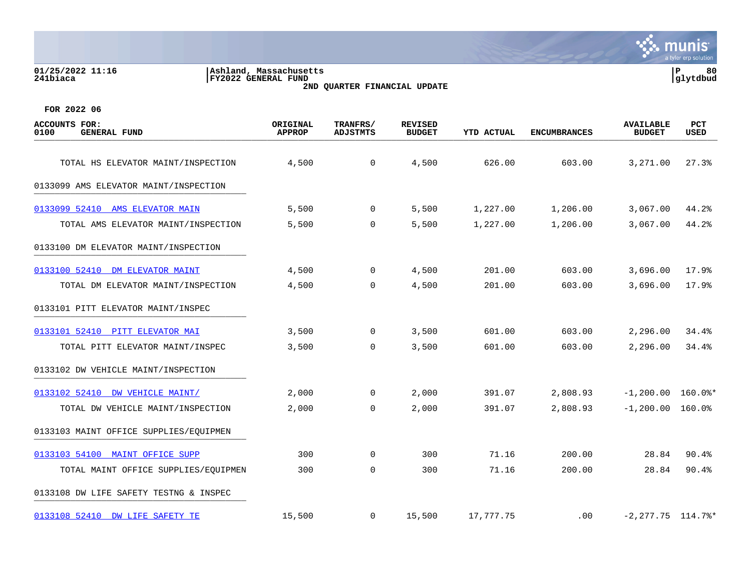#### **01/25/2022 11:16 |Ashland, Massachusetts |P 80 241biaca |FY2022 GENERAL FUND |glytdbud 2ND QUARTER FINANCIAL UPDATE**



| <b>ACCOUNTS FOR:</b><br>0100<br><b>GENERAL FUND</b> | ORIGINAL<br><b>APPROP</b> | TRANFRS/<br><b>ADJSTMTS</b> | <b>REVISED</b><br><b>BUDGET</b> | <b>YTD ACTUAL</b> | <b>ENCUMBRANCES</b> | <b>AVAILABLE</b><br><b>BUDGET</b> | PCT<br><b>USED</b> |
|-----------------------------------------------------|---------------------------|-----------------------------|---------------------------------|-------------------|---------------------|-----------------------------------|--------------------|
| TOTAL HS ELEVATOR MAINT/INSPECTION                  | 4,500                     | $\mathsf{O}$                | 4,500                           | 626.00            | 603.00              | 3,271.00                          | 27.3%              |
| 0133099 AMS ELEVATOR MAINT/INSPECTION               |                           |                             |                                 |                   |                     |                                   |                    |
|                                                     |                           |                             |                                 |                   |                     |                                   |                    |
| 0133099 52410 AMS ELEVATOR MAIN                     | 5,500                     | $\mathbf 0$                 | 5,500                           | 1,227.00          | 1,206.00            | 3,067.00                          | 44.2%              |
| TOTAL AMS ELEVATOR MAINT/INSPECTION                 | 5,500                     | $\mathbf 0$                 | 5,500                           | 1,227.00          | 1,206.00            | 3,067.00                          | 44.2%              |
| 0133100 DM ELEVATOR MAINT/INSPECTION                |                           |                             |                                 |                   |                     |                                   |                    |
| 0133100 52410 DM ELEVATOR MAINT                     | 4,500                     | 0                           | 4,500                           | 201.00            | 603.00              | 3,696.00                          | 17.9%              |
| TOTAL DM ELEVATOR MAINT/INSPECTION                  | 4,500                     | $\mathbf 0$                 | 4,500                           | 201.00            | 603.00              | 3,696.00                          | 17.9%              |
| 0133101 PITT ELEVATOR MAINT/INSPEC                  |                           |                             |                                 |                   |                     |                                   |                    |
| 0133101 52410 PITT ELEVATOR MAI                     | 3,500                     | 0                           | 3,500                           | 601.00            | 603.00              | 2,296.00                          | 34.4%              |
| TOTAL PITT ELEVATOR MAINT/INSPEC                    | 3,500                     | 0                           | 3,500                           | 601.00            | 603.00              | 2,296.00                          | 34.4%              |
| 0133102 DW VEHICLE MAINT/INSPECTION                 |                           |                             |                                 |                   |                     |                                   |                    |
| 0133102 52410 DW VEHICLE MAINT/                     | 2,000                     | $\Omega$                    | 2,000                           | 391.07            | 2,808.93            | $-1,200.00$ 160.0%*               |                    |
| TOTAL DW VEHICLE MAINT/INSPECTION                   | 2,000                     | $\mathbf 0$                 | 2,000                           | 391.07            | 2,808.93            | $-1,200.00$ 160.0%                |                    |
| 0133103 MAINT OFFICE SUPPLIES/EQUIPMEN              |                           |                             |                                 |                   |                     |                                   |                    |
| 0133103 54100 MAINT OFFICE SUPP                     | 300                       | 0                           | 300                             | 71.16             | 200.00              | 28.84                             | 90.4%              |
| TOTAL MAINT OFFICE SUPPLIES/EQUIPMEN                | 300                       | $\mathbf 0$                 | 300                             | 71.16             | 200.00              | 28.84                             | 90.4%              |
| 0133108 DW LIFE SAFETY TESTNG & INSPEC              |                           |                             |                                 |                   |                     |                                   |                    |
| 0133108 52410 DW LIFE SAFETY TE                     | 15,500                    | 0                           | 15,500                          | 17,777.75         | $.00 \,$            | $-2, 277.75$ 114.7%*              |                    |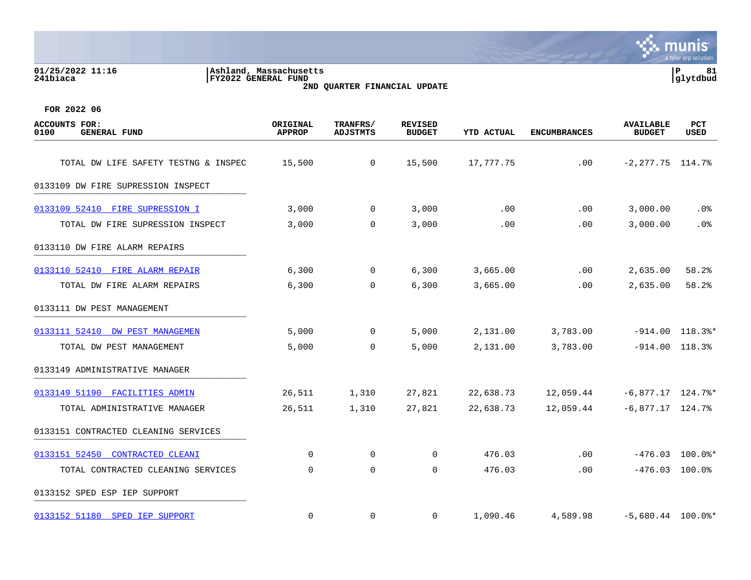#### **01/25/2022 11:16 |Ashland, Massachusetts |P 81 241biaca |FY2022 GENERAL FUND |glytdbud 2ND QUARTER FINANCIAL UPDATE**



| <b>ACCOUNTS FOR:</b><br>0100<br><b>GENERAL FUND</b> | ORIGINAL<br><b>APPROP</b> | TRANFRS/<br><b>ADJSTMTS</b> | <b>REVISED</b><br><b>BUDGET</b> | <b>YTD ACTUAL</b> | <b>ENCUMBRANCES</b> | <b>AVAILABLE</b><br><b>BUDGET</b> | PCT<br><b>USED</b> |
|-----------------------------------------------------|---------------------------|-----------------------------|---------------------------------|-------------------|---------------------|-----------------------------------|--------------------|
| TOTAL DW LIFE SAFETY TESTNG & INSPEC                | 15,500                    | $\mathbf 0$                 | 15,500                          | 17,777.75         | .00                 | $-2, 277.75$ 114.7%               |                    |
| 0133109 DW FIRE SUPRESSION INSPECT                  |                           |                             |                                 |                   |                     |                                   |                    |
| 0133109 52410 FIRE SUPRESSION I                     | 3,000                     | 0                           | 3,000                           | .00               | .00                 | 3,000.00                          | . 0%               |
| TOTAL DW FIRE SUPRESSION INSPECT                    | 3,000                     | 0                           | 3,000                           | .00               | .00                 | 3,000.00                          | .0%                |
| 0133110 DW FIRE ALARM REPAIRS                       |                           |                             |                                 |                   |                     |                                   |                    |
| 0133110 52410 FIRE ALARM REPAIR                     | 6,300                     | 0                           | 6,300                           | 3,665.00          | .00                 | 2,635.00                          | 58.2%              |
| TOTAL DW FIRE ALARM REPAIRS                         | 6,300                     | $\mathbf 0$                 | 6,300                           | 3,665.00          | .00                 | 2,635.00                          | 58.2%              |
| 0133111 DW PEST MANAGEMENT                          |                           |                             |                                 |                   |                     |                                   |                    |
| 0133111 52410 DW PEST MANAGEMEN                     | 5,000                     | $\mathbf 0$                 | 5,000                           | 2,131.00          | 3,783.00            |                                   | $-914.00$ 118.3%*  |
| TOTAL DW PEST MANAGEMENT                            | 5,000                     | $\mathbf 0$                 | 5,000                           | 2,131.00          | 3,783.00            | $-914.00$ 118.3%                  |                    |
| 0133149 ADMINISTRATIVE MANAGER                      |                           |                             |                                 |                   |                     |                                   |                    |
| 0133149 51190 FACILITIES ADMIN                      | 26,511                    | 1,310                       | 27,821                          | 22,638.73         | 12,059.44           | $-6,877.17$ 124.7%*               |                    |
| TOTAL ADMINISTRATIVE MANAGER                        | 26,511                    | 1,310                       | 27,821                          | 22,638.73         | 12,059.44           | $-6,877.17$ 124.7%                |                    |
| 0133151 CONTRACTED CLEANING SERVICES                |                           |                             |                                 |                   |                     |                                   |                    |
| 0133151 52450<br>CONTRACTED CLEANI                  | $\Omega$                  | $\mathbf 0$                 | 0                               | 476.03            | .00                 |                                   | $-476.03$ 100.0%*  |
| TOTAL CONTRACTED CLEANING SERVICES                  | 0                         | $\mathbf 0$                 | 0                               | 476.03            | .00                 | $-476.03$ 100.0%                  |                    |
| 0133152 SPED ESP IEP SUPPORT                        |                           |                             |                                 |                   |                     |                                   |                    |
| 0133152 51180 SPED IEP SUPPORT                      | $\mathbf 0$               | $\mathbf 0$                 | $\mathbf 0$                     | 1,090.46          | 4,589.98            | $-5,680.44$ 100.0%*               |                    |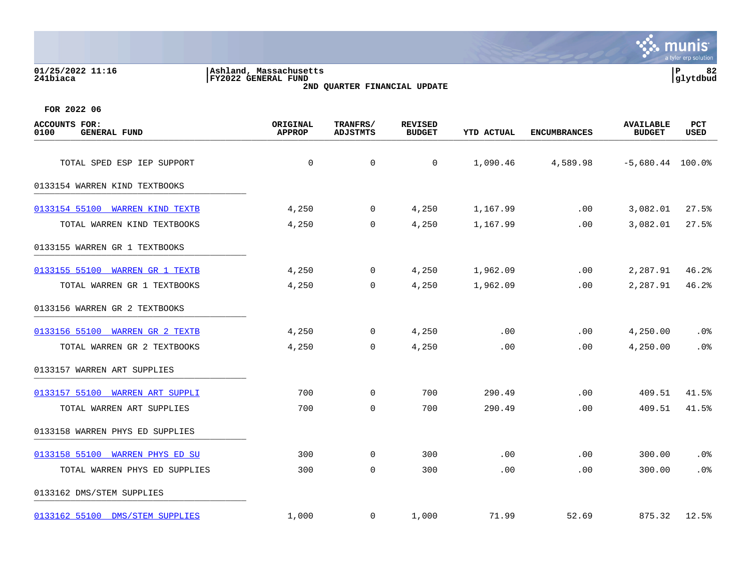| 01/25/2022 11:16<br>241biaca                        | Ashland, Massachusetts<br>FY2022 GENERAL FUND<br>2ND QUARTER FINANCIAL UPDATE |                             |                                 |                   |                     |                                   |                    |  |
|-----------------------------------------------------|-------------------------------------------------------------------------------|-----------------------------|---------------------------------|-------------------|---------------------|-----------------------------------|--------------------|--|
| FOR 2022 06                                         |                                                                               |                             |                                 |                   |                     |                                   |                    |  |
| <b>ACCOUNTS FOR:</b><br><b>GENERAL FUND</b><br>0100 | ORIGINAL<br><b>APPROP</b>                                                     | TRANFRS/<br><b>ADJSTMTS</b> | <b>REVISED</b><br><b>BUDGET</b> | <b>YTD ACTUAL</b> | <b>ENCUMBRANCES</b> | <b>AVAILABLE</b><br><b>BUDGET</b> | <b>PCT</b><br>USED |  |
| TOTAL SPED ESP IEP SUPPORT                          | $\mathbf 0$                                                                   | $\mathbf 0$                 | 0                               | 1,090.46          | 4,589.98            | $-5,680.44$ 100.0%                |                    |  |
| 0133154 WARREN KIND TEXTBOOKS                       |                                                                               |                             |                                 |                   |                     |                                   |                    |  |
| 0133154 55100 WARREN KIND TEXTB                     | 4,250                                                                         | 0                           | 4,250                           | 1,167.99          | .00                 | 3,082.01                          | 27.5%              |  |
| TOTAL WARREN KIND TEXTBOOKS                         | 4,250                                                                         | 0                           | 4,250                           | 1,167.99          | .00                 | 3,082.01                          | 27.5%              |  |
| 0133155 WARREN GR 1 TEXTBOOKS                       |                                                                               |                             |                                 |                   |                     |                                   |                    |  |
| 0133155 55100 WARREN GR 1 TEXTB                     | 4,250                                                                         | $\mathbf 0$                 | 4,250                           | 1,962.09          | .00                 | 2,287.91                          | 46.2%              |  |
| TOTAL WARREN GR 1 TEXTBOOKS                         | 4,250                                                                         | 0                           | 4,250                           | 1,962.09          | .00                 | 2,287.91                          | 46.2%              |  |
| 0133156 WARREN GR 2 TEXTBOOKS                       |                                                                               |                             |                                 |                   |                     |                                   |                    |  |
| 0133156 55100 WARREN GR 2 TEXTB                     | 4,250                                                                         | $\mathbf 0$                 | 4,250                           | .00               | .00                 | 4,250.00                          | .0%                |  |
| TOTAL WARREN GR 2 TEXTBOOKS                         | 4,250                                                                         | 0                           | 4,250                           | .00               | .00                 | 4,250.00                          | .0%                |  |
| 0133157 WARREN ART SUPPLIES                         |                                                                               |                             |                                 |                   |                     |                                   |                    |  |
| 0133157 55100 WARREN ART SUPPLI                     | 700                                                                           | $\mathbf 0$                 | 700                             | 290.49            | .00                 | 409.51                            | 41.5%              |  |
| TOTAL WARREN ART SUPPLIES                           | 700                                                                           | $\mathbf 0$                 | 700                             | 290.49            | .00                 | 409.51                            | 41.5%              |  |
| 0133158 WARREN PHYS ED SUPPLIES                     |                                                                               |                             |                                 |                   |                     |                                   |                    |  |

[0133158 55100 WARREN PHYS ED SU](https://yvwlndash063.tylertech.com/sites/mu0241/LIVE/_layouts/15/DashboardMunisV6.3/PassThru.aspx?-E=4V8IBHiZI3fM9oI%2BuqaBSdslPljwDYWvO07HD2HTK7Ny0XNsCw/UjHLUsSvqjerr&) 300 0 300 .00 .00 300.00 .0%

[0133162 55100 DMS/STEM SUPPLIES](https://yvwlndash063.tylertech.com/sites/mu0241/LIVE/_layouts/15/DashboardMunisV6.3/PassThru.aspx?-E=zR9/eww4ML2phDtAF3h2uOqXq5mbls9T6SmIa5ooS9OEM1A27WocN7o6Nt%2Bss/kt&) 1,000 0 1,000 71.99 52.69 875.32 12.5%

0133162 DMS/STEM SUPPLIES

TOTAL WARREN PHYS ED SUPPLIES 300 0 300 .00 .00 300.00 .0%

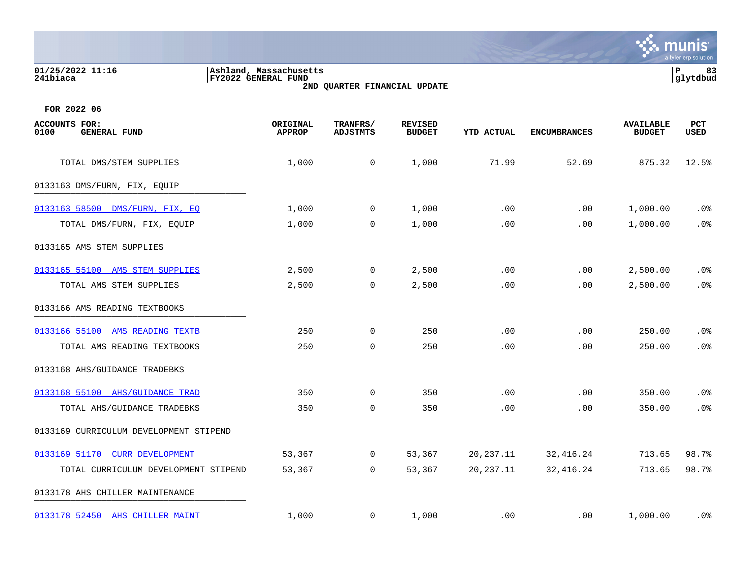**01/25/2022 11:16 |Ashland, Massachusetts |P 83 241biaca |FY2022 GENERAL FUND |glytdbud 2ND QUARTER FINANCIAL UPDATE**



| <b>ACCOUNTS FOR:</b><br>0100<br><b>GENERAL FUND</b> | ORIGINAL<br><b>APPROP</b> | TRANFRS/<br><b>ADJSTMTS</b> | <b>REVISED</b><br><b>BUDGET</b> | <b>YTD ACTUAL</b> | <b>ENCUMBRANCES</b> | <b>AVAILABLE</b><br><b>BUDGET</b> | PCT<br>USED |
|-----------------------------------------------------|---------------------------|-----------------------------|---------------------------------|-------------------|---------------------|-----------------------------------|-------------|
| TOTAL DMS/STEM SUPPLIES                             | 1,000                     | $\mathsf{O}$                | 1,000                           | 71.99             | 52.69               | 875.32                            | 12.5%       |
|                                                     |                           |                             |                                 |                   |                     |                                   |             |
| 0133163 DMS/FURN, FIX, EQUIP                        |                           |                             |                                 |                   |                     |                                   |             |
| 0133163 58500 DMS/FURN, FIX, EQ                     | 1,000                     | 0                           | 1,000                           | .00               | .00                 | 1,000.00                          | $.0\%$      |
| TOTAL DMS/FURN, FIX, EQUIP                          | 1,000                     | $\mathbf 0$                 | 1,000                           | .00               | .00                 | 1,000.00                          | .0%         |
| 0133165 AMS STEM SUPPLIES                           |                           |                             |                                 |                   |                     |                                   |             |
| 0133165 55100 AMS STEM SUPPLIES                     | 2,500                     | 0                           | 2,500                           | .00               | .00                 | 2,500.00                          | $.0\%$      |
| TOTAL AMS STEM SUPPLIES                             | 2,500                     | 0                           | 2,500                           | .00               | .00                 | 2,500.00                          | .0%         |
| 0133166 AMS READING TEXTBOOKS                       |                           |                             |                                 |                   |                     |                                   |             |
| 0133166 55100 AMS READING TEXTB                     | 250                       | $\mathbf 0$                 | 250                             | .00               | .00                 | 250.00                            | .0%         |
| TOTAL AMS READING TEXTBOOKS                         | 250                       | $\mathbf 0$                 | 250                             | .00               | .00                 | 250.00                            | .0%         |
| 0133168 AHS/GUIDANCE TRADEBKS                       |                           |                             |                                 |                   |                     |                                   |             |
| 0133168 55100 AHS/GUIDANCE TRAD                     | 350                       | $\mathbf 0$                 | 350                             | .00               | .00                 | 350.00                            | .0%         |
| TOTAL AHS/GUIDANCE TRADEBKS                         | 350                       | $\mathbf 0$                 | 350                             | .00               | .00                 | 350.00                            | .0%         |
| 0133169 CURRICULUM DEVELOPMENT STIPEND              |                           |                             |                                 |                   |                     |                                   |             |
| 0133169 51170 CURR DEVELOPMENT                      | 53,367                    | 0                           | 53,367                          | 20, 237. 11       | 32,416.24           | 713.65                            | 98.7%       |
| TOTAL CURRICULUM DEVELOPMENT STIPEND                | 53,367                    | 0                           | 53,367                          | 20, 237. 11       | 32, 416.24          | 713.65                            | 98.7%       |
| 0133178 AHS CHILLER MAINTENANCE                     |                           |                             |                                 |                   |                     |                                   |             |
| 0133178 52450 AHS CHILLER MAINT                     | 1,000                     | 0                           | 1,000                           | .00               | $.00 \,$            | 1,000.00                          | . 0%        |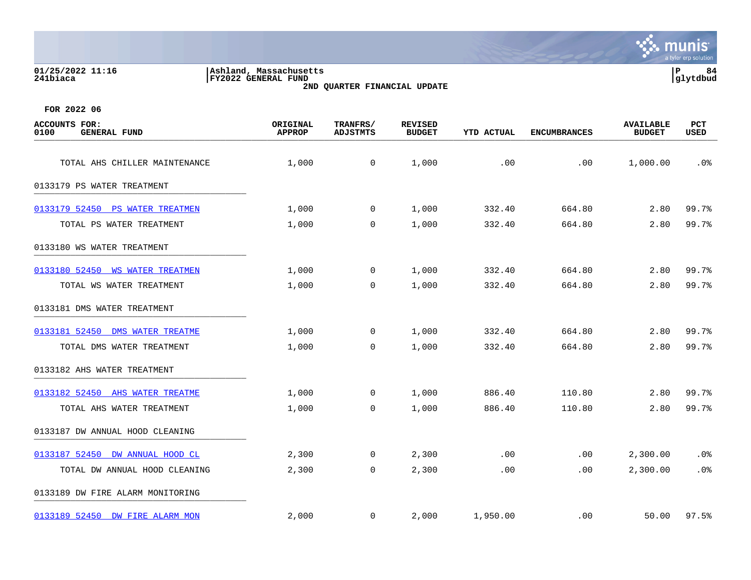| 01/25/2022 11:16<br>241biaca                        | Ashland, Massachusetts<br>FY2022 GENERAL FUND | 2ND QUARTER FINANCIAL UPDATE |                                 |                   |                     | lР                                | 84<br>glytdbud     |
|-----------------------------------------------------|-----------------------------------------------|------------------------------|---------------------------------|-------------------|---------------------|-----------------------------------|--------------------|
| FOR 2022 06                                         |                                               |                              |                                 |                   |                     |                                   |                    |
| <b>ACCOUNTS FOR:</b><br>0100<br><b>GENERAL FUND</b> | ORIGINAL<br><b>APPROP</b>                     | TRANFRS/<br><b>ADJSTMTS</b>  | <b>REVISED</b><br><b>BUDGET</b> | <b>YTD ACTUAL</b> | <b>ENCUMBRANCES</b> | <b>AVAILABLE</b><br><b>BUDGET</b> | PCT<br><b>USED</b> |
| TOTAL AHS CHILLER MAINTENANCE                       | 1,000                                         | 0                            | 1,000                           | .00               | .00                 | 1,000.00                          | .0%                |
| 0133179 PS WATER TREATMENT                          |                                               |                              |                                 |                   |                     |                                   |                    |
| 0133179 52450<br>PS WATER TREATMEN                  | 1,000                                         | 0                            | 1,000                           | 332.40            | 664.80              | 2.80                              | 99.7%              |
| TOTAL PS WATER TREATMENT                            | 1,000                                         | 0                            | 1,000                           | 332.40            | 664.80              | 2.80                              | 99.7%              |
| 0133180 WS WATER TREATMENT                          |                                               |                              |                                 |                   |                     |                                   |                    |
| 0133180 52450<br><b>WS WATER TREATMEN</b>           | 1,000                                         | $\Omega$                     | 1,000                           | 332.40            | 664.80              | 2.80                              | 99.7%              |
| TOTAL WS WATER TREATMENT                            | 1,000                                         | $\Omega$                     | 1,000                           | 332.40            | 664.80              | 2.80                              | 99.7%              |
| 0133181 DMS WATER TREATMENT                         |                                               |                              |                                 |                   |                     |                                   |                    |
| 0133181 52450 DMS WATER TREATME                     | 1,000                                         | 0                            | 1,000                           | 332.40            | 664.80              | 2.80                              | 99.7%              |
| TOTAL DMS WATER TREATMENT                           | 1,000                                         | 0                            | 1,000                           | 332.40            | 664.80              | 2.80                              | 99.7%              |
| 0133182 AHS WATER TREATMENT                         |                                               |                              |                                 |                   |                     |                                   |                    |

 $\mathbf{\ddot{.}}\mathbf{\ddot{.}}\mathbf{.}$  munis

tyler erp solutio

[0133182 52450 AHS WATER TREATME](https://yvwlndash063.tylertech.com/sites/mu0241/LIVE/_layouts/15/DashboardMunisV6.3/PassThru.aspx?-E=ZtBJjb6r%2B/TP0tdEhOtvesJcHkpzBHBejnhkOBwkxP/3J4L9hETlXVwxwkOjQ1Q3&) 1,000 0 1,000 886.40 110.80 2.80 99.7% TOTAL AHS WATER TREATMENT  $1,000$  0 1,000 886.40 110.80 2.80 99.7% 0133187 DW ANNUAL HOOD CLEANING [0133187 52450 DW ANNUAL HOOD CL](https://yvwlndash063.tylertech.com/sites/mu0241/LIVE/_layouts/15/DashboardMunisV6.3/PassThru.aspx?-E=5PMlu3%2BWYJ0FoDfkJBttyMCj5omHjEuzBgjltJSH9gI6wUOkmQ5KzXO6d0HK%2B0k0&) 2,300 0 2,300 .00 .00 2,300.00 .0% TOTAL DW ANNUAL HOOD CLEANING 2,300 0 2,300 .00 .00 2,300.00 .0% 0133189 DW FIRE ALARM MONITORING \_\_\_\_\_\_\_\_\_\_\_\_\_\_\_\_\_\_\_\_\_\_\_\_\_\_\_\_\_\_\_\_\_\_\_\_\_\_\_\_\_ [0133189 52450 DW FIRE ALARM MON](https://yvwlndash063.tylertech.com/sites/mu0241/LIVE/_layouts/15/DashboardMunisV6.3/PassThru.aspx?-E=Ge6LlTAYeq6vVgJoGbWBV61Iqmhbkgh%2BKujM9CYwhMAywNVW6XIC7x%2ButXrdwJaX&) 2,000 0 2,000 1,950.00 0 .00 50.00 97.5%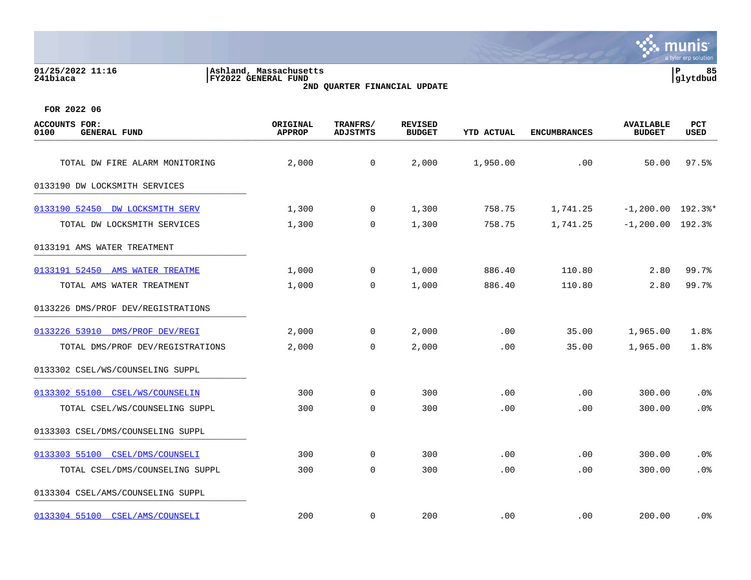### **01/25/2022 11:16 |Ashland, Massachusetts |P 85 241biaca |FY2022 GENERAL FUND |glytdbud 2ND QUARTER FINANCIAL UPDATE**



| <b>ACCOUNTS FOR:</b><br>0100<br><b>GENERAL FUND</b> | ORIGINAL<br><b>APPROP</b> | TRANFRS/<br><b>ADJSTMTS</b> | <b>REVISED</b><br><b>BUDGET</b> | <b>YTD ACTUAL</b> | <b>ENCUMBRANCES</b> | <b>AVAILABLE</b><br><b>BUDGET</b> | <b>PCT</b><br><b>USED</b> |
|-----------------------------------------------------|---------------------------|-----------------------------|---------------------------------|-------------------|---------------------|-----------------------------------|---------------------------|
| TOTAL DW FIRE ALARM MONITORING                      | 2,000                     | $\mathsf{O}$                | 2,000                           | 1,950.00          | .00                 | 50.00                             | 97.5%                     |
| 0133190 DW LOCKSMITH SERVICES                       |                           |                             |                                 |                   |                     |                                   |                           |
| 0133190 52450 DW LOCKSMITH SERV                     | 1,300                     | 0                           | 1,300                           | 758.75            | 1,741.25            | $-1, 200.00$ 192.3%*              |                           |
| TOTAL DW LOCKSMITH SERVICES                         | 1,300                     | 0                           | 1,300                           | 758.75            | 1,741.25            | $-1, 200.00$ 192.3%               |                           |
| 0133191 AMS WATER TREATMENT                         |                           |                             |                                 |                   |                     |                                   |                           |
| 0133191 52450 AMS WATER TREATME                     | 1,000                     | 0                           | 1,000                           | 886.40            | 110.80              | 2.80                              | 99.7%                     |
| TOTAL AMS WATER TREATMENT                           | 1,000                     | $\mathbf 0$                 | 1,000                           | 886.40            | 110.80              | 2.80                              | 99.7%                     |
| 0133226 DMS/PROF DEV/REGISTRATIONS                  |                           |                             |                                 |                   |                     |                                   |                           |
| 0133226 53910 DMS/PROF DEV/REGI                     | 2,000                     | $\mathsf{O}$                | 2,000                           | .00               | 35.00               | 1,965.00                          | 1.8%                      |
| TOTAL DMS/PROF DEV/REGISTRATIONS                    | 2,000                     | $\Omega$                    | 2,000                           | .00               | 35.00               | 1,965.00                          | 1.8%                      |
| 0133302 CSEL/WS/COUNSELING SUPPL                    |                           |                             |                                 |                   |                     |                                   |                           |
| 0133302 55100 CSEL/WS/COUNSELIN                     | 300                       | $\mathbf 0$                 | 300                             | .00               | .00                 | 300.00                            | .0%                       |
| TOTAL CSEL/WS/COUNSELING SUPPL                      | 300                       | $\mathbf 0$                 | 300                             | .00               | .00                 | 300.00                            | .0%                       |
| 0133303 CSEL/DMS/COUNSELING SUPPL                   |                           |                             |                                 |                   |                     |                                   |                           |
| 0133303 55100 CSEL/DMS/COUNSELI                     | 300                       | $\mathbf 0$                 | 300                             | .00               | .00                 | 300.00                            | .0%                       |
| TOTAL CSEL/DMS/COUNSELING SUPPL                     | 300                       | $\mathbf 0$                 | 300                             | .00               | .00                 | 300.00                            | .0%                       |
| 0133304 CSEL/AMS/COUNSELING SUPPL                   |                           |                             |                                 |                   |                     |                                   |                           |
| 0133304 55100 CSEL/AMS/COUNSELI                     | 200                       | $\mathbf 0$                 | 200                             | .00               | .00                 | 200.00                            | .0%                       |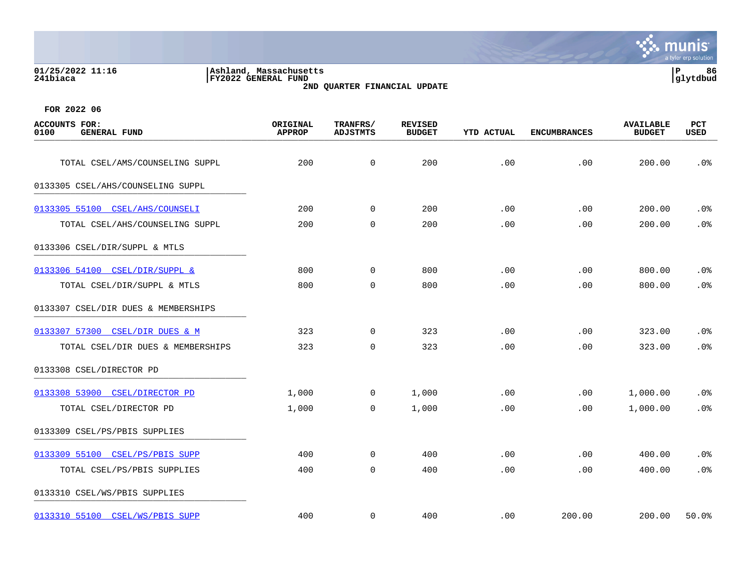| 01/25/2022 11:16<br>241biaca                        | Ashland, Massachusetts<br>FY2022 GENERAL FUND<br>2ND QUARTER FINANCIAL UPDATE |                             |                                 |                   |                     |                                   |             |  |
|-----------------------------------------------------|-------------------------------------------------------------------------------|-----------------------------|---------------------------------|-------------------|---------------------|-----------------------------------|-------------|--|
| FOR 2022 06                                         |                                                                               |                             |                                 |                   |                     |                                   |             |  |
| <b>ACCOUNTS FOR:</b><br>0100<br><b>GENERAL FUND</b> | ORIGINAL<br><b>APPROP</b>                                                     | TRANFRS/<br><b>ADJSTMTS</b> | <b>REVISED</b><br><b>BUDGET</b> | <b>YTD ACTUAL</b> | <b>ENCUMBRANCES</b> | <b>AVAILABLE</b><br><b>BUDGET</b> | PCT<br>USED |  |
| TOTAL CSEL/AMS/COUNSELING SUPPL                     | 200                                                                           | $\mathbf 0$                 | 200                             | .00               | .00                 | 200.00                            | .0%         |  |
| 0133305 CSEL/AHS/COUNSELING SUPPL                   |                                                                               |                             |                                 |                   |                     |                                   |             |  |
| 0133305 55100 CSEL/AHS/COUNSELI                     | 200                                                                           | $\Omega$                    | 200                             | .00               | .00                 | 200.00                            | .0%         |  |
| TOTAL CSEL/AHS/COUNSELING SUPPL                     | 200                                                                           | $\mathbf 0$                 | 200                             | .00               | .00                 | 200.00                            | .0%         |  |
| 0133306 CSEL/DIR/SUPPL & MTLS                       |                                                                               |                             |                                 |                   |                     |                                   |             |  |
| 0133306 54100 CSEL/DIR/SUPPL &                      | 800                                                                           | $\Omega$                    | 800                             | .00               | .00                 | 800.00                            | .0%         |  |
| TOTAL CSEL/DIR/SUPPL & MTLS                         | 800                                                                           | $\mathbf 0$                 | 800                             | .00               | .00                 | 800.00                            | .0%         |  |
|                                                     |                                                                               |                             |                                 |                   |                     |                                   |             |  |

munis

[0133307 57300 CSEL/DIR DUES & M](https://yvwlndash063.tylertech.com/sites/mu0241/LIVE/_layouts/15/DashboardMunisV6.3/PassThru.aspx?-E=UENUJoNObpWUOeftbEPcc0D5jhZ7Rxz49e45QePzoIkmsIe3YoIJyG9xhdisidWJ&) 323 0 323 0 323 .00 .00 323.00 .00

[0133308 53900 CSEL/DIRECTOR PD](https://yvwlndash063.tylertech.com/sites/mu0241/LIVE/_layouts/15/DashboardMunisV6.3/PassThru.aspx?-E=8oDT2hC4mJc/Dv76kY54kmU3XhXOshN4GR04/PU0Y/YGe6hv3/uJZRusYhyu1XmA&) 1,000 0 1,000 .00 .00 1,000.00 .0%

[0133309 55100 CSEL/PS/PBIS SUPP](https://yvwlndash063.tylertech.com/sites/mu0241/LIVE/_layouts/15/DashboardMunisV6.3/PassThru.aspx?-E=nM2BBjiJoLmPUi/9kU4nZxKXLm%2B0tD7feuf3AFphXMpbYnQOUCC3fXdYyLJj6KRZ&) 400 0 400 .00 .00 400.00 .0%

TOTAL CSEL/DIR DUES & MEMBERSHIPS 323 0 323 .00 .00 323.00 .0%

TOTAL CSEL/DIRECTOR PD 1,000 0 1,000 .00 .00 1,000.00 .0%

TOTAL CSEL/PS/PBIS SUPPLIES 400 0 400 .00 .00 400.00 .0% 0133310 CSEL/WS/PBIS SUPPLIES [0133310 55100 CSEL/WS/PBIS SUPP](https://yvwlndash063.tylertech.com/sites/mu0241/LIVE/_layouts/15/DashboardMunisV6.3/PassThru.aspx?-E=zMRh4ExHew0Nd94P/sQqHegWFWYAMjvmwuvQpQTd76%2BWX2uU7YAdcdWpw2eflo2o&) 400 400 0 400 .00 200.00 200.00 50.0%

0133307 CSEL/DIR DUES & MEMBERSHIPS

0133308 CSEL/DIRECTOR PD \_\_\_\_\_\_\_\_\_\_\_\_\_\_\_\_\_\_\_\_\_\_\_\_\_\_\_\_\_\_\_\_\_\_\_\_\_\_\_\_\_

0133309 CSEL/PS/PBIS SUPPLIES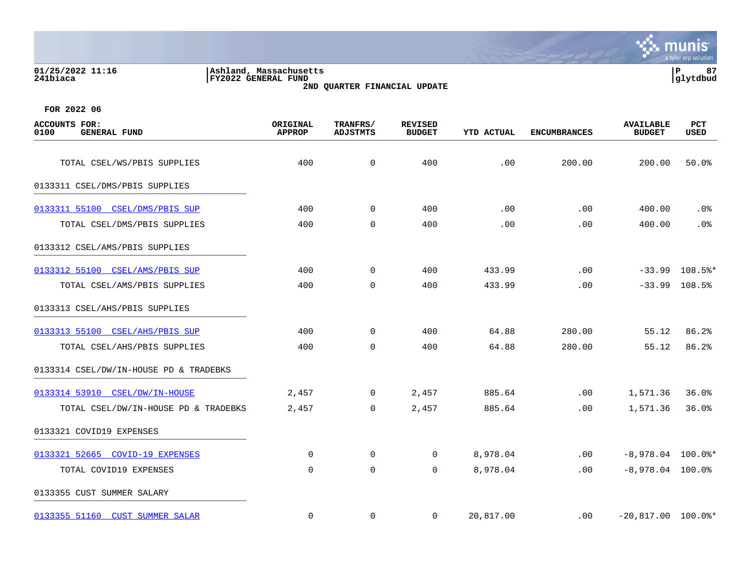|                                                        |                                               |                      |                                 |                   |                     |                                   | munis <sup>®</sup><br>a tyler erp solution |
|--------------------------------------------------------|-----------------------------------------------|----------------------|---------------------------------|-------------------|---------------------|-----------------------------------|--------------------------------------------|
| 01/25/2022 11:16<br>241biaca                           | Ashland, Massachusetts<br>FY2022 GENERAL FUND |                      | 2ND QUARTER FINANCIAL UPDATE    |                   |                     |                                   | 87<br>l P<br>glytdbud                      |
| FOR 2022 06                                            |                                               |                      |                                 |                   |                     |                                   |                                            |
| <b>ACCOUNTS</b><br>FOR:<br>0100<br><b>GENERAL FUND</b> | ORIGINAL<br><b>APPROP</b>                     | TRANFRS/<br>ADJSTMTS | <b>REVISED</b><br><b>BUDGET</b> | <b>YTD ACTUAL</b> | <b>ENCUMBRANCES</b> | <b>AVAILABLE</b><br><b>BUDGET</b> | PCT<br><b>USED</b>                         |
| TOTAL CSEL/WS/PBIS SUPPLIES                            | 400                                           | 0                    | 400                             | .00               | 200.00              | 200.00                            | 50.0%                                      |
| 0133311 CSEL/DMS/PBIS SUPPLIES                         |                                               |                      |                                 |                   |                     |                                   |                                            |
| 0133311 55100<br>CSEL/DMS/PBIS SUP                     | 400                                           | $\mathbf 0$          | 400                             | .00               | .00                 | 400.00                            | .0 <sub>8</sub>                            |

| 0133311 55100 CSEL/DMS/PBIS SUP        | 400   | 0              | 400            | .00.      | $.00 \times$ | 400.00               | .0%              |
|----------------------------------------|-------|----------------|----------------|-----------|--------------|----------------------|------------------|
| TOTAL CSEL/DMS/PBIS SUPPLIES           | 400   | $\Omega$       | 400            | .00       | .00          | 400.00               | .0%              |
| 0133312 CSEL/AMS/PBIS SUPPLIES         |       |                |                |           |              |                      |                  |
| 0133312 55100 CSEL/AMS/PBIS SUP        | 400   | $\Omega$       | 400            | 433.99    | .00          |                      | $-33.99$ 108.5%* |
| TOTAL CSEL/AMS/PBIS SUPPLIES           | 400   | $\Omega$       | 400            | 433.99    | .00          |                      | $-33.99$ 108.5%  |
| 0133313 CSEL/AHS/PBIS SUPPLIES         |       |                |                |           |              |                      |                  |
| 0133313 55100 CSEL/AHS/PBIS SUP        | 400   | $\Omega$       | 400            | 64.88     | 280.00       | 55.12                | 86.2%            |
| TOTAL CSEL/AHS/PBIS SUPPLIES           | 400   | $\Omega$       | 400            | 64.88     | 280.00       | 55.12                | 86.2%            |
| 0133314 CSEL/DW/IN-HOUSE PD & TRADEBKS |       |                |                |           |              |                      |                  |
| 0133314 53910 CSEL/DW/IN-HOUSE         | 2,457 | $\overline{0}$ | 2,457          | 885.64    | .00          | 1,571.36             | 36.0%            |
| TOTAL CSEL/DW/IN-HOUSE PD & TRADEBKS   | 2,457 | $\Omega$       | 2,457          | 885.64    | .00          | 1,571.36             | 36.0%            |
| 0133321 COVID19 EXPENSES               |       |                |                |           |              |                      |                  |
| 0133321 52665 COVID-19 EXPENSES        | 0     | $\mathbf 0$    | $\overline{0}$ | 8,978.04  | .00          | $-8,978.04$ 100.0%*  |                  |
| TOTAL COVID19 EXPENSES                 | 0     | $\Omega$       | $\Omega$       | 8,978.04  | .00          | $-8,978.04$ 100.0%   |                  |
| 0133355 CUST SUMMER SALARY             |       |                |                |           |              |                      |                  |
| 0133355 51160 CUST SUMMER SALAR        | 0     | 0              | $\Omega$       | 20,817.00 | .00          | $-20,817.00$ 100.0%* |                  |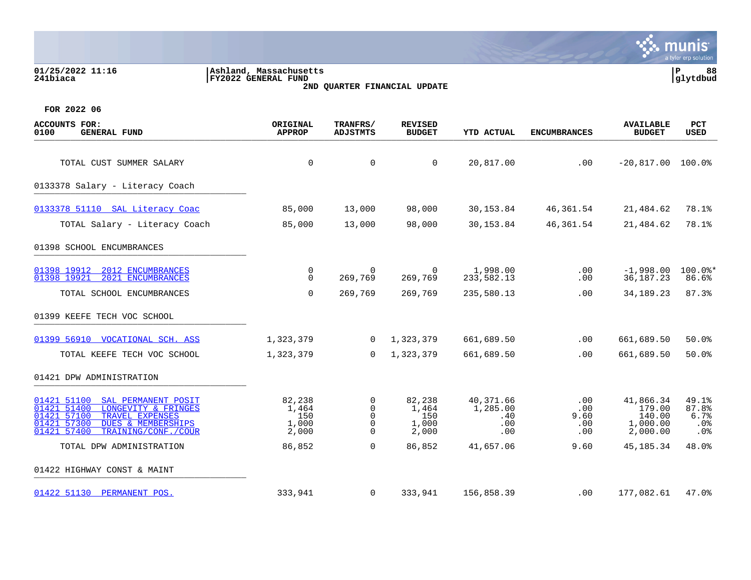| 01/25/2022 11:16<br>241biaca                                                                                                                                                                     | Ashland, Massachusetts<br>FY2022 GENERAL FUND |                                                  | 2ND QUARTER FINANCIAL UPDATE             |                                                      |                                  |                                                       | lР<br>88<br>glytdbud                                         |
|--------------------------------------------------------------------------------------------------------------------------------------------------------------------------------------------------|-----------------------------------------------|--------------------------------------------------|------------------------------------------|------------------------------------------------------|----------------------------------|-------------------------------------------------------|--------------------------------------------------------------|
| FOR 2022 06                                                                                                                                                                                      |                                               |                                                  |                                          |                                                      |                                  |                                                       |                                                              |
| <b>ACCOUNTS FOR:</b><br><b>GENERAL FUND</b><br>0100                                                                                                                                              | ORIGINAL<br><b>APPROP</b>                     | TRANFRS/<br>ADJSTMTS                             | <b>REVISED</b><br><b>BUDGET</b>          | <b>YTD ACTUAL</b>                                    | <b>ENCUMBRANCES</b>              | <b>AVAILABLE</b><br><b>BUDGET</b>                     | PCT<br>USED                                                  |
| TOTAL CUST SUMMER SALARY                                                                                                                                                                         | $\mathbf 0$                                   | 0                                                | $\mathbf 0$                              | 20,817.00                                            | .00                              | $-20,817.00$ 100.0%                                   |                                                              |
| 0133378 Salary - Literacy Coach                                                                                                                                                                  |                                               |                                                  |                                          |                                                      |                                  |                                                       |                                                              |
| 0133378 51110 SAL Literacy Coac                                                                                                                                                                  | 85,000                                        | 13,000                                           | 98,000                                   | 30, 153.84                                           | 46,361.54                        | 21,484.62                                             | 78.1%                                                        |
| TOTAL Salary - Literacy Coach                                                                                                                                                                    | 85,000                                        | 13,000                                           | 98,000                                   | 30,153.84                                            | 46, 361.54                       | 21,484.62                                             | 78.1%                                                        |
| 01398 SCHOOL ENCUMBRANCES                                                                                                                                                                        |                                               |                                                  |                                          |                                                      |                                  |                                                       |                                                              |
| 2012 ENCUMBRANCES<br>01398 19912<br>01398 19921<br>2021 ENCUMBRANCES                                                                                                                             | 0<br>0                                        | $\Omega$<br>269,769                              | 269,769                                  | 1,998.00<br>233,582.13                               | .00<br>.00                       | $-1,998.00$<br>36, 187. 23                            | $100.0$ *<br>86.6%                                           |
| TOTAL SCHOOL ENCUMBRANCES                                                                                                                                                                        | $\mathbf 0$                                   | 269,769                                          | 269,769                                  | 235,580.13                                           | .00                              | 34, 189. 23                                           | 87.3%                                                        |
| 01399 KEEFE TECH VOC SCHOOL                                                                                                                                                                      |                                               |                                                  |                                          |                                                      |                                  |                                                       |                                                              |
| 01399 56910 VOCATIONAL SCH. ASS                                                                                                                                                                  | 1,323,379                                     | $\mathbf{0}$                                     | 1,323,379                                | 661,689.50                                           | .00                              | 661,689.50                                            | 50.0%                                                        |
| TOTAL KEEFE TECH VOC SCHOOL                                                                                                                                                                      | 1,323,379                                     | $\overline{0}$                                   | 1,323,379                                | 661,689.50                                           | .00                              | 661,689.50                                            | 50.0%                                                        |
| 01421 DPW ADMINISTRATION                                                                                                                                                                         |                                               |                                                  |                                          |                                                      |                                  |                                                       |                                                              |
| 01421 51100<br>SAL PERMANENT POSIT<br>01421 51400<br>LONGEVITY & FRINGES<br>01421 57100<br>TRAVEL EXPENSES<br>01421 57300<br><b>DUES &amp; MEMBERSHIPS</b><br>01421 57400<br>TRAINING/CONF./COUR | 82,238<br>1,464<br>150<br>1,000<br>2,000      | 0<br>$\mathbf 0$<br>$\mathbf 0$<br>0<br>$\Omega$ | 82,238<br>1,464<br>150<br>1,000<br>2,000 | 40,371.66<br>1,285.00<br>.40<br>$.00 \,$<br>$.00 \,$ | .00<br>.00<br>9.60<br>.00<br>.00 | 41,866.34<br>179.00<br>140.00<br>1,000.00<br>2,000.00 | 49.1%<br>87.8%<br>6.7%<br>.0 <sub>8</sub><br>.0 <sub>8</sub> |
| TOTAL DPW ADMINISTRATION                                                                                                                                                                         | 86,852                                        | 0                                                | 86,852                                   | 41,657.06                                            | 9.60                             | 45, 185. 34                                           | 48.0%                                                        |
| 01422 HIGHWAY CONST & MAINT                                                                                                                                                                      |                                               |                                                  |                                          |                                                      |                                  |                                                       |                                                              |
| 01422 51130 PERMANENT POS.                                                                                                                                                                       | 333,941                                       | 0                                                | 333,941                                  | 156,858.39                                           | .00                              | 177,082.61                                            | 47.0%                                                        |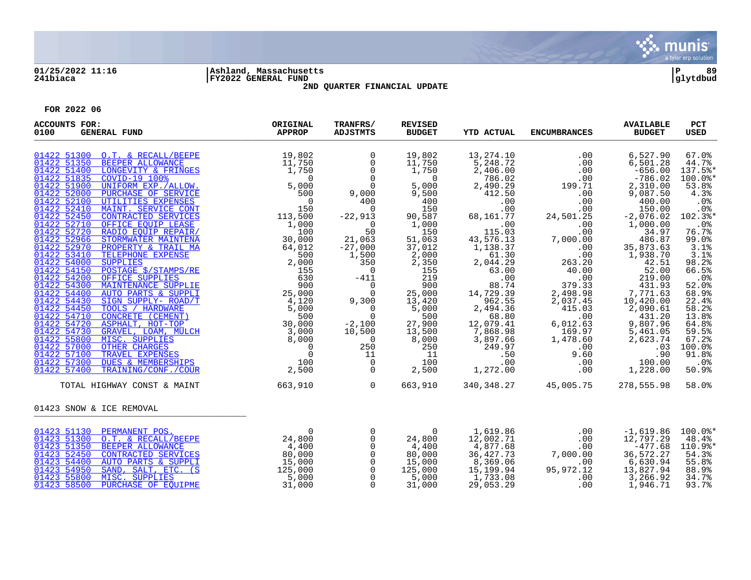

# **01/25/2022 11:16 |Ashland, Massachusetts |P 89 241biaca |FY2022 GENERAL FUND |glytdbud 2ND QUARTER FINANCIAL UPDATE**



| <b>ACCOUNTS FOR:</b><br>0100<br><b>GENERAL FUND</b>                                                                                                                                                                                                                                                                                                                                                                                                                                                                                                                                                                  | ORIGINAL<br>APPROP                                                                  | TRANFRS/<br><b>ADJSTMTS</b>                                                                                 | <b>REVISED</b><br><b>BUDGET</b>                                                                                                                   | <b>YTD ACTUAL</b>                                                                                                                                      | <b>ENCUMBRANCES</b>                                                                                                                                     | <b>AVAILABLE</b><br><b>BUDGET</b>                                                                                                                                 | <b>PCT</b><br><b>USED</b>                                                                                                           |
|----------------------------------------------------------------------------------------------------------------------------------------------------------------------------------------------------------------------------------------------------------------------------------------------------------------------------------------------------------------------------------------------------------------------------------------------------------------------------------------------------------------------------------------------------------------------------------------------------------------------|-------------------------------------------------------------------------------------|-------------------------------------------------------------------------------------------------------------|---------------------------------------------------------------------------------------------------------------------------------------------------|--------------------------------------------------------------------------------------------------------------------------------------------------------|---------------------------------------------------------------------------------------------------------------------------------------------------------|-------------------------------------------------------------------------------------------------------------------------------------------------------------------|-------------------------------------------------------------------------------------------------------------------------------------|
| 01422 51300 O.T. & RECALL/BEEPE<br>01422 51350 BEEPER ALLOWANCE<br>01422 51400<br>01422 51835<br>01422 51900<br>01422 52000 PURCHASE OF SERVICE<br>01422 52100 UTILITIES EXPENSES<br>01422 52410<br>01422 52450<br>01422 52710<br>01422 52720<br>01422 52966<br>01422 52970<br>01422 53410                                                                                                                                                                                                                                                                                                                           | 19,802<br>11,750<br>1,750                                                           | $\mathbf 0$<br>$\Omega$                                                                                     | 19,802<br>$\frac{11}{1}$ , 750<br>1, 750<br>$\overline{0}$<br>5,000<br>9,500<br>400<br>150<br>90,587<br>1,000<br>150<br>51,063<br>37,012<br>2,000 | 13,274.10<br>5,248.72<br>2,406.00<br>786.02<br>2,490.29<br>412.50<br>.00<br>.00<br>68,161.77<br>.00<br>115.03<br>43,576.13<br>1,138.37<br>61.30        | .00<br>.00<br>.00<br>.00<br>199.71<br>.00<br>.00<br>.00<br>24,501.25<br>.00<br>.00<br>7,000.00<br>.00<br>.00                                            | 6,527.90<br>6,501.28<br>$-656.00$<br>$-786.02$<br>2,310.00<br>9,087.50<br>400.00<br>150.00<br>$-2,076.02$<br>1,000.00<br>34.97<br>486.87<br>35,873.63<br>1,938.70 | 67.0%<br>44.7%<br>137.5%*<br>$100.0$ *<br>53.8%<br>4.3%<br>.0%<br>.0%<br>$102.3$ *<br>.0%<br>76.7%<br>99.0%<br>3.1%<br>3.1%         |
| $\begin{tabular}{c c c} $L$ & $1,\, \cdot$ \\ $L$ & $5,\, 000$ \\ $L$ & $500$ \\ $L$ & $500$ \\ $L$ & $10$ \\ $L$ & $10$ \\ $L$ & $10$ \\ $L$ & $10$ \\ $L$ & $R$ & $100$ \\ $L$ & $R$ & $100$ \\ $L$ & $R$ & $100$ \\ $L$ & $R$ & $100$ \\ $L$ & $R$ & $100$ \\ $L$ & $R$ & $100$ \\ $L$ & $R$ & $100$ \\ $L$ & $R$ & $100$ \\ $L$ & $R$ & $100$ \\$<br>01422 54000<br>01422 54150<br>01422 54200 OFFICE SUPPLIES<br>01422 54300<br>01422 54400<br>01422 54430<br>01422 54450<br>01422 54710<br>01422 54720<br>01422 54730<br>01422 55800<br>01422 57000 OTHER CHARGES<br>01422 57100<br>01422 57300<br>01422 57400 |                                                                                     |                                                                                                             | 2,350<br>155<br>219<br>900<br>25,000<br>13,420<br>5,000<br>500<br>27,900<br>13,500<br>8,000<br>250<br>11<br>100<br>2,500                          | 2,044.29<br>63.00<br>.00<br>88.74<br>14,729.39<br>962.55<br>2,494.36<br>68.80<br>12,079.41<br>7,868.98<br>3,897.66<br>249.97<br>.50<br>.00<br>1,272.00 | 263.20<br>40.00<br>.00<br>379.33<br>2,498.98<br>2,037.45<br>415.03<br>.00<br>$6,012.27$ 169.97<br>- 178.60<br>1,478.60<br>.00<br>9.60<br>.00<br>$.00\,$ | 42.51<br>52.00<br>219.00<br>$7,771.63$ $10,420.00$ $0.090.6$<br>2,090.61<br>431.20<br>9,807.96<br>5,461.05<br>2,623.74<br>.03<br>.90<br>100.00<br>1,228.00        | 98.2%<br>66.5%<br>.0%<br>52.0%<br>68.9%<br>22.4%<br>58.2%<br>13.8%<br>64.8%<br>59.5%<br>67.2%<br>100.0%<br>91.8%<br>$.0\%$<br>50.9% |
| TOTAL HIGHWAY CONST & MAINT<br>01423 SNOW & ICE REMOVAL                                                                                                                                                                                                                                                                                                                                                                                                                                                                                                                                                              | 663,910                                                                             | $\overline{0}$                                                                                              | 663,910                                                                                                                                           |                                                                                                                                                        | 340, 348. 27 45, 005. 75                                                                                                                                | 278,555.98                                                                                                                                                        | 58.0%                                                                                                                               |
| 01423 51130 PERMANENT POS.<br>01423 51300 O.T. & RECALL/BEEPE<br>01423 51350<br><b>BEEPER ALLOWANCE</b><br>01423 52450<br>CONTRACTED SERVICES<br>01423 54400<br>AUTO PARTS & SUPPLI<br>01423 54950<br>SAND, SALT, ETC. (S<br>01423 55800<br>MISC. SUPPLIES<br>01423 58500<br>PURCHASE OF EQUIPME                                                                                                                                                                                                                                                                                                                     | $\overline{0}$<br>24,800<br>4,400<br>80,000<br>15,000<br>125,000<br>5,000<br>31,000 | $\mathbf 0$<br>$\Omega$<br>$\overline{0}$<br>$\mathbf 0$<br>$\mathbf 0$<br>$\Omega$<br>$\Omega$<br>$\Omega$ | $\overline{0}$<br>24,800<br>4,400<br>80,000<br>15,000<br>125,000<br>5,000<br>31,000                                                               | 1,619.86<br>12,002.71<br>4,877.68<br>36,427.73<br>8,369.06<br>15,199.94<br>1,733.08<br>29,053.29                                                       | .00<br>.00<br>.00<br>7,000.00<br>.00<br>95,972.12<br>.00<br>.00                                                                                         | $-1,619.86$<br>12,797.29<br>$-477.68$<br>36,572.27<br>$6,630.94$<br>13,827.94<br>3,266.92<br>1,946.71                                                             | $100.0$ *<br>48.4%<br>110.9%*<br>54.3%<br>55.8%<br>88.9%<br>34.7%<br>93.7%                                                          |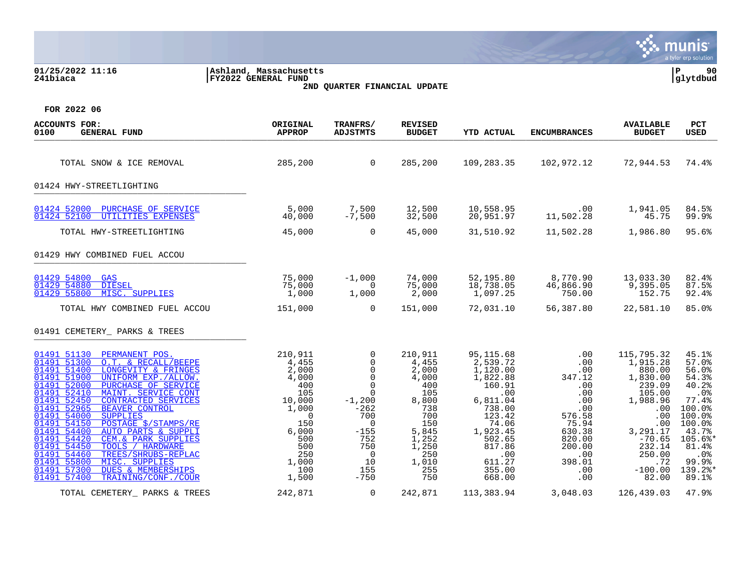|                                                                                                                                                                                                                                                                                                                                                                                                                                                                                                                                                                                                                                                                            |                                                                                                                                                     |                                                                                                                                                                                                           |                                                                                                                                         |                                                                                                                                                                                 |                                                                                                                                                                    |                                                                                                                                                                            | munis<br>a tyler erp solution                                                                                                                                         |
|----------------------------------------------------------------------------------------------------------------------------------------------------------------------------------------------------------------------------------------------------------------------------------------------------------------------------------------------------------------------------------------------------------------------------------------------------------------------------------------------------------------------------------------------------------------------------------------------------------------------------------------------------------------------------|-----------------------------------------------------------------------------------------------------------------------------------------------------|-----------------------------------------------------------------------------------------------------------------------------------------------------------------------------------------------------------|-----------------------------------------------------------------------------------------------------------------------------------------|---------------------------------------------------------------------------------------------------------------------------------------------------------------------------------|--------------------------------------------------------------------------------------------------------------------------------------------------------------------|----------------------------------------------------------------------------------------------------------------------------------------------------------------------------|-----------------------------------------------------------------------------------------------------------------------------------------------------------------------|
| 01/25/2022 11:16<br>241biaca                                                                                                                                                                                                                                                                                                                                                                                                                                                                                                                                                                                                                                               | Ashland, Massachusetts<br><b>FY2022 GENERAL FUND</b>                                                                                                | 2ND QUARTER FINANCIAL UPDATE                                                                                                                                                                              |                                                                                                                                         |                                                                                                                                                                                 |                                                                                                                                                                    |                                                                                                                                                                            | ∣ P<br>90<br> glytdbud                                                                                                                                                |
| FOR 2022 06                                                                                                                                                                                                                                                                                                                                                                                                                                                                                                                                                                                                                                                                |                                                                                                                                                     |                                                                                                                                                                                                           |                                                                                                                                         |                                                                                                                                                                                 |                                                                                                                                                                    |                                                                                                                                                                            |                                                                                                                                                                       |
| <b>ACCOUNTS FOR:</b><br>0100<br><b>GENERAL FUND</b>                                                                                                                                                                                                                                                                                                                                                                                                                                                                                                                                                                                                                        | ORIGINAL<br><b>APPROP</b>                                                                                                                           | TRANFRS/<br>ADJSTMTS                                                                                                                                                                                      | <b>REVISED</b><br><b>BUDGET</b>                                                                                                         | <b>YTD ACTUAL</b>                                                                                                                                                               | <b>ENCUMBRANCES</b>                                                                                                                                                | <b>AVAILABLE</b><br><b>BUDGET</b>                                                                                                                                          | <b>PCT</b><br>USED                                                                                                                                                    |
| TOTAL SNOW & ICE REMOVAL                                                                                                                                                                                                                                                                                                                                                                                                                                                                                                                                                                                                                                                   | 285,200                                                                                                                                             | $\overline{0}$                                                                                                                                                                                            | 285,200                                                                                                                                 | 109,283.35                                                                                                                                                                      | 102,972.12                                                                                                                                                         | 72,944.53                                                                                                                                                                  | 74.4%                                                                                                                                                                 |
| 01424 HWY-STREETLIGHTING                                                                                                                                                                                                                                                                                                                                                                                                                                                                                                                                                                                                                                                   |                                                                                                                                                     |                                                                                                                                                                                                           |                                                                                                                                         |                                                                                                                                                                                 |                                                                                                                                                                    |                                                                                                                                                                            |                                                                                                                                                                       |
| 01424 52000 PURCHASE OF SERVICE<br>01424 52100 UTILITIES EXPENSES                                                                                                                                                                                                                                                                                                                                                                                                                                                                                                                                                                                                          | 5,000<br>40,000                                                                                                                                     | 7,500<br>$-7,500$                                                                                                                                                                                         | 12,500<br>32,500                                                                                                                        | 10,558.95<br>20,951.97                                                                                                                                                          | .00<br>11,502.28                                                                                                                                                   | 1,941.05<br>45.75                                                                                                                                                          | 84.5%<br>99.9%                                                                                                                                                        |
| TOTAL HWY-STREETLIGHTING                                                                                                                                                                                                                                                                                                                                                                                                                                                                                                                                                                                                                                                   | 45,000                                                                                                                                              | $\overline{0}$                                                                                                                                                                                            | 45,000                                                                                                                                  | 31,510.92                                                                                                                                                                       | 11,502.28                                                                                                                                                          | 1,986.80                                                                                                                                                                   | 95.6%                                                                                                                                                                 |
| 01429 HWY COMBINED FUEL ACCOU                                                                                                                                                                                                                                                                                                                                                                                                                                                                                                                                                                                                                                              |                                                                                                                                                     |                                                                                                                                                                                                           |                                                                                                                                         |                                                                                                                                                                                 |                                                                                                                                                                    |                                                                                                                                                                            |                                                                                                                                                                       |
| 01429 54800<br>GAS<br>01429 54880<br><b>DIESEL</b><br>01429 55800<br>MISC. SUPPLIES                                                                                                                                                                                                                                                                                                                                                                                                                                                                                                                                                                                        | 75,000<br>75,000<br>1,000                                                                                                                           | $-1,000$<br>$\Omega$<br>1,000                                                                                                                                                                             | 74,000<br>75,000<br>2,000                                                                                                               | 52,195.80<br>18,738.05<br>1,097.25                                                                                                                                              | 8,770.90<br>46,866.90<br>750.00                                                                                                                                    | 13,033.30<br>9,395.05<br>152.75                                                                                                                                            | 82.4%<br>87.5%<br>92.4%                                                                                                                                               |
| TOTAL HWY COMBINED FUEL ACCOU                                                                                                                                                                                                                                                                                                                                                                                                                                                                                                                                                                                                                                              | 151,000                                                                                                                                             | $\Omega$                                                                                                                                                                                                  | 151,000                                                                                                                                 | 72,031.10                                                                                                                                                                       | 56,387.80                                                                                                                                                          | 22,581.10                                                                                                                                                                  | 85.0%                                                                                                                                                                 |
| 01491 CEMETERY_ PARKS & TREES                                                                                                                                                                                                                                                                                                                                                                                                                                                                                                                                                                                                                                              |                                                                                                                                                     |                                                                                                                                                                                                           |                                                                                                                                         |                                                                                                                                                                                 |                                                                                                                                                                    |                                                                                                                                                                            |                                                                                                                                                                       |
| 01491 51130<br>PERMANENT POS.<br>01491 51300<br>O.T. & RECALL/BEEPE<br>01491 51400<br>LONGEVITY & FRINGES<br>01491 51900<br>UNIFORM EXP./ALLOW.<br>01491 52000<br>PURCHASE OF SERVICE<br>01491 52410<br>MAINT. SERVICE CONT<br>01491 52450<br>CONTRACTED SERVICES<br>01491 52965<br><b>BEAVER CONTROL</b><br>01491 54000<br><b>SUPPLIES</b><br>01491 54150<br>POSTAGE \$/STAMPS/RE<br>01491 54400<br><b>AUTO PARTS &amp; SUPPLI</b><br>01491 54420<br>CEM. & PARK SUPPLIES<br>01491 54450<br>01491 54460<br>TOOLS / HARDWARE<br>TREES/SHRUBS-REPLAC<br>01491 55800<br>MISC. SUPPLIES<br>01491 57300<br><b>DUES &amp; MEMBERSHIPS</b><br>01491 57400<br>TRAINING/CONF./COUR | 210,911<br>4,455<br>2,000<br>4,000<br>400<br>105<br>10,000<br>1,000<br>$\overline{0}$<br>150<br>6,000<br>500<br>500<br>250<br>1,000<br>100<br>1,500 | 0<br>$\overline{0}$<br>$\overline{0}$<br>$\mathsf{O}$<br>$\overline{0}$<br>$\overline{0}$<br>$-1,200$<br>$-262$<br>700<br>$\overline{0}$<br>$-155$<br>752<br>750<br>$\overline{0}$<br>10<br>155<br>$-750$ | 210,911<br>4,455<br>2,000<br>4,000<br>400<br>105<br>8,800<br>738<br>700<br>150<br>5,845<br>1,252<br>1,250<br>250<br>1,010<br>255<br>750 | 95,115.68<br>2,539.72<br>1,120.00<br>1,822.88<br>160.91<br>00.700<br>6,811.04<br>738.00<br>123.42<br>74.06<br>1,923.45<br>502.65<br>817.86<br>.00<br>611.27<br>355.00<br>668.00 | .00<br>$.00 \,$<br>.00<br>347.12<br>.00<br>.00<br>.00<br>$.00 \,$<br>576.58<br>75.94<br>630.38<br>820.00<br>200.00<br>$.00 \,$<br>398.01<br>$.00 \ \,$<br>$.00 \,$ | 115,795.32<br>1,915.28<br>880.00<br>1,830.00<br>239.09<br>105.00<br>1,988.96<br>.00<br>.00<br>.00<br>3,291.17<br>$-70.65$<br>232.14<br>250.00<br>.72<br>$-100.00$<br>82.00 | 45.1%<br>57.0%<br>56.0%<br>54.3%<br>40.2%<br>.0 <sub>8</sub><br>77.4%<br>100.0%<br>100.0%<br>100.0%<br>43.7%<br>105.6%<br>81.4%<br>.0%<br>99.9%<br>$139.2$ *<br>89.1% |
| TOTAL CEMETERY_ PARKS & TREES                                                                                                                                                                                                                                                                                                                                                                                                                                                                                                                                                                                                                                              | 242,871                                                                                                                                             | 0                                                                                                                                                                                                         | 242,871                                                                                                                                 | 113,383.94                                                                                                                                                                      | 3,048.03                                                                                                                                                           | 126,439.03                                                                                                                                                                 | 47.9%                                                                                                                                                                 |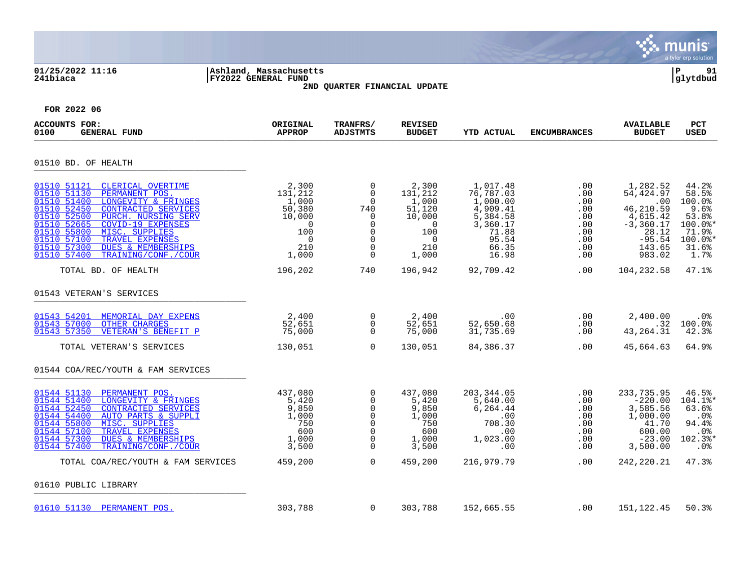|                                                                                                                                                                                                                                                                                                                                                                                  |                                                                                                    |                                                                                                                                        |                                                                                                    |                                                                                                           |                                                                         |                                                                                                               | munis<br>a tyler erp solution                                                            |
|----------------------------------------------------------------------------------------------------------------------------------------------------------------------------------------------------------------------------------------------------------------------------------------------------------------------------------------------------------------------------------|----------------------------------------------------------------------------------------------------|----------------------------------------------------------------------------------------------------------------------------------------|----------------------------------------------------------------------------------------------------|-----------------------------------------------------------------------------------------------------------|-------------------------------------------------------------------------|---------------------------------------------------------------------------------------------------------------|------------------------------------------------------------------------------------------|
| 01/25/2022 11:16<br>241biaca                                                                                                                                                                                                                                                                                                                                                     | Ashland, Massachusetts<br><b>FY2022 GENERAL FUND</b>                                               | 2ND QUARTER FINANCIAL UPDATE                                                                                                           |                                                                                                    |                                                                                                           |                                                                         |                                                                                                               | Þ<br>91<br>glytdbud                                                                      |
| FOR 2022 06                                                                                                                                                                                                                                                                                                                                                                      |                                                                                                    |                                                                                                                                        |                                                                                                    |                                                                                                           |                                                                         |                                                                                                               |                                                                                          |
| <b>ACCOUNTS FOR:</b><br><b>GENERAL FUND</b><br>0100                                                                                                                                                                                                                                                                                                                              | ORIGINAL<br><b>APPROP</b>                                                                          | TRANFRS/<br><b>ADJSTMTS</b>                                                                                                            | <b>REVISED</b><br><b>BUDGET</b>                                                                    | <b>YTD ACTUAL</b>                                                                                         | <b>ENCUMBRANCES</b>                                                     | <b>AVAILABLE</b><br><b>BUDGET</b>                                                                             | PCT<br>USED                                                                              |
| 01510 BD. OF HEALTH                                                                                                                                                                                                                                                                                                                                                              |                                                                                                    |                                                                                                                                        |                                                                                                    |                                                                                                           |                                                                         |                                                                                                               |                                                                                          |
| 01510 51121<br>CLERICAL OVERTIME<br>01510 51130<br>PERMANENT POS.<br>01510 51400<br>LONGEVITY & FRINGES<br>01510 52450<br>CONTRACTED SERVICES<br>01510 52500<br>PURCH. NURSING SERV<br>01510 52665<br>COVID-19 EXPENSES<br>MISC. SUPPLIES<br>01510 55800<br>01510 57100<br>TRAVEL EXPENSES<br>01510 57300<br><b>DUES &amp; MEMBERSHIPS</b><br>01510 57400<br>TRAINING/CONF./COUR | 2,300<br>131,212<br>1,000<br>50,380<br>10,000<br>$\overline{0}$<br>100<br>$\Omega$<br>210<br>1,000 | $\overline{0}$<br>$\overline{0}$<br>$\Omega$<br>740<br>$\overline{0}$<br>$\mathbf 0$<br>$\overline{0}$<br>$\Omega$<br>$\mathbf 0$<br>0 | 2,300<br>131,212<br>1,000<br>51,120<br>10,000<br>$\overline{0}$<br>100<br>$\Omega$<br>210<br>1,000 | 1,017.48<br>76,787.03<br>1,000.00<br>4,909.41<br>5,384.58<br>3,360.17<br>71.88<br>95.54<br>66.35<br>16.98 | .00<br>.00<br>.00<br>.00<br>.00<br>.00<br>.00<br>.00<br>.00<br>$.00 \,$ | 1,282.52<br>54,424.97<br>.00<br>46,210.59<br>4,615.42<br>$-3,360.17$<br>28.12<br>$-95.54$<br>143.65<br>983.02 | 44.2%<br>58.5%<br>100.0%<br>9.6%<br>53.8%<br>100.0%<br>71.9%<br>100.0%*<br>31.6%<br>1.7% |
| TOTAL BD. OF HEALTH                                                                                                                                                                                                                                                                                                                                                              | 196,202                                                                                            | 740                                                                                                                                    | 196,942                                                                                            | 92,709.42                                                                                                 | .00                                                                     | 104,232.58                                                                                                    | 47.1%                                                                                    |
| 01543 VETERAN'S SERVICES                                                                                                                                                                                                                                                                                                                                                         |                                                                                                    |                                                                                                                                        |                                                                                                    |                                                                                                           |                                                                         |                                                                                                               |                                                                                          |
| 01543 54201<br>MEMORIAL DAY EXPENS<br>01543 57000<br><b>OTHER CHARGES</b><br>01543 57350<br>VETERAN'S BENEFIT P                                                                                                                                                                                                                                                                  | 2,400<br>52,651<br>75,000                                                                          | 0<br>$\overline{0}$<br>$\mathbf 0$                                                                                                     | 2,400<br>52,651<br>75,000                                                                          | .00<br>52,650.68<br>31,735.69                                                                             | .00<br>$.00 \,$<br>.00                                                  | 2,400.00<br>.32<br>43, 264. 31                                                                                | .0%<br>100.0%<br>42.3%                                                                   |
| TOTAL VETERAN'S SERVICES                                                                                                                                                                                                                                                                                                                                                         | 130,051                                                                                            | $\Omega$                                                                                                                               | 130,051                                                                                            | 84,386.37                                                                                                 | .00                                                                     | 45,664.63                                                                                                     | 64.9%                                                                                    |
| 01544 COA/REC/YOUTH & FAM SERVICES                                                                                                                                                                                                                                                                                                                                               |                                                                                                    |                                                                                                                                        |                                                                                                    |                                                                                                           |                                                                         |                                                                                                               |                                                                                          |
| 01544 51130<br>PERMANENT POS.<br>01544 51400<br>LONGEVITY & FRINGES<br>01544 52450<br>CONTRACTED SERVICES<br>01544 54400<br><b>AUTO PARTS &amp; SUPPLI</b><br>01544 55800<br>MISC. SUPPLIES<br>01544 57100<br>TRAVEL EXPENSES<br>01544 57300<br><b>DUES &amp; MEMBERSHIPS</b><br>01544 57400<br>TRAINING/CONF./COUR                                                              | 437,080<br>5,420<br>9,850<br>1,000<br>750<br>600<br>1,000<br>3,500                                 | $\Omega$<br>0<br>0<br>$\Omega$<br>$\mathbf 0$<br>0<br>$\mathbf 0$<br>$\mathbf 0$                                                       | 437,080<br>5,420<br>9,850<br>1,000<br>750<br>600<br>1,000<br>3,500                                 | 203,344.05<br>5,640.00<br>6,264.44<br>.00<br>708.30<br>.00<br>1,023.00<br>.00                             | .00<br>.00<br>.00<br>.00<br>.00<br>.00<br>.00<br>.00                    | 233,735.95<br>$-220.00$<br>3,585.56<br>1,000.00<br>41.70<br>600.00<br>$-23.00$<br>3,500.00                    | 46.5%<br>104.1%<br>63.6%<br>.0%<br>94.4%<br>.0%<br>$102.3$ *<br>.0%                      |
| TOTAL COA/REC/YOUTH & FAM SERVICES                                                                                                                                                                                                                                                                                                                                               | 459,200                                                                                            | $\Omega$                                                                                                                               | 459,200                                                                                            | 216,979.79                                                                                                | .00                                                                     | 242, 220. 21                                                                                                  | 47.3%                                                                                    |
| 01610 PUBLIC LIBRARY                                                                                                                                                                                                                                                                                                                                                             |                                                                                                    |                                                                                                                                        |                                                                                                    |                                                                                                           |                                                                         |                                                                                                               |                                                                                          |
| 01610 51130 PERMANENT POS.                                                                                                                                                                                                                                                                                                                                                       | 303,788                                                                                            | $\mathbf 0$                                                                                                                            | 303,788                                                                                            | 152,665.55                                                                                                | .00                                                                     | 151, 122.45                                                                                                   | 50.3%                                                                                    |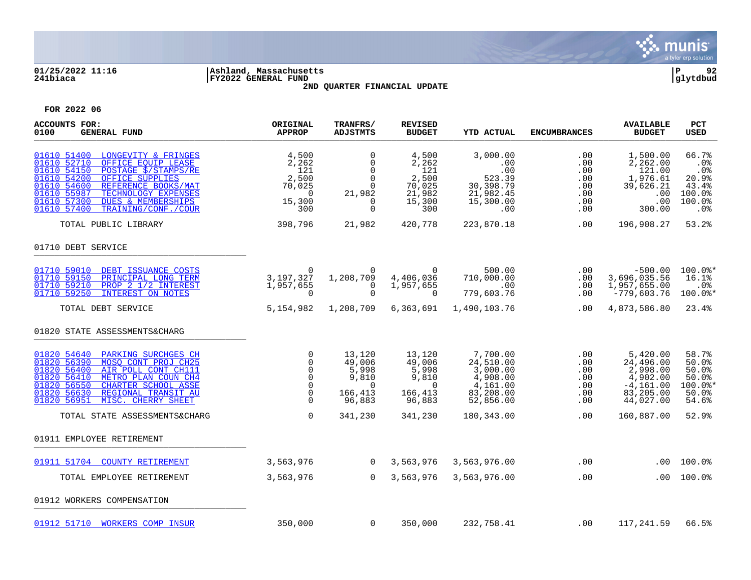

# **01/25/2022 11:16 |Ashland, Massachusetts |P 92 241biaca |FY2022 GENERAL FUND |glytdbud 2ND QUARTER FINANCIAL UPDATE**



| ACCOUNTS FOR:<br>0100<br><b>GENERAL FUND</b>                                                                                                                                                                                                                                                                      | ORIGINAL<br><b>APPROP</b>                                                                          | TRANFRS/<br><b>ADJSTMTS</b>                                                        | <b>REVISED</b><br><b>BUDGET</b>                                           | <b>YTD ACTUAL</b>                                                                   | <b>ENCUMBRANCES</b>                                       | <b>AVAILABLE</b><br><b>BUDGET</b>                                                       | PCT<br><b>USED</b>                                               |
|-------------------------------------------------------------------------------------------------------------------------------------------------------------------------------------------------------------------------------------------------------------------------------------------------------------------|----------------------------------------------------------------------------------------------------|------------------------------------------------------------------------------------|---------------------------------------------------------------------------|-------------------------------------------------------------------------------------|-----------------------------------------------------------|-----------------------------------------------------------------------------------------|------------------------------------------------------------------|
| 01610 51400<br>LONGEVITY & FRINGES<br>01610 52710<br>OFFICE EOUIP LEASE<br>01610 54150<br>POSTAGE S/STAMPS/RE<br>01610 54200<br>OFFICE SUPPLIES<br>01610 54600<br>REFERENCE BOOKS/MAT<br>01610 55987<br>TECHNOLOGY EXPENSES<br>01610 57300<br><b>DUES &amp; MEMBERSHIPS</b><br>01610 57400<br>TRAINING/CONF./COUR | 4,500<br>2,262<br>121<br>2,500<br>70,025<br>$\overline{0}$<br>15,300<br>300                        | 0<br>$\mathbf 0$<br>$\Omega$<br>$\Omega$<br>$\mathbf 0$<br>21,982<br>0<br>$\Omega$ | 4,500<br>2,262<br>121<br>2,500<br>70,025<br>21,982<br>15,300<br>300       | 3,000.00<br>.00<br>.00<br>523.39<br>30,398.79<br>21,982.45<br>15,300.00<br>.00      | .00<br>.00<br>.00<br>.00<br>.00<br>.00<br>.00<br>$.00 \,$ | 1,500.00<br>2,262.00<br>121.00<br>1,976.61<br>39,626.21<br>.00<br>.00<br>300.00         | 66.7%<br>.0%<br>.0%<br>20.9%<br>43.4%<br>100.0%<br>100.0%<br>.0% |
| TOTAL PUBLIC LIBRARY                                                                                                                                                                                                                                                                                              | 398,796                                                                                            | 21,982                                                                             | 420,778                                                                   | 223,870.18                                                                          | .00                                                       | 196,908.27                                                                              | 53.2%                                                            |
| 01710 DEBT SERVICE                                                                                                                                                                                                                                                                                                |                                                                                                    |                                                                                    |                                                                           |                                                                                     |                                                           |                                                                                         |                                                                  |
| 01710 59010<br>DEBT ISSUANCE COSTS<br>01710 59150<br>PRINCIPAL LONG TERM<br>01710 59210<br>PROP 2 1/2 INTEREST<br>01710 59250<br>INTEREST ON NOTES                                                                                                                                                                | $\Omega$<br>3, 197, 327<br>1,957,655<br>$\mathbf 0$                                                | $\Omega$<br>1,208,709<br>$\mathbf 0$<br>$\mathbf 0$                                | $\Omega$<br>4,406,036<br>1,957,655<br>$\Omega$                            | 500.00<br>710,000.00<br>.00<br>779,603.76                                           | .00<br>$.00 \ \rm$<br>.00<br>.00                          | $-500.00$<br>3,696,035.56<br>1,957,655.00<br>$-779,603.76$                              | 100.0%*<br>16.1%<br>.0%<br>100.0%*                               |
| TOTAL DEBT SERVICE                                                                                                                                                                                                                                                                                                | 5,154,982                                                                                          | 1,208,709                                                                          | 6,363,691                                                                 | 1,490,103.76                                                                        | .00                                                       | 4,873,586.80                                                                            | 23.4%                                                            |
| 01820 STATE ASSESSMENTS&CHARG                                                                                                                                                                                                                                                                                     |                                                                                                    |                                                                                    |                                                                           |                                                                                     |                                                           |                                                                                         |                                                                  |
| 01820 54640<br>PARKING SURCHGES CH<br>01820 56390<br>MOSO CONT PROJ CH25<br>01820 56400<br>AIR POLL CONT CH111<br>01820 56410<br>METRO PLAN COUN CH4<br>01820 56550<br>CHARTER SCHOOL ASSE<br>01820 56630<br>REGIONAL TRANSIT AU<br>01820 56951<br>MISC. CHERRY SHEET                                             | $\mathbf 0$<br>$\mathbf 0$<br>$\mathbf 0$<br>$\mathbf 0$<br>$\mathbf 0$<br>$\mathbf 0$<br>$\Omega$ | 13,120<br>49,006<br>5,998<br>9,810<br>$\Omega$<br>166,413<br>96,883                | 13,120<br>49,006<br>5,998<br>9,810<br>$\overline{0}$<br>166,413<br>96,883 | 7,700.00<br>24,510.00<br>3,000.00<br>4,908.00<br>4,161.00<br>83,208.00<br>52,856.00 | .00<br>.00<br>.00<br>.00<br>.00<br>.00<br>.00             | 5,420.00<br>24,496.00<br>2,998.00<br>4,902.00<br>$-4, 161.00$<br>83,205.00<br>44,027.00 | 58.7%<br>50.0%<br>50.0%<br>50.0%<br>$100.0$ *<br>50.0%<br>54.6%  |
| TOTAL STATE ASSESSMENTS&CHARG                                                                                                                                                                                                                                                                                     | $\mathbf 0$                                                                                        | 341,230                                                                            | 341,230                                                                   | 180,343.00                                                                          | .00                                                       | 160,887.00                                                                              | 52.9%                                                            |
| 01911 EMPLOYEE RETIREMENT                                                                                                                                                                                                                                                                                         |                                                                                                    |                                                                                    |                                                                           |                                                                                     |                                                           |                                                                                         |                                                                  |
| 01911 51704 COUNTY RETIREMENT                                                                                                                                                                                                                                                                                     | 3,563,976                                                                                          | $\overline{0}$                                                                     | 3,563,976                                                                 | 3,563,976.00                                                                        | $.00 \ \rm$                                               | .00                                                                                     | 100.0%                                                           |
| TOTAL EMPLOYEE RETIREMENT                                                                                                                                                                                                                                                                                         | 3,563,976                                                                                          | $\Omega$                                                                           | 3,563,976                                                                 | 3,563,976.00                                                                        | .00                                                       | .00                                                                                     | $100.0$ %                                                        |
| 01912 WORKERS COMPENSATION                                                                                                                                                                                                                                                                                        |                                                                                                    |                                                                                    |                                                                           |                                                                                     |                                                           |                                                                                         |                                                                  |
| 01912 51710 WORKERS COMP INSUR                                                                                                                                                                                                                                                                                    | 350,000                                                                                            | $\overline{0}$                                                                     | 350,000                                                                   | 232,758.41                                                                          | .00                                                       | 117,241.59                                                                              | 66.5%                                                            |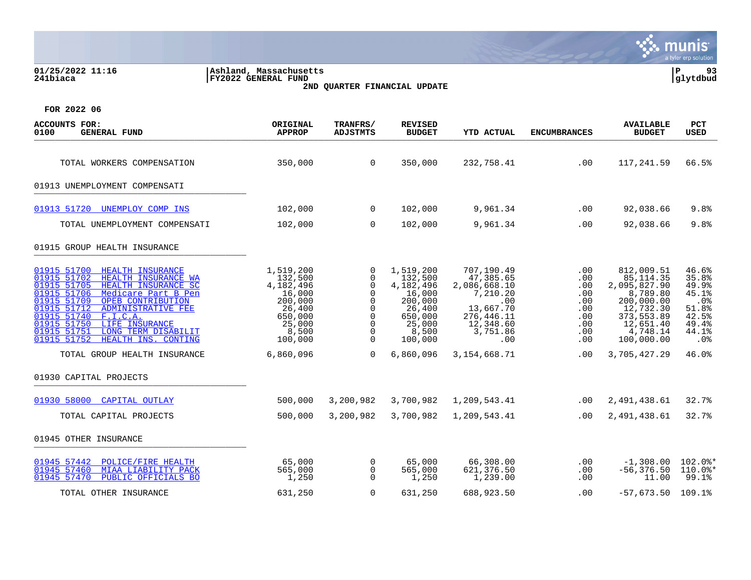| 01/25/2022 11:16<br>241biaca                                                                                                                                                                                                                                                                                                                                              | Ashland, Massachusetts<br>FY2022 GENERAL FUND                                                             | 2ND QUARTER FINANCIAL UPDATE                                                                                             |                                                                                                           |                                                                                                                       |                                                                    |                                                                                                                                      | ΙP<br>93<br>glytdbud                                                                             |
|---------------------------------------------------------------------------------------------------------------------------------------------------------------------------------------------------------------------------------------------------------------------------------------------------------------------------------------------------------------------------|-----------------------------------------------------------------------------------------------------------|--------------------------------------------------------------------------------------------------------------------------|-----------------------------------------------------------------------------------------------------------|-----------------------------------------------------------------------------------------------------------------------|--------------------------------------------------------------------|--------------------------------------------------------------------------------------------------------------------------------------|--------------------------------------------------------------------------------------------------|
| FOR 2022 06                                                                                                                                                                                                                                                                                                                                                               |                                                                                                           |                                                                                                                          |                                                                                                           |                                                                                                                       |                                                                    |                                                                                                                                      |                                                                                                  |
| <b>ACCOUNTS FOR:</b><br><b>GENERAL FUND</b><br>0100                                                                                                                                                                                                                                                                                                                       | ORIGINAL<br><b>APPROP</b>                                                                                 | TRANFRS/<br><b>ADJSTMTS</b>                                                                                              | <b>REVISED</b><br><b>BUDGET</b>                                                                           | <b>YTD ACTUAL</b>                                                                                                     | <b>ENCUMBRANCES</b>                                                | <b>AVAILABLE</b><br><b>BUDGET</b>                                                                                                    | PCT<br>USED                                                                                      |
| TOTAL WORKERS COMPENSATION                                                                                                                                                                                                                                                                                                                                                | 350,000                                                                                                   | $\overline{0}$                                                                                                           | 350,000                                                                                                   | 232,758.41                                                                                                            | .00                                                                | 117,241.59                                                                                                                           | 66.5%                                                                                            |
| 01913 UNEMPLOYMENT COMPENSATI                                                                                                                                                                                                                                                                                                                                             |                                                                                                           |                                                                                                                          |                                                                                                           |                                                                                                                       |                                                                    |                                                                                                                                      |                                                                                                  |
| 01913 51720 UNEMPLOY COMP INS                                                                                                                                                                                                                                                                                                                                             | 102,000                                                                                                   | $\mathbf 0$                                                                                                              | 102,000                                                                                                   | 9,961.34                                                                                                              | .00                                                                | 92,038.66                                                                                                                            | 9.8%                                                                                             |
| TOTAL UNEMPLOYMENT COMPENSATI                                                                                                                                                                                                                                                                                                                                             | 102,000                                                                                                   | $\Omega$                                                                                                                 | 102,000                                                                                                   | 9,961.34                                                                                                              | .00                                                                | 92,038.66                                                                                                                            | 9.8%                                                                                             |
| 01915 GROUP HEALTH INSURANCE                                                                                                                                                                                                                                                                                                                                              |                                                                                                           |                                                                                                                          |                                                                                                           |                                                                                                                       |                                                                    |                                                                                                                                      |                                                                                                  |
| 01915 51700<br><b>HEALTH INSURANCE</b><br>HEALTH INSURANCE WA<br>01915 51702<br>HEALTH INSURANCE SC<br>01915 51705<br>01915 51706<br>Medicare Part B Pen<br>01915 51709<br>OPEB CONTRIBUTION<br>01915 51712<br>ADMINISTRATIVE FEE<br>01915 51740<br>F.I.C.A.<br>01915 51750<br>LIFE INSURANCE<br>01915 51751<br>LONG TERM DISABILIT<br>01915 51752<br>HEALTH INS. CONTING | 1,519,200<br>132,500<br>4,182,496<br>16,000<br>200,000<br>26,400<br>650,000<br>25,000<br>8,500<br>100,000 | 0<br>0<br>$\mathbf 0$<br>$\mathbf 0$<br>$\mathbf 0$<br>$\Omega$<br>$\mathbf 0$<br>$\mathbf 0$<br>$\mathbf 0$<br>$\Omega$ | 1,519,200<br>132,500<br>4,182,496<br>16,000<br>200,000<br>26,400<br>650,000<br>25,000<br>8,500<br>100,000 | 707,190.49<br>47,385.65<br>2,086,668.10<br>7,210.20<br>.00<br>13,667.70<br>276,446.11<br>12,348.60<br>3,751.86<br>.00 | .00<br>.00<br>.00<br>.00<br>.00<br>.00<br>.00<br>.00<br>.00<br>.00 | 812,009.51<br>85, 114.35<br>2,095,827.90<br>8,789.80<br>200,000.00<br>12,732.30<br>373,553.89<br>12,651.40<br>4,748.14<br>100,000.00 | 46.6%<br>35.8%<br>49.9%<br>45.1%<br>.0 <sub>8</sub><br>51.8%<br>42.5%<br>49.4%<br>44.1%<br>. 0 % |
| TOTAL GROUP HEALTH INSURANCE                                                                                                                                                                                                                                                                                                                                              | 6,860,096                                                                                                 | $\Omega$                                                                                                                 | 6,860,096                                                                                                 | 3,154,668.71                                                                                                          | .00                                                                | 3,705,427.29                                                                                                                         | 46.0%                                                                                            |
| 01930 CAPITAL PROJECTS                                                                                                                                                                                                                                                                                                                                                    |                                                                                                           |                                                                                                                          |                                                                                                           |                                                                                                                       |                                                                    |                                                                                                                                      |                                                                                                  |
| 01930 58000 CAPITAL OUTLAY                                                                                                                                                                                                                                                                                                                                                | 500,000                                                                                                   | 3,200,982                                                                                                                | 3,700,982                                                                                                 | 1,209,543.41                                                                                                          | $.00 \,$                                                           | 2,491,438.61                                                                                                                         | 32.7%                                                                                            |
| TOTAL CAPITAL PROJECTS                                                                                                                                                                                                                                                                                                                                                    | 500,000                                                                                                   | 3,200,982                                                                                                                | 3,700,982                                                                                                 | 1,209,543.41                                                                                                          | .00                                                                | 2,491,438.61                                                                                                                         | 32.7%                                                                                            |
| 01945 OTHER INSURANCE                                                                                                                                                                                                                                                                                                                                                     |                                                                                                           |                                                                                                                          |                                                                                                           |                                                                                                                       |                                                                    |                                                                                                                                      |                                                                                                  |
| 01945 57442<br>POLICE/FIRE HEALTH<br>01945 57460<br>MIAA LIABILITY PACK<br>01945 57470<br>PUBLIC OFFICIALS BO                                                                                                                                                                                                                                                             | 65,000<br>565,000<br>1,250                                                                                | 0<br>$\mathbf 0$<br>$\Omega$                                                                                             | 65,000<br>565,000<br>1,250                                                                                | 66,308.00<br>621,376.50<br>1,239.00                                                                                   | $.00 \,$<br>$.00 \,$<br>.00                                        | $-1,308.00$<br>$-56,376.50$<br>11.00                                                                                                 | $102.0$ $*$<br>$110.0$ *<br>99.1%                                                                |
| TOTAL OTHER INSURANCE                                                                                                                                                                                                                                                                                                                                                     | 631,250                                                                                                   | $\Omega$                                                                                                                 | 631,250                                                                                                   | 688,923.50                                                                                                            | .00                                                                | $-57.673.50$ 109.1%                                                                                                                  |                                                                                                  |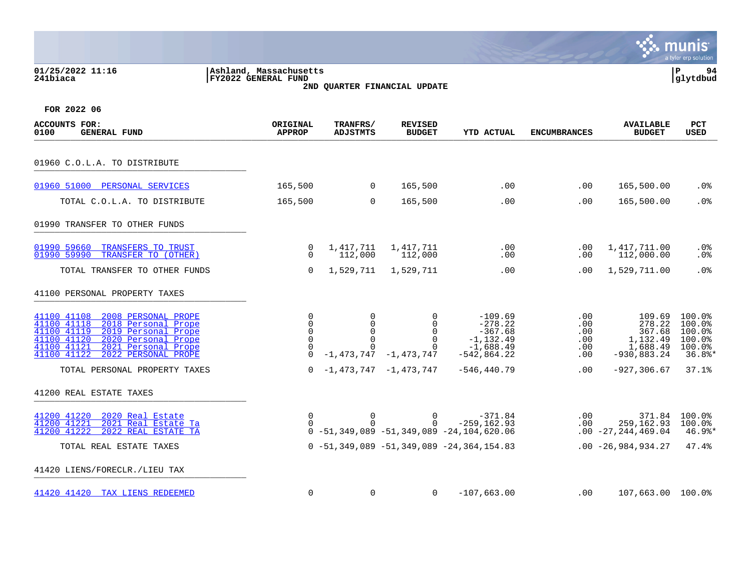|                                                                                                                                                                                                                                  |                                                                     |                                                         |                                                                                                |                                                                                    |                                                  |                                                                     | a tyler erp solution                                       |
|----------------------------------------------------------------------------------------------------------------------------------------------------------------------------------------------------------------------------------|---------------------------------------------------------------------|---------------------------------------------------------|------------------------------------------------------------------------------------------------|------------------------------------------------------------------------------------|--------------------------------------------------|---------------------------------------------------------------------|------------------------------------------------------------|
| 01/25/2022 11:16<br>241biaca                                                                                                                                                                                                     | Ashland, Massachusetts<br><b>FY2022 GENERAL FUND</b>                |                                                         | 2ND QUARTER FINANCIAL UPDATE                                                                   |                                                                                    |                                                  |                                                                     | ΙP<br>94<br> glytdbud                                      |
| FOR 2022 06                                                                                                                                                                                                                      |                                                                     |                                                         |                                                                                                |                                                                                    |                                                  |                                                                     |                                                            |
| <b>ACCOUNTS FOR:</b><br>0100<br><b>GENERAL FUND</b>                                                                                                                                                                              | ORIGINAL<br><b>APPROP</b>                                           | TRANFRS/<br><b>ADJSTMTS</b>                             | <b>REVISED</b><br><b>BUDGET</b>                                                                | <b>YTD ACTUAL</b>                                                                  | <b>ENCUMBRANCES</b>                              | <b>AVAILABLE</b><br><b>BUDGET</b>                                   | <b>PCT</b><br><b>USED</b>                                  |
| 01960 C.O.L.A. TO DISTRIBUTE                                                                                                                                                                                                     |                                                                     |                                                         |                                                                                                |                                                                                    |                                                  |                                                                     |                                                            |
| 01960 51000 PERSONAL SERVICES                                                                                                                                                                                                    | 165,500                                                             | $\overline{0}$                                          | 165,500                                                                                        | .00                                                                                | .00                                              | 165,500.00                                                          | .0%                                                        |
| TOTAL C.O.L.A. TO DISTRIBUTE                                                                                                                                                                                                     | 165,500                                                             | $\mathbf 0$                                             | 165,500                                                                                        | .00                                                                                | .00                                              | 165,500.00                                                          | .0 <sub>8</sub>                                            |
| 01990 TRANSFER TO OTHER FUNDS                                                                                                                                                                                                    |                                                                     |                                                         |                                                                                                |                                                                                    |                                                  |                                                                     |                                                            |
| 01990 59660<br>TRANSFERS TO TRUST<br>01990 59990<br>TRANSFER TO (OTHER)                                                                                                                                                          | 0<br>$\Omega$                                                       | 1,417,711<br>112,000                                    | 1,417,711<br>112,000                                                                           | .00<br>.00                                                                         | $.00 \,$<br>$.00 \,$                             | 1,417,711.00<br>112,000.00                                          | .0%<br>.0%                                                 |
| TOTAL TRANSFER TO OTHER FUNDS                                                                                                                                                                                                    | $\mathbf 0$                                                         | 1,529,711                                               | 1,529,711                                                                                      | .00                                                                                | $.00 \,$                                         | 1,529,711.00                                                        | .0%                                                        |
| 41100 PERSONAL PROPERTY TAXES                                                                                                                                                                                                    |                                                                     |                                                         |                                                                                                |                                                                                    |                                                  |                                                                     |                                                            |
| 2008 PERSONAL PROPE<br>41100 41108<br>41100 41118<br>2018 Personal Prope<br>41100 41119<br>2019 Personal Prope<br>41100 41120<br>2020 Personal Prope<br>41100 41121<br>2021 Personal Prope<br>41100 41122<br>2022 PERSONAL PROPE | $\mathbf 0$<br>$\Omega$<br>$\Omega$<br>0<br>$\mathbf 0$<br>$\Omega$ | 0<br>$\mathbf 0$<br>$\Omega$<br>$\mathbf 0$<br>$\Omega$ | $\Omega$<br>$\Omega$<br>$\Omega$<br>$\mathbf 0$<br>$\mathbf 0$<br>$-1, 473, 747 - 1, 473, 747$ | $-109.69$<br>$-278.22$<br>$-367.68$<br>$-1,132.49$<br>$-1,688.49$<br>$-542,864.22$ | .00<br>.00<br>$.00 \,$<br>.00<br>.00<br>$.00 \,$ | 109.69<br>278.22<br>367.68<br>1,132.49<br>1,688.49<br>$-930,883.24$ | 100.0%<br>100.0%<br>100.0%<br>100.0%<br>100.0%<br>$36.8$ * |
| TOTAL PERSONAL PROPERTY TAXES                                                                                                                                                                                                    | $\Omega$                                                            |                                                         | $-1,473,747$ $-1,473,747$                                                                      | $-546, 440.79$                                                                     | .00                                              | $-927, 306.67$                                                      | 37.1%                                                      |
| 41200 REAL ESTATE TAXES                                                                                                                                                                                                          |                                                                     |                                                         |                                                                                                |                                                                                    |                                                  |                                                                     |                                                            |
| 41200 41220<br>2020 Real Estate<br>41200 41221<br>2021 Real Estate Ta<br>41200 41222<br>2022 REAL ESTATE TA                                                                                                                      | 0<br>0                                                              | $\mathbf 0$<br>$\Omega$                                 | $\overline{0}$<br>$\Omega$                                                                     | $-371.84$<br>$-259, 162.93$<br>$0 - 51, 349, 089 - 51, 349, 089 - 24, 104, 620.06$ | .00<br>$.00 \,$                                  | 259,162.93<br>$.00 - 27, 244, 469.04$                               | 371.84 100.0%<br>100.0%<br>$46.9$ $*$                      |
| TOTAL REAL ESTATE TAXES                                                                                                                                                                                                          |                                                                     |                                                         |                                                                                                | $0 - 51, 349, 089 - 51, 349, 089 - 24, 364, 154.83$                                |                                                  | $.00 - 26,984,934.27$                                               | 47.4%                                                      |
| 41420 LIENS/FORECLR./LIEU TAX                                                                                                                                                                                                    |                                                                     |                                                         |                                                                                                |                                                                                    |                                                  |                                                                     |                                                            |
| 41420 41420 TAX LIENS REDEEMED                                                                                                                                                                                                   | $\mathbf 0$                                                         | 0                                                       | $\overline{0}$                                                                                 | $-107,663.00$                                                                      | $.00 \ \rm$                                      | 107,663.00 100.0%                                                   |                                                            |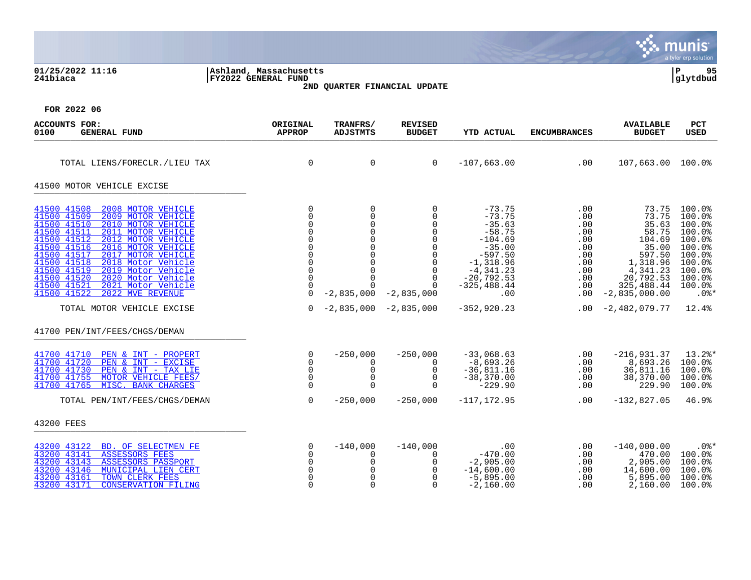|                                                                                                                                                                                                                                                                                                                                                                                                                                                        |                                                                                                 |                                                                                                                                                 |                                                                                                                                                        |                                                                                                                                                                 |                                                                                  |                                                                                                                                     | munis<br>a tyler erp solution                                                                                         |
|--------------------------------------------------------------------------------------------------------------------------------------------------------------------------------------------------------------------------------------------------------------------------------------------------------------------------------------------------------------------------------------------------------------------------------------------------------|-------------------------------------------------------------------------------------------------|-------------------------------------------------------------------------------------------------------------------------------------------------|--------------------------------------------------------------------------------------------------------------------------------------------------------|-----------------------------------------------------------------------------------------------------------------------------------------------------------------|----------------------------------------------------------------------------------|-------------------------------------------------------------------------------------------------------------------------------------|-----------------------------------------------------------------------------------------------------------------------|
| 01/25/2022 11:16<br>241biaca                                                                                                                                                                                                                                                                                                                                                                                                                           | Ashland, Massachusetts<br>FY2022 GENERAL FUND                                                   |                                                                                                                                                 | 2ND QUARTER FINANCIAL UPDATE                                                                                                                           |                                                                                                                                                                 |                                                                                  |                                                                                                                                     | ${\bf P}$<br>95<br> glytdbud                                                                                          |
| FOR 2022 06                                                                                                                                                                                                                                                                                                                                                                                                                                            |                                                                                                 |                                                                                                                                                 |                                                                                                                                                        |                                                                                                                                                                 |                                                                                  |                                                                                                                                     |                                                                                                                       |
| <b>ACCOUNTS FOR:</b><br><b>GENERAL FUND</b><br>0100                                                                                                                                                                                                                                                                                                                                                                                                    | ORIGINAL<br><b>APPROP</b>                                                                       | TRANFRS/<br><b>ADJSTMTS</b>                                                                                                                     | <b>REVISED</b><br><b>BUDGET</b>                                                                                                                        | <b>YTD ACTUAL</b>                                                                                                                                               | <b>ENCUMBRANCES</b>                                                              | <b>AVAILABLE</b><br><b>BUDGET</b>                                                                                                   | PCT<br><b>USED</b>                                                                                                    |
| TOTAL LIENS/FORECLR./LIEU TAX                                                                                                                                                                                                                                                                                                                                                                                                                          | $\mathbf 0$                                                                                     | 0                                                                                                                                               | $\mathbf 0$                                                                                                                                            | $-107,663.00$                                                                                                                                                   | .00                                                                              | 107,663.00 100.0%                                                                                                                   |                                                                                                                       |
| 41500 MOTOR VEHICLE EXCISE                                                                                                                                                                                                                                                                                                                                                                                                                             |                                                                                                 |                                                                                                                                                 |                                                                                                                                                        |                                                                                                                                                                 |                                                                                  |                                                                                                                                     |                                                                                                                       |
| 41500 41508<br>2008 MOTOR VEHICLE<br>41500 41509<br>2009 MOTOR VEHICLE<br>41500 41510<br>2010 MOTOR VEHICLE<br>41500 41511<br>2011 MOTOR VEHICLE<br>41500 41512<br>2012 MOTOR VEHICLE<br>41500 41516<br>2016 MOTOR VEHICLE<br>41500 41517<br>2017 MOTOR VEHICLE<br>41500 41518<br>2018 Motor Vehicle<br>41500 41519<br>2019 Motor Vehicle<br>41500 41520<br>2020 Motor Vehicle<br>41500 41521<br>2021 Motor Vehicle<br>41500 41522<br>2022 MVE REVENUE | $\mathbf 0$<br>$\Omega$<br>$\Omega$<br>$\Omega$<br>$\Omega$<br>$\Omega$<br>$\Omega$<br>$\Omega$ | 0<br>$\mathbf 0$<br>$\mathbf 0$<br>$\mathbf 0$<br>$\mathbf 0$<br>$\mathbf 0$<br>$\mathbf 0$<br>$\mathbf 0$<br>$\mathbf 0$<br>$\Omega$<br>$\cap$ | 0<br>$\Omega$<br>$\Omega$<br>$\Omega$<br>$\Omega$<br>$\mathbf 0$<br>$\Omega$<br>$\mathbf 0$<br>0<br>$\mathbf 0$<br>$\Omega$<br>$-2,835,000 -2,835,000$ | $-73.75$<br>$-73.75$<br>$-35.63$<br>$-58.75$<br>$-104.69$<br>$-35.00$<br>$-597.50$<br>$-1,318.96$<br>$-4,341.23$<br>$-20, 792.53$<br>$-325, 488.44$<br>$.00 \,$ | .00<br>.00<br>.00<br>.00<br>.00<br>.00<br>.00<br>.00<br>.00<br>.00<br>.00<br>.00 | 73.75<br>73.75<br>35.63<br>58.75<br>104.69<br>35.00<br>597.50<br>1,318.96<br>4,341.23<br>20,792.53<br>325,488.44<br>$-2,835,000.00$ | 100.0%<br>100.0%<br>100.0%<br>100.0%<br>100.0%<br>100.0%<br>100.0%<br>100.0%<br>100.0%<br>100.0%<br>100.0%<br>$.0$ %* |
| TOTAL MOTOR VEHICLE EXCISE                                                                                                                                                                                                                                                                                                                                                                                                                             | 0                                                                                               |                                                                                                                                                 | $-2,835,000 -2,835,000$                                                                                                                                | $-352, 920.23$                                                                                                                                                  | .00                                                                              | $-2,482,079.77$                                                                                                                     | 12.4%                                                                                                                 |
| 41700 PEN/INT/FEES/CHGS/DEMAN                                                                                                                                                                                                                                                                                                                                                                                                                          |                                                                                                 |                                                                                                                                                 |                                                                                                                                                        |                                                                                                                                                                 |                                                                                  |                                                                                                                                     |                                                                                                                       |
| 41700 41710<br>PEN & INT - PROPERT<br>41700 41720<br>PEN & INT - EXCISE<br>41700 41730<br>PEN & INT - TAX LIE<br>41700 41755<br>MOTOR VEHICLE FEES/<br>41700 41765<br>MISC. BANK CHARGES                                                                                                                                                                                                                                                               | 0<br>$\Omega$<br>0<br>$\Omega$<br>0                                                             | $-250,000$<br>0<br>0<br>$\Omega$<br>$\mathbf 0$                                                                                                 | $-250,000$<br>$\Omega$<br>0<br>$\Omega$<br>0                                                                                                           | $-33,068.63$<br>$-8,693.26$<br>$-36,811.16$<br>$-38,370.00$<br>$-229.90$                                                                                        | .00<br>.00<br>.00<br>.00<br>.00                                                  | $-216,931.37$<br>8,693.26<br>36,811.16<br>38,370.00<br>229.90                                                                       | $13.2$ $*$<br>100.0%<br>100.0%<br>100.0%<br>$100.0$ %                                                                 |
| TOTAL PEN/INT/FEES/CHGS/DEMAN                                                                                                                                                                                                                                                                                                                                                                                                                          | 0                                                                                               | $-250,000$                                                                                                                                      | $-250,000$                                                                                                                                             | $-117, 172.95$                                                                                                                                                  | .00                                                                              | $-132,827.05$                                                                                                                       | 46.9%                                                                                                                 |
| 43200 FEES                                                                                                                                                                                                                                                                                                                                                                                                                                             |                                                                                                 |                                                                                                                                                 |                                                                                                                                                        |                                                                                                                                                                 |                                                                                  |                                                                                                                                     |                                                                                                                       |
| 43200 43122<br>BD. OF SELECTMEN FE<br>43200<br>43141<br><b>ASSESSORS FEES</b><br>43143<br>43200<br><b>ASSESSORS PASSPORT</b><br>43146<br>43200<br>MUNICIPAL LIEN CERT<br>43200 43161<br>TOWN CLERK FEES<br>43200 43171<br><b>CONSERVATION FILING</b>                                                                                                                                                                                                   | $\Omega$<br>$\Omega$<br>$\Omega$<br>$\Omega$<br>$\Omega$<br>$\mathbf 0$                         | $-140,000$<br>0<br>$\mathbf 0$<br>$\Omega$<br>$\mathbf 0$<br>$\mathbf 0$                                                                        | $-140,000$<br>$\mathbf 0$<br>$\mathbf 0$<br>$\Omega$<br>$\mathbf 0$<br>0                                                                               | .00<br>$-470.00$<br>$-2,905.00$<br>$-14,600.00$<br>$-5,895.00$<br>$-2,160.00$                                                                                   | $.00 \,$<br>.00<br>.00<br>.00<br>.00<br>.00                                      | $-140,000.00$<br>470.00<br>2,905.00<br>14,600.00<br>5,895.00<br>2,160.00                                                            | .0%*<br>100.0%<br>100.0%<br>100.0%<br>$100.0$ <sup>8</sup><br>100.0%                                                  |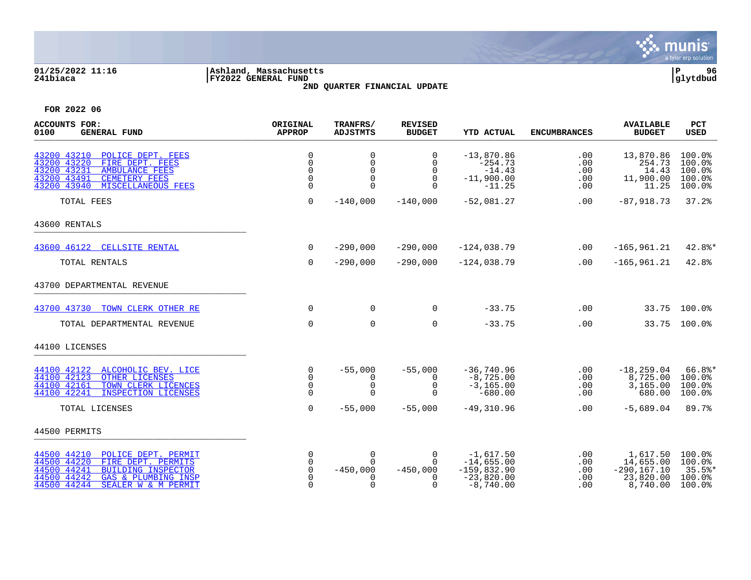

# **01/25/2022 11:16 |Ashland, Massachusetts |P 96 241biaca |FY2022 GENERAL FUND |glytdbud 2ND QUARTER FINANCIAL UPDATE**



| <b>ACCOUNTS FOR:</b><br>0100<br><b>GENERAL FUND</b>                                                                                                                                             | ORIGINAL<br><b>APPROP</b>                            | TRANFRS/<br><b>ADJSTMTS</b>                          | <b>REVISED</b><br><b>BUDGET</b>                             | <b>YTD ACTUAL</b>                                                           | <b>ENCUMBRANCES</b>             | <b>AVAILABLE</b><br><b>BUDGET</b>                                | PCT<br><b>USED</b>                                |
|-------------------------------------------------------------------------------------------------------------------------------------------------------------------------------------------------|------------------------------------------------------|------------------------------------------------------|-------------------------------------------------------------|-----------------------------------------------------------------------------|---------------------------------|------------------------------------------------------------------|---------------------------------------------------|
| 43200 43210<br>POLICE DEPT. FEES<br>43200 43220<br>FIRE DEPT. FEES<br>43200 43231<br><b>AMBULANCE FEES</b><br>43200 43491<br><b>CEMETERY FEES</b><br>43200 43940<br>MISCELLANEOUS FEES          | $\mathbf 0$<br>$\Omega$<br>$\Omega$<br>0<br>$\Omega$ | $\Omega$<br>$\mathbf 0$<br>$\Omega$<br>0<br>$\Omega$ | $\Omega$<br>$\Omega$<br>$\Omega$<br>$\mathbf 0$<br>$\Omega$ | $-13,870.86$<br>$-254.73$<br>$-14.43$<br>$-11,900.00$<br>$-11.25$           | .00<br>.00<br>.00<br>.00<br>.00 | 13,870.86<br>254.73<br>14.43<br>11,900.00<br>11.25               | 100.0%<br>100.0%<br>100.0%<br>100.0%<br>100.0%    |
| TOTAL FEES                                                                                                                                                                                      | $\Omega$                                             | $-140,000$                                           | $-140,000$                                                  | $-52,081.27$                                                                | .00                             | $-87,918.73$                                                     | 37.2%                                             |
| 43600 RENTALS                                                                                                                                                                                   |                                                      |                                                      |                                                             |                                                                             |                                 |                                                                  |                                                   |
| 43600 46122 CELLSITE RENTAL                                                                                                                                                                     | $\mathbf 0$                                          | $-290,000$                                           | $-290,000$                                                  | $-124,038.79$                                                               | .00                             | $-165,961.21$                                                    | $42.8$ *                                          |
| TOTAL RENTALS                                                                                                                                                                                   | $\mathbf 0$                                          | $-290,000$                                           | $-290,000$                                                  | $-124,038.79$                                                               | .00                             | $-165, 961.21$                                                   | 42.8%                                             |
| 43700 DEPARTMENTAL REVENUE                                                                                                                                                                      |                                                      |                                                      |                                                             |                                                                             |                                 |                                                                  |                                                   |
| 43700 43730<br>TOWN CLERK OTHER RE                                                                                                                                                              | $\Omega$                                             | 0                                                    | 0                                                           | $-33.75$                                                                    | .00                             |                                                                  | 33.75 100.0%                                      |
| TOTAL DEPARTMENTAL REVENUE                                                                                                                                                                      | $\Omega$                                             | $\Omega$                                             | $\Omega$                                                    | $-33.75$                                                                    | .00                             |                                                                  | 33.75 100.0%                                      |
| 44100 LICENSES                                                                                                                                                                                  |                                                      |                                                      |                                                             |                                                                             |                                 |                                                                  |                                                   |
| 44100 42122<br>ALCOHOLIC BEV. LICE<br>44100 42123<br>OTHER LICENSES<br>44100 42161<br>TOWN CLERK LICENCES<br>INSPECTION LICENSES<br>44100 42241                                                 | $\mathbf 0$<br>$\Omega$<br>0<br>$\Omega$             | $-55,000$<br>0<br>$\mathbf 0$<br>$\Omega$            | $-55,000$<br>$\Omega$<br>$\mathbf 0$<br>∩                   | $-36,740.96$<br>$-8,725.00$<br>$-3, 165.00$<br>$-680.00$                    | .00<br>.00<br>.00<br>.00        | $-18, 259.04$<br>8,725.00<br>3,165.00<br>680.00                  | $66.8$ *<br>100.0%<br>100.0%<br>100.0%            |
| TOTAL LICENSES                                                                                                                                                                                  | $\Omega$                                             | $-55,000$                                            | $-55,000$                                                   | $-49,310.96$                                                                | .00                             | $-5,689.04$                                                      | 89.7%                                             |
| 44500 PERMITS                                                                                                                                                                                   |                                                      |                                                      |                                                             |                                                                             |                                 |                                                                  |                                                   |
| 44500 44210<br>POLICE DEPT. PERMIT<br>44500 44220<br>FIRE DEPT. PERMITS<br>44500 44241<br><b>BUILDING INSPECTOR</b><br>44500 44242<br>GAS & PLUMBING INSP<br>44500 44244<br>SEALER W & M PERMIT | 0<br>$\mathbf 0$<br>0<br>$\Omega$<br>0               | 0<br>$\Omega$<br>$-450,000$<br>$\Omega$              | $\Omega$<br>$\Omega$<br>$-450,000$<br>n<br>$\Omega$         | $-1,617.50$<br>$-14,655.00$<br>$-159,832.90$<br>$-23,820.00$<br>$-8,740.00$ | .00<br>.00<br>.00<br>.00<br>.00 | 1,617.50<br>14,655.00<br>$-290, 167.10$<br>23,820.00<br>8,740.00 | 100.0%<br>100.0%<br>$35.5$ %*<br>100.0%<br>100.0% |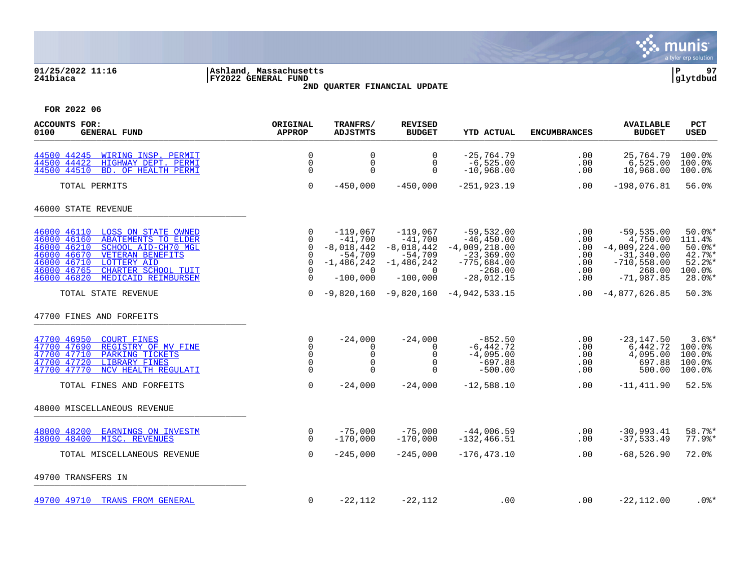

# **01/25/2022 11:16 |Ashland, Massachusetts |P 97 241biaca |FY2022 GENERAL FUND |glytdbud 2ND QUARTER FINANCIAL UPDATE**



| <b>ACCOUNTS FOR:</b><br>0100<br><b>GENERAL FUND</b>                                                                                                                                                                                                                    | ORIGINAL<br><b>APPROP</b>                                             | TRANFRS/<br><b>ADJSTMTS</b>                                                                    | <b>REVISED</b><br><b>BUDGET</b>                                                                    | <b>YTD ACTUAL</b>                                                                                              | <b>ENCUMBRANCES</b>                           | <b>AVAILABLE</b><br><b>BUDGET</b>                                                                        | <b>PCT</b><br><b>USED</b>                                                     |
|------------------------------------------------------------------------------------------------------------------------------------------------------------------------------------------------------------------------------------------------------------------------|-----------------------------------------------------------------------|------------------------------------------------------------------------------------------------|----------------------------------------------------------------------------------------------------|----------------------------------------------------------------------------------------------------------------|-----------------------------------------------|----------------------------------------------------------------------------------------------------------|-------------------------------------------------------------------------------|
| 44500 44245 WIRING INSP. PERMIT<br>44500 44422<br>HIGHWAY DEPT. PERMI<br>44500 44510<br>BD. OF HEALTH PERMI                                                                                                                                                            | $\Omega$<br>$\mathbf 0$<br>$\Omega$                                   | $\mathbf 0$<br>0<br>$\Omega$                                                                   | 0<br>0<br>$\Omega$                                                                                 | $-25,764.79$<br>$-6,525.00$<br>$-10,968.00$                                                                    | .00<br>.00<br>.00                             | 25,764.79<br>6,525.00<br>10,968.00                                                                       | 100.0%<br>100.0%<br>100.0%                                                    |
| TOTAL PERMITS                                                                                                                                                                                                                                                          | $\mathbf 0$                                                           | $-450,000$                                                                                     | $-450,000$                                                                                         | $-251, 923.19$                                                                                                 | .00                                           | $-198,076.81$                                                                                            | 56.0%                                                                         |
| 46000 STATE REVENUE                                                                                                                                                                                                                                                    |                                                                       |                                                                                                |                                                                                                    |                                                                                                                |                                               |                                                                                                          |                                                                               |
| 46000 46110 LOSS ON STATE OWNED<br>46000 46160<br><b>ABATEMENTS TO ELDER</b><br>46000 46210<br>SCHOOL AID-CH70 MGL<br>46000 46670<br>VETERAN BENEFITS<br>46000 46710<br><b>LOTTERY AID</b><br>46000 46765<br>CHARTER SCHOOL TUIT<br>46000 46820<br>MEDICAID REIMBURSEM | $\Omega$<br>$\Omega$<br>0<br>0<br>$\mathbf 0$<br>$\Omega$<br>$\Omega$ | $-119,067$<br>$-41,700$<br>$-8,018,442$<br>$-54,709$<br>$-1,486,242$<br>$\Omega$<br>$-100,000$ | $-119,067$<br>$-41,700$<br>$-8,018,442$<br>-54,709<br>$-1,486,242$<br>$\overline{0}$<br>$-100,000$ | $-59,532.00$<br>$-46, 450.00$<br>$-4,009,218.00$<br>$-23,369.00$<br>$-775,684.00$<br>$-268.00$<br>$-28,012.15$ | .00<br>.00<br>.00<br>.00<br>.00<br>.00<br>.00 | $-59, 535.00$<br>4,750.00<br>$-4,009,224.00$<br>$-31, 340.00$<br>$-710,558.00$<br>268.00<br>$-71,987.85$ | $50.0$ *<br>111.4%<br>$50.0$ *<br>$42.7$ %*<br>$52.2$ *<br>100.0%<br>$28.0$ * |
| TOTAL STATE REVENUE                                                                                                                                                                                                                                                    | $\Omega$                                                              |                                                                                                |                                                                                                    | $-9,820,160 -9,820,160 -4,942,533.15$                                                                          | $.00\,$                                       | $-4,877,626.85$                                                                                          | 50.3%                                                                         |
| 47700 FINES AND FORFEITS                                                                                                                                                                                                                                               |                                                                       |                                                                                                |                                                                                                    |                                                                                                                |                                               |                                                                                                          |                                                                               |
| 47700 46950<br><b>COURT FINES</b><br>REGISTRY OF MV FINE<br>47700 47690<br>47700 47710<br>PARKING TICKETS<br>47700 47720<br><b>LIBRARY FINES</b><br>47700 47770<br>NCV HEALTH REGULATI                                                                                 | 0<br>$\Omega$<br>$\mathbf 0$<br>$\Omega$<br>$\Omega$                  | $-24,000$<br>$\Omega$<br>$\Omega$<br>$\Omega$<br>$\Omega$                                      | $-24,000$<br>$\Omega$<br>0<br>$\Omega$<br>$\Omega$                                                 | $-852.50$<br>$-6,442.72$<br>$-4,095.00$<br>$-697.88$<br>$-500.00$                                              | .00<br>.00<br>.00<br>.00<br>.00               | $-23, 147.50$<br>6,442.72<br>4,095.00<br>697.88<br>500.00                                                | $3.6$ <sup>*</sup><br>100.0%<br>100.0%<br>100.0%<br>100.0%                    |
| TOTAL FINES AND FORFEITS                                                                                                                                                                                                                                               | $\Omega$                                                              | $-24,000$                                                                                      | $-24,000$                                                                                          | $-12,588.10$                                                                                                   | $.00 \,$                                      | $-11,411.90$                                                                                             | 52.5%                                                                         |
| 48000 MISCELLANEOUS REVENUE                                                                                                                                                                                                                                            |                                                                       |                                                                                                |                                                                                                    |                                                                                                                |                                               |                                                                                                          |                                                                               |
| 48000 48200<br><b>EARNINGS ON INVESTM</b><br>48000 48400<br>MISC. REVENUES                                                                                                                                                                                             | 0<br>$\Omega$                                                         | $-75,000$<br>$-170,000$                                                                        | $-75,000$<br>$-170,000$                                                                            | $-44,006.59$<br>$-132, 466.51$                                                                                 | .00<br>.00                                    | $-30,993.41$<br>$-37, 533.49$                                                                            | 58.7%*<br>$77.9$ %*                                                           |
| TOTAL MISCELLANEOUS REVENUE                                                                                                                                                                                                                                            | $\mathbf 0$                                                           | $-245,000$                                                                                     | $-245,000$                                                                                         | $-176, 473.10$                                                                                                 | .00                                           | $-68,526.90$                                                                                             | 72.0%                                                                         |
| 49700 TRANSFERS IN                                                                                                                                                                                                                                                     |                                                                       |                                                                                                |                                                                                                    |                                                                                                                |                                               |                                                                                                          |                                                                               |
| 49700 49710 TRANS FROM GENERAL                                                                                                                                                                                                                                         | 0                                                                     | $-22,112$                                                                                      | $-22,112$                                                                                          | .00                                                                                                            | $.00 \,$                                      | $-22,112.00$                                                                                             | $.0$ %*                                                                       |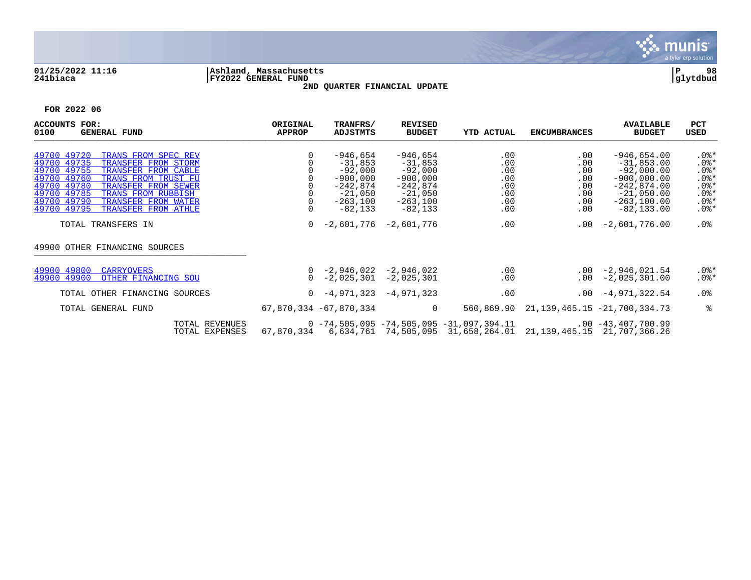

# **01/25/2022 11:16 |Ashland, Massachusetts |P 98 241biaca |FY2022 GENERAL FUND |glytdbud 2ND QUARTER FINANCIAL UPDATE**



| <b>ACCOUNTS</b><br>$_{\rm FOR:}$<br>0100<br><b>GENERAL FUND</b>                                                                                                                                                                                                                                          | ORIGINAL<br><b>APPROP</b> | TRANFRS/<br>ADJSTMTS                                                                                | <b>REVISED</b><br><b>BUDGET</b>                                                                          | <b>YTD ACTUAL</b>                                                                                                      | <b>ENCUMBRANCES</b>                                                      | <b>AVAILABLE</b><br><b>BUDGET</b>                                                                                                  | <b>PCT</b><br>USED                                                                   |
|----------------------------------------------------------------------------------------------------------------------------------------------------------------------------------------------------------------------------------------------------------------------------------------------------------|---------------------------|-----------------------------------------------------------------------------------------------------|----------------------------------------------------------------------------------------------------------|------------------------------------------------------------------------------------------------------------------------|--------------------------------------------------------------------------|------------------------------------------------------------------------------------------------------------------------------------|--------------------------------------------------------------------------------------|
| 49700 49720<br>TRANS FROM SPEC REV<br>49700 49735<br>TRANSFER FROM STORM<br>49700 49755<br>TRANSFER FROM CABLE<br>49700 49760<br>TRANS FROM TRUST FU<br>49700 49780<br>TRANSFER FROM SEWER<br>49700 49785<br>TRANS FROM RUBBISH<br>49700 49790<br>TRANSFER FROM WATER<br>49700 49795 TRANSFER FROM ATHLE |                           | -946,654<br>$-31,853$<br>$-92,000$<br>$-900,000$<br>-242,874<br>$-21,050$<br>-263,100<br>$-82, 133$ | $-946,654$<br>$-31,853$<br>$-92,000$<br>$-900,000$<br>$-242,874$<br>$-21,050$<br>$-263,100$<br>$-82,133$ | .00<br>.00<br>.00<br>.00<br>.00<br>.00<br>.00<br>.00                                                                   | $.00 \,$<br>.00<br>.00<br>.00<br>$.00 \,$<br>$.00 \,$<br>$.00 \,$<br>.00 | $-946,654.00$<br>$-31,853.00$<br>$-92,000.00$<br>$-900,000.00$<br>$-242,874.00$<br>$-21,050.00$<br>$-263, 100.00$<br>$-82, 133.00$ | $.0$ %*<br>$.0$ %*<br>$.0$ %*<br>$.0$ %*<br>$.0$ %*<br>$.0$ %*<br>$.0$ %*<br>$.0$ %* |
| TOTAL TRANSFERS IN                                                                                                                                                                                                                                                                                       | $\Omega$                  | $-2,601,776$                                                                                        | $-2,601,776$                                                                                             | .00                                                                                                                    | $.00 \,$                                                                 | $-2,601,776.00$                                                                                                                    | $.0\%$                                                                               |
| 49900 OTHER FINANCING SOURCES                                                                                                                                                                                                                                                                            |                           |                                                                                                     |                                                                                                          |                                                                                                                        |                                                                          |                                                                                                                                    |                                                                                      |
| 49900 49800<br><b>CARRYOVERS</b><br>49900 49900<br>OTHER FINANCING SOU                                                                                                                                                                                                                                   | $\Omega$                  | $0 -2,946,022 -2,946,022$                                                                           | $-2,025,301$ $-2,025,301$                                                                                | .00<br>.00                                                                                                             |                                                                          | $.00 -2,946,021.54$<br>$.00 -2.025.301.00$                                                                                         | $.0$ %*<br>$.0$ %*                                                                   |
| TOTAL OTHER FINANCING SOURCES                                                                                                                                                                                                                                                                            |                           | $0 - 4,971,323$                                                                                     | $-4,971,323$                                                                                             | .00                                                                                                                    |                                                                          | $.00 -4,971,322.54$                                                                                                                | $.0\%$                                                                               |
| TOTAL GENERAL FUND                                                                                                                                                                                                                                                                                       |                           | 67,870,334 -67,870,334                                                                              | $\overline{0}$                                                                                           | 560,869.90                                                                                                             |                                                                          | 21, 139, 465. 15 - 21, 700, 334. 73                                                                                                | ႜ                                                                                    |
| TOTAL REVENUES<br>TOTAL EXPENSES                                                                                                                                                                                                                                                                         | 67,870,334                |                                                                                                     |                                                                                                          | $0 - 74, 505, 095 - 74, 505, 095 - 31, 097, 394, 11$<br>6,634,761 74,505,095 31,658,264.01 21,139,465.15 21,707,366.26 |                                                                          | $.00 - 43,407,700.99$                                                                                                              |                                                                                      |